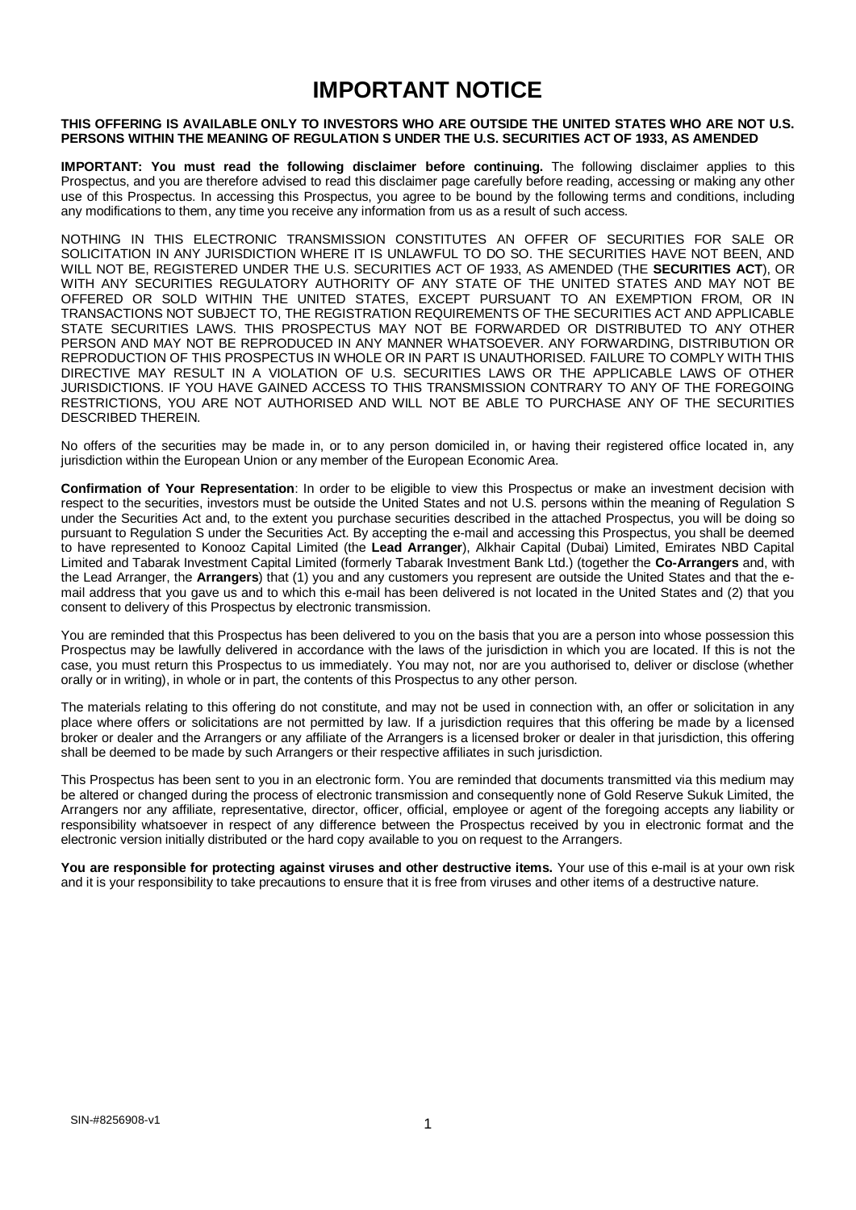# **IMPORTANT NOTICE**

#### **THIS OFFERING IS AVAILABLE ONLY TO INVESTORS WHO ARE OUTSIDE THE UNITED STATES WHO ARE NOT U.S. PERSONS WITHIN THE MEANING OF REGULATION S UNDER THE U.S. SECURITIES ACT OF 1933, AS AMENDED**

**IMPORTANT: You must read the following disclaimer before continuing.** The following disclaimer applies to this Prospectus, and you are therefore advised to read this disclaimer page carefully before reading, accessing or making any other use of this Prospectus. In accessing this Prospectus, you agree to be bound by the following terms and conditions, including any modifications to them, any time you receive any information from us as a result of such access.

NOTHING IN THIS ELECTRONIC TRANSMISSION CONSTITUTES AN OFFER OF SECURITIES FOR SALE OR SOLICITATION IN ANY JURISDICTION WHERE IT IS UNLAWFUL TO DO SO. THE SECURITIES HAVE NOT BEEN, AND WILL NOT BE, REGISTERED UNDER THE U.S. SECURITIES ACT OF 1933, AS AMENDED (THE **SECURITIES ACT**), OR WITH ANY SECURITIES REGULATORY AUTHORITY OF ANY STATE OF THE UNITED STATES AND MAY NOT BE OFFERED OR SOLD WITHIN THE UNITED STATES, EXCEPT PURSUANT TO AN EXEMPTION FROM, OR IN TRANSACTIONS NOT SUBJECT TO, THE REGISTRATION REQUIREMENTS OF THE SECURITIES ACT AND APPLICABLE STATE SECURITIES LAWS. THIS PROSPECTUS MAY NOT BE FORWARDED OR DISTRIBUTED TO ANY OTHER PERSON AND MAY NOT BE REPRODUCED IN ANY MANNER WHATSOEVER. ANY FORWARDING, DISTRIBUTION OR REPRODUCTION OF THIS PROSPECTUS IN WHOLE OR IN PART IS UNAUTHORISED. FAILURE TO COMPLY WITH THIS DIRECTIVE MAY RESULT IN A VIOLATION OF U.S. SECURITIES LAWS OR THE APPLICABLE LAWS OF OTHER JURISDICTIONS. IF YOU HAVE GAINED ACCESS TO THIS TRANSMISSION CONTRARY TO ANY OF THE FOREGOING RESTRICTIONS, YOU ARE NOT AUTHORISED AND WILL NOT BE ABLE TO PURCHASE ANY OF THE SECURITIES DESCRIBED THEREIN.

No offers of the securities may be made in, or to any person domiciled in, or having their registered office located in, any jurisdiction within the European Union or any member of the European Economic Area.

**Confirmation of Your Representation**: In order to be eligible to view this Prospectus or make an investment decision with respect to the securities, investors must be outside the United States and not U.S. persons within the meaning of Regulation S under the Securities Act and, to the extent you purchase securities described in the attached Prospectus, you will be doing so pursuant to Regulation S under the Securities Act. By accepting the e-mail and accessing this Prospectus, you shall be deemed to have represented to Konooz Capital Limited (the **Lead Arranger**), Alkhair Capital (Dubai) Limited, Emirates NBD Capital Limited and Tabarak Investment Capital Limited (formerly Tabarak Investment Bank Ltd.) (together the **Co-Arrangers** and, with the Lead Arranger, the **Arrangers**) that (1) you and any customers you represent are outside the United States and that the email address that you gave us and to which this e-mail has been delivered is not located in the United States and (2) that you consent to delivery of this Prospectus by electronic transmission.

You are reminded that this Prospectus has been delivered to you on the basis that you are a person into whose possession this Prospectus may be lawfully delivered in accordance with the laws of the jurisdiction in which you are located. If this is not the case, you must return this Prospectus to us immediately. You may not, nor are you authorised to, deliver or disclose (whether orally or in writing), in whole or in part, the contents of this Prospectus to any other person.

The materials relating to this offering do not constitute, and may not be used in connection with, an offer or solicitation in any place where offers or solicitations are not permitted by law. If a jurisdiction requires that this offering be made by a licensed broker or dealer and the Arrangers or any affiliate of the Arrangers is a licensed broker or dealer in that jurisdiction, this offering shall be deemed to be made by such Arrangers or their respective affiliates in such jurisdiction.

This Prospectus has been sent to you in an electronic form. You are reminded that documents transmitted via this medium may be altered or changed during the process of electronic transmission and consequently none of Gold Reserve Sukuk Limited, the Arrangers nor any affiliate, representative, director, officer, official, employee or agent of the foregoing accepts any liability or responsibility whatsoever in respect of any difference between the Prospectus received by you in electronic format and the electronic version initially distributed or the hard copy available to you on request to the Arrangers.

**You are responsible for protecting against viruses and other destructive items.** Your use of this e-mail is at your own risk and it is your responsibility to take precautions to ensure that it is free from viruses and other items of a destructive nature.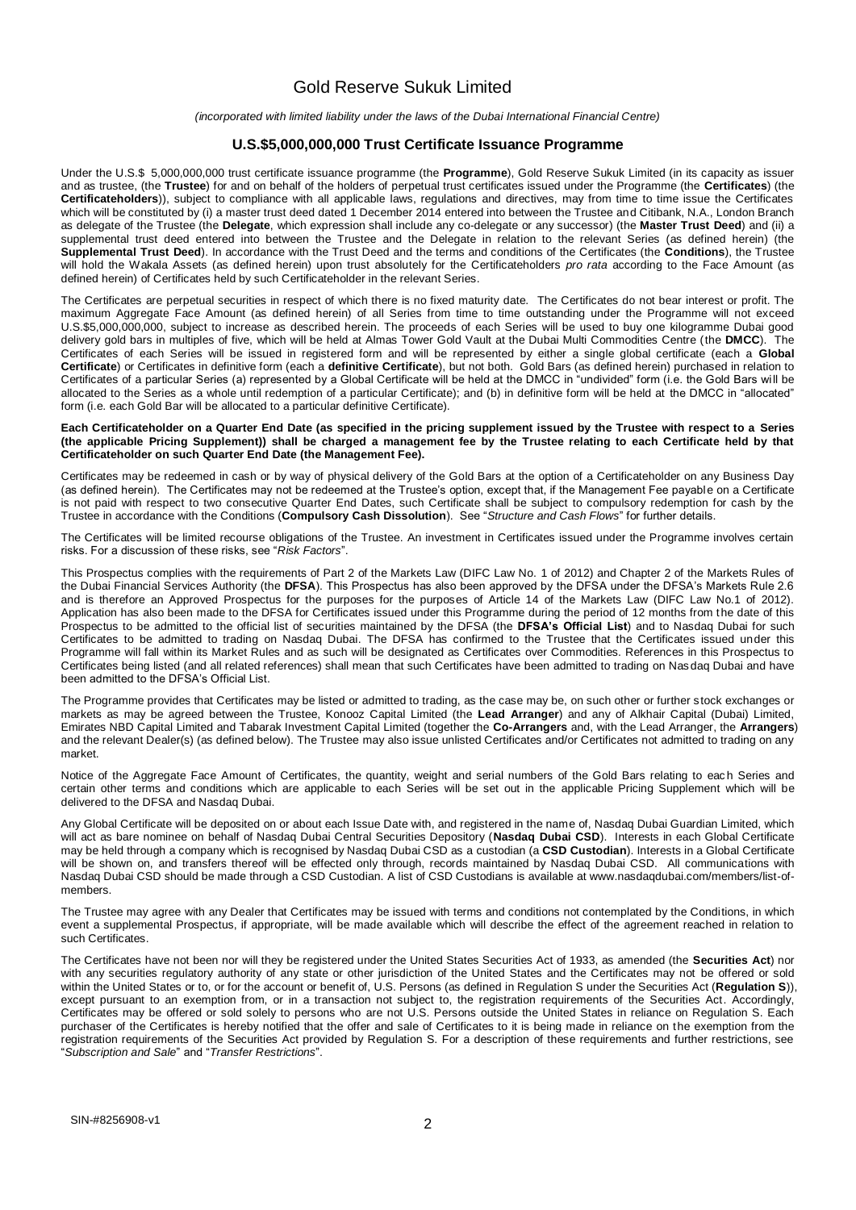## Gold Reserve Sukuk Limited

*(incorporated with limited liability under the laws of the Dubai International Financial Centre)*

#### **U.S.\$5,000,000,000 Trust Certificate Issuance Programme**

Under the U.S.\$ 5,000,000,000 trust certificate issuance programme (the **Programme**), Gold Reserve Sukuk Limited (in its capacity as issuer and as trustee, (the **Trustee**) for and on behalf of the holders of perpetual trust certificates issued under the Programme (the **Certificates**) (the **Certificateholders**)), subject to compliance with all applicable laws, regulations and directives, may from time to time issue the Certificates which will be constituted by (i) a master trust deed dated 1 December 2014 entered into between the Trustee and Citibank, N.A., London Branch as delegate of the Trustee (the **Delegate**, which expression shall include any co-delegate or any successor) (the **Master Trust Deed**) and (ii) a supplemental trust deed entered into between the Trustee and the Delegate in relation to the relevant Series (as defined herein) (the **Supplemental Trust Deed**). In accordance with the Trust Deed and the terms and conditions of the Certificates (the **Conditions**), the Trustee will hold the Wakala Assets (as defined herein) upon trust absolutely for the Certificateholders *pro rata* according to the Face Amount (as defined herein) of Certificates held by such Certificateholder in the relevant Series.

The Certificates are perpetual securities in respect of which there is no fixed maturity date. The Certificates do not bear interest or profit. The maximum Aggregate Face Amount (as defined herein) of all Series from time to time outstanding under the Programme will not exceed U.S.\$5,000,000,000, subject to increase as described herein. The proceeds of each Series will be used to buy one kilogramme Dubai good delivery gold bars in multiples of five, which will be held at Almas Tower Gold Vault at the Dubai Multi Commodities Centre (the **DMCC**). The Certificates of each Series will be issued in registered form and will be represented by either a single global certificate (each a **Global Certificate**) or Certificates in definitive form (each a **definitive Certificate**), but not both. Gold Bars (as defined herein) purchased in relation to Certificates of a particular Series (a) represented by a Global Certificate will be held at the DMCC in "undivided" form (i.e. the Gold Bars will be allocated to the Series as a whole until redemption of a particular Certificate); and (b) in definitive form will be held at the DMCC in "allocated" form (i.e. each Gold Bar will be allocated to a particular definitive Certificate).

#### **Each Certificateholder on a Quarter End Date (as specified in the pricing supplement issued by the Trustee with respect to a Series (the applicable Pricing Supplement)) shall be charged a management fee by the Trustee relating to each Certificate held by that Certificateholder on such Quarter End Date (the Management Fee).**

Certificates may be redeemed in cash or by way of physical delivery of the Gold Bars at the option of a Certificateholder on any Business Day (as defined herein). The Certificates may not be redeemed at the Trustee's option, except that, if the Management Fee payable on a Certificate is not paid with respect to two consecutive Quarter End Dates, such Certificate shall be subject to compulsory redemption for cash by the Trustee in accordance with the Conditions (**Compulsory Cash Dissolution**). See "*Structure and Cash Flows*" for further details.

The Certificates will be limited recourse obligations of the Trustee. An investment in Certificates issued under the Programme involves certain risks. For a discussion of these risks, see "*Risk Factors*".

This Prospectus complies with the requirements of Part 2 of the Markets Law (DIFC Law No. 1 of 2012) and Chapter 2 of the Markets Rules of the Dubai Financial Services Authority (the **DFSA**). This Prospectus has also been approved by the DFSA under the DFSA's Markets Rule 2.6 and is therefore an Approved Prospectus for the purposes for the purposes of Article 14 of the Markets Law (DIFC Law No.1 of 2012). Application has also been made to the DFSA for Certificates issued under this Programme during the period of 12 months from the date of this Prospectus to be admitted to the official list of securities maintained by the DFSA (the **DFSA's Official List**) and to Nasdaq Dubai for such Certificates to be admitted to trading on Nasdaq Dubai. The DFSA has confirmed to the Trustee that the Certificates issued under this Programme will fall within its Market Rules and as such will be designated as Certificates over Commodities. References in this Prospectus to Certificates being listed (and all related references) shall mean that such Certificates have been admitted to trading on Nas daq Dubai and have been admitted to the DFSA's Official List.

The Programme provides that Certificates may be listed or admitted to trading, as the case may be, on such other or further stock exchanges or markets as may be agreed between the Trustee, Konooz Capital Limited (the **Lead Arranger**) and any of Alkhair Capital (Dubai) Limited, Emirates NBD Capital Limited and Tabarak Investment Capital Limited (together the **Co-Arrangers** and, with the Lead Arranger, the **Arrangers**) and the relevant Dealer(s) (as defined below). The Trustee may also issue unlisted Certificates and/or Certificates not admitted to trading on any market.

Notice of the Aggregate Face Amount of Certificates, the quantity, weight and serial numbers of the Gold Bars relating to each Series and certain other terms and conditions which are applicable to each Series will be set out in the applicable Pricing Supplement which will be delivered to the DFSA and Nasdaq Dubai.

Any Global Certificate will be deposited on or about each Issue Date with, and registered in the name of, Nasdaq Dubai Guardian Limited, which will act as bare nominee on behalf of Nasdaq Dubai Central Securities Depository (**Nasdaq Dubai CSD**). Interests in each Global Certificate may be held through a company which is recognised by Nasdaq Dubai CSD as a custodian (a **CSD Custodian**). Interests in a Global Certificate will be shown on, and transfers thereof will be effected only through, records maintained by Nasdaq Dubai CSD. All communications with Nasdaq Dubai CSD should be made through a CSD Custodian. A list of CSD Custodians is available at www.nasdaqdubai.com/members/list-ofmembers.

The Trustee may agree with any Dealer that Certificates may be issued with terms and conditions not contemplated by the Conditions, in which event a supplemental Prospectus, if appropriate, will be made available which will describe the effect of the agreement reached in relation to such Certificates.

The Certificates have not been nor will they be registered under the United States Securities Act of 1933, as amended (the **Securities Act**) nor with any securities regulatory authority of any state or other jurisdiction of the United States and the Certificates may not be offered or sold within the United States or to, or for the account or benefit of, U.S. Persons (as defined in Regulation S under the Securities Act (Regulation S)), except pursuant to an exemption from, or in a transaction not subject to, the registration requirements of the Securities Act. Accordingly, Certificates may be offered or sold solely to persons who are not U.S. Persons outside the United States in reliance on Regulation S. Each purchaser of the Certificates is hereby notified that the offer and sale of Certificates to it is being made in reliance on the exemption from the registration requirements of the Securities Act provided by Regulation S. For a description of these requirements and further restrictions, see "*Subscription and Sale*" and "*Transfer Restrictions*".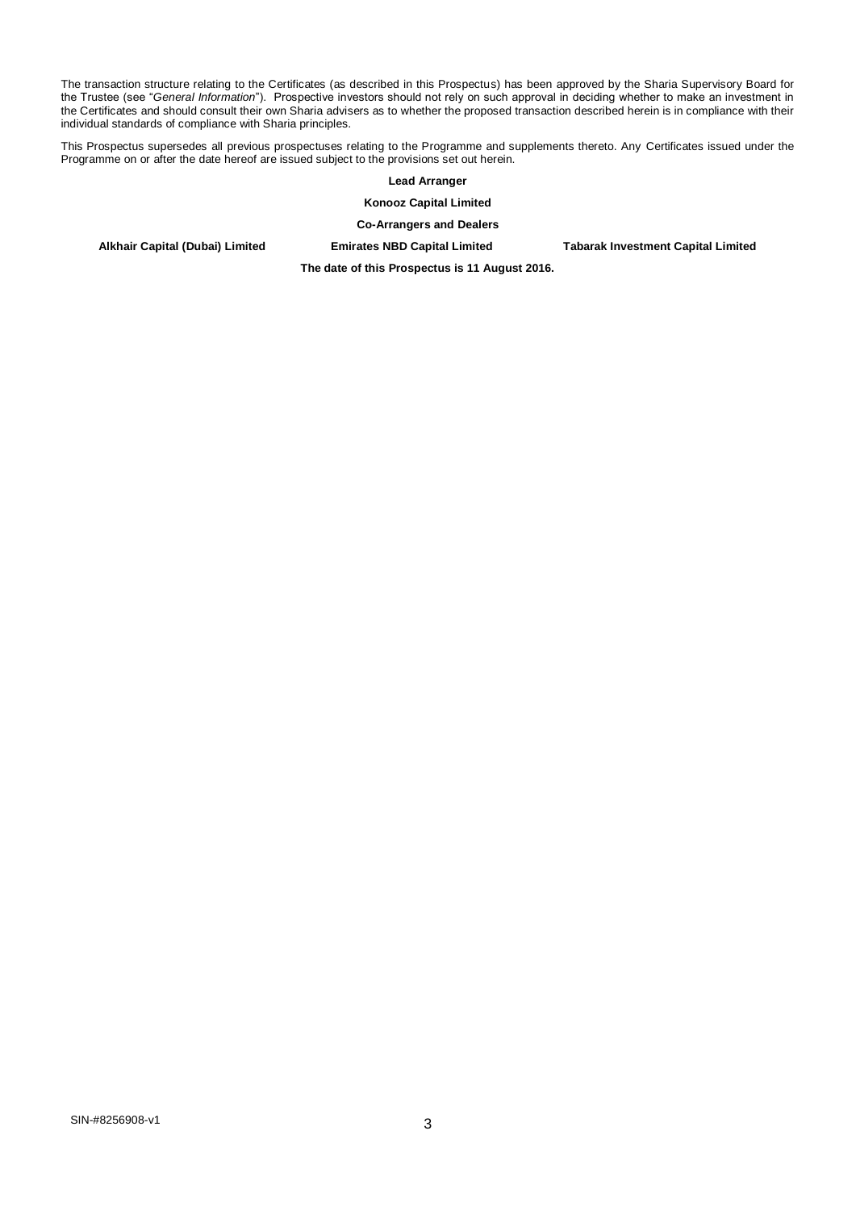The transaction structure relating to the Certificates (as described in this Prospectus) has been approved by the Sharia Supervisory Board for the Trustee (see "*General Information*"). Prospective investors should not rely on such approval in deciding whether to make an investment in the Certificates and should consult their own Sharia advisers as to whether the proposed transaction described herein is in compliance with their individual standards of compliance with Sharia principles.

This Prospectus supersedes all previous prospectuses relating to the Programme and supplements thereto. Any Certificates issued under the Programme on or after the date hereof are issued subject to the provisions set out herein.

**Lead Arranger**

**Konooz Capital Limited**

**Co-Arrangers and Dealers** 

**Alkhair Capital (Dubai) Limited Emirates NBD Capital Limited Tabarak Investment Capital Limited**

**The date of this Prospectus is 11 August 2016.**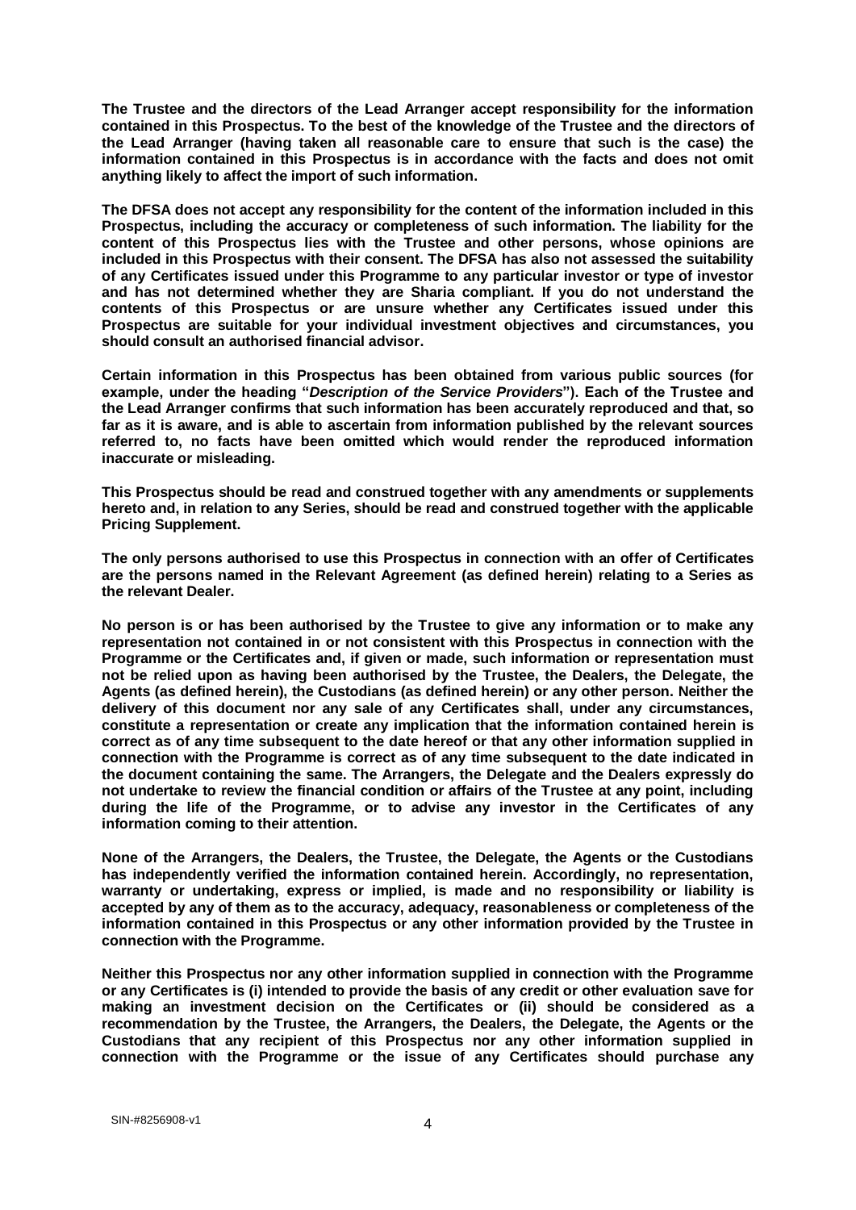**The Trustee and the directors of the Lead Arranger accept responsibility for the information contained in this Prospectus. To the best of the knowledge of the Trustee and the directors of the Lead Arranger (having taken all reasonable care to ensure that such is the case) the information contained in this Prospectus is in accordance with the facts and does not omit anything likely to affect the import of such information.**

**The DFSA does not accept any responsibility for the content of the information included in this Prospectus, including the accuracy or completeness of such information. The liability for the content of this Prospectus lies with the Trustee and other persons, whose opinions are included in this Prospectus with their consent. The DFSA has also not assessed the suitability of any Certificates issued under this Programme to any particular investor or type of investor and has not determined whether they are Sharia compliant. If you do not understand the contents of this Prospectus or are unsure whether any Certificates issued under this Prospectus are suitable for your individual investment objectives and circumstances, you should consult an authorised financial advisor.**

**Certain information in this Prospectus has been obtained from various public sources (for example, under the heading "***Description of the Service Providers***"). Each of the Trustee and the Lead Arranger confirms that such information has been accurately reproduced and that, so far as it is aware, and is able to ascertain from information published by the relevant sources referred to, no facts have been omitted which would render the reproduced information inaccurate or misleading.** 

**This Prospectus should be read and construed together with any amendments or supplements hereto and, in relation to any Series, should be read and construed together with the applicable Pricing Supplement.** 

**The only persons authorised to use this Prospectus in connection with an offer of Certificates are the persons named in the Relevant Agreement (as defined herein) relating to a Series as the relevant Dealer.** 

**No person is or has been authorised by the Trustee to give any information or to make any representation not contained in or not consistent with this Prospectus in connection with the Programme or the Certificates and, if given or made, such information or representation must not be relied upon as having been authorised by the Trustee, the Dealers, the Delegate, the Agents (as defined herein), the Custodians (as defined herein) or any other person. Neither the delivery of this document nor any sale of any Certificates shall, under any circumstances, constitute a representation or create any implication that the information contained herein is correct as of any time subsequent to the date hereof or that any other information supplied in connection with the Programme is correct as of any time subsequent to the date indicated in the document containing the same. The Arrangers, the Delegate and the Dealers expressly do not undertake to review the financial condition or affairs of the Trustee at any point, including during the life of the Programme, or to advise any investor in the Certificates of any information coming to their attention.**

**None of the Arrangers, the Dealers, the Trustee, the Delegate, the Agents or the Custodians has independently verified the information contained herein. Accordingly, no representation, warranty or undertaking, express or implied, is made and no responsibility or liability is accepted by any of them as to the accuracy, adequacy, reasonableness or completeness of the information contained in this Prospectus or any other information provided by the Trustee in connection with the Programme.** 

**Neither this Prospectus nor any other information supplied in connection with the Programme or any Certificates is (i) intended to provide the basis of any credit or other evaluation save for making an investment decision on the Certificates or (ii) should be considered as a recommendation by the Trustee, the Arrangers, the Dealers, the Delegate, the Agents or the Custodians that any recipient of this Prospectus nor any other information supplied in connection with the Programme or the issue of any Certificates should purchase any**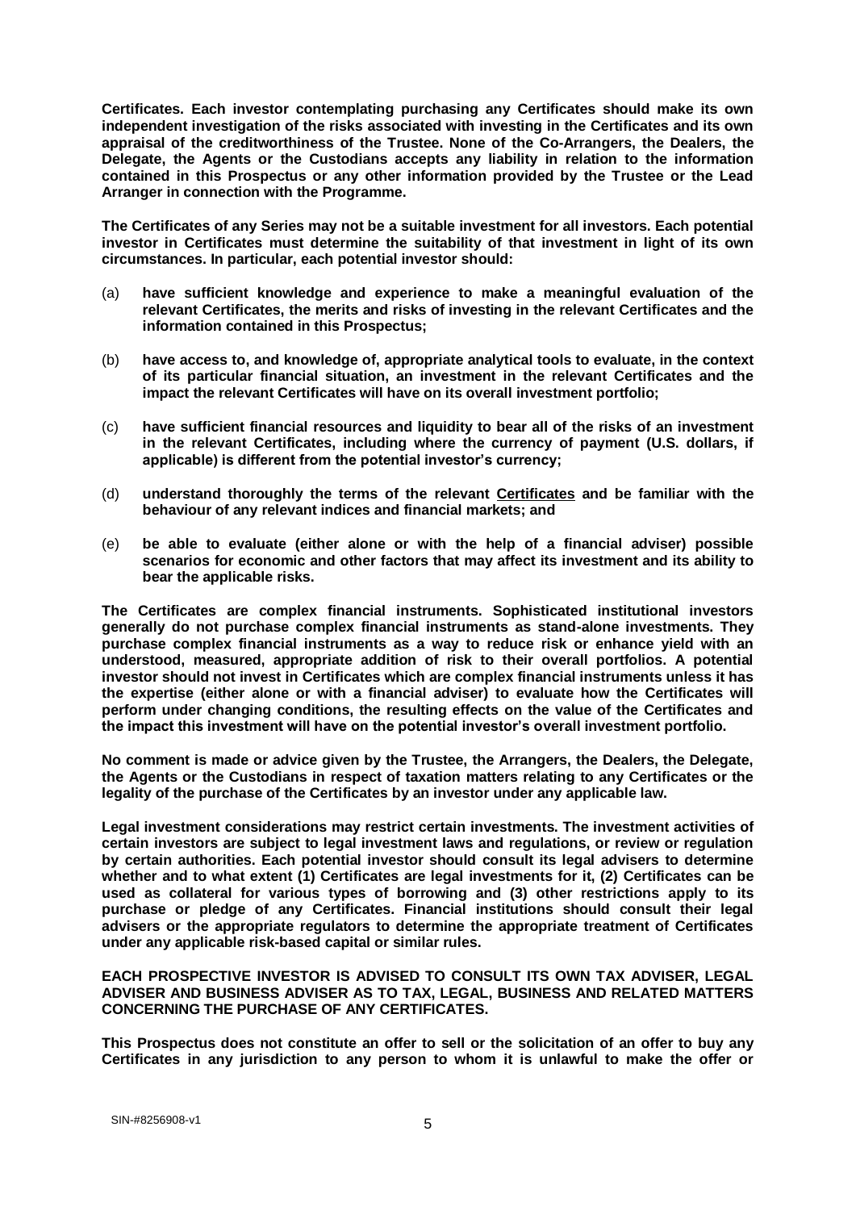**Certificates. Each investor contemplating purchasing any Certificates should make its own independent investigation of the risks associated with investing in the Certificates and its own appraisal of the creditworthiness of the Trustee. None of the Co-Arrangers, the Dealers, the Delegate, the Agents or the Custodians accepts any liability in relation to the information contained in this Prospectus or any other information provided by the Trustee or the Lead Arranger in connection with the Programme.** 

**The Certificates of any Series may not be a suitable investment for all investors. Each potential investor in Certificates must determine the suitability of that investment in light of its own circumstances. In particular, each potential investor should:** 

- (a) **have sufficient knowledge and experience to make a meaningful evaluation of the relevant Certificates, the merits and risks of investing in the relevant Certificates and the information contained in this Prospectus;**
- (b) **have access to, and knowledge of, appropriate analytical tools to evaluate, in the context of its particular financial situation, an investment in the relevant Certificates and the impact the relevant Certificates will have on its overall investment portfolio;**
- (c) **have sufficient financial resources and liquidity to bear all of the risks of an investment in the relevant Certificates, including where the currency of payment (U.S. dollars, if applicable) is different from the potential investor's currency;**
- (d) **understand thoroughly the terms of the relevant Certificates and be familiar with the behaviour of any relevant indices and financial markets; and**
- (e) **be able to evaluate (either alone or with the help of a financial adviser) possible scenarios for economic and other factors that may affect its investment and its ability to bear the applicable risks.**

**The Certificates are complex financial instruments. Sophisticated institutional investors generally do not purchase complex financial instruments as stand-alone investments. They purchase complex financial instruments as a way to reduce risk or enhance yield with an understood, measured, appropriate addition of risk to their overall portfolios. A potential investor should not invest in Certificates which are complex financial instruments unless it has the expertise (either alone or with a financial adviser) to evaluate how the Certificates will perform under changing conditions, the resulting effects on the value of the Certificates and the impact this investment will have on the potential investor's overall investment portfolio.** 

**No comment is made or advice given by the Trustee, the Arrangers, the Dealers, the Delegate, the Agents or the Custodians in respect of taxation matters relating to any Certificates or the legality of the purchase of the Certificates by an investor under any applicable law.** 

**Legal investment considerations may restrict certain investments. The investment activities of certain investors are subject to legal investment laws and regulations, or review or regulation by certain authorities. Each potential investor should consult its legal advisers to determine whether and to what extent (1) Certificates are legal investments for it, (2) Certificates can be used as collateral for various types of borrowing and (3) other restrictions apply to its purchase or pledge of any Certificates. Financial institutions should consult their legal advisers or the appropriate regulators to determine the appropriate treatment of Certificates under any applicable risk-based capital or similar rules.** 

**EACH PROSPECTIVE INVESTOR IS ADVISED TO CONSULT ITS OWN TAX ADVISER, LEGAL ADVISER AND BUSINESS ADVISER AS TO TAX, LEGAL, BUSINESS AND RELATED MATTERS CONCERNING THE PURCHASE OF ANY CERTIFICATES.** 

**This Prospectus does not constitute an offer to sell or the solicitation of an offer to buy any Certificates in any jurisdiction to any person to whom it is unlawful to make the offer or**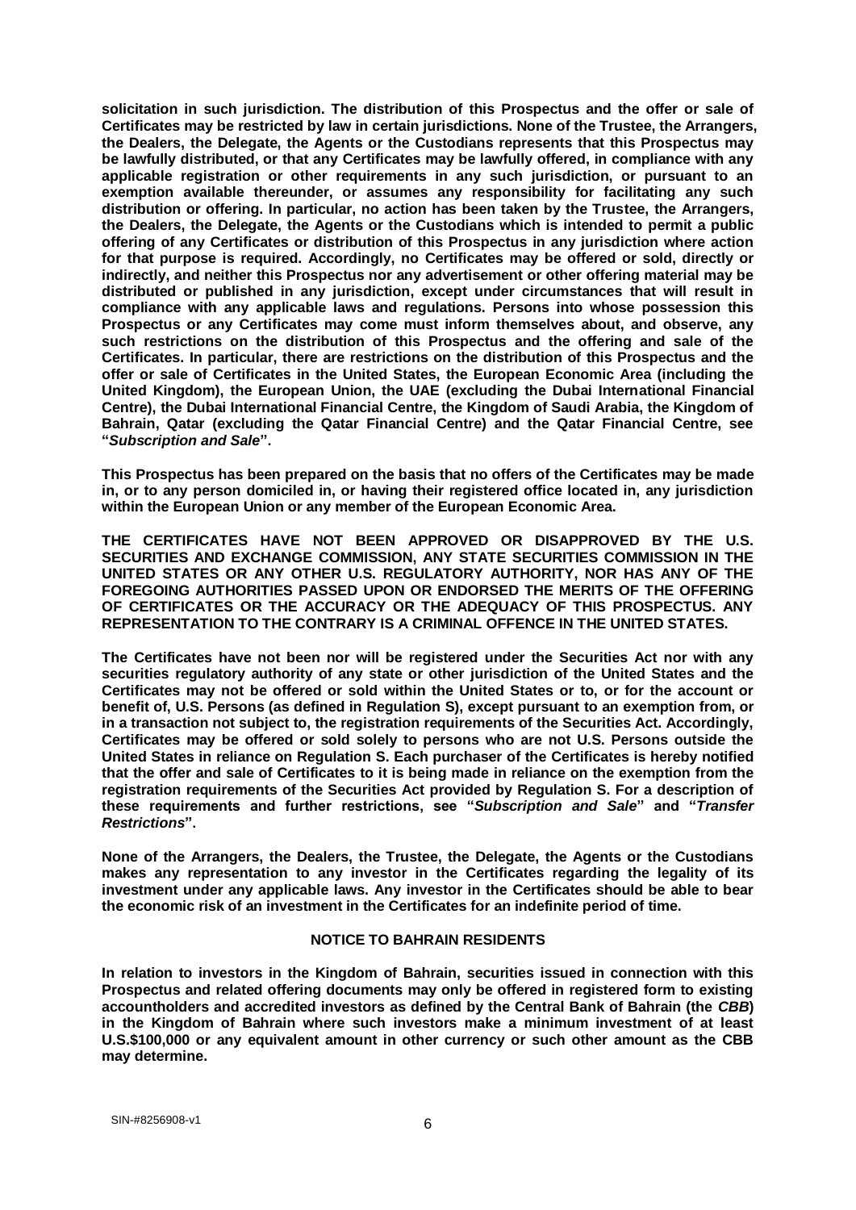**solicitation in such jurisdiction. The distribution of this Prospectus and the offer or sale of Certificates may be restricted by law in certain jurisdictions. None of the Trustee, the Arrangers, the Dealers, the Delegate, the Agents or the Custodians represents that this Prospectus may be lawfully distributed, or that any Certificates may be lawfully offered, in compliance with any applicable registration or other requirements in any such jurisdiction, or pursuant to an exemption available thereunder, or assumes any responsibility for facilitating any such distribution or offering. In particular, no action has been taken by the Trustee, the Arrangers, the Dealers, the Delegate, the Agents or the Custodians which is intended to permit a public offering of any Certificates or distribution of this Prospectus in any jurisdiction where action for that purpose is required. Accordingly, no Certificates may be offered or sold, directly or indirectly, and neither this Prospectus nor any advertisement or other offering material may be distributed or published in any jurisdiction, except under circumstances that will result in compliance with any applicable laws and regulations. Persons into whose possession this Prospectus or any Certificates may come must inform themselves about, and observe, any such restrictions on the distribution of this Prospectus and the offering and sale of the Certificates. In particular, there are restrictions on the distribution of this Prospectus and the offer or sale of Certificates in the United States, the European Economic Area (including the United Kingdom), the European Union, the UAE (excluding the Dubai International Financial Centre), the Dubai International Financial Centre, the Kingdom of Saudi Arabia, the Kingdom of Bahrain, Qatar (excluding the Qatar Financial Centre) and the Qatar Financial Centre, see "***Subscription and Sale***".** 

**This Prospectus has been prepared on the basis that no offers of the Certificates may be made in, or to any person domiciled in, or having their registered office located in, any jurisdiction within the European Union or any member of the European Economic Area.**

**THE CERTIFICATES HAVE NOT BEEN APPROVED OR DISAPPROVED BY THE U.S. SECURITIES AND EXCHANGE COMMISSION, ANY STATE SECURITIES COMMISSION IN THE UNITED STATES OR ANY OTHER U.S. REGULATORY AUTHORITY, NOR HAS ANY OF THE FOREGOING AUTHORITIES PASSED UPON OR ENDORSED THE MERITS OF THE OFFERING OF CERTIFICATES OR THE ACCURACY OR THE ADEQUACY OF THIS PROSPECTUS. ANY REPRESENTATION TO THE CONTRARY IS A CRIMINAL OFFENCE IN THE UNITED STATES.**

**The Certificates have not been nor will be registered under the Securities Act nor with any securities regulatory authority of any state or other jurisdiction of the United States and the Certificates may not be offered or sold within the United States or to, or for the account or benefit of, U.S. Persons (as defined in Regulation S), except pursuant to an exemption from, or in a transaction not subject to, the registration requirements of the Securities Act. Accordingly, Certificates may be offered or sold solely to persons who are not U.S. Persons outside the United States in reliance on Regulation S. Each purchaser of the Certificates is hereby notified that the offer and sale of Certificates to it is being made in reliance on the exemption from the registration requirements of the Securities Act provided by Regulation S. For a description of these requirements and further restrictions, see "***Subscription and Sale***" and "***Transfer Restrictions***".**

**None of the Arrangers, the Dealers, the Trustee, the Delegate, the Agents or the Custodians makes any representation to any investor in the Certificates regarding the legality of its investment under any applicable laws. Any investor in the Certificates should be able to bear the economic risk of an investment in the Certificates for an indefinite period of time.**

#### **NOTICE TO BAHRAIN RESIDENTS**

**In relation to investors in the Kingdom of Bahrain, securities issued in connection with this Prospectus and related offering documents may only be offered in registered form to existing accountholders and accredited investors as defined by the Central Bank of Bahrain (the** *CBB***) in the Kingdom of Bahrain where such investors make a minimum investment of at least U.S.\$100,000 or any equivalent amount in other currency or such other amount as the CBB may determine.**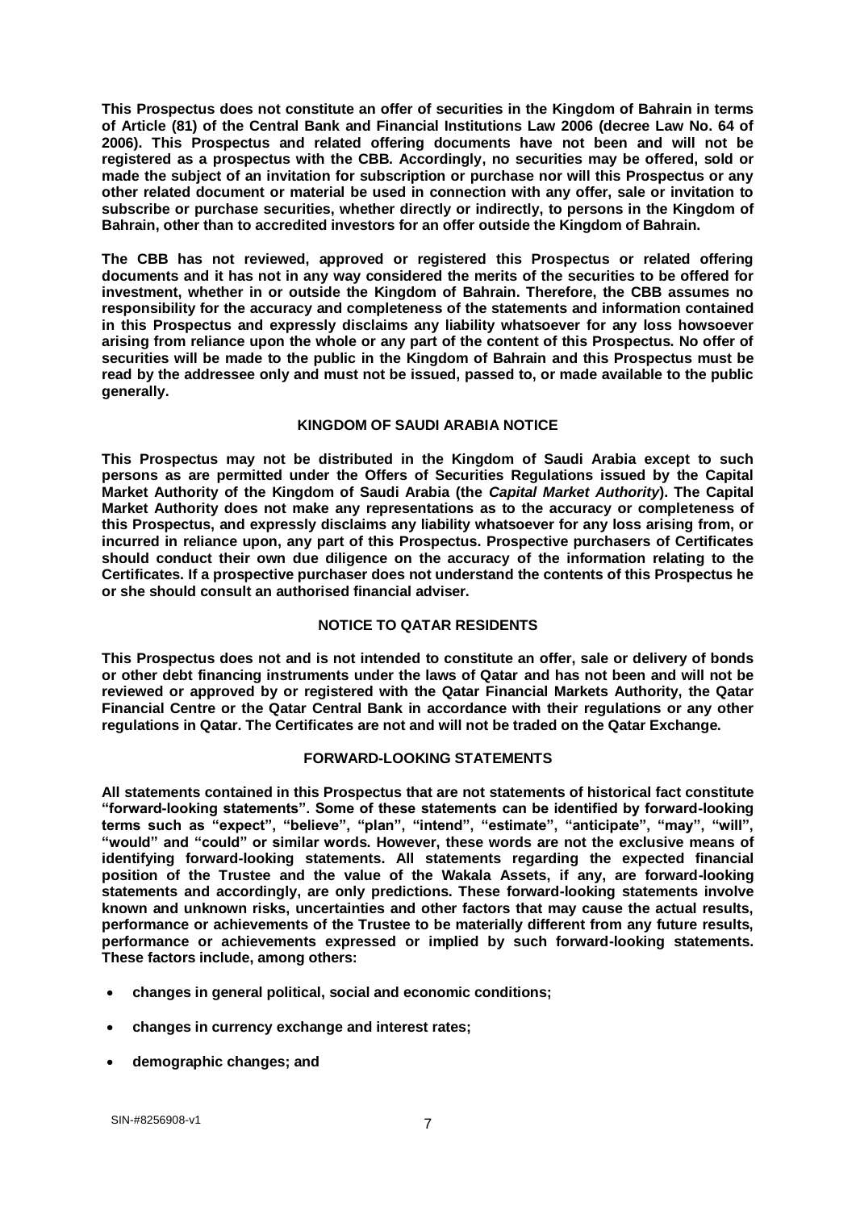**This Prospectus does not constitute an offer of securities in the Kingdom of Bahrain in terms of Article (81) of the Central Bank and Financial Institutions Law 2006 (decree Law No. 64 of 2006). This Prospectus and related offering documents have not been and will not be registered as a prospectus with the CBB. Accordingly, no securities may be offered, sold or made the subject of an invitation for subscription or purchase nor will this Prospectus or any other related document or material be used in connection with any offer, sale or invitation to subscribe or purchase securities, whether directly or indirectly, to persons in the Kingdom of Bahrain, other than to accredited investors for an offer outside the Kingdom of Bahrain.**

**The CBB has not reviewed, approved or registered this Prospectus or related offering documents and it has not in any way considered the merits of the securities to be offered for investment, whether in or outside the Kingdom of Bahrain. Therefore, the CBB assumes no responsibility for the accuracy and completeness of the statements and information contained in this Prospectus and expressly disclaims any liability whatsoever for any loss howsoever arising from reliance upon the whole or any part of the content of this Prospectus. No offer of securities will be made to the public in the Kingdom of Bahrain and this Prospectus must be read by the addressee only and must not be issued, passed to, or made available to the public generally.** 

#### **KINGDOM OF SAUDI ARABIA NOTICE**

**This Prospectus may not be distributed in the Kingdom of Saudi Arabia except to such persons as are permitted under the Offers of Securities Regulations issued by the Capital Market Authority of the Kingdom of Saudi Arabia (the** *Capital Market Authority***). The Capital Market Authority does not make any representations as to the accuracy or completeness of this Prospectus, and expressly disclaims any liability whatsoever for any loss arising from, or incurred in reliance upon, any part of this Prospectus. Prospective purchasers of Certificates should conduct their own due diligence on the accuracy of the information relating to the Certificates. If a prospective purchaser does not understand the contents of this Prospectus he or she should consult an authorised financial adviser.** 

## **NOTICE TO QATAR RESIDENTS**

**This Prospectus does not and is not intended to constitute an offer, sale or delivery of bonds or other debt financing instruments under the laws of Qatar and has not been and will not be reviewed or approved by or registered with the Qatar Financial Markets Authority, the Qatar Financial Centre or the Qatar Central Bank in accordance with their regulations or any other regulations in Qatar. The Certificates are not and will not be traded on the Qatar Exchange.**

## **FORWARD-LOOKING STATEMENTS**

**All statements contained in this Prospectus that are not statements of historical fact constitute "forward-looking statements". Some of these statements can be identified by forward-looking terms such as "expect", "believe", "plan", "intend", "estimate", "anticipate", "may", "will", "would" and "could" or similar words. However, these words are not the exclusive means of identifying forward-looking statements. All statements regarding the expected financial position of the Trustee and the value of the Wakala Assets, if any, are forward-looking statements and accordingly, are only predictions. These forward-looking statements involve known and unknown risks, uncertainties and other factors that may cause the actual results, performance or achievements of the Trustee to be materially different from any future results, performance or achievements expressed or implied by such forward-looking statements. These factors include, among others:**

- **changes in general political, social and economic conditions;**
- **changes in currency exchange and interest rates;**
- **demographic changes; and**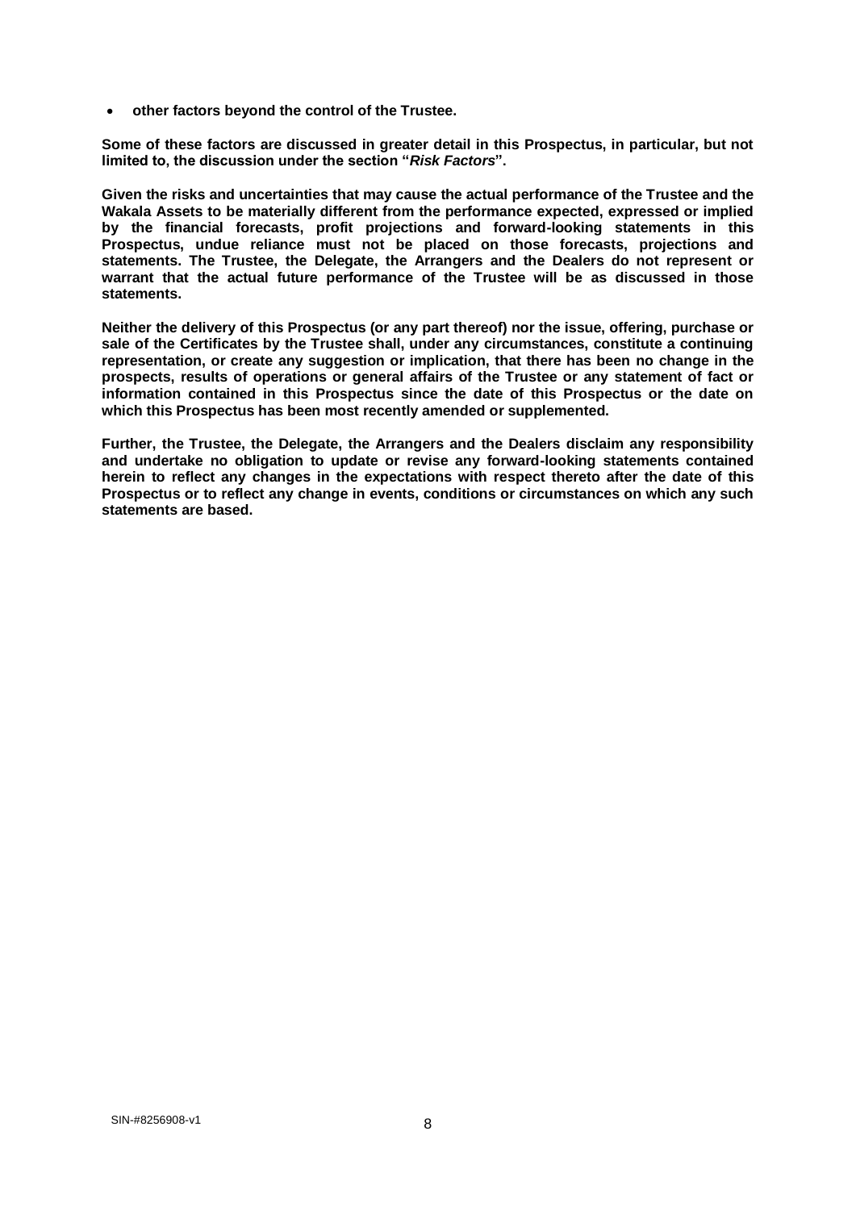**other factors beyond the control of the Trustee.**

**Some of these factors are discussed in greater detail in this Prospectus, in particular, but not limited to, the discussion under the section "***Risk Factors***".**

**Given the risks and uncertainties that may cause the actual performance of the Trustee and the Wakala Assets to be materially different from the performance expected, expressed or implied by the financial forecasts, profit projections and forward-looking statements in this Prospectus, undue reliance must not be placed on those forecasts, projections and statements. The Trustee, the Delegate, the Arrangers and the Dealers do not represent or warrant that the actual future performance of the Trustee will be as discussed in those statements.**

**Neither the delivery of this Prospectus (or any part thereof) nor the issue, offering, purchase or sale of the Certificates by the Trustee shall, under any circumstances, constitute a continuing representation, or create any suggestion or implication, that there has been no change in the prospects, results of operations or general affairs of the Trustee or any statement of fact or information contained in this Prospectus since the date of this Prospectus or the date on which this Prospectus has been most recently amended or supplemented.**

**Further, the Trustee, the Delegate, the Arrangers and the Dealers disclaim any responsibility and undertake no obligation to update or revise any forward-looking statements contained herein to reflect any changes in the expectations with respect thereto after the date of this Prospectus or to reflect any change in events, conditions or circumstances on which any such statements are based.**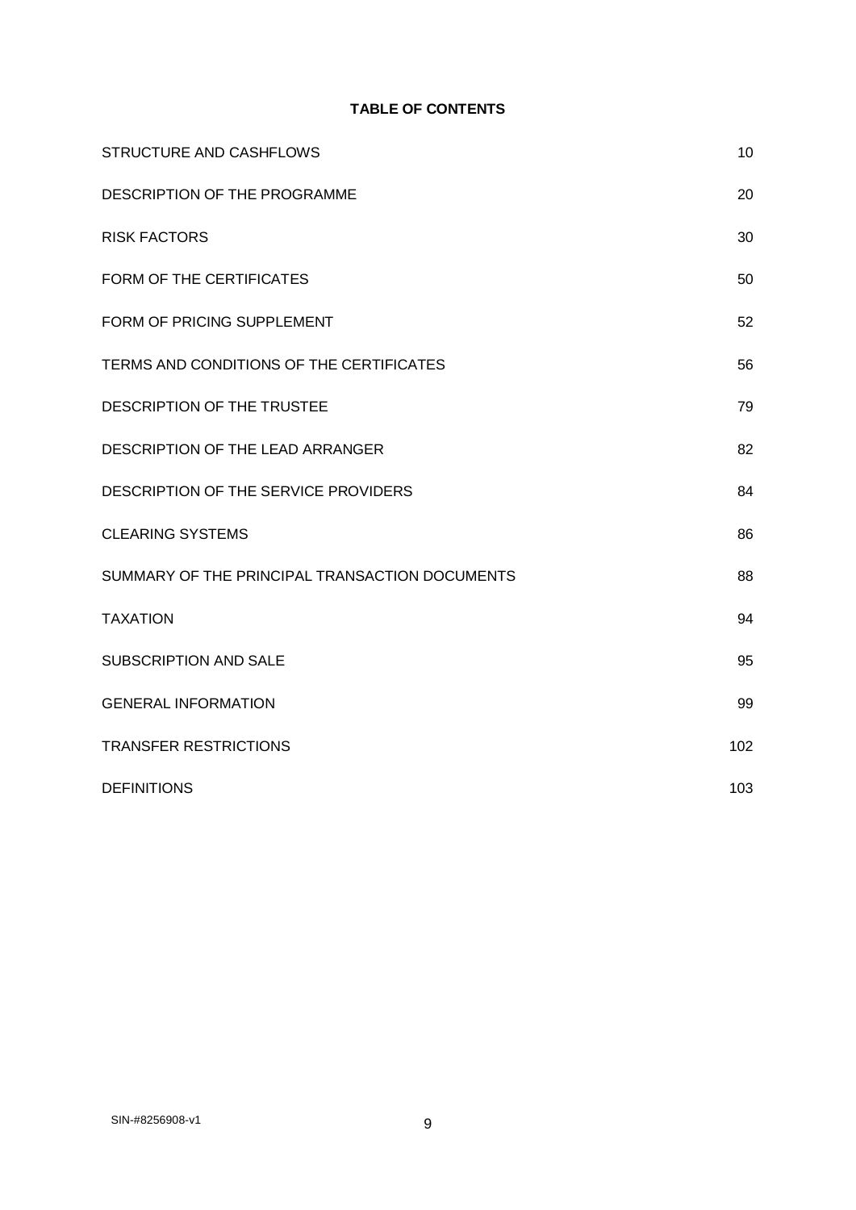## **TABLE OF CONTENTS**

| <b>STRUCTURE AND CASHFLOWS</b>                 | 10  |
|------------------------------------------------|-----|
| DESCRIPTION OF THE PROGRAMME                   | 20  |
| <b>RISK FACTORS</b>                            | 30  |
| FORM OF THE CERTIFICATES                       | 50  |
| FORM OF PRICING SUPPLEMENT                     | 52  |
| TERMS AND CONDITIONS OF THE CERTIFICATES       | 56  |
| DESCRIPTION OF THE TRUSTEE                     | 79  |
| DESCRIPTION OF THE LEAD ARRANGER               | 82  |
| DESCRIPTION OF THE SERVICE PROVIDERS           | 84  |
| <b>CLEARING SYSTEMS</b>                        | 86  |
| SUMMARY OF THE PRINCIPAL TRANSACTION DOCUMENTS | 88  |
| <b>TAXATION</b>                                | 94  |
| <b>SUBSCRIPTION AND SALE</b>                   | 95  |
| <b>GENERAL INFORMATION</b>                     | 99  |
| <b>TRANSFER RESTRICTIONS</b>                   | 102 |
| <b>DEFINITIONS</b>                             | 103 |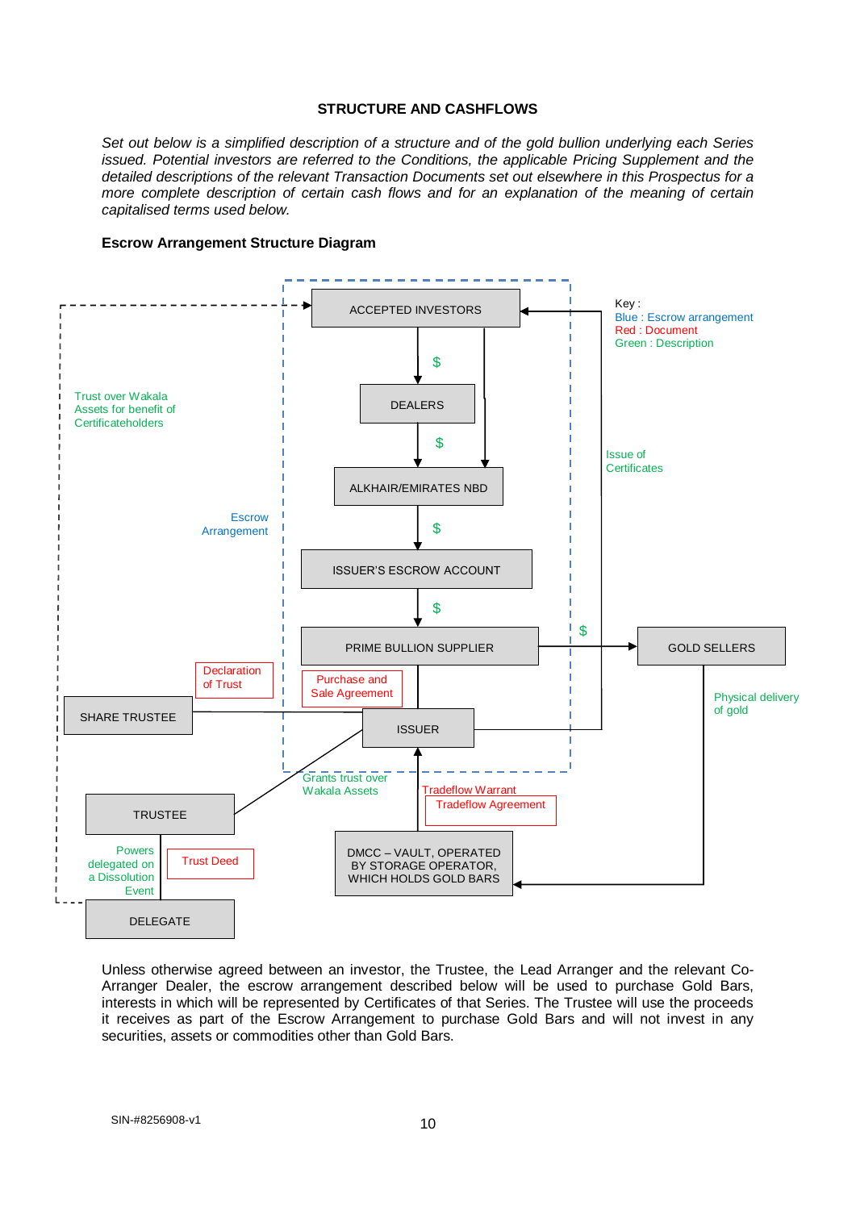#### **STRUCTURE AND CASHFLOWS**

*Set out below is a simplified description of a structure and of the gold bullion underlying each Series issued. Potential investors are referred to the Conditions, the applicable Pricing Supplement and the detailed descriptions of the relevant Transaction Documents set out elsewhere in this Prospectus for a more complete description of certain cash flows and for an explanation of the meaning of certain capitalised terms used below.*

#### **Escrow Arrangement Structure Diagram**



Unless otherwise agreed between an investor, the Trustee, the Lead Arranger and the relevant Co-Arranger Dealer, the escrow arrangement described below will be used to purchase Gold Bars, interests in which will be represented by Certificates of that Series. The Trustee will use the proceeds it receives as part of the Escrow Arrangement to purchase Gold Bars and will not invest in any securities, assets or commodities other than Gold Bars.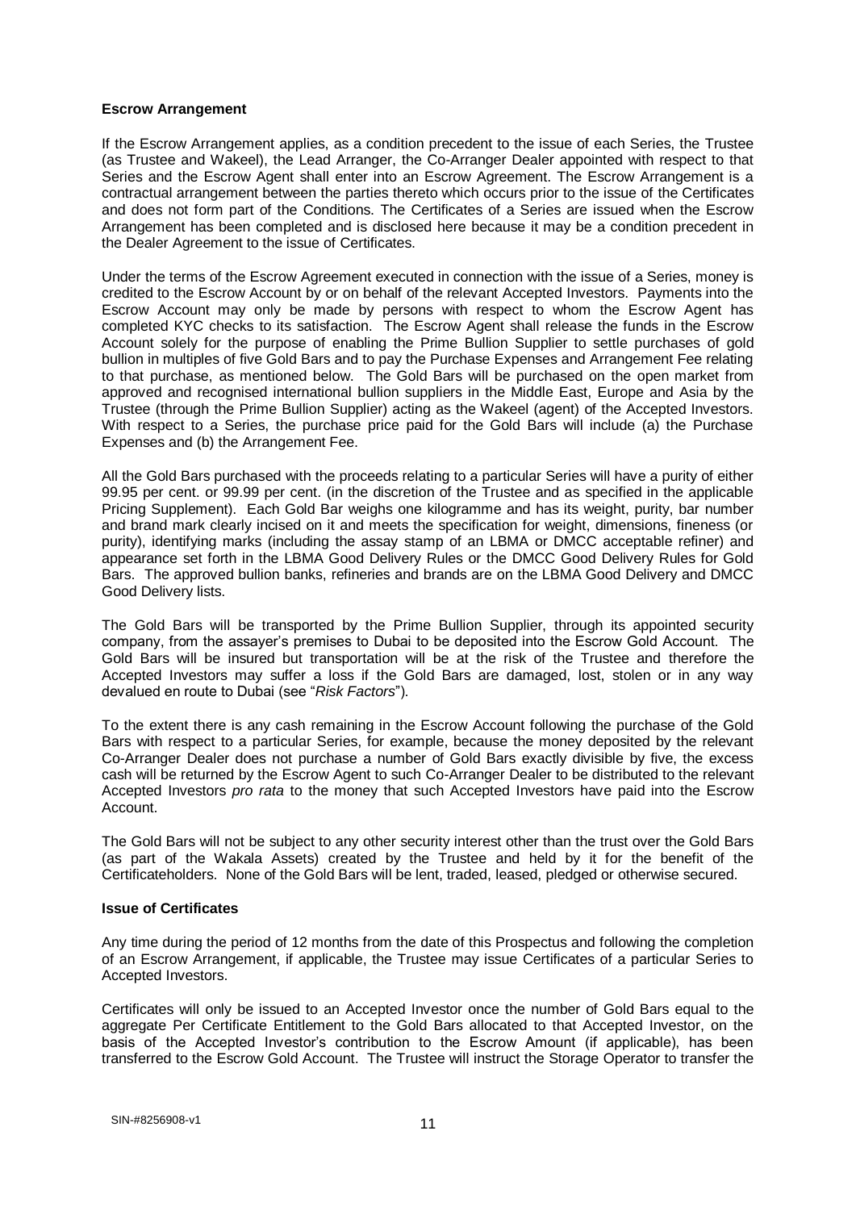#### **Escrow Arrangement**

If the Escrow Arrangement applies, as a condition precedent to the issue of each Series, the Trustee (as Trustee and Wakeel), the Lead Arranger, the Co-Arranger Dealer appointed with respect to that Series and the Escrow Agent shall enter into an Escrow Agreement. The Escrow Arrangement is a contractual arrangement between the parties thereto which occurs prior to the issue of the Certificates and does not form part of the Conditions. The Certificates of a Series are issued when the Escrow Arrangement has been completed and is disclosed here because it may be a condition precedent in the Dealer Agreement to the issue of Certificates.

Under the terms of the Escrow Agreement executed in connection with the issue of a Series, money is credited to the Escrow Account by or on behalf of the relevant Accepted Investors. Payments into the Escrow Account may only be made by persons with respect to whom the Escrow Agent has completed KYC checks to its satisfaction. The Escrow Agent shall release the funds in the Escrow Account solely for the purpose of enabling the Prime Bullion Supplier to settle purchases of gold bullion in multiples of five Gold Bars and to pay the Purchase Expenses and Arrangement Fee relating to that purchase, as mentioned below. The Gold Bars will be purchased on the open market from approved and recognised international bullion suppliers in the Middle East, Europe and Asia by the Trustee (through the Prime Bullion Supplier) acting as the Wakeel (agent) of the Accepted Investors. With respect to a Series, the purchase price paid for the Gold Bars will include (a) the Purchase Expenses and (b) the Arrangement Fee.

All the Gold Bars purchased with the proceeds relating to a particular Series will have a purity of either 99.95 per cent. or 99.99 per cent. (in the discretion of the Trustee and as specified in the applicable Pricing Supplement). Each Gold Bar weighs one kilogramme and has its weight, purity, bar number and brand mark clearly incised on it and meets the specification for weight, dimensions, fineness (or purity), identifying marks (including the assay stamp of an LBMA or DMCC acceptable refiner) and appearance set forth in the LBMA Good Delivery Rules or the DMCC Good Delivery Rules for Gold Bars. The approved bullion banks, refineries and brands are on the LBMA Good Delivery and DMCC Good Delivery lists.

The Gold Bars will be transported by the Prime Bullion Supplier, through its appointed security company, from the assayer's premises to Dubai to be deposited into the Escrow Gold Account. The Gold Bars will be insured but transportation will be at the risk of the Trustee and therefore the Accepted Investors may suffer a loss if the Gold Bars are damaged, lost, stolen or in any way devalued en route to Dubai (see "*Risk Factors*").

To the extent there is any cash remaining in the Escrow Account following the purchase of the Gold Bars with respect to a particular Series, for example, because the money deposited by the relevant Co-Arranger Dealer does not purchase a number of Gold Bars exactly divisible by five, the excess cash will be returned by the Escrow Agent to such Co-Arranger Dealer to be distributed to the relevant Accepted Investors *pro rata* to the money that such Accepted Investors have paid into the Escrow Account.

The Gold Bars will not be subject to any other security interest other than the trust over the Gold Bars (as part of the Wakala Assets) created by the Trustee and held by it for the benefit of the Certificateholders. None of the Gold Bars will be lent, traded, leased, pledged or otherwise secured.

#### **Issue of Certificates**

Any time during the period of 12 months from the date of this Prospectus and following the completion of an Escrow Arrangement, if applicable, the Trustee may issue Certificates of a particular Series to Accepted Investors.

Certificates will only be issued to an Accepted Investor once the number of Gold Bars equal to the aggregate Per Certificate Entitlement to the Gold Bars allocated to that Accepted Investor, on the basis of the Accepted Investor's contribution to the Escrow Amount (if applicable), has been transferred to the Escrow Gold Account. The Trustee will instruct the Storage Operator to transfer the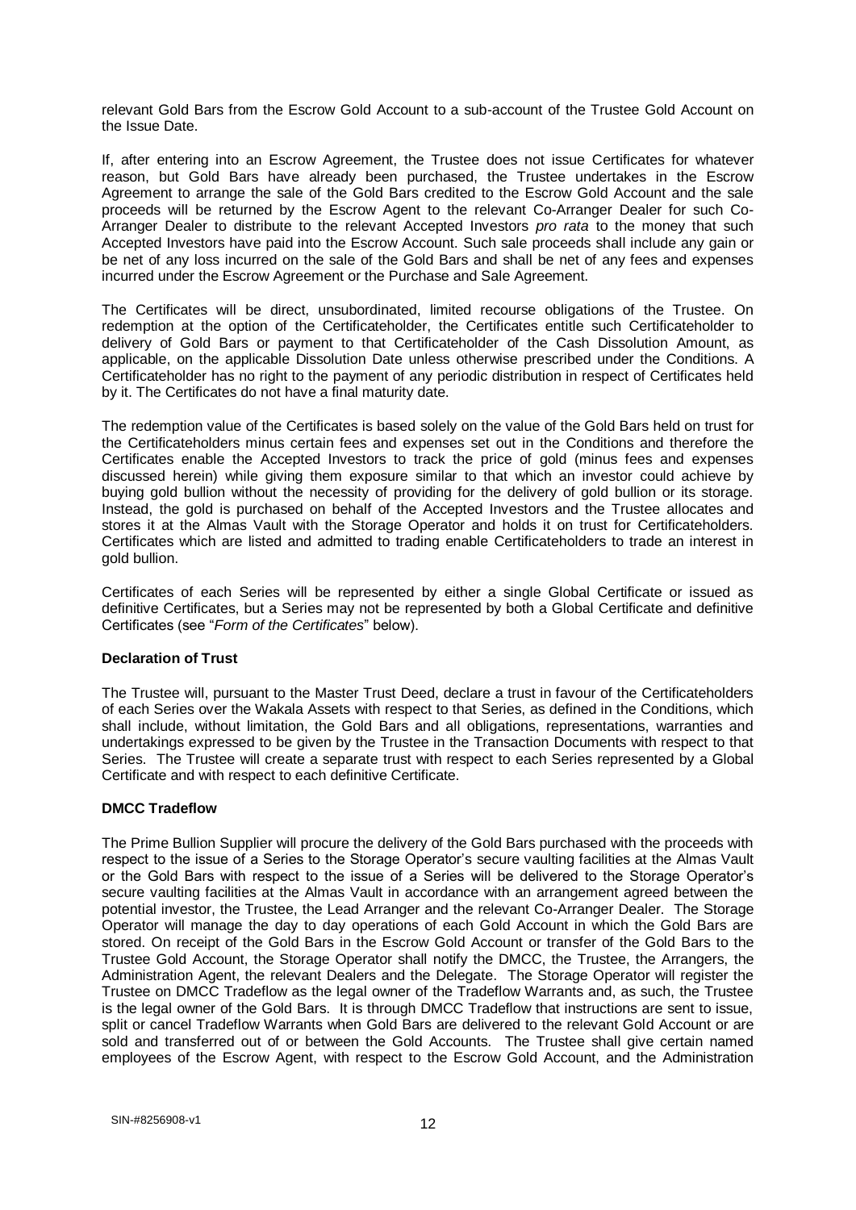relevant Gold Bars from the Escrow Gold Account to a sub-account of the Trustee Gold Account on the Issue Date.

If, after entering into an Escrow Agreement, the Trustee does not issue Certificates for whatever reason, but Gold Bars have already been purchased, the Trustee undertakes in the Escrow Agreement to arrange the sale of the Gold Bars credited to the Escrow Gold Account and the sale proceeds will be returned by the Escrow Agent to the relevant Co-Arranger Dealer for such Co-Arranger Dealer to distribute to the relevant Accepted Investors *pro rata* to the money that such Accepted Investors have paid into the Escrow Account. Such sale proceeds shall include any gain or be net of any loss incurred on the sale of the Gold Bars and shall be net of any fees and expenses incurred under the Escrow Agreement or the Purchase and Sale Agreement.

The Certificates will be direct, unsubordinated, limited recourse obligations of the Trustee. On redemption at the option of the Certificateholder, the Certificates entitle such Certificateholder to delivery of Gold Bars or payment to that Certificateholder of the Cash Dissolution Amount, as applicable, on the applicable Dissolution Date unless otherwise prescribed under the Conditions. A Certificateholder has no right to the payment of any periodic distribution in respect of Certificates held by it. The Certificates do not have a final maturity date.

The redemption value of the Certificates is based solely on the value of the Gold Bars held on trust for the Certificateholders minus certain fees and expenses set out in the Conditions and therefore the Certificates enable the Accepted Investors to track the price of gold (minus fees and expenses discussed herein) while giving them exposure similar to that which an investor could achieve by buying gold bullion without the necessity of providing for the delivery of gold bullion or its storage. Instead, the gold is purchased on behalf of the Accepted Investors and the Trustee allocates and stores it at the Almas Vault with the Storage Operator and holds it on trust for Certificateholders. Certificates which are listed and admitted to trading enable Certificateholders to trade an interest in gold bullion.

Certificates of each Series will be represented by either a single Global Certificate or issued as definitive Certificates, but a Series may not be represented by both a Global Certificate and definitive Certificates (see "*Form of the Certificates*" below).

## **Declaration of Trust**

The Trustee will, pursuant to the Master Trust Deed, declare a trust in favour of the Certificateholders of each Series over the Wakala Assets with respect to that Series, as defined in the Conditions, which shall include, without limitation, the Gold Bars and all obligations, representations, warranties and undertakings expressed to be given by the Trustee in the Transaction Documents with respect to that Series. The Trustee will create a separate trust with respect to each Series represented by a Global Certificate and with respect to each definitive Certificate.

#### **DMCC Tradeflow**

The Prime Bullion Supplier will procure the delivery of the Gold Bars purchased with the proceeds with respect to the issue of a Series to the Storage Operator's secure vaulting facilities at the Almas Vault or the Gold Bars with respect to the issue of a Series will be delivered to the Storage Operator's secure vaulting facilities at the Almas Vault in accordance with an arrangement agreed between the potential investor, the Trustee, the Lead Arranger and the relevant Co-Arranger Dealer. The Storage Operator will manage the day to day operations of each Gold Account in which the Gold Bars are stored. On receipt of the Gold Bars in the Escrow Gold Account or transfer of the Gold Bars to the Trustee Gold Account, the Storage Operator shall notify the DMCC, the Trustee, the Arrangers, the Administration Agent, the relevant Dealers and the Delegate. The Storage Operator will register the Trustee on DMCC Tradeflow as the legal owner of the Tradeflow Warrants and, as such, the Trustee is the legal owner of the Gold Bars. It is through DMCC Tradeflow that instructions are sent to issue, split or cancel Tradeflow Warrants when Gold Bars are delivered to the relevant Gold Account or are sold and transferred out of or between the Gold Accounts. The Trustee shall give certain named employees of the Escrow Agent, with respect to the Escrow Gold Account, and the Administration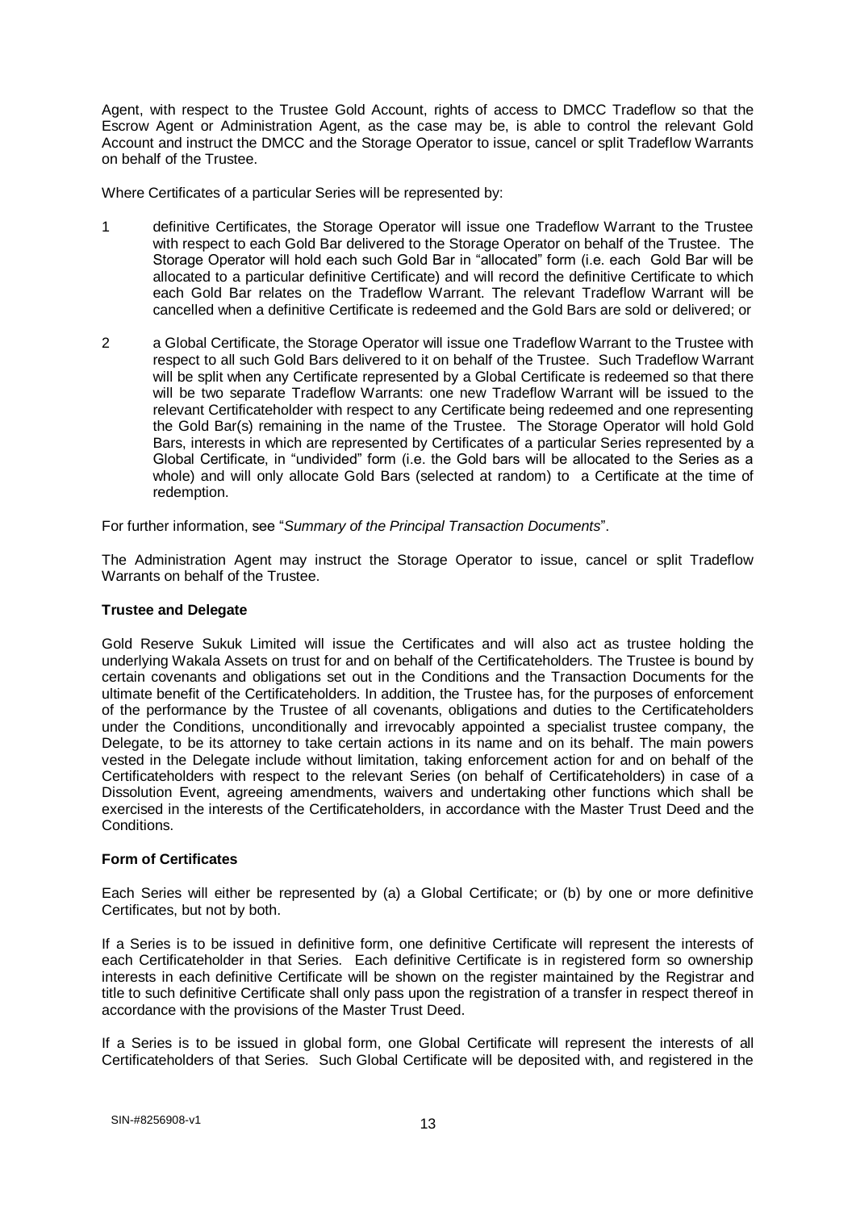Agent, with respect to the Trustee Gold Account, rights of access to DMCC Tradeflow so that the Escrow Agent or Administration Agent, as the case may be, is able to control the relevant Gold Account and instruct the DMCC and the Storage Operator to issue, cancel or split Tradeflow Warrants on behalf of the Trustee.

Where Certificates of a particular Series will be represented by:

- 1 definitive Certificates, the Storage Operator will issue one Tradeflow Warrant to the Trustee with respect to each Gold Bar delivered to the Storage Operator on behalf of the Trustee. The Storage Operator will hold each such Gold Bar in "allocated" form (i.e. each Gold Bar will be allocated to a particular definitive Certificate) and will record the definitive Certificate to which each Gold Bar relates on the Tradeflow Warrant. The relevant Tradeflow Warrant will be cancelled when a definitive Certificate is redeemed and the Gold Bars are sold or delivered; or
- 2 a Global Certificate, the Storage Operator will issue one Tradeflow Warrant to the Trustee with respect to all such Gold Bars delivered to it on behalf of the Trustee. Such Tradeflow Warrant will be split when any Certificate represented by a Global Certificate is redeemed so that there will be two separate Tradeflow Warrants: one new Tradeflow Warrant will be issued to the relevant Certificateholder with respect to any Certificate being redeemed and one representing the Gold Bar(s) remaining in the name of the Trustee. The Storage Operator will hold Gold Bars, interests in which are represented by Certificates of a particular Series represented by a Global Certificate, in "undivided" form (i.e. the Gold bars will be allocated to the Series as a whole) and will only allocate Gold Bars (selected at random) to a Certificate at the time of redemption.

For further information, see "*Summary of the Principal Transaction Documents*".

The Administration Agent may instruct the Storage Operator to issue, cancel or split Tradeflow Warrants on behalf of the Trustee.

#### **Trustee and Delegate**

Gold Reserve Sukuk Limited will issue the Certificates and will also act as trustee holding the underlying Wakala Assets on trust for and on behalf of the Certificateholders. The Trustee is bound by certain covenants and obligations set out in the Conditions and the Transaction Documents for the ultimate benefit of the Certificateholders. In addition, the Trustee has, for the purposes of enforcement of the performance by the Trustee of all covenants, obligations and duties to the Certificateholders under the Conditions, unconditionally and irrevocably appointed a specialist trustee company, the Delegate, to be its attorney to take certain actions in its name and on its behalf. The main powers vested in the Delegate include without limitation, taking enforcement action for and on behalf of the Certificateholders with respect to the relevant Series (on behalf of Certificateholders) in case of a Dissolution Event, agreeing amendments, waivers and undertaking other functions which shall be exercised in the interests of the Certificateholders, in accordance with the Master Trust Deed and the Conditions.

#### **Form of Certificates**

Each Series will either be represented by (a) a Global Certificate; or (b) by one or more definitive Certificates, but not by both.

If a Series is to be issued in definitive form, one definitive Certificate will represent the interests of each Certificateholder in that Series. Each definitive Certificate is in registered form so ownership interests in each definitive Certificate will be shown on the register maintained by the Registrar and title to such definitive Certificate shall only pass upon the registration of a transfer in respect thereof in accordance with the provisions of the Master Trust Deed.

If a Series is to be issued in global form, one Global Certificate will represent the interests of all Certificateholders of that Series. Such Global Certificate will be deposited with, and registered in the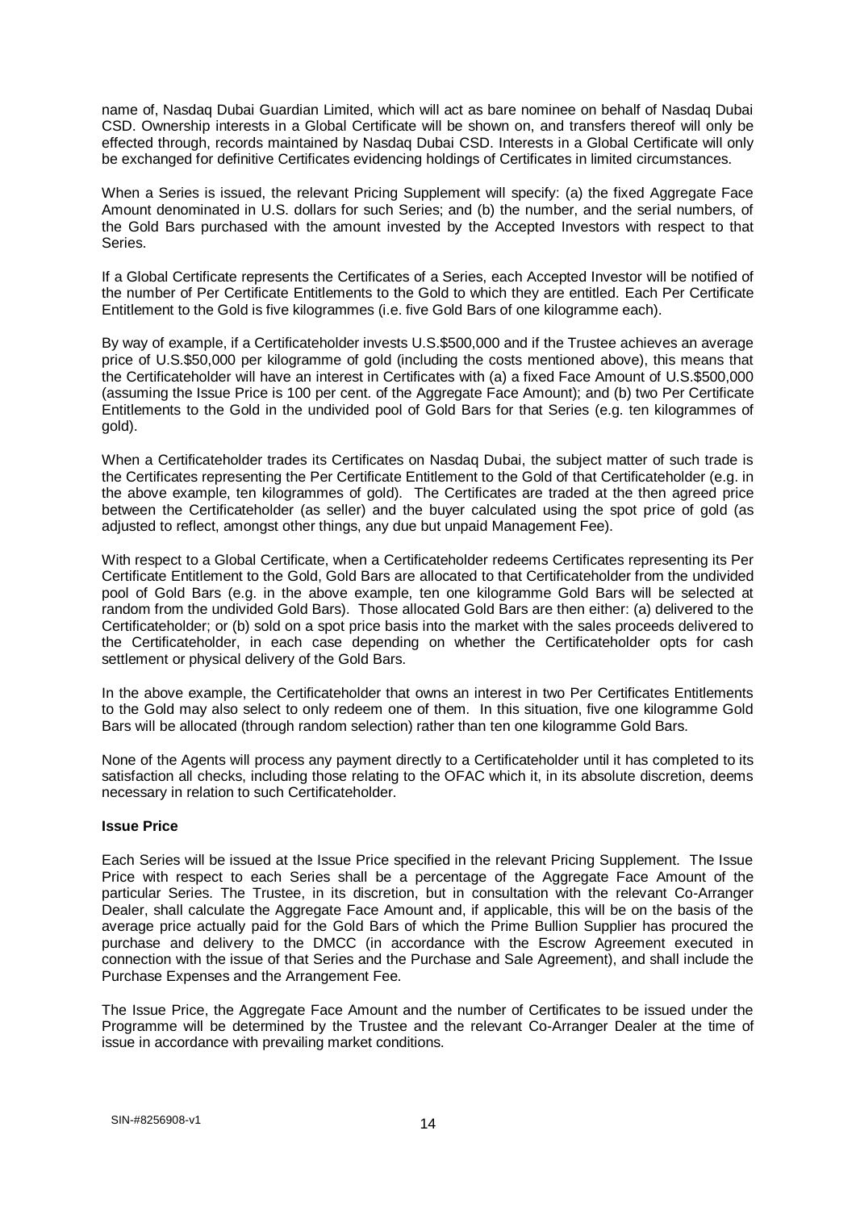name of, Nasdaq Dubai Guardian Limited, which will act as bare nominee on behalf of Nasdaq Dubai CSD. Ownership interests in a Global Certificate will be shown on, and transfers thereof will only be effected through, records maintained by Nasdaq Dubai CSD. Interests in a Global Certificate will only be exchanged for definitive Certificates evidencing holdings of Certificates in limited circumstances.

When a Series is issued, the relevant Pricing Supplement will specify: (a) the fixed Aggregate Face Amount denominated in U.S. dollars for such Series; and (b) the number, and the serial numbers, of the Gold Bars purchased with the amount invested by the Accepted Investors with respect to that Series.

If a Global Certificate represents the Certificates of a Series, each Accepted Investor will be notified of the number of Per Certificate Entitlements to the Gold to which they are entitled. Each Per Certificate Entitlement to the Gold is five kilogrammes (i.e. five Gold Bars of one kilogramme each).

By way of example, if a Certificateholder invests U.S.\$500,000 and if the Trustee achieves an average price of U.S.\$50,000 per kilogramme of gold (including the costs mentioned above), this means that the Certificateholder will have an interest in Certificates with (a) a fixed Face Amount of U.S.\$500,000 (assuming the Issue Price is 100 per cent. of the Aggregate Face Amount); and (b) two Per Certificate Entitlements to the Gold in the undivided pool of Gold Bars for that Series (e.g. ten kilogrammes of gold).

When a Certificateholder trades its Certificates on Nasdaq Dubai, the subject matter of such trade is the Certificates representing the Per Certificate Entitlement to the Gold of that Certificateholder (e.g. in the above example, ten kilogrammes of gold). The Certificates are traded at the then agreed price between the Certificateholder (as seller) and the buyer calculated using the spot price of gold (as adjusted to reflect, amongst other things, any due but unpaid Management Fee).

With respect to a Global Certificate, when a Certificateholder redeems Certificates representing its Per Certificate Entitlement to the Gold, Gold Bars are allocated to that Certificateholder from the undivided pool of Gold Bars (e.g. in the above example, ten one kilogramme Gold Bars will be selected at random from the undivided Gold Bars). Those allocated Gold Bars are then either: (a) delivered to the Certificateholder; or (b) sold on a spot price basis into the market with the sales proceeds delivered to the Certificateholder, in each case depending on whether the Certificateholder opts for cash settlement or physical delivery of the Gold Bars.

In the above example, the Certificateholder that owns an interest in two Per Certificates Entitlements to the Gold may also select to only redeem one of them. In this situation, five one kilogramme Gold Bars will be allocated (through random selection) rather than ten one kilogramme Gold Bars.

None of the Agents will process any payment directly to a Certificateholder until it has completed to its satisfaction all checks, including those relating to the OFAC which it, in its absolute discretion, deems necessary in relation to such Certificateholder.

## **Issue Price**

Each Series will be issued at the Issue Price specified in the relevant Pricing Supplement. The Issue Price with respect to each Series shall be a percentage of the Aggregate Face Amount of the particular Series. The Trustee, in its discretion, but in consultation with the relevant Co-Arranger Dealer, shall calculate the Aggregate Face Amount and, if applicable, this will be on the basis of the average price actually paid for the Gold Bars of which the Prime Bullion Supplier has procured the purchase and delivery to the DMCC (in accordance with the Escrow Agreement executed in connection with the issue of that Series and the Purchase and Sale Agreement), and shall include the Purchase Expenses and the Arrangement Fee.

The Issue Price, the Aggregate Face Amount and the number of Certificates to be issued under the Programme will be determined by the Trustee and the relevant Co-Arranger Dealer at the time of issue in accordance with prevailing market conditions.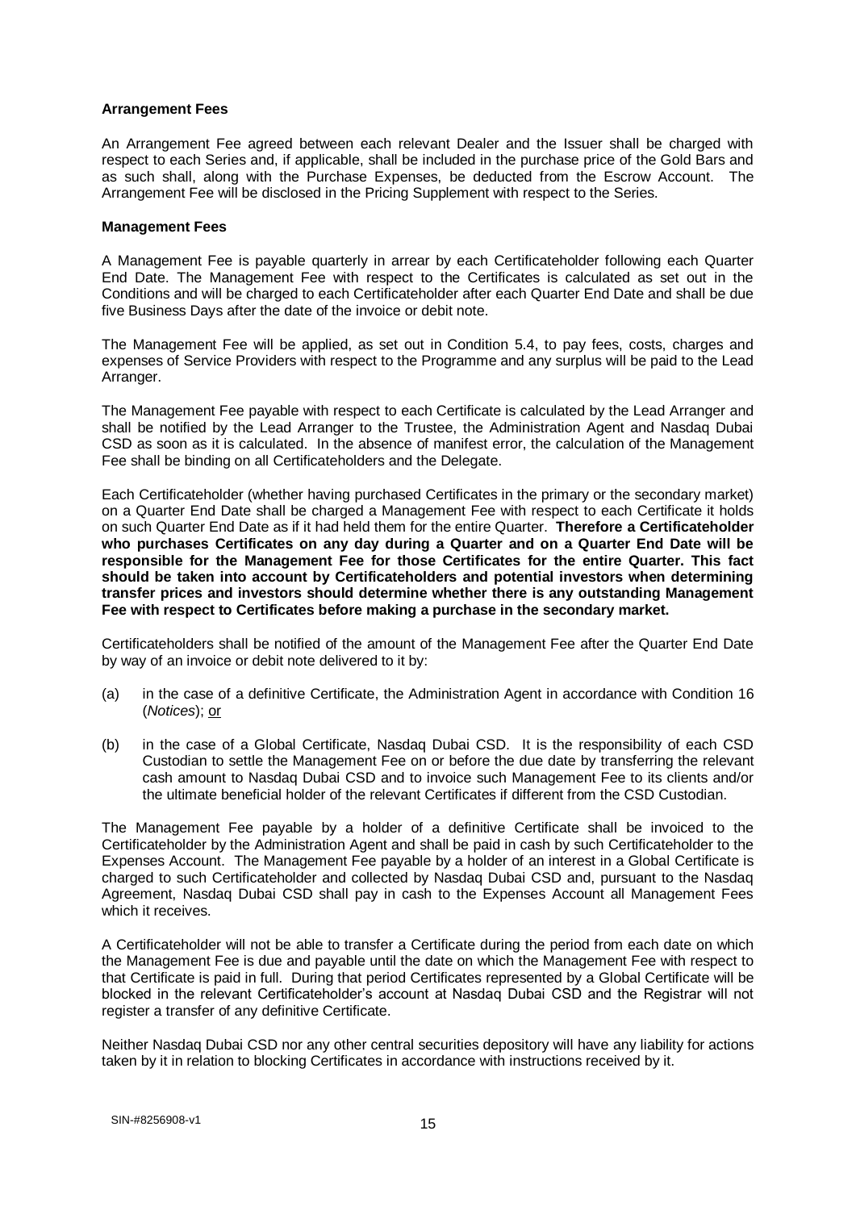#### **Arrangement Fees**

An Arrangement Fee agreed between each relevant Dealer and the Issuer shall be charged with respect to each Series and, if applicable, shall be included in the purchase price of the Gold Bars and as such shall, along with the Purchase Expenses, be deducted from the Escrow Account. The Arrangement Fee will be disclosed in the Pricing Supplement with respect to the Series.

#### **Management Fees**

A Management Fee is payable quarterly in arrear by each Certificateholder following each Quarter End Date. The Management Fee with respect to the Certificates is calculated as set out in the Conditions and will be charged to each Certificateholder after each Quarter End Date and shall be due five Business Days after the date of the invoice or debit note.

The Management Fee will be applied, as set out in Condition 5.4, to pay fees, costs, charges and expenses of Service Providers with respect to the Programme and any surplus will be paid to the Lead Arranger.

The Management Fee payable with respect to each Certificate is calculated by the Lead Arranger and shall be notified by the Lead Arranger to the Trustee, the Administration Agent and Nasdaq Dubai CSD as soon as it is calculated. In the absence of manifest error, the calculation of the Management Fee shall be binding on all Certificateholders and the Delegate.

Each Certificateholder (whether having purchased Certificates in the primary or the secondary market) on a Quarter End Date shall be charged a Management Fee with respect to each Certificate it holds on such Quarter End Date as if it had held them for the entire Quarter. **Therefore a Certificateholder who purchases Certificates on any day during a Quarter and on a Quarter End Date will be responsible for the Management Fee for those Certificates for the entire Quarter. This fact should be taken into account by Certificateholders and potential investors when determining transfer prices and investors should determine whether there is any outstanding Management Fee with respect to Certificates before making a purchase in the secondary market.**

Certificateholders shall be notified of the amount of the Management Fee after the Quarter End Date by way of an invoice or debit note delivered to it by:

- (a) in the case of a definitive Certificate, the Administration Agent in accordance with Condition 16 (*Notices*); or
- (b) in the case of a Global Certificate, Nasdaq Dubai CSD. It is the responsibility of each CSD Custodian to settle the Management Fee on or before the due date by transferring the relevant cash amount to Nasdaq Dubai CSD and to invoice such Management Fee to its clients and/or the ultimate beneficial holder of the relevant Certificates if different from the CSD Custodian.

The Management Fee payable by a holder of a definitive Certificate shall be invoiced to the Certificateholder by the Administration Agent and shall be paid in cash by such Certificateholder to the Expenses Account. The Management Fee payable by a holder of an interest in a Global Certificate is charged to such Certificateholder and collected by Nasdaq Dubai CSD and, pursuant to the Nasdaq Agreement, Nasdaq Dubai CSD shall pay in cash to the Expenses Account all Management Fees which it receives.

A Certificateholder will not be able to transfer a Certificate during the period from each date on which the Management Fee is due and payable until the date on which the Management Fee with respect to that Certificate is paid in full. During that period Certificates represented by a Global Certificate will be blocked in the relevant Certificateholder's account at Nasdaq Dubai CSD and the Registrar will not register a transfer of any definitive Certificate.

Neither Nasdaq Dubai CSD nor any other central securities depository will have any liability for actions taken by it in relation to blocking Certificates in accordance with instructions received by it.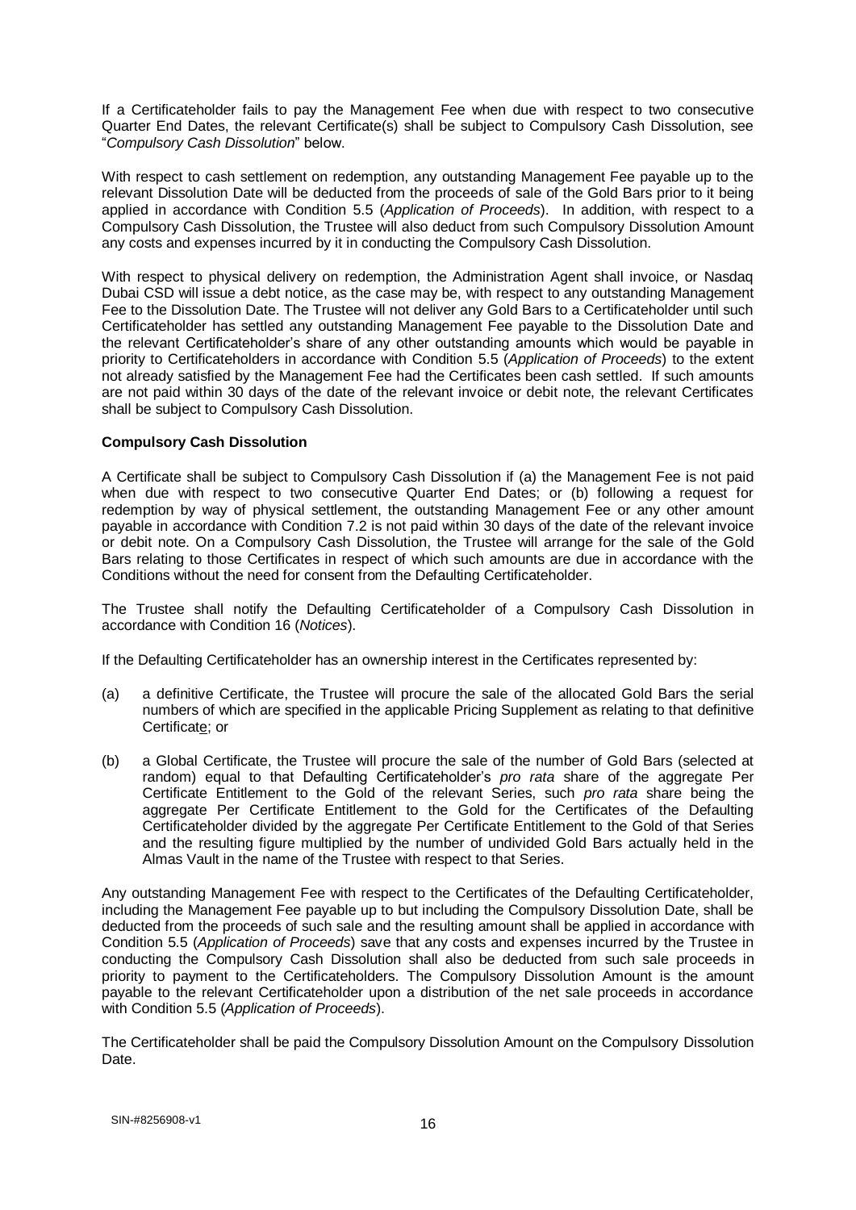If a Certificateholder fails to pay the Management Fee when due with respect to two consecutive Quarter End Dates, the relevant Certificate(s) shall be subject to Compulsory Cash Dissolution, see "*Compulsory Cash Dissolution*" below.

With respect to cash settlement on redemption, any outstanding Management Fee payable up to the relevant Dissolution Date will be deducted from the proceeds of sale of the Gold Bars prior to it being applied in accordance with Condition 5.5 (*Application of Proceeds*). In addition, with respect to a Compulsory Cash Dissolution, the Trustee will also deduct from such Compulsory Dissolution Amount any costs and expenses incurred by it in conducting the Compulsory Cash Dissolution.

With respect to physical delivery on redemption, the Administration Agent shall invoice, or Nasdaq Dubai CSD will issue a debt notice, as the case may be, with respect to any outstanding Management Fee to the Dissolution Date. The Trustee will not deliver any Gold Bars to a Certificateholder until such Certificateholder has settled any outstanding Management Fee payable to the Dissolution Date and the relevant Certificateholder's share of any other outstanding amounts which would be payable in priority to Certificateholders in accordance with Condition 5.5 (*Application of Proceeds*) to the extent not already satisfied by the Management Fee had the Certificates been cash settled. If such amounts are not paid within 30 days of the date of the relevant invoice or debit note, the relevant Certificates shall be subject to Compulsory Cash Dissolution.

#### **Compulsory Cash Dissolution**

A Certificate shall be subject to Compulsory Cash Dissolution if (a) the Management Fee is not paid when due with respect to two consecutive Quarter End Dates; or (b) following a request for redemption by way of physical settlement, the outstanding Management Fee or any other amount payable in accordance with Condition 7.2 is not paid within 30 days of the date of the relevant invoice or debit note. On a Compulsory Cash Dissolution, the Trustee will arrange for the sale of the Gold Bars relating to those Certificates in respect of which such amounts are due in accordance with the Conditions without the need for consent from the Defaulting Certificateholder.

The Trustee shall notify the Defaulting Certificateholder of a Compulsory Cash Dissolution in accordance with Condition 16 (*Notices*).

If the Defaulting Certificateholder has an ownership interest in the Certificates represented by:

- (a) a definitive Certificate, the Trustee will procure the sale of the allocated Gold Bars the serial numbers of which are specified in the applicable Pricing Supplement as relating to that definitive Certificate; or
- (b) a Global Certificate, the Trustee will procure the sale of the number of Gold Bars (selected at random) equal to that Defaulting Certificateholder's *pro rata* share of the aggregate Per Certificate Entitlement to the Gold of the relevant Series, such *pro rata* share being the aggregate Per Certificate Entitlement to the Gold for the Certificates of the Defaulting Certificateholder divided by the aggregate Per Certificate Entitlement to the Gold of that Series and the resulting figure multiplied by the number of undivided Gold Bars actually held in the Almas Vault in the name of the Trustee with respect to that Series.

Any outstanding Management Fee with respect to the Certificates of the Defaulting Certificateholder, including the Management Fee payable up to but including the Compulsory Dissolution Date, shall be deducted from the proceeds of such sale and the resulting amount shall be applied in accordance with Condition 5.5 (*Application of Proceeds*) save that any costs and expenses incurred by the Trustee in conducting the Compulsory Cash Dissolution shall also be deducted from such sale proceeds in priority to payment to the Certificateholders. The Compulsory Dissolution Amount is the amount payable to the relevant Certificateholder upon a distribution of the net sale proceeds in accordance with Condition 5.5 (*Application of Proceeds*).

The Certificateholder shall be paid the Compulsory Dissolution Amount on the Compulsory Dissolution Date.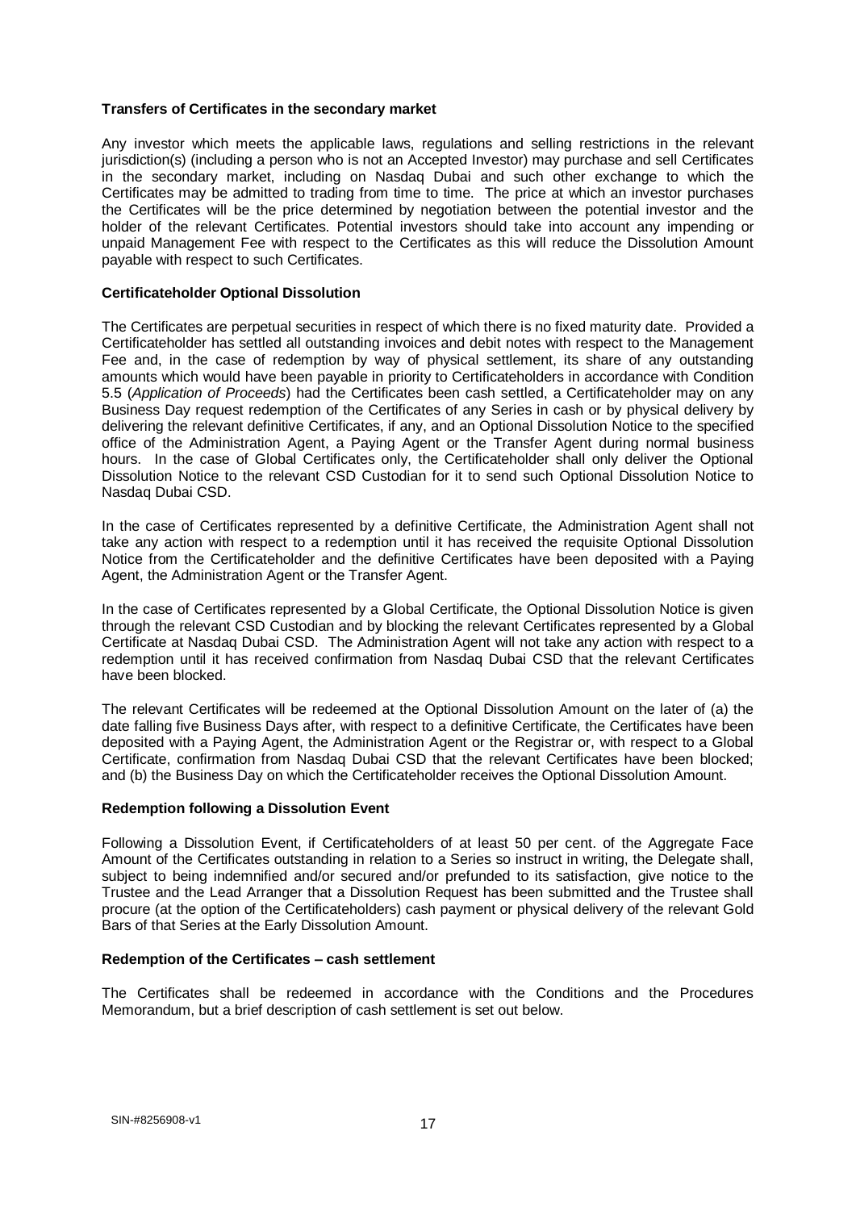#### **Transfers of Certificates in the secondary market**

Any investor which meets the applicable laws, regulations and selling restrictions in the relevant jurisdiction(s) (including a person who is not an Accepted Investor) may purchase and sell Certificates in the secondary market, including on Nasdaq Dubai and such other exchange to which the Certificates may be admitted to trading from time to time. The price at which an investor purchases the Certificates will be the price determined by negotiation between the potential investor and the holder of the relevant Certificates. Potential investors should take into account any impending or unpaid Management Fee with respect to the Certificates as this will reduce the Dissolution Amount payable with respect to such Certificates.

#### **Certificateholder Optional Dissolution**

The Certificates are perpetual securities in respect of which there is no fixed maturity date. Provided a Certificateholder has settled all outstanding invoices and debit notes with respect to the Management Fee and, in the case of redemption by way of physical settlement, its share of any outstanding amounts which would have been payable in priority to Certificateholders in accordance with Condition 5.5 (*Application of Proceeds*) had the Certificates been cash settled, a Certificateholder may on any Business Day request redemption of the Certificates of any Series in cash or by physical delivery by delivering the relevant definitive Certificates, if any, and an Optional Dissolution Notice to the specified office of the Administration Agent, a Paying Agent or the Transfer Agent during normal business hours. In the case of Global Certificates only, the Certificateholder shall only deliver the Optional Dissolution Notice to the relevant CSD Custodian for it to send such Optional Dissolution Notice to Nasdaq Dubai CSD.

In the case of Certificates represented by a definitive Certificate, the Administration Agent shall not take any action with respect to a redemption until it has received the requisite Optional Dissolution Notice from the Certificateholder and the definitive Certificates have been deposited with a Paying Agent, the Administration Agent or the Transfer Agent.

In the case of Certificates represented by a Global Certificate, the Optional Dissolution Notice is given through the relevant CSD Custodian and by blocking the relevant Certificates represented by a Global Certificate at Nasdaq Dubai CSD. The Administration Agent will not take any action with respect to a redemption until it has received confirmation from Nasdaq Dubai CSD that the relevant Certificates have been blocked.

The relevant Certificates will be redeemed at the Optional Dissolution Amount on the later of (a) the date falling five Business Days after, with respect to a definitive Certificate, the Certificates have been deposited with a Paying Agent, the Administration Agent or the Registrar or, with respect to a Global Certificate, confirmation from Nasdaq Dubai CSD that the relevant Certificates have been blocked; and (b) the Business Day on which the Certificateholder receives the Optional Dissolution Amount.

## **Redemption following a Dissolution Event**

Following a Dissolution Event, if Certificateholders of at least 50 per cent. of the Aggregate Face Amount of the Certificates outstanding in relation to a Series so instruct in writing, the Delegate shall, subject to being indemnified and/or secured and/or prefunded to its satisfaction, give notice to the Trustee and the Lead Arranger that a Dissolution Request has been submitted and the Trustee shall procure (at the option of the Certificateholders) cash payment or physical delivery of the relevant Gold Bars of that Series at the Early Dissolution Amount.

#### **Redemption of the Certificates – cash settlement**

The Certificates shall be redeemed in accordance with the Conditions and the Procedures Memorandum, but a brief description of cash settlement is set out below.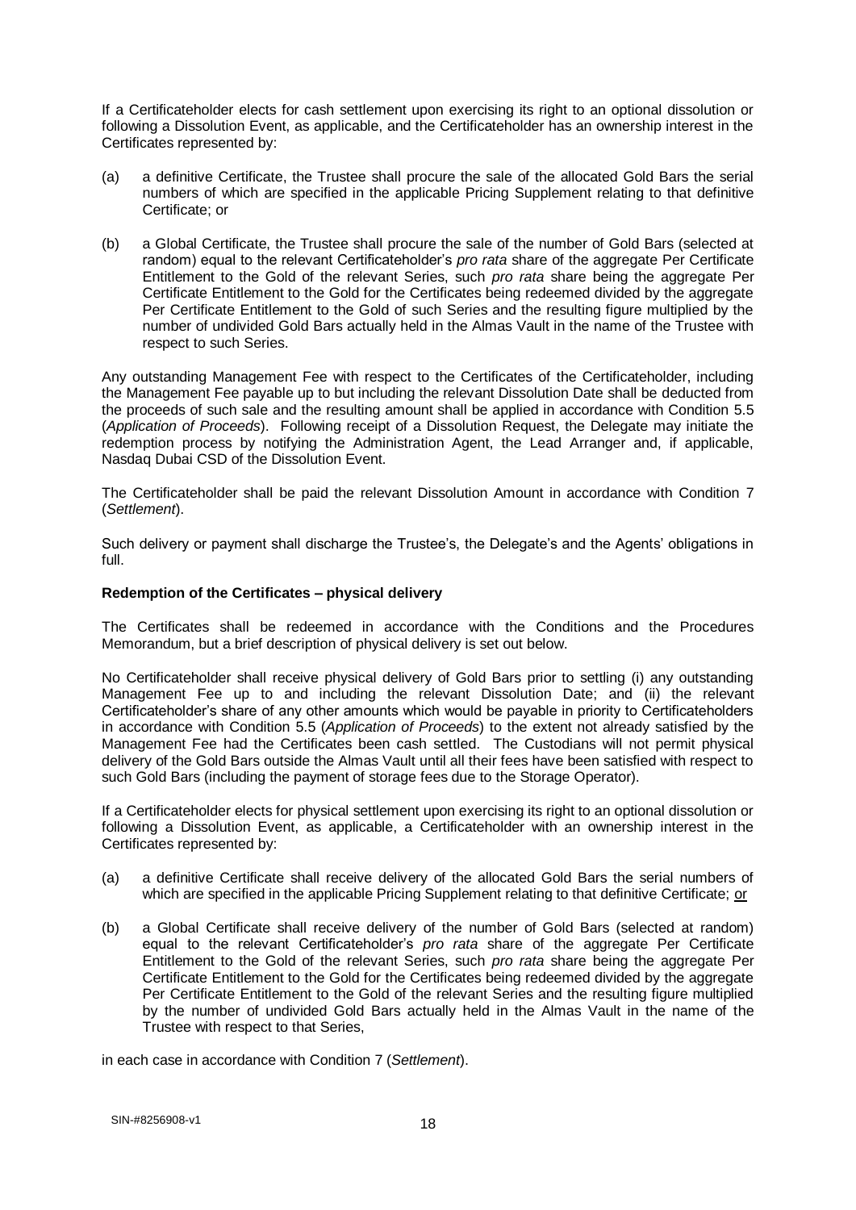If a Certificateholder elects for cash settlement upon exercising its right to an optional dissolution or following a Dissolution Event, as applicable, and the Certificateholder has an ownership interest in the Certificates represented by:

- (a) a definitive Certificate, the Trustee shall procure the sale of the allocated Gold Bars the serial numbers of which are specified in the applicable Pricing Supplement relating to that definitive Certificate; or
- (b) a Global Certificate, the Trustee shall procure the sale of the number of Gold Bars (selected at random) equal to the relevant Certificateholder's *pro rata* share of the aggregate Per Certificate Entitlement to the Gold of the relevant Series, such *pro rata* share being the aggregate Per Certificate Entitlement to the Gold for the Certificates being redeemed divided by the aggregate Per Certificate Entitlement to the Gold of such Series and the resulting figure multiplied by the number of undivided Gold Bars actually held in the Almas Vault in the name of the Trustee with respect to such Series.

Any outstanding Management Fee with respect to the Certificates of the Certificateholder, including the Management Fee payable up to but including the relevant Dissolution Date shall be deducted from the proceeds of such sale and the resulting amount shall be applied in accordance with Condition 5.5 (*Application of Proceeds*). Following receipt of a Dissolution Request, the Delegate may initiate the redemption process by notifying the Administration Agent, the Lead Arranger and, if applicable, Nasdaq Dubai CSD of the Dissolution Event.

The Certificateholder shall be paid the relevant Dissolution Amount in accordance with Condition 7 (*Settlement*).

Such delivery or payment shall discharge the Trustee's, the Delegate's and the Agents' obligations in full.

#### **Redemption of the Certificates – physical delivery**

The Certificates shall be redeemed in accordance with the Conditions and the Procedures Memorandum, but a brief description of physical delivery is set out below.

No Certificateholder shall receive physical delivery of Gold Bars prior to settling (i) any outstanding Management Fee up to and including the relevant Dissolution Date; and (ii) the relevant Certificateholder's share of any other amounts which would be payable in priority to Certificateholders in accordance with Condition 5.5 (*Application of Proceeds*) to the extent not already satisfied by the Management Fee had the Certificates been cash settled. The Custodians will not permit physical delivery of the Gold Bars outside the Almas Vault until all their fees have been satisfied with respect to such Gold Bars (including the payment of storage fees due to the Storage Operator).

If a Certificateholder elects for physical settlement upon exercising its right to an optional dissolution or following a Dissolution Event, as applicable, a Certificateholder with an ownership interest in the Certificates represented by:

- (a) a definitive Certificate shall receive delivery of the allocated Gold Bars the serial numbers of which are specified in the applicable Pricing Supplement relating to that definitive Certificate; or
- (b) a Global Certificate shall receive delivery of the number of Gold Bars (selected at random) equal to the relevant Certificateholder's *pro rata* share of the aggregate Per Certificate Entitlement to the Gold of the relevant Series, such *pro rata* share being the aggregate Per Certificate Entitlement to the Gold for the Certificates being redeemed divided by the aggregate Per Certificate Entitlement to the Gold of the relevant Series and the resulting figure multiplied by the number of undivided Gold Bars actually held in the Almas Vault in the name of the Trustee with respect to that Series,

in each case in accordance with Condition 7 (*Settlement*).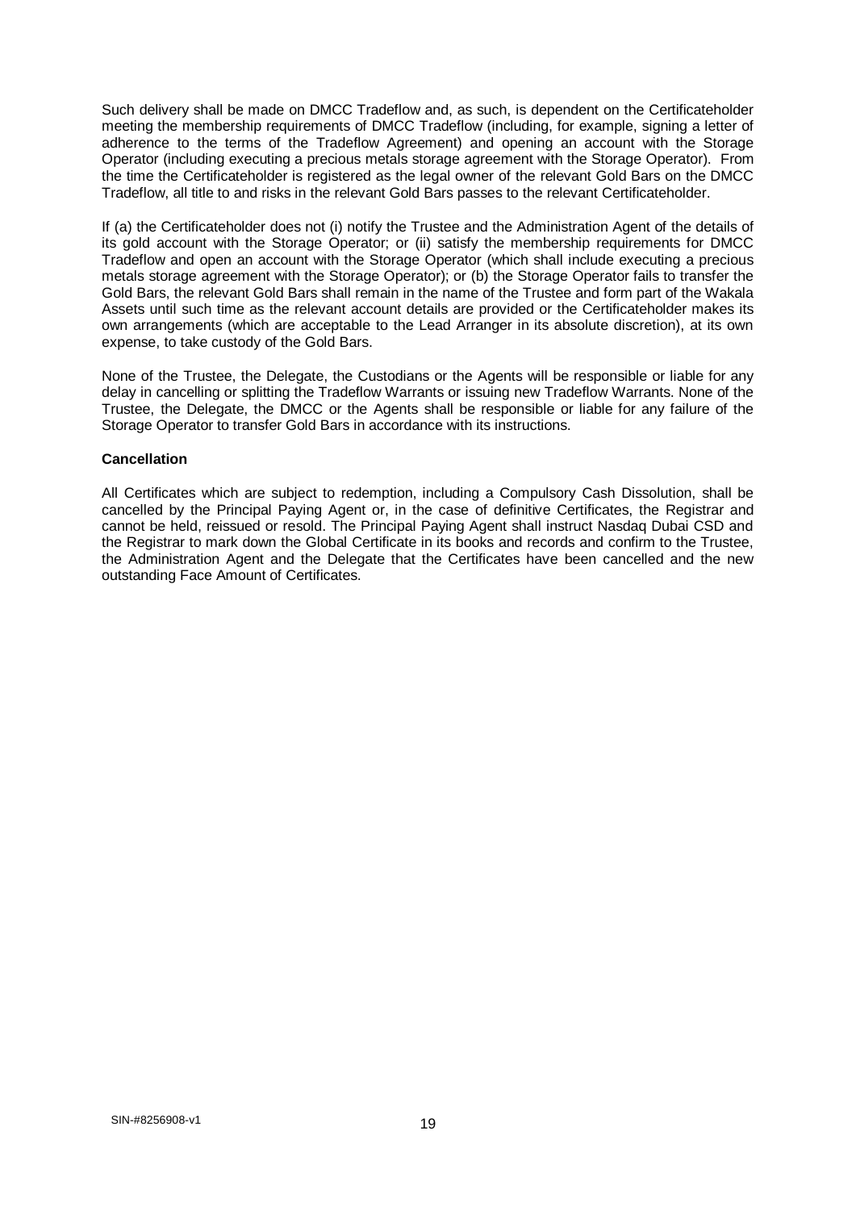Such delivery shall be made on DMCC Tradeflow and, as such, is dependent on the Certificateholder meeting the membership requirements of DMCC Tradeflow (including, for example, signing a letter of adherence to the terms of the Tradeflow Agreement) and opening an account with the Storage Operator (including executing a precious metals storage agreement with the Storage Operator). From the time the Certificateholder is registered as the legal owner of the relevant Gold Bars on the DMCC Tradeflow, all title to and risks in the relevant Gold Bars passes to the relevant Certificateholder.

If (a) the Certificateholder does not (i) notify the Trustee and the Administration Agent of the details of its gold account with the Storage Operator; or (ii) satisfy the membership requirements for DMCC Tradeflow and open an account with the Storage Operator (which shall include executing a precious metals storage agreement with the Storage Operator); or (b) the Storage Operator fails to transfer the Gold Bars, the relevant Gold Bars shall remain in the name of the Trustee and form part of the Wakala Assets until such time as the relevant account details are provided or the Certificateholder makes its own arrangements (which are acceptable to the Lead Arranger in its absolute discretion), at its own expense, to take custody of the Gold Bars.

None of the Trustee, the Delegate, the Custodians or the Agents will be responsible or liable for any delay in cancelling or splitting the Tradeflow Warrants or issuing new Tradeflow Warrants. None of the Trustee, the Delegate, the DMCC or the Agents shall be responsible or liable for any failure of the Storage Operator to transfer Gold Bars in accordance with its instructions.

#### **Cancellation**

All Certificates which are subject to redemption, including a Compulsory Cash Dissolution, shall be cancelled by the Principal Paying Agent or, in the case of definitive Certificates, the Registrar and cannot be held, reissued or resold. The Principal Paying Agent shall instruct Nasdaq Dubai CSD and the Registrar to mark down the Global Certificate in its books and records and confirm to the Trustee, the Administration Agent and the Delegate that the Certificates have been cancelled and the new outstanding Face Amount of Certificates.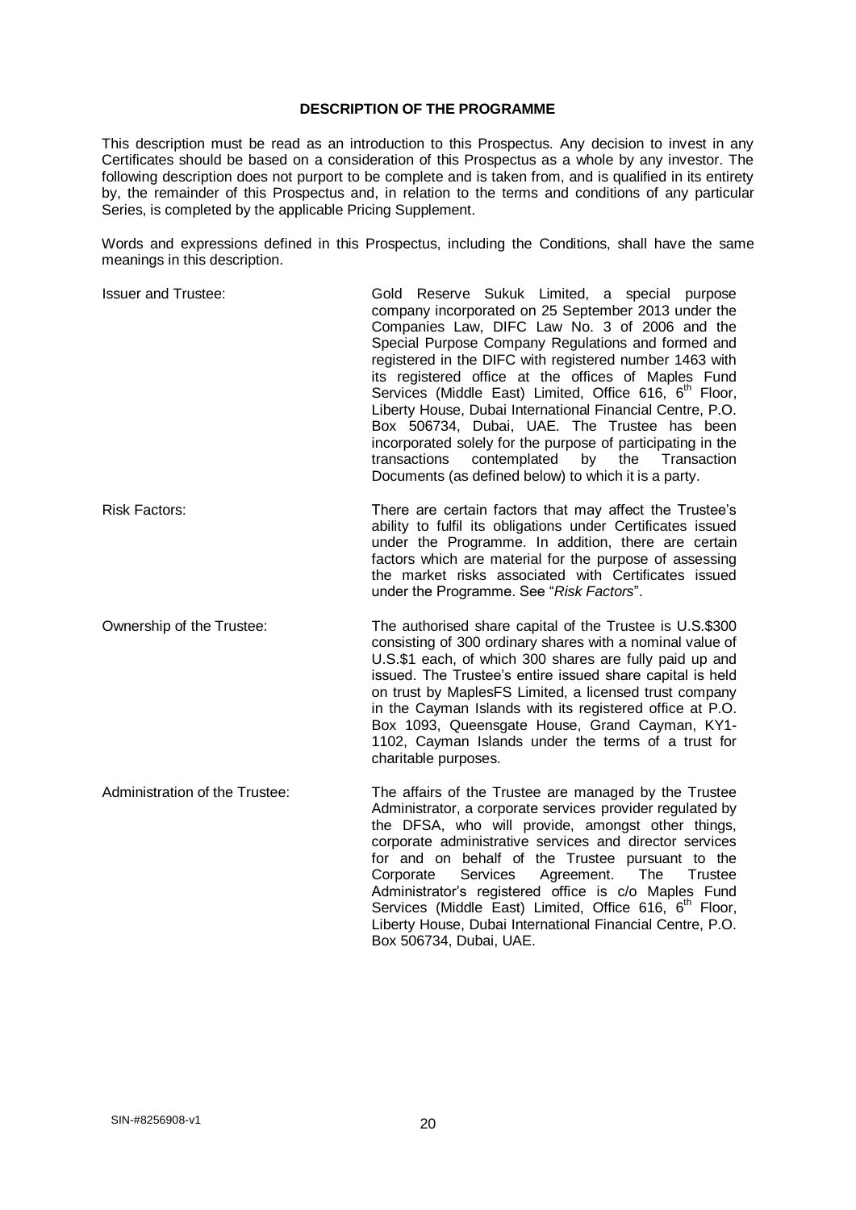#### **DESCRIPTION OF THE PROGRAMME**

This description must be read as an introduction to this Prospectus. Any decision to invest in any Certificates should be based on a consideration of this Prospectus as a whole by any investor. The following description does not purport to be complete and is taken from, and is qualified in its entirety by, the remainder of this Prospectus and, in relation to the terms and conditions of any particular Series, is completed by the applicable Pricing Supplement.

Words and expressions defined in this Prospectus, including the Conditions, shall have the same meanings in this description.

| <b>Issuer and Trustee:</b>     | Gold Reserve Sukuk Limited, a special purpose<br>company incorporated on 25 September 2013 under the<br>Companies Law, DIFC Law No. 3 of 2006 and the<br>Special Purpose Company Regulations and formed and<br>registered in the DIFC with registered number 1463 with<br>its registered office at the offices of Maples Fund<br>Services (Middle East) Limited, Office 616, 6 <sup>th</sup> Floor,<br>Liberty House, Dubai International Financial Centre, P.O.<br>Box 506734, Dubai, UAE. The Trustee has been<br>incorporated solely for the purpose of participating in the<br>transactions<br>contemplated<br>by<br>the<br>Transaction<br>Documents (as defined below) to which it is a party. |
|--------------------------------|-----------------------------------------------------------------------------------------------------------------------------------------------------------------------------------------------------------------------------------------------------------------------------------------------------------------------------------------------------------------------------------------------------------------------------------------------------------------------------------------------------------------------------------------------------------------------------------------------------------------------------------------------------------------------------------------------------|
| <b>Risk Factors:</b>           | There are certain factors that may affect the Trustee's<br>ability to fulfil its obligations under Certificates issued<br>under the Programme. In addition, there are certain<br>factors which are material for the purpose of assessing<br>the market risks associated with Certificates issued<br>under the Programme. See "Risk Factors".                                                                                                                                                                                                                                                                                                                                                        |
| Ownership of the Trustee:      | The authorised share capital of the Trustee is U.S.\$300<br>consisting of 300 ordinary shares with a nominal value of<br>U.S.\$1 each, of which 300 shares are fully paid up and<br>issued. The Trustee's entire issued share capital is held<br>on trust by MaplesFS Limited, a licensed trust company<br>in the Cayman Islands with its registered office at P.O.<br>Box 1093, Queensgate House, Grand Cayman, KY1-<br>1102, Cayman Islands under the terms of a trust for<br>charitable purposes.                                                                                                                                                                                                |
| Administration of the Trustee: | The affairs of the Trustee are managed by the Trustee<br>Administrator, a corporate services provider regulated by<br>the DFSA, who will provide, amongst other things,<br>corporate administrative services and director services<br>for and on behalf of the Trustee pursuant to the<br>Corporate<br>Services<br>Agreement.<br>The<br><b>Trustee</b><br>Administrator's registered office is c/o Maples Fund<br>Services (Middle East) Limited, Office 616, 6 <sup>th</sup> Floor,<br>Liberty House, Dubai International Financial Centre, P.O.<br>Box 506734, Dubai, UAE.                                                                                                                        |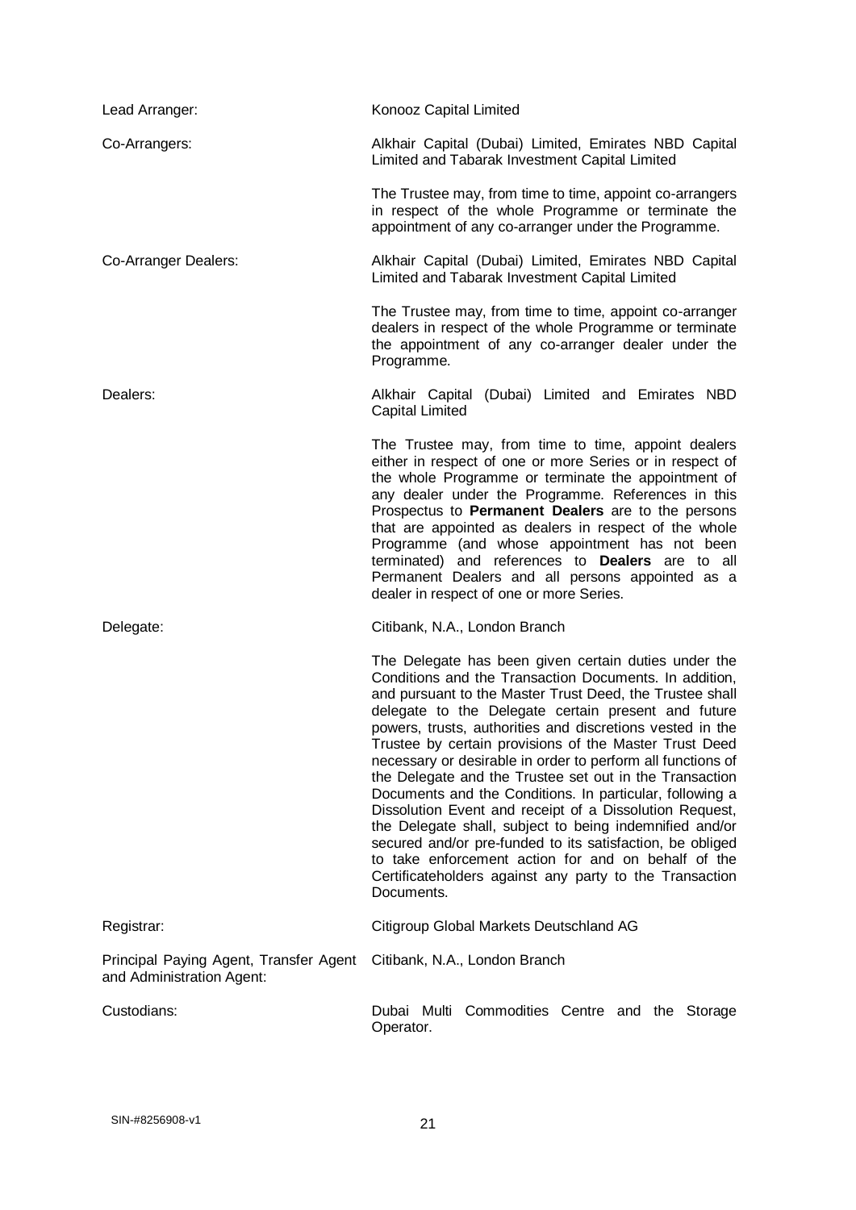| Lead Arranger:                                                      | Konooz Capital Limited                                                                                                                                                                                                                                                                                                                                                                                                                                                                                                                                                                                                                                                                                                                                                                                                                                            |
|---------------------------------------------------------------------|-------------------------------------------------------------------------------------------------------------------------------------------------------------------------------------------------------------------------------------------------------------------------------------------------------------------------------------------------------------------------------------------------------------------------------------------------------------------------------------------------------------------------------------------------------------------------------------------------------------------------------------------------------------------------------------------------------------------------------------------------------------------------------------------------------------------------------------------------------------------|
| Co-Arrangers:                                                       | Alkhair Capital (Dubai) Limited, Emirates NBD Capital<br>Limited and Tabarak Investment Capital Limited                                                                                                                                                                                                                                                                                                                                                                                                                                                                                                                                                                                                                                                                                                                                                           |
|                                                                     | The Trustee may, from time to time, appoint co-arrangers<br>in respect of the whole Programme or terminate the<br>appointment of any co-arranger under the Programme.                                                                                                                                                                                                                                                                                                                                                                                                                                                                                                                                                                                                                                                                                             |
| Co-Arranger Dealers:                                                | Alkhair Capital (Dubai) Limited, Emirates NBD Capital<br>Limited and Tabarak Investment Capital Limited                                                                                                                                                                                                                                                                                                                                                                                                                                                                                                                                                                                                                                                                                                                                                           |
|                                                                     | The Trustee may, from time to time, appoint co-arranger<br>dealers in respect of the whole Programme or terminate<br>the appointment of any co-arranger dealer under the<br>Programme.                                                                                                                                                                                                                                                                                                                                                                                                                                                                                                                                                                                                                                                                            |
| Dealers:                                                            | Alkhair Capital (Dubai) Limited and Emirates NBD<br><b>Capital Limited</b>                                                                                                                                                                                                                                                                                                                                                                                                                                                                                                                                                                                                                                                                                                                                                                                        |
|                                                                     | The Trustee may, from time to time, appoint dealers<br>either in respect of one or more Series or in respect of<br>the whole Programme or terminate the appointment of<br>any dealer under the Programme. References in this<br>Prospectus to Permanent Dealers are to the persons<br>that are appointed as dealers in respect of the whole<br>Programme (and whose appointment has not been<br>terminated) and references to <b>Dealers</b> are to all<br>Permanent Dealers and all persons appointed as a<br>dealer in respect of one or more Series.                                                                                                                                                                                                                                                                                                           |
| Delegate:                                                           | Citibank, N.A., London Branch                                                                                                                                                                                                                                                                                                                                                                                                                                                                                                                                                                                                                                                                                                                                                                                                                                     |
|                                                                     | The Delegate has been given certain duties under the<br>Conditions and the Transaction Documents. In addition,<br>and pursuant to the Master Trust Deed, the Trustee shall<br>delegate to the Delegate certain present and future<br>powers, trusts, authorities and discretions vested in the<br>Trustee by certain provisions of the Master Trust Deed<br>necessary or desirable in order to perform all functions of<br>the Delegate and the Trustee set out in the Transaction<br>Documents and the Conditions. In particular, following a<br>Dissolution Event and receipt of a Dissolution Request,<br>the Delegate shall, subject to being indemnified and/or<br>secured and/or pre-funded to its satisfaction, be obliged<br>to take enforcement action for and on behalf of the<br>Certificateholders against any party to the Transaction<br>Documents. |
| Registrar:                                                          | Citigroup Global Markets Deutschland AG                                                                                                                                                                                                                                                                                                                                                                                                                                                                                                                                                                                                                                                                                                                                                                                                                           |
| Principal Paying Agent, Transfer Agent<br>and Administration Agent: | Citibank, N.A., London Branch                                                                                                                                                                                                                                                                                                                                                                                                                                                                                                                                                                                                                                                                                                                                                                                                                                     |
| Custodians:                                                         | Dubai Multi Commodities Centre and the Storage<br>Operator.                                                                                                                                                                                                                                                                                                                                                                                                                                                                                                                                                                                                                                                                                                                                                                                                       |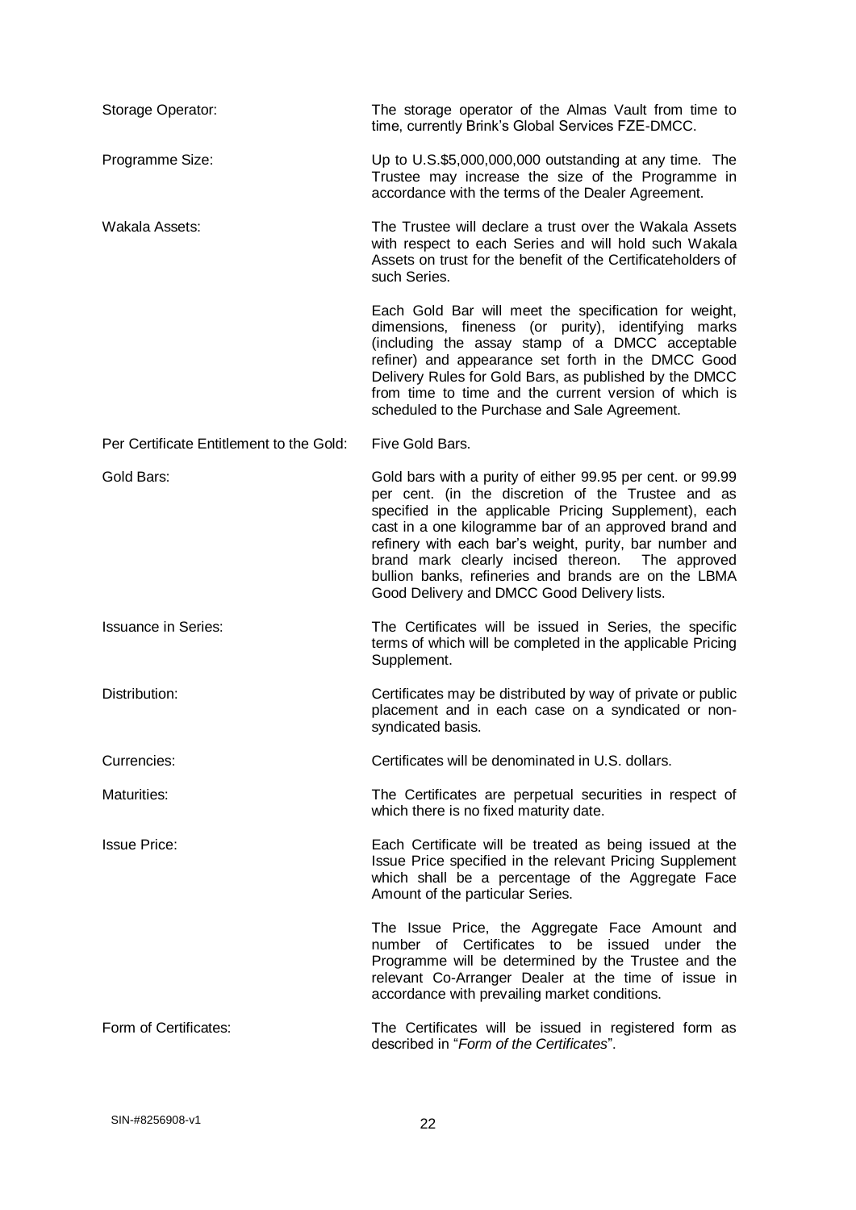| Storage Operator:                        | The storage operator of the Almas Vault from time to<br>time, currently Brink's Global Services FZE-DMCC.                                                                                                                                                                                                                                                                                                                                                |
|------------------------------------------|----------------------------------------------------------------------------------------------------------------------------------------------------------------------------------------------------------------------------------------------------------------------------------------------------------------------------------------------------------------------------------------------------------------------------------------------------------|
| Programme Size:                          | Up to U.S.\$5,000,000,000 outstanding at any time. The<br>Trustee may increase the size of the Programme in<br>accordance with the terms of the Dealer Agreement.                                                                                                                                                                                                                                                                                        |
| Wakala Assets:                           | The Trustee will declare a trust over the Wakala Assets<br>with respect to each Series and will hold such Wakala<br>Assets on trust for the benefit of the Certificateholders of<br>such Series.                                                                                                                                                                                                                                                         |
|                                          | Each Gold Bar will meet the specification for weight,<br>dimensions, fineness (or purity), identifying marks<br>(including the assay stamp of a DMCC acceptable<br>refiner) and appearance set forth in the DMCC Good<br>Delivery Rules for Gold Bars, as published by the DMCC<br>from time to time and the current version of which is<br>scheduled to the Purchase and Sale Agreement.                                                                |
| Per Certificate Entitlement to the Gold: | Five Gold Bars.                                                                                                                                                                                                                                                                                                                                                                                                                                          |
| Gold Bars:                               | Gold bars with a purity of either 99.95 per cent. or 99.99<br>per cent. (in the discretion of the Trustee and as<br>specified in the applicable Pricing Supplement), each<br>cast in a one kilogramme bar of an approved brand and<br>refinery with each bar's weight, purity, bar number and<br>brand mark clearly incised thereon. The approved<br>bullion banks, refineries and brands are on the LBMA<br>Good Delivery and DMCC Good Delivery lists. |
| <b>Issuance in Series:</b>               | The Certificates will be issued in Series, the specific<br>terms of which will be completed in the applicable Pricing<br>Supplement.                                                                                                                                                                                                                                                                                                                     |
| Distribution:                            | Certificates may be distributed by way of private or public<br>placement and in each case on a syndicated or non-<br>syndicated basis.                                                                                                                                                                                                                                                                                                                   |
| Currencies:                              | Certificates will be denominated in U.S. dollars.                                                                                                                                                                                                                                                                                                                                                                                                        |
| Maturities:                              | The Certificates are perpetual securities in respect of<br>which there is no fixed maturity date.                                                                                                                                                                                                                                                                                                                                                        |
| <b>Issue Price:</b>                      | Each Certificate will be treated as being issued at the<br>Issue Price specified in the relevant Pricing Supplement<br>which shall be a percentage of the Aggregate Face<br>Amount of the particular Series.                                                                                                                                                                                                                                             |
|                                          | The Issue Price, the Aggregate Face Amount and<br>number of Certificates to be issued under<br>the<br>Programme will be determined by the Trustee and the<br>relevant Co-Arranger Dealer at the time of issue in<br>accordance with prevailing market conditions.                                                                                                                                                                                        |
| Form of Certificates:                    | The Certificates will be issued in registered form as<br>described in "Form of the Certificates".                                                                                                                                                                                                                                                                                                                                                        |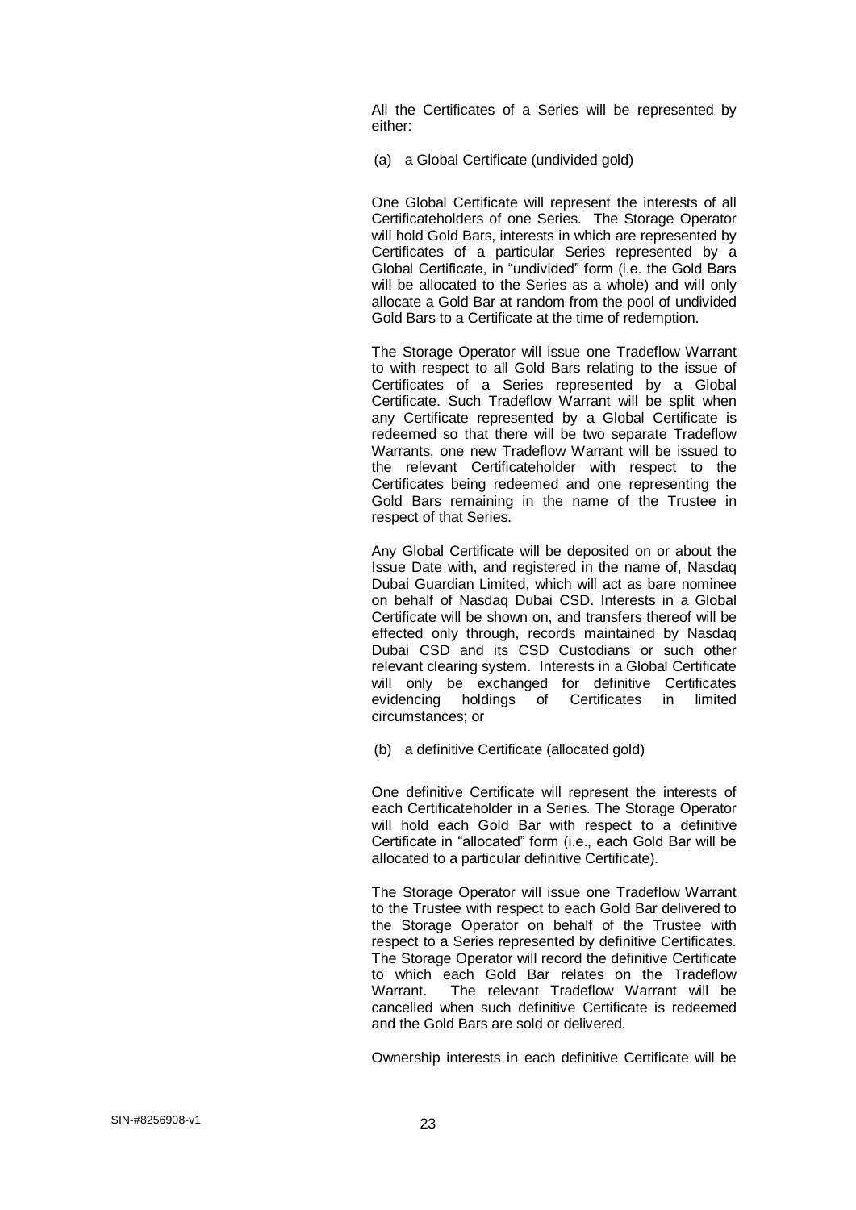All the Certificates of a Series will be represented by either:

(a) a Global Certificate (undivided gold)

One Global Certificate will represent the interests of all Certificateholders of one Series. The Storage Operator will hold Gold Bars, interests in which are represented by Certificates of a particular Series represented by a Global Certificate, in "undivided" form (i.e. the Gold Bars will be allocated to the Series as a whole) and will only allocate a Gold Bar at random from the pool of undivided Gold Bars to a Certificate at the time of redemption.

The Storage Operator will issue one Tradeflow Warrant to with respect to all Gold Bars relating to the issue of Certificates of a Series represented by a Global Certificate. Such Tradeflow Warrant will be split when any Certificate represented by a Global Certificate is redeemed so that there will be two separate Tradeflow Warrants, one new Tradeflow Warrant will be issued to the relevant Certificateholder with respect to the Certificates being redeemed and one representing the Gold Bars remaining in the name of the Trustee in respect of that Series.

Any Global Certificate will be deposited on or about the Issue Date with, and registered in the name of, Nasdaq Dubai Guardian Limited, which will act as bare nominee on behalf of Nasdaq Dubai CSD. Interests in a Global Certificate will be shown on, and transfers thereof will be effected only through, records maintained by Nasdaq Dubai CSD and its CSD Custodians or such other relevant clearing system. Interests in a Global Certificate will only be exchanged for definitive Certificates evidencing holdings of Certificates in limited circumstances; or

(b) a definitive Certificate (allocated gold)

One definitive Certificate will represent the interests of each Certificateholder in a Series. The Storage Operator will hold each Gold Bar with respect to a definitive Certificate in "allocated" form (i.e., each Gold Bar will be allocated to a particular definitive Certificate).

The Storage Operator will issue one Tradeflow Warrant to the Trustee with respect to each Gold Bar delivered to the Storage Operator on behalf of the Trustee with respect to a Series represented by definitive Certificates. The Storage Operator will record the definitive Certificate to which each Gold Bar relates on the Tradeflow Warrant. The relevant Tradeflow Warrant will be cancelled when such definitive Certificate is redeemed and the Gold Bars are sold or delivered.

Ownership interests in each definitive Certificate will be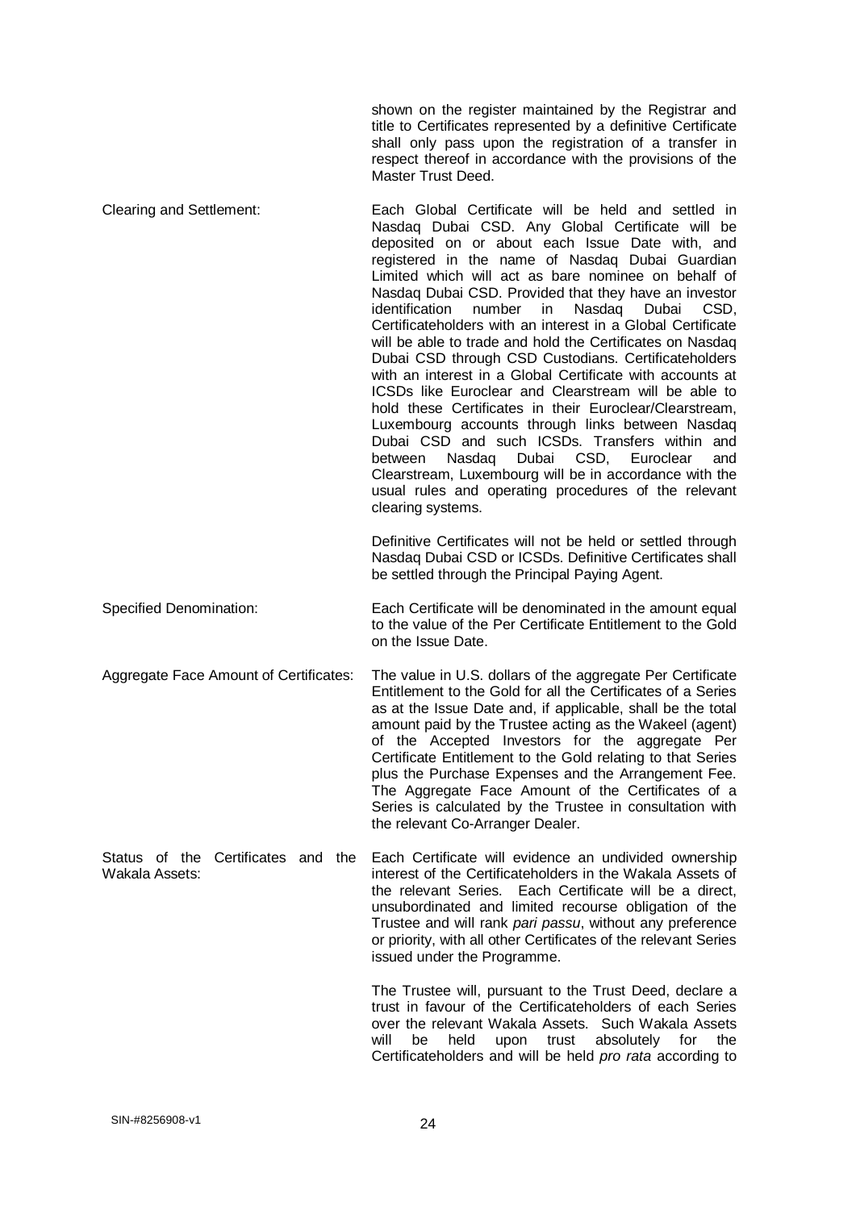shown on the register maintained by the Registrar and title to Certificates represented by a definitive Certificate shall only pass upon the registration of a transfer in respect thereof in accordance with the provisions of the Master Trust Deed.

Clearing and Settlement: Each Global Certificate will be held and settled in Nasdaq Dubai CSD. Any Global Certificate will be deposited on or about each Issue Date with, and registered in the name of Nasdaq Dubai Guardian Limited which will act as bare nominee on behalf of Nasdaq Dubai CSD. Provided that they have an investor identification number in Nasdaq Dubai CSD, Certificateholders with an interest in a Global Certificate will be able to trade and hold the Certificates on Nasdaq Dubai CSD through CSD Custodians. Certificateholders with an interest in a Global Certificate with accounts at ICSDs like Euroclear and Clearstream will be able to hold these Certificates in their Euroclear/Clearstream, Luxembourg accounts through links between Nasdaq Dubai CSD and such ICSDs. Transfers within and between Nasdaq Dubai CSD, Euroclear and Clearstream, Luxembourg will be in accordance with the usual rules and operating procedures of the relevant clearing systems.

> Definitive Certificates will not be held or settled through Nasdaq Dubai CSD or ICSDs. Definitive Certificates shall be settled through the Principal Paying Agent.

Specified Denomination: Each Certificate will be denominated in the amount equal to the value of the Per Certificate Entitlement to the Gold on the Issue Date.

Aggregate Face Amount of Certificates: The value in U.S. dollars of the aggregate Per Certificate Entitlement to the Gold for all the Certificates of a Series as at the Issue Date and, if applicable, shall be the total amount paid by the Trustee acting as the Wakeel (agent) of the Accepted Investors for the aggregate Per Certificate Entitlement to the Gold relating to that Series plus the Purchase Expenses and the Arrangement Fee. The Aggregate Face Amount of the Certificates of a Series is calculated by the Trustee in consultation with the relevant Co-Arranger Dealer.

Status of the Certificates and the Wakala Assets: Each Certificate will evidence an undivided ownership interest of the Certificateholders in the Wakala Assets of the relevant Series. Each Certificate will be a direct, unsubordinated and limited recourse obligation of the Trustee and will rank *pari passu*, without any preference or priority, with all other Certificates of the relevant Series issued under the Programme.

> The Trustee will, pursuant to the Trust Deed, declare a trust in favour of the Certificateholders of each Series over the relevant Wakala Assets. Such Wakala Assets will be held upon trust absolutely for the Certificateholders and will be held *pro rata* according to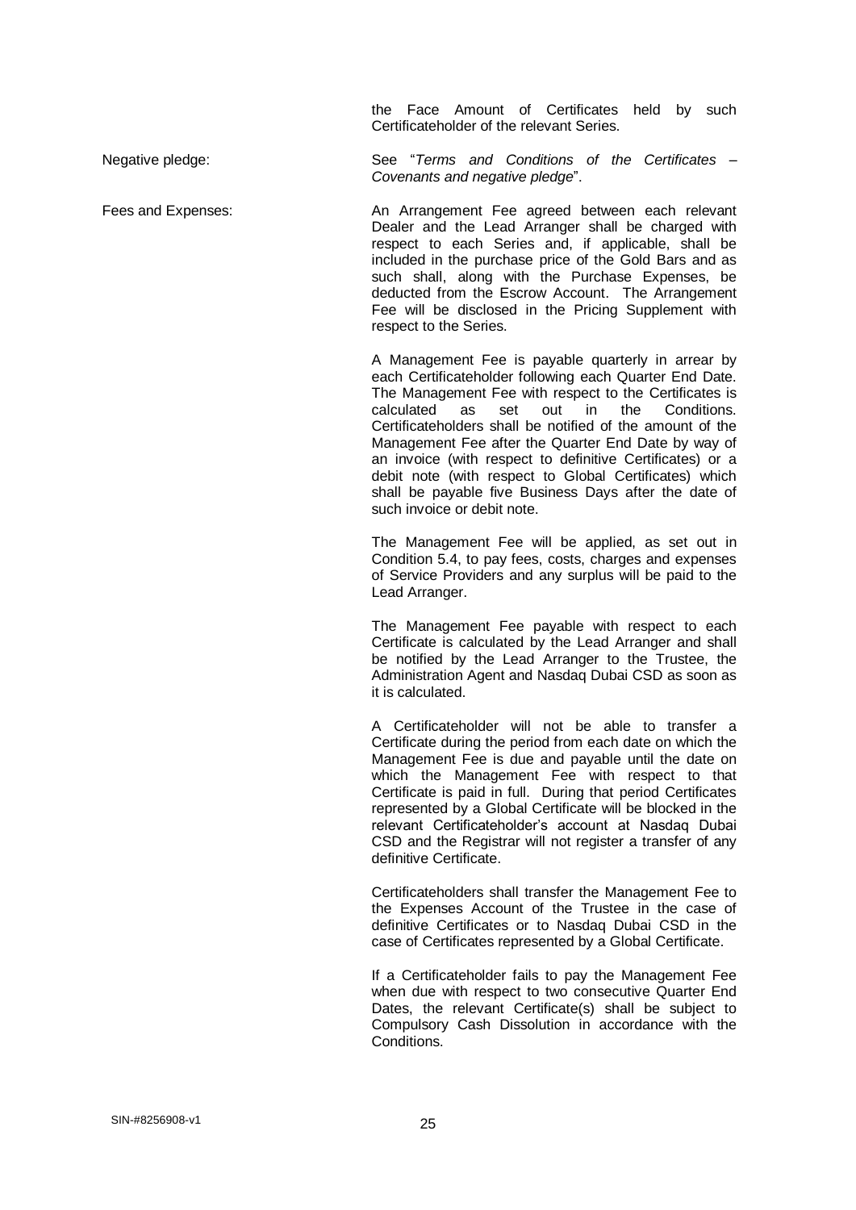the Face Amount of Certificates held by such Certificateholder of the relevant Series.

Negative pledge: See "*Terms and Conditions of the Certificates – Covenants and negative pledge*".

Fees and Expenses: An Arrangement Fee agreed between each relevant Dealer and the Lead Arranger shall be charged with respect to each Series and, if applicable, shall be included in the purchase price of the Gold Bars and as such shall, along with the Purchase Expenses, be

deducted from the Escrow Account. The Arrangement Fee will be disclosed in the Pricing Supplement with respect to the Series.

A Management Fee is payable quarterly in arrear by each Certificateholder following each Quarter End Date. The Management Fee with respect to the Certificates is calculated as set out in the Conditions. Certificateholders shall be notified of the amount of the Management Fee after the Quarter End Date by way of an invoice (with respect to definitive Certificates) or a debit note (with respect to Global Certificates) which shall be payable five Business Days after the date of such invoice or debit note.

The Management Fee will be applied, as set out in Condition 5.4, to pay fees, costs, charges and expenses of Service Providers and any surplus will be paid to the Lead Arranger.

The Management Fee payable with respect to each Certificate is calculated by the Lead Arranger and shall be notified by the Lead Arranger to the Trustee, the Administration Agent and Nasdaq Dubai CSD as soon as it is calculated.

A Certificateholder will not be able to transfer a Certificate during the period from each date on which the Management Fee is due and payable until the date on which the Management Fee with respect to that Certificate is paid in full. During that period Certificates represented by a Global Certificate will be blocked in the relevant Certificateholder's account at Nasdaq Dubai CSD and the Registrar will not register a transfer of any definitive Certificate.

Certificateholders shall transfer the Management Fee to the Expenses Account of the Trustee in the case of definitive Certificates or to Nasdaq Dubai CSD in the case of Certificates represented by a Global Certificate.

If a Certificateholder fails to pay the Management Fee when due with respect to two consecutive Quarter End Dates, the relevant Certificate(s) shall be subject to Compulsory Cash Dissolution in accordance with the Conditions.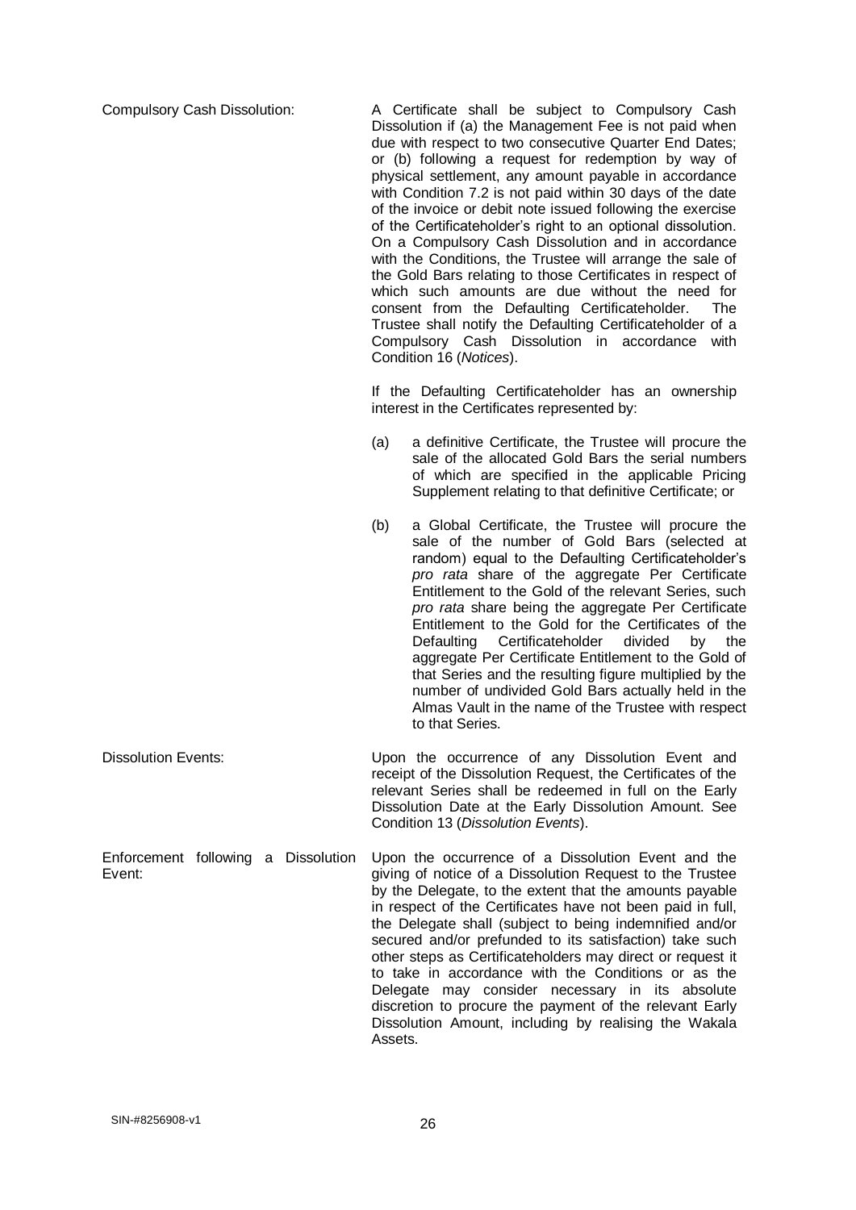Compulsory Cash Dissolution: A Certificate shall be subject to Compulsory Cash Dissolution if (a) the Management Fee is not paid when due with respect to two consecutive Quarter End Dates; or (b) following a request for redemption by way of physical settlement, any amount payable in accordance with Condition 7.2 is not paid within 30 days of the date of the invoice or debit note issued following the exercise of the Certificateholder's right to an optional dissolution. On a Compulsory Cash Dissolution and in accordance with the Conditions, the Trustee will arrange the sale of the Gold Bars relating to those Certificates in respect of which such amounts are due without the need for consent from the Defaulting Certificateholder. The Trustee shall notify the Defaulting Certificateholder of a Compulsory Cash Dissolution in accordance with Condition 16 (*Notices*).

> If the Defaulting Certificateholder has an ownership interest in the Certificates represented by:

- (a) a definitive Certificate, the Trustee will procure the sale of the allocated Gold Bars the serial numbers of which are specified in the applicable Pricing Supplement relating to that definitive Certificate; or
- (b) a Global Certificate, the Trustee will procure the sale of the number of Gold Bars (selected at random) equal to the Defaulting Certificateholder's *pro rata* share of the aggregate Per Certificate Entitlement to the Gold of the relevant Series, such *pro rata* share being the aggregate Per Certificate Entitlement to the Gold for the Certificates of the Defaulting Certificateholder divided by the aggregate Per Certificate Entitlement to the Gold of that Series and the resulting figure multiplied by the number of undivided Gold Bars actually held in the Almas Vault in the name of the Trustee with respect to that Series.
- Dissolution Events: Upon the occurrence of any Dissolution Event and receipt of the Dissolution Request, the Certificates of the relevant Series shall be redeemed in full on the Early Dissolution Date at the Early Dissolution Amount. See Condition 13 (*Dissolution Events*).
- Enforcement following a Dissolution Event: Upon the occurrence of a Dissolution Event and the giving of notice of a Dissolution Request to the Trustee by the Delegate, to the extent that the amounts payable in respect of the Certificates have not been paid in full, the Delegate shall (subject to being indemnified and/or secured and/or prefunded to its satisfaction) take such other steps as Certificateholders may direct or request it to take in accordance with the Conditions or as the Delegate may consider necessary in its absolute discretion to procure the payment of the relevant Early Dissolution Amount, including by realising the Wakala Assets.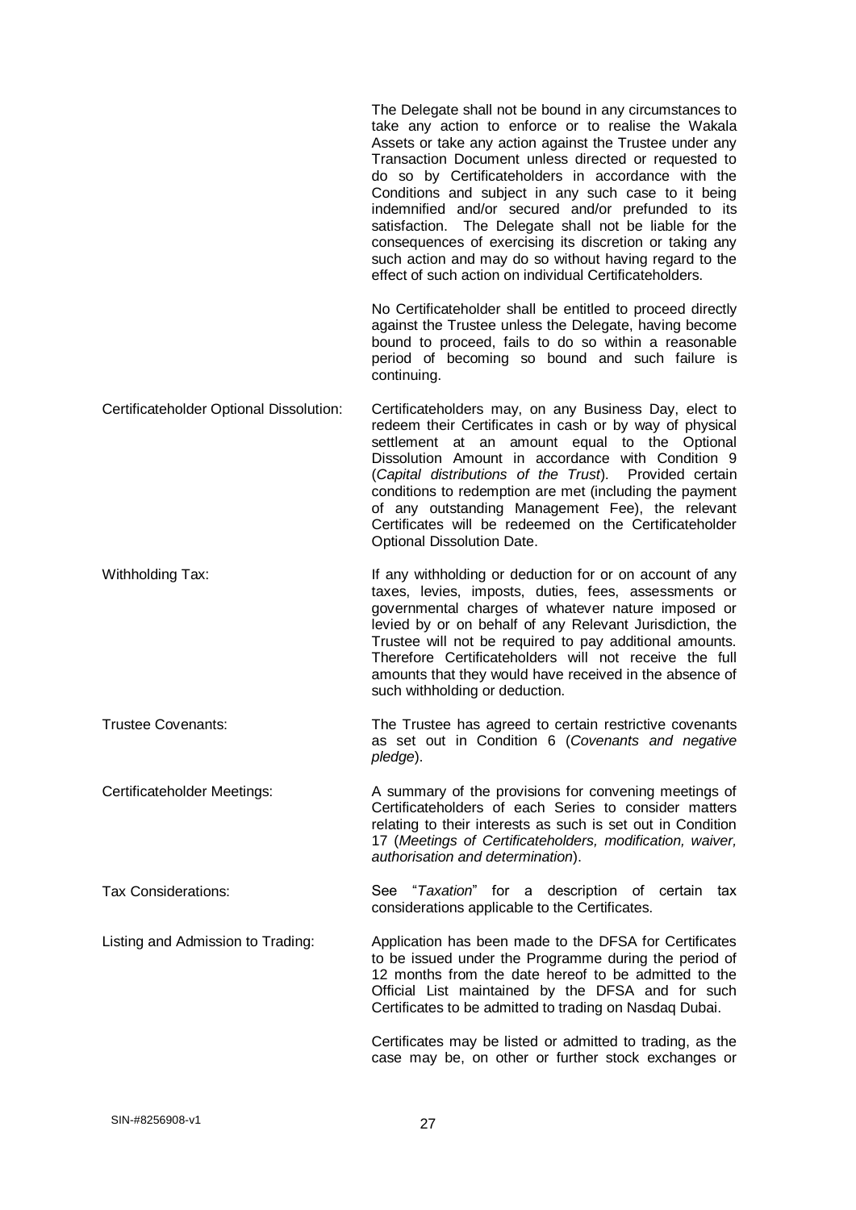|                                         | The Delegate shall not be bound in any circumstances to<br>take any action to enforce or to realise the Wakala<br>Assets or take any action against the Trustee under any<br>Transaction Document unless directed or requested to<br>do so by Certificateholders in accordance with the<br>Conditions and subject in any such case to it being<br>indemnified and/or secured and/or prefunded to its<br>satisfaction. The Delegate shall not be liable for the<br>consequences of exercising its discretion or taking any<br>such action and may do so without having regard to the<br>effect of such action on individual Certificateholders. |
|-----------------------------------------|------------------------------------------------------------------------------------------------------------------------------------------------------------------------------------------------------------------------------------------------------------------------------------------------------------------------------------------------------------------------------------------------------------------------------------------------------------------------------------------------------------------------------------------------------------------------------------------------------------------------------------------------|
|                                         | No Certificateholder shall be entitled to proceed directly<br>against the Trustee unless the Delegate, having become<br>bound to proceed, fails to do so within a reasonable<br>period of becoming so bound and such failure is<br>continuing.                                                                                                                                                                                                                                                                                                                                                                                                 |
| Certificateholder Optional Dissolution: | Certificateholders may, on any Business Day, elect to<br>redeem their Certificates in cash or by way of physical<br>settlement at an amount equal to the Optional<br>Dissolution Amount in accordance with Condition 9<br>(Capital distributions of the Trust). Provided certain<br>conditions to redemption are met (including the payment<br>of any outstanding Management Fee), the relevant<br>Certificates will be redeemed on the Certificateholder<br>Optional Dissolution Date.                                                                                                                                                        |
| Withholding Tax:                        | If any withholding or deduction for or on account of any<br>taxes, levies, imposts, duties, fees, assessments or<br>governmental charges of whatever nature imposed or<br>levied by or on behalf of any Relevant Jurisdiction, the<br>Trustee will not be required to pay additional amounts.<br>Therefore Certificateholders will not receive the full<br>amounts that they would have received in the absence of<br>such withholding or deduction.                                                                                                                                                                                           |
| <b>Trustee Covenants:</b>               | The Trustee has agreed to certain restrictive covenants<br>as set out in Condition 6 (Covenants and negative<br>pledge).                                                                                                                                                                                                                                                                                                                                                                                                                                                                                                                       |
| Certificateholder Meetings:             | A summary of the provisions for convening meetings of<br>Certificateholders of each Series to consider matters<br>relating to their interests as such is set out in Condition<br>17 (Meetings of Certificateholders, modification, waiver,<br>authorisation and determination).                                                                                                                                                                                                                                                                                                                                                                |
| Tax Considerations:                     | See "Taxation" for a description of certain tax<br>considerations applicable to the Certificates.                                                                                                                                                                                                                                                                                                                                                                                                                                                                                                                                              |
| Listing and Admission to Trading:       | Application has been made to the DFSA for Certificates<br>to be issued under the Programme during the period of<br>12 months from the date hereof to be admitted to the<br>Official List maintained by the DFSA and for such<br>Certificates to be admitted to trading on Nasdaq Dubai.                                                                                                                                                                                                                                                                                                                                                        |
|                                         | Certificates may be listed or admitted to trading, as the<br>case may be, on other or further stock exchanges or                                                                                                                                                                                                                                                                                                                                                                                                                                                                                                                               |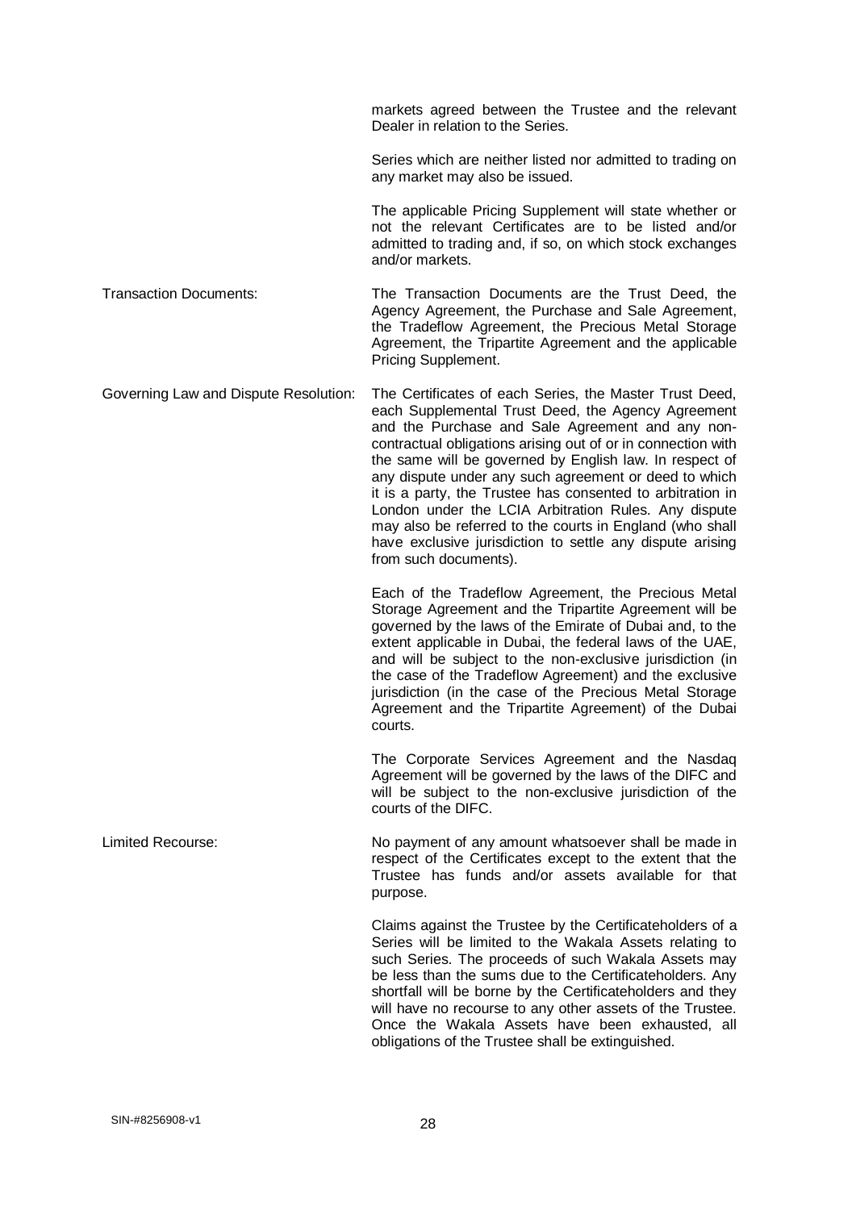markets agreed between the Trustee and the relevant Dealer in relation to the Series.

Series which are neither listed nor admitted to trading on any market may also be issued.

The applicable Pricing Supplement will state whether or not the relevant Certificates are to be listed and/or admitted to trading and, if so, on which stock exchanges and/or markets.

Transaction Documents: The Transaction Documents are the Trust Deed, the Agency Agreement, the Purchase and Sale Agreement, the Tradeflow Agreement, the Precious Metal Storage Agreement, the Tripartite Agreement and the applicable Pricing Supplement.

Governing Law and Dispute Resolution: The Certificates of each Series, the Master Trust Deed, each Supplemental Trust Deed, the Agency Agreement and the Purchase and Sale Agreement and any noncontractual obligations arising out of or in connection with the same will be governed by English law. In respect of any dispute under any such agreement or deed to which it is a party, the Trustee has consented to arbitration in London under the LCIA Arbitration Rules. Any dispute may also be referred to the courts in England (who shall have exclusive jurisdiction to settle any dispute arising from such documents).

> Each of the Tradeflow Agreement, the Precious Metal Storage Agreement and the Tripartite Agreement will be governed by the laws of the Emirate of Dubai and, to the extent applicable in Dubai, the federal laws of the UAE, and will be subject to the non-exclusive jurisdiction (in the case of the Tradeflow Agreement) and the exclusive jurisdiction (in the case of the Precious Metal Storage Agreement and the Tripartite Agreement) of the Dubai courts.

> The Corporate Services Agreement and the Nasdaq Agreement will be governed by the laws of the DIFC and will be subject to the non-exclusive jurisdiction of the courts of the DIFC.

Limited Recourse: No payment of any amount whatsoever shall be made in respect of the Certificates except to the extent that the Trustee has funds and/or assets available for that purpose.

> Claims against the Trustee by the Certificateholders of a Series will be limited to the Wakala Assets relating to such Series. The proceeds of such Wakala Assets may be less than the sums due to the Certificateholders. Any shortfall will be borne by the Certificateholders and they will have no recourse to any other assets of the Trustee. Once the Wakala Assets have been exhausted, all obligations of the Trustee shall be extinguished.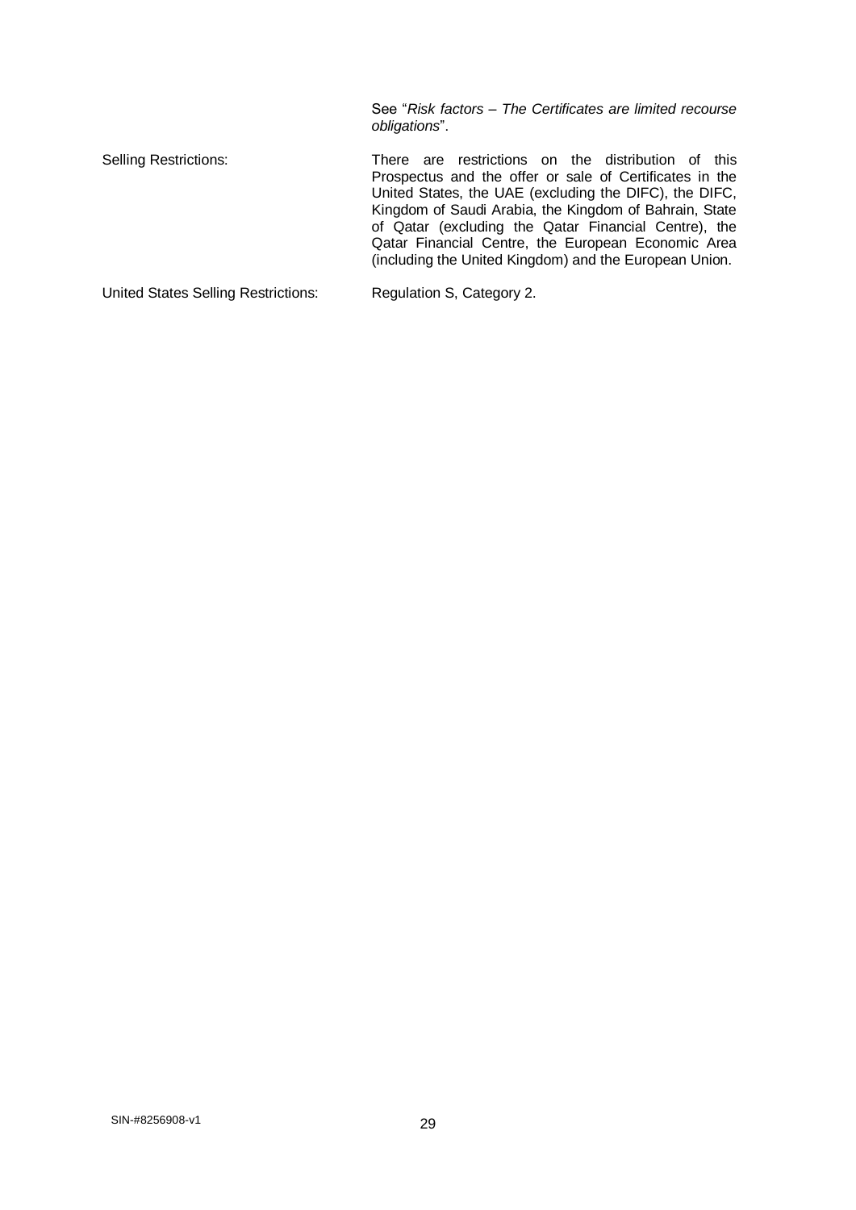See "*Risk factors – The Certificates are limited recourse obligations*".

Selling Restrictions: There are restrictions on the distribution of this Prospectus and the offer or sale of Certificates in the United States, the UAE (excluding the DIFC), the DIFC, Kingdom of Saudi Arabia, the Kingdom of Bahrain, State of Qatar (excluding the Qatar Financial Centre), the Qatar Financial Centre, the European Economic Area (including the United Kingdom) and the European Union.

United States Selling Restrictions: Regulation S, Category 2.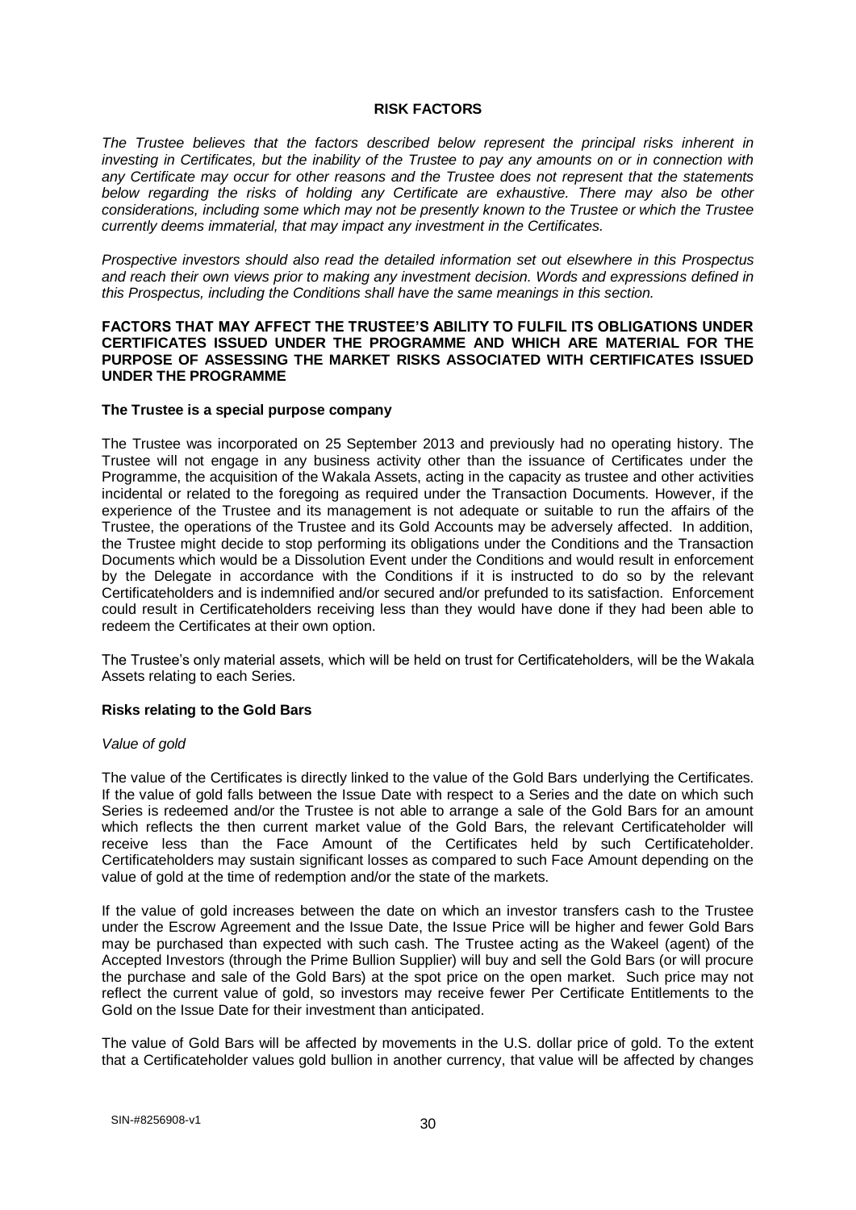#### **RISK FACTORS**

*The Trustee believes that the factors described below represent the principal risks inherent in investing in Certificates, but the inability of the Trustee to pay any amounts on or in connection with any Certificate may occur for other reasons and the Trustee does not represent that the statements below regarding the risks of holding any Certificate are exhaustive. There may also be other considerations, including some which may not be presently known to the Trustee or which the Trustee currently deems immaterial, that may impact any investment in the Certificates.* 

*Prospective investors should also read the detailed information set out elsewhere in this Prospectus and reach their own views prior to making any investment decision. Words and expressions defined in this Prospectus, including the Conditions shall have the same meanings in this section.*

#### **FACTORS THAT MAY AFFECT THE TRUSTEE'S ABILITY TO FULFIL ITS OBLIGATIONS UNDER CERTIFICATES ISSUED UNDER THE PROGRAMME AND WHICH ARE MATERIAL FOR THE PURPOSE OF ASSESSING THE MARKET RISKS ASSOCIATED WITH CERTIFICATES ISSUED UNDER THE PROGRAMME**

#### **The Trustee is a special purpose company**

The Trustee was incorporated on 25 September 2013 and previously had no operating history. The Trustee will not engage in any business activity other than the issuance of Certificates under the Programme, the acquisition of the Wakala Assets, acting in the capacity as trustee and other activities incidental or related to the foregoing as required under the Transaction Documents. However, if the experience of the Trustee and its management is not adequate or suitable to run the affairs of the Trustee, the operations of the Trustee and its Gold Accounts may be adversely affected. In addition, the Trustee might decide to stop performing its obligations under the Conditions and the Transaction Documents which would be a Dissolution Event under the Conditions and would result in enforcement by the Delegate in accordance with the Conditions if it is instructed to do so by the relevant Certificateholders and is indemnified and/or secured and/or prefunded to its satisfaction. Enforcement could result in Certificateholders receiving less than they would have done if they had been able to redeem the Certificates at their own option.

The Trustee's only material assets, which will be held on trust for Certificateholders, will be the Wakala Assets relating to each Series.

#### **Risks relating to the Gold Bars**

#### *Value of gold*

The value of the Certificates is directly linked to the value of the Gold Bars underlying the Certificates. If the value of gold falls between the Issue Date with respect to a Series and the date on which such Series is redeemed and/or the Trustee is not able to arrange a sale of the Gold Bars for an amount which reflects the then current market value of the Gold Bars, the relevant Certificateholder will receive less than the Face Amount of the Certificates held by such Certificateholder. Certificateholders may sustain significant losses as compared to such Face Amount depending on the value of gold at the time of redemption and/or the state of the markets.

If the value of gold increases between the date on which an investor transfers cash to the Trustee under the Escrow Agreement and the Issue Date, the Issue Price will be higher and fewer Gold Bars may be purchased than expected with such cash. The Trustee acting as the Wakeel (agent) of the Accepted Investors (through the Prime Bullion Supplier) will buy and sell the Gold Bars (or will procure the purchase and sale of the Gold Bars) at the spot price on the open market. Such price may not reflect the current value of gold, so investors may receive fewer Per Certificate Entitlements to the Gold on the Issue Date for their investment than anticipated.

The value of Gold Bars will be affected by movements in the U.S. dollar price of gold. To the extent that a Certificateholder values gold bullion in another currency, that value will be affected by changes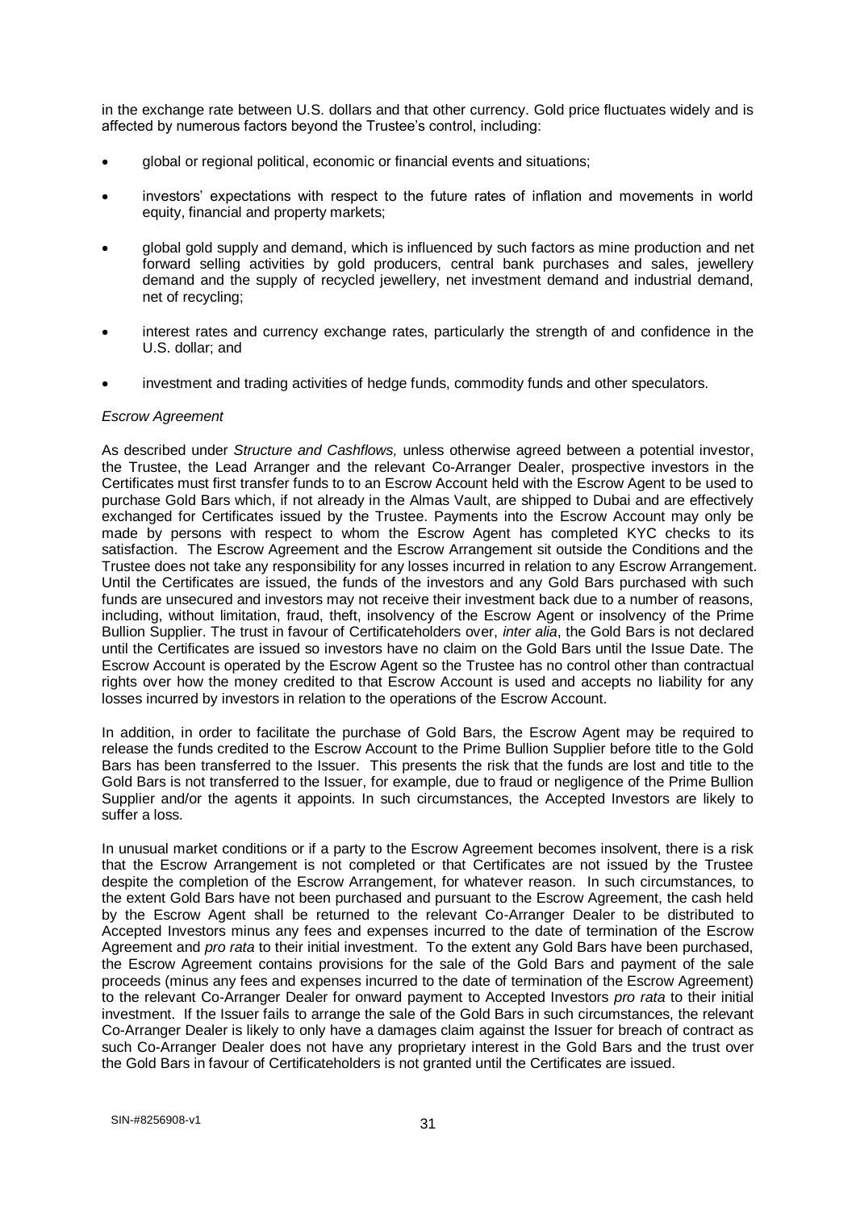in the exchange rate between U.S. dollars and that other currency. Gold price fluctuates widely and is affected by numerous factors beyond the Trustee's control, including:

- global or regional political, economic or financial events and situations;
- investors' expectations with respect to the future rates of inflation and movements in world equity, financial and property markets;
- global gold supply and demand, which is influenced by such factors as mine production and net forward selling activities by gold producers, central bank purchases and sales, jewellery demand and the supply of recycled jewellery, net investment demand and industrial demand, net of recycling;
- interest rates and currency exchange rates, particularly the strength of and confidence in the U.S. dollar; and
- investment and trading activities of hedge funds, commodity funds and other speculators.

#### *Escrow Agreement*

As described under *Structure and Cashflows,* unless otherwise agreed between a potential investor, the Trustee, the Lead Arranger and the relevant Co-Arranger Dealer, prospective investors in the Certificates must first transfer funds to to an Escrow Account held with the Escrow Agent to be used to purchase Gold Bars which, if not already in the Almas Vault, are shipped to Dubai and are effectively exchanged for Certificates issued by the Trustee. Payments into the Escrow Account may only be made by persons with respect to whom the Escrow Agent has completed KYC checks to its satisfaction. The Escrow Agreement and the Escrow Arrangement sit outside the Conditions and the Trustee does not take any responsibility for any losses incurred in relation to any Escrow Arrangement. Until the Certificates are issued, the funds of the investors and any Gold Bars purchased with such funds are unsecured and investors may not receive their investment back due to a number of reasons, including, without limitation, fraud, theft, insolvency of the Escrow Agent or insolvency of the Prime Bullion Supplier. The trust in favour of Certificateholders over, *inter alia*, the Gold Bars is not declared until the Certificates are issued so investors have no claim on the Gold Bars until the Issue Date. The Escrow Account is operated by the Escrow Agent so the Trustee has no control other than contractual rights over how the money credited to that Escrow Account is used and accepts no liability for any losses incurred by investors in relation to the operations of the Escrow Account.

In addition, in order to facilitate the purchase of Gold Bars, the Escrow Agent may be required to release the funds credited to the Escrow Account to the Prime Bullion Supplier before title to the Gold Bars has been transferred to the Issuer. This presents the risk that the funds are lost and title to the Gold Bars is not transferred to the Issuer, for example, due to fraud or negligence of the Prime Bullion Supplier and/or the agents it appoints. In such circumstances, the Accepted Investors are likely to suffer a loss.

In unusual market conditions or if a party to the Escrow Agreement becomes insolvent, there is a risk that the Escrow Arrangement is not completed or that Certificates are not issued by the Trustee despite the completion of the Escrow Arrangement, for whatever reason. In such circumstances, to the extent Gold Bars have not been purchased and pursuant to the Escrow Agreement, the cash held by the Escrow Agent shall be returned to the relevant Co-Arranger Dealer to be distributed to Accepted Investors minus any fees and expenses incurred to the date of termination of the Escrow Agreement and *pro rata* to their initial investment. To the extent any Gold Bars have been purchased, the Escrow Agreement contains provisions for the sale of the Gold Bars and payment of the sale proceeds (minus any fees and expenses incurred to the date of termination of the Escrow Agreement) to the relevant Co-Arranger Dealer for onward payment to Accepted Investors *pro rata* to their initial investment. If the Issuer fails to arrange the sale of the Gold Bars in such circumstances, the relevant Co-Arranger Dealer is likely to only have a damages claim against the Issuer for breach of contract as such Co-Arranger Dealer does not have any proprietary interest in the Gold Bars and the trust over the Gold Bars in favour of Certificateholders is not granted until the Certificates are issued.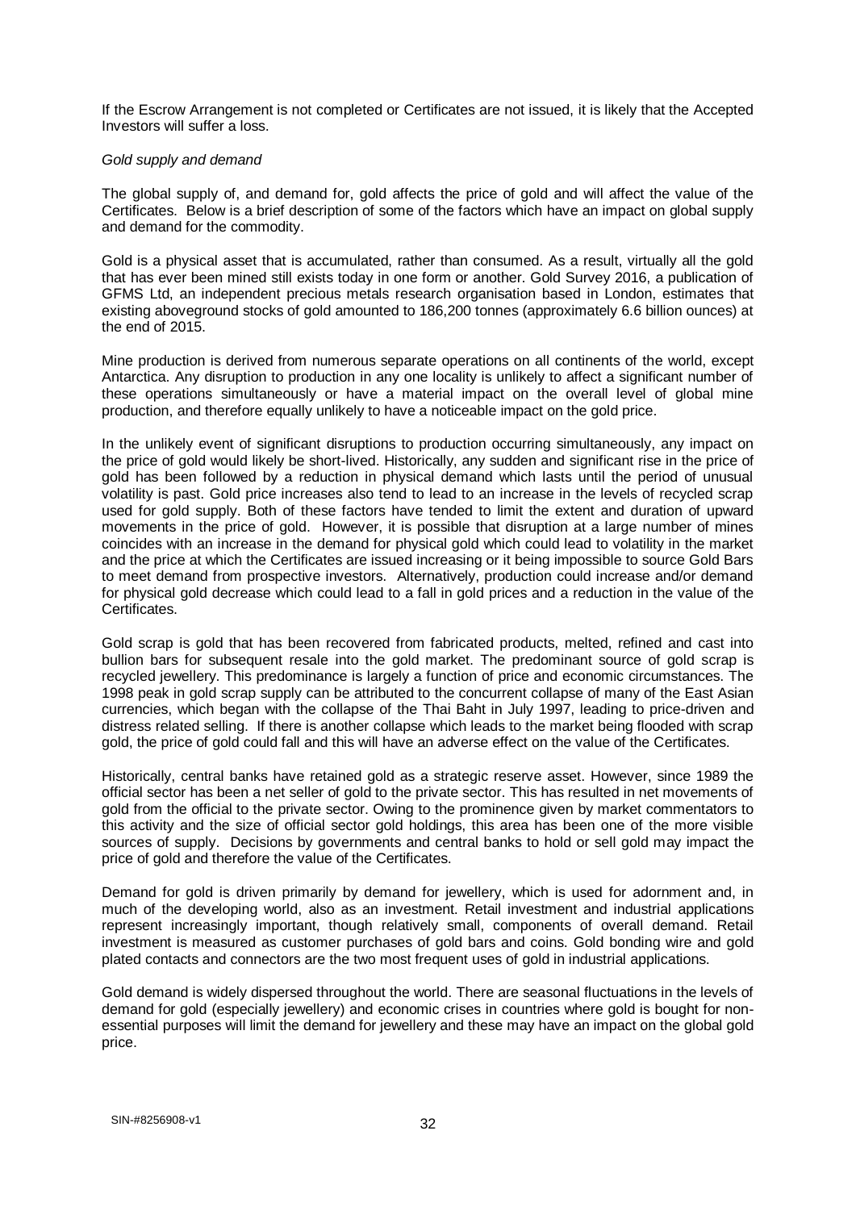If the Escrow Arrangement is not completed or Certificates are not issued, it is likely that the Accepted Investors will suffer a loss.

#### *Gold supply and demand*

The global supply of, and demand for, gold affects the price of gold and will affect the value of the Certificates. Below is a brief description of some of the factors which have an impact on global supply and demand for the commodity.

Gold is a physical asset that is accumulated, rather than consumed. As a result, virtually all the gold that has ever been mined still exists today in one form or another. Gold Survey 2016, a publication of GFMS Ltd, an independent precious metals research organisation based in London, estimates that existing aboveground stocks of gold amounted to 186,200 tonnes (approximately 6.6 billion ounces) at the end of 2015.

Mine production is derived from numerous separate operations on all continents of the world, except Antarctica. Any disruption to production in any one locality is unlikely to affect a significant number of these operations simultaneously or have a material impact on the overall level of global mine production, and therefore equally unlikely to have a noticeable impact on the gold price.

In the unlikely event of significant disruptions to production occurring simultaneously, any impact on the price of gold would likely be short-lived. Historically, any sudden and significant rise in the price of gold has been followed by a reduction in physical demand which lasts until the period of unusual volatility is past. Gold price increases also tend to lead to an increase in the levels of recycled scrap used for gold supply. Both of these factors have tended to limit the extent and duration of upward movements in the price of gold. However, it is possible that disruption at a large number of mines coincides with an increase in the demand for physical gold which could lead to volatility in the market and the price at which the Certificates are issued increasing or it being impossible to source Gold Bars to meet demand from prospective investors. Alternatively, production could increase and/or demand for physical gold decrease which could lead to a fall in gold prices and a reduction in the value of the Certificates.

Gold scrap is gold that has been recovered from fabricated products, melted, refined and cast into bullion bars for subsequent resale into the gold market. The predominant source of gold scrap is recycled jewellery. This predominance is largely a function of price and economic circumstances. The 1998 peak in gold scrap supply can be attributed to the concurrent collapse of many of the East Asian currencies, which began with the collapse of the Thai Baht in July 1997, leading to price-driven and distress related selling. If there is another collapse which leads to the market being flooded with scrap gold, the price of gold could fall and this will have an adverse effect on the value of the Certificates.

Historically, central banks have retained gold as a strategic reserve asset. However, since 1989 the official sector has been a net seller of gold to the private sector. This has resulted in net movements of gold from the official to the private sector. Owing to the prominence given by market commentators to this activity and the size of official sector gold holdings, this area has been one of the more visible sources of supply. Decisions by governments and central banks to hold or sell gold may impact the price of gold and therefore the value of the Certificates.

Demand for gold is driven primarily by demand for jewellery, which is used for adornment and, in much of the developing world, also as an investment. Retail investment and industrial applications represent increasingly important, though relatively small, components of overall demand. Retail investment is measured as customer purchases of gold bars and coins. Gold bonding wire and gold plated contacts and connectors are the two most frequent uses of gold in industrial applications.

Gold demand is widely dispersed throughout the world. There are seasonal fluctuations in the levels of demand for gold (especially jewellery) and economic crises in countries where gold is bought for nonessential purposes will limit the demand for jewellery and these may have an impact on the global gold price.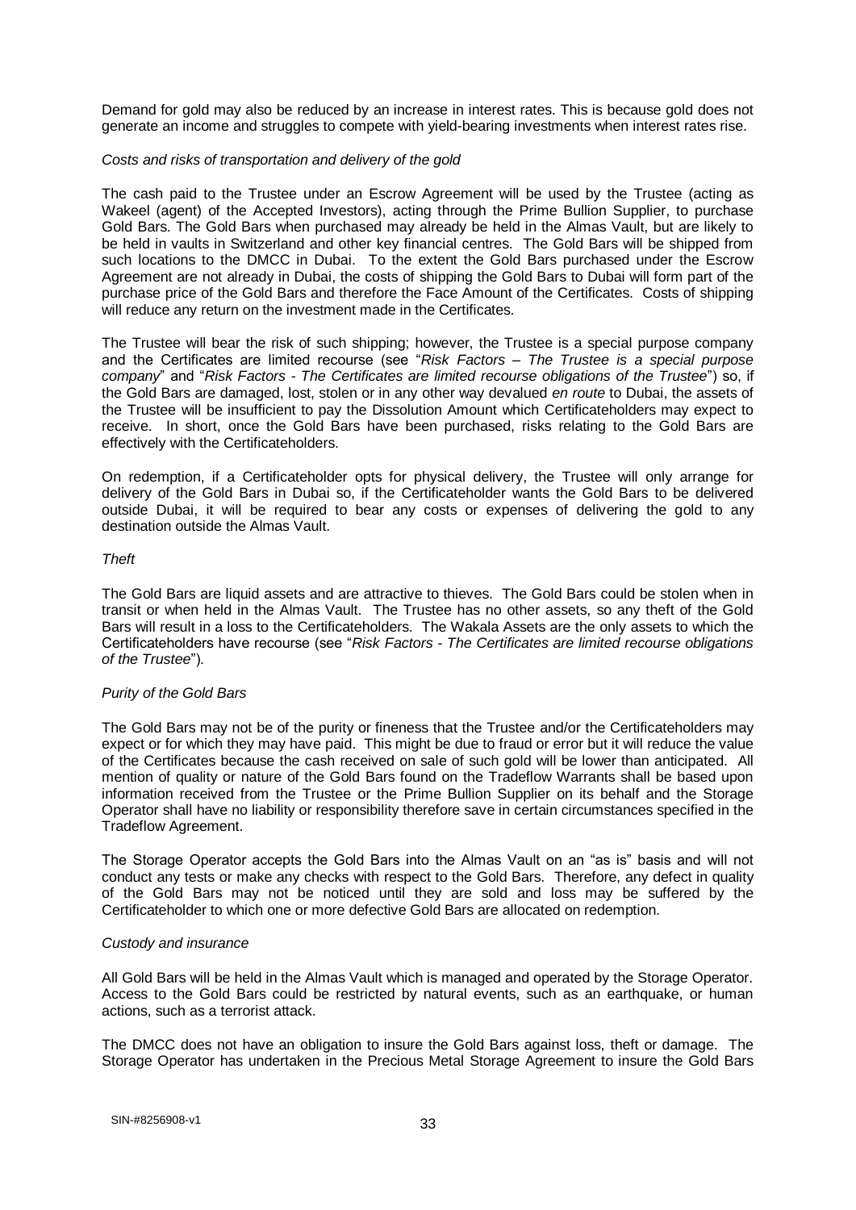Demand for gold may also be reduced by an increase in interest rates. This is because gold does not generate an income and struggles to compete with yield-bearing investments when interest rates rise.

#### *Costs and risks of transportation and delivery of the gold*

The cash paid to the Trustee under an Escrow Agreement will be used by the Trustee (acting as Wakeel (agent) of the Accepted Investors), acting through the Prime Bullion Supplier, to purchase Gold Bars. The Gold Bars when purchased may already be held in the Almas Vault, but are likely to be held in vaults in Switzerland and other key financial centres. The Gold Bars will be shipped from such locations to the DMCC in Dubai. To the extent the Gold Bars purchased under the Escrow Agreement are not already in Dubai, the costs of shipping the Gold Bars to Dubai will form part of the purchase price of the Gold Bars and therefore the Face Amount of the Certificates. Costs of shipping will reduce any return on the investment made in the Certificates.

The Trustee will bear the risk of such shipping; however, the Trustee is a special purpose company and the Certificates are limited recourse (see "*Risk Factors – The Trustee is a special purpose company*" and "*Risk Factors - The Certificates are limited recourse obligations of the Trustee*") so, if the Gold Bars are damaged, lost, stolen or in any other way devalued *en route* to Dubai, the assets of the Trustee will be insufficient to pay the Dissolution Amount which Certificateholders may expect to receive. In short, once the Gold Bars have been purchased, risks relating to the Gold Bars are effectively with the Certificateholders.

On redemption, if a Certificateholder opts for physical delivery, the Trustee will only arrange for delivery of the Gold Bars in Dubai so, if the Certificateholder wants the Gold Bars to be delivered outside Dubai, it will be required to bear any costs or expenses of delivering the gold to any destination outside the Almas Vault.

#### *Theft*

The Gold Bars are liquid assets and are attractive to thieves. The Gold Bars could be stolen when in transit or when held in the Almas Vault. The Trustee has no other assets, so any theft of the Gold Bars will result in a loss to the Certificateholders. The Wakala Assets are the only assets to which the Certificateholders have recourse (see "*Risk Factors - The Certificates are limited recourse obligations of the Trustee*").

#### *Purity of the Gold Bars*

The Gold Bars may not be of the purity or fineness that the Trustee and/or the Certificateholders may expect or for which they may have paid. This might be due to fraud or error but it will reduce the value of the Certificates because the cash received on sale of such gold will be lower than anticipated. All mention of quality or nature of the Gold Bars found on the Tradeflow Warrants shall be based upon information received from the Trustee or the Prime Bullion Supplier on its behalf and the Storage Operator shall have no liability or responsibility therefore save in certain circumstances specified in the Tradeflow Agreement.

The Storage Operator accepts the Gold Bars into the Almas Vault on an "as is" basis and will not conduct any tests or make any checks with respect to the Gold Bars. Therefore, any defect in quality of the Gold Bars may not be noticed until they are sold and loss may be suffered by the Certificateholder to which one or more defective Gold Bars are allocated on redemption.

#### *Custody and insurance*

All Gold Bars will be held in the Almas Vault which is managed and operated by the Storage Operator. Access to the Gold Bars could be restricted by natural events, such as an earthquake, or human actions, such as a terrorist attack.

The DMCC does not have an obligation to insure the Gold Bars against loss, theft or damage. The Storage Operator has undertaken in the Precious Metal Storage Agreement to insure the Gold Bars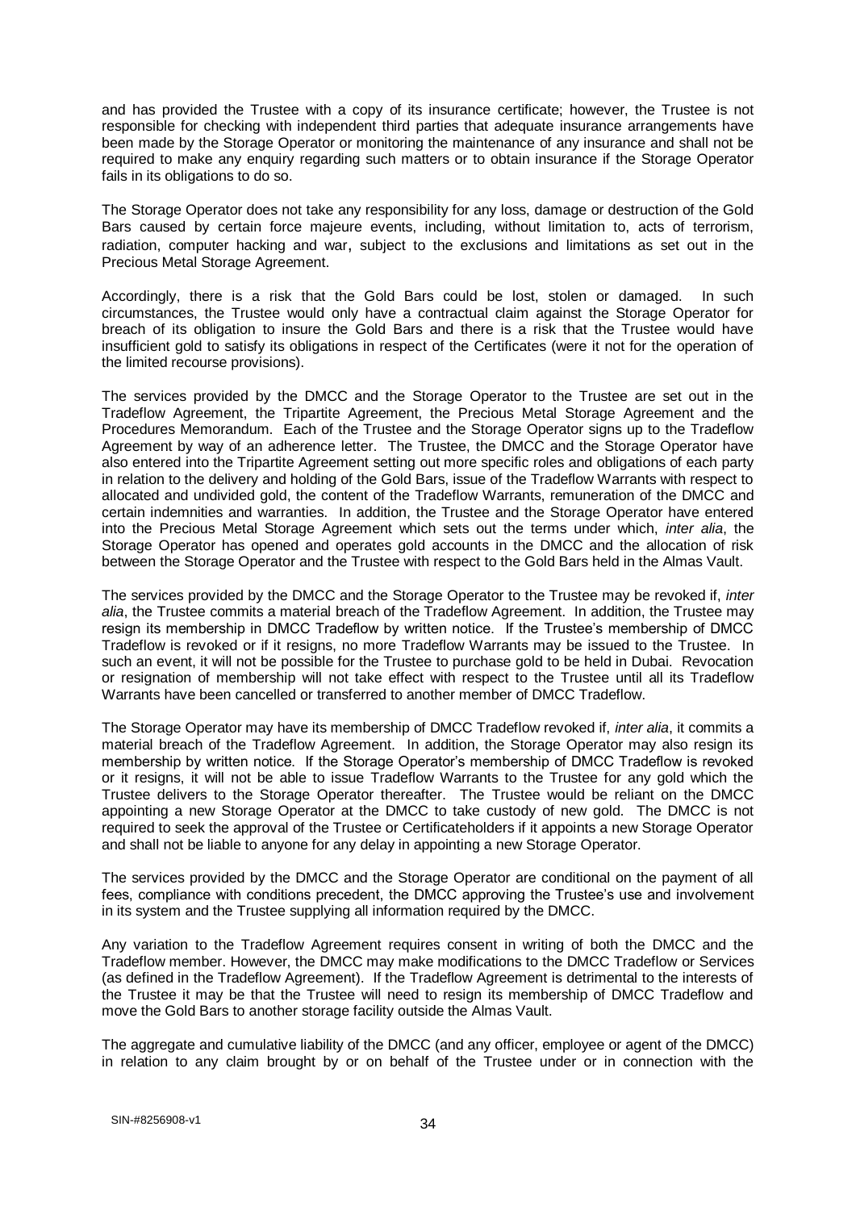and has provided the Trustee with a copy of its insurance certificate; however, the Trustee is not responsible for checking with independent third parties that adequate insurance arrangements have been made by the Storage Operator or monitoring the maintenance of any insurance and shall not be required to make any enquiry regarding such matters or to obtain insurance if the Storage Operator fails in its obligations to do so.

The Storage Operator does not take any responsibility for any loss, damage or destruction of the Gold Bars caused by certain force majeure events, including, without limitation to, acts of terrorism, radiation, computer hacking and war, subject to the exclusions and limitations as set out in the Precious Metal Storage Agreement.

Accordingly, there is a risk that the Gold Bars could be lost, stolen or damaged. In such circumstances, the Trustee would only have a contractual claim against the Storage Operator for breach of its obligation to insure the Gold Bars and there is a risk that the Trustee would have insufficient gold to satisfy its obligations in respect of the Certificates (were it not for the operation of the limited recourse provisions).

The services provided by the DMCC and the Storage Operator to the Trustee are set out in the Tradeflow Agreement, the Tripartite Agreement, the Precious Metal Storage Agreement and the Procedures Memorandum. Each of the Trustee and the Storage Operator signs up to the Tradeflow Agreement by way of an adherence letter. The Trustee, the DMCC and the Storage Operator have also entered into the Tripartite Agreement setting out more specific roles and obligations of each party in relation to the delivery and holding of the Gold Bars, issue of the Tradeflow Warrants with respect to allocated and undivided gold, the content of the Tradeflow Warrants, remuneration of the DMCC and certain indemnities and warranties. In addition, the Trustee and the Storage Operator have entered into the Precious Metal Storage Agreement which sets out the terms under which, *inter alia*, the Storage Operator has opened and operates gold accounts in the DMCC and the allocation of risk between the Storage Operator and the Trustee with respect to the Gold Bars held in the Almas Vault.

The services provided by the DMCC and the Storage Operator to the Trustee may be revoked if, *inter alia*, the Trustee commits a material breach of the Tradeflow Agreement. In addition, the Trustee may resign its membership in DMCC Tradeflow by written notice. If the Trustee's membership of DMCC Tradeflow is revoked or if it resigns, no more Tradeflow Warrants may be issued to the Trustee. In such an event, it will not be possible for the Trustee to purchase gold to be held in Dubai. Revocation or resignation of membership will not take effect with respect to the Trustee until all its Tradeflow Warrants have been cancelled or transferred to another member of DMCC Tradeflow.

The Storage Operator may have its membership of DMCC Tradeflow revoked if, *inter alia*, it commits a material breach of the Tradeflow Agreement. In addition, the Storage Operator may also resign its membership by written notice. If the Storage Operator's membership of DMCC Tradeflow is revoked or it resigns, it will not be able to issue Tradeflow Warrants to the Trustee for any gold which the Trustee delivers to the Storage Operator thereafter. The Trustee would be reliant on the DMCC appointing a new Storage Operator at the DMCC to take custody of new gold. The DMCC is not required to seek the approval of the Trustee or Certificateholders if it appoints a new Storage Operator and shall not be liable to anyone for any delay in appointing a new Storage Operator.

The services provided by the DMCC and the Storage Operator are conditional on the payment of all fees, compliance with conditions precedent, the DMCC approving the Trustee's use and involvement in its system and the Trustee supplying all information required by the DMCC.

Any variation to the Tradeflow Agreement requires consent in writing of both the DMCC and the Tradeflow member. However, the DMCC may make modifications to the DMCC Tradeflow or Services (as defined in the Tradeflow Agreement). If the Tradeflow Agreement is detrimental to the interests of the Trustee it may be that the Trustee will need to resign its membership of DMCC Tradeflow and move the Gold Bars to another storage facility outside the Almas Vault.

The aggregate and cumulative liability of the DMCC (and any officer, employee or agent of the DMCC) in relation to any claim brought by or on behalf of the Trustee under or in connection with the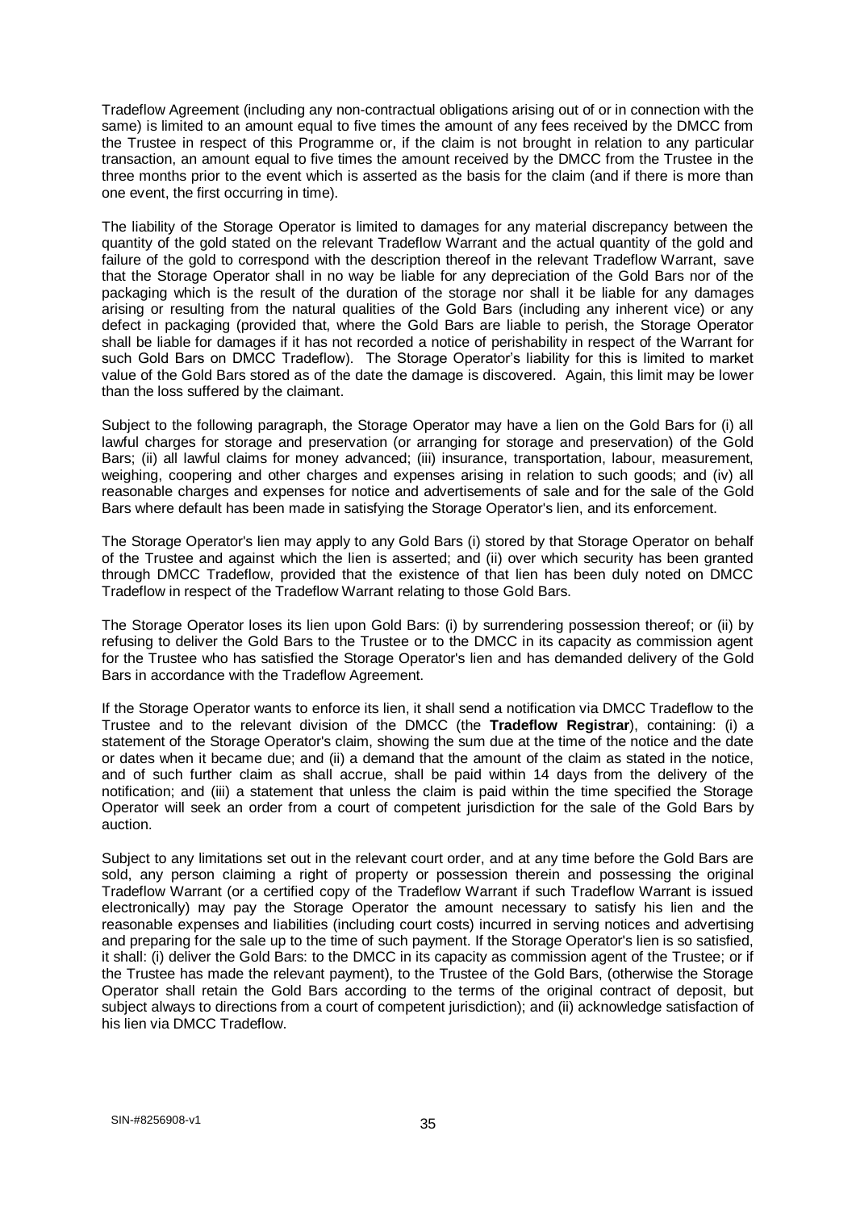Tradeflow Agreement (including any non-contractual obligations arising out of or in connection with the same) is limited to an amount equal to five times the amount of any fees received by the DMCC from the Trustee in respect of this Programme or, if the claim is not brought in relation to any particular transaction, an amount equal to five times the amount received by the DMCC from the Trustee in the three months prior to the event which is asserted as the basis for the claim (and if there is more than one event, the first occurring in time).

The liability of the Storage Operator is limited to damages for any material discrepancy between the quantity of the gold stated on the relevant Tradeflow Warrant and the actual quantity of the gold and failure of the gold to correspond with the description thereof in the relevant Tradeflow Warrant, save that the Storage Operator shall in no way be liable for any depreciation of the Gold Bars nor of the packaging which is the result of the duration of the storage nor shall it be liable for any damages arising or resulting from the natural qualities of the Gold Bars (including any inherent vice) or any defect in packaging (provided that, where the Gold Bars are liable to perish, the Storage Operator shall be liable for damages if it has not recorded a notice of perishability in respect of the Warrant for such Gold Bars on DMCC Tradeflow). The Storage Operator's liability for this is limited to market value of the Gold Bars stored as of the date the damage is discovered. Again, this limit may be lower than the loss suffered by the claimant.

Subject to the following paragraph, the Storage Operator may have a lien on the Gold Bars for (i) all lawful charges for storage and preservation (or arranging for storage and preservation) of the Gold Bars; (ii) all lawful claims for money advanced; (iii) insurance, transportation, labour, measurement, weighing, coopering and other charges and expenses arising in relation to such goods; and (iv) all reasonable charges and expenses for notice and advertisements of sale and for the sale of the Gold Bars where default has been made in satisfying the Storage Operator's lien, and its enforcement.

The Storage Operator's lien may apply to any Gold Bars (i) stored by that Storage Operator on behalf of the Trustee and against which the lien is asserted; and (ii) over which security has been granted through DMCC Tradeflow, provided that the existence of that lien has been duly noted on DMCC Tradeflow in respect of the Tradeflow Warrant relating to those Gold Bars.

The Storage Operator loses its lien upon Gold Bars: (i) by surrendering possession thereof; or (ii) by refusing to deliver the Gold Bars to the Trustee or to the DMCC in its capacity as commission agent for the Trustee who has satisfied the Storage Operator's lien and has demanded delivery of the Gold Bars in accordance with the Tradeflow Agreement.

If the Storage Operator wants to enforce its lien, it shall send a notification via DMCC Tradeflow to the Trustee and to the relevant division of the DMCC (the **Tradeflow Registrar**), containing: (i) a statement of the Storage Operator's claim, showing the sum due at the time of the notice and the date or dates when it became due; and (ii) a demand that the amount of the claim as stated in the notice, and of such further claim as shall accrue, shall be paid within 14 days from the delivery of the notification; and (iii) a statement that unless the claim is paid within the time specified the Storage Operator will seek an order from a court of competent jurisdiction for the sale of the Gold Bars by auction.

Subject to any limitations set out in the relevant court order, and at any time before the Gold Bars are sold, any person claiming a right of property or possession therein and possessing the original Tradeflow Warrant (or a certified copy of the Tradeflow Warrant if such Tradeflow Warrant is issued electronically) may pay the Storage Operator the amount necessary to satisfy his lien and the reasonable expenses and liabilities (including court costs) incurred in serving notices and advertising and preparing for the sale up to the time of such payment. If the Storage Operator's lien is so satisfied, it shall: (i) deliver the Gold Bars: to the DMCC in its capacity as commission agent of the Trustee; or if the Trustee has made the relevant payment), to the Trustee of the Gold Bars, (otherwise the Storage Operator shall retain the Gold Bars according to the terms of the original contract of deposit, but subject always to directions from a court of competent jurisdiction); and (ii) acknowledge satisfaction of his lien via DMCC Tradeflow.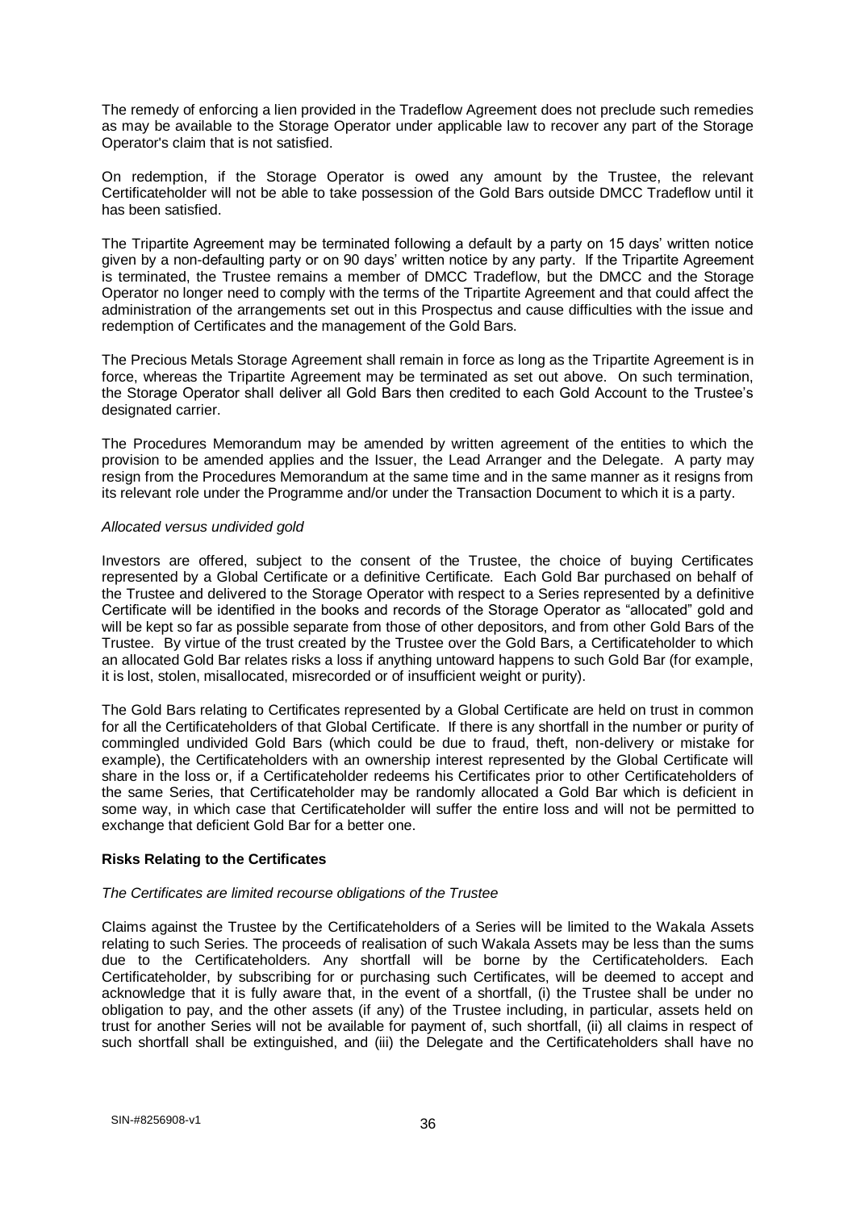The remedy of enforcing a lien provided in the Tradeflow Agreement does not preclude such remedies as may be available to the Storage Operator under applicable law to recover any part of the Storage Operator's claim that is not satisfied.

On redemption, if the Storage Operator is owed any amount by the Trustee, the relevant Certificateholder will not be able to take possession of the Gold Bars outside DMCC Tradeflow until it has been satisfied.

The Tripartite Agreement may be terminated following a default by a party on 15 days' written notice given by a non-defaulting party or on 90 days' written notice by any party. If the Tripartite Agreement is terminated, the Trustee remains a member of DMCC Tradeflow, but the DMCC and the Storage Operator no longer need to comply with the terms of the Tripartite Agreement and that could affect the administration of the arrangements set out in this Prospectus and cause difficulties with the issue and redemption of Certificates and the management of the Gold Bars.

The Precious Metals Storage Agreement shall remain in force as long as the Tripartite Agreement is in force, whereas the Tripartite Agreement may be terminated as set out above. On such termination, the Storage Operator shall deliver all Gold Bars then credited to each Gold Account to the Trustee's designated carrier.

The Procedures Memorandum may be amended by written agreement of the entities to which the provision to be amended applies and the Issuer, the Lead Arranger and the Delegate. A party may resign from the Procedures Memorandum at the same time and in the same manner as it resigns from its relevant role under the Programme and/or under the Transaction Document to which it is a party.

#### *Allocated versus undivided gold*

Investors are offered, subject to the consent of the Trustee, the choice of buying Certificates represented by a Global Certificate or a definitive Certificate. Each Gold Bar purchased on behalf of the Trustee and delivered to the Storage Operator with respect to a Series represented by a definitive Certificate will be identified in the books and records of the Storage Operator as "allocated" gold and will be kept so far as possible separate from those of other depositors, and from other Gold Bars of the Trustee. By virtue of the trust created by the Trustee over the Gold Bars, a Certificateholder to which an allocated Gold Bar relates risks a loss if anything untoward happens to such Gold Bar (for example, it is lost, stolen, misallocated, misrecorded or of insufficient weight or purity).

The Gold Bars relating to Certificates represented by a Global Certificate are held on trust in common for all the Certificateholders of that Global Certificate. If there is any shortfall in the number or purity of commingled undivided Gold Bars (which could be due to fraud, theft, non-delivery or mistake for example), the Certificateholders with an ownership interest represented by the Global Certificate will share in the loss or, if a Certificateholder redeems his Certificates prior to other Certificateholders of the same Series, that Certificateholder may be randomly allocated a Gold Bar which is deficient in some way, in which case that Certificateholder will suffer the entire loss and will not be permitted to exchange that deficient Gold Bar for a better one.

#### **Risks Relating to the Certificates**

## *The Certificates are limited recourse obligations of the Trustee*

Claims against the Trustee by the Certificateholders of a Series will be limited to the Wakala Assets relating to such Series. The proceeds of realisation of such Wakala Assets may be less than the sums due to the Certificateholders. Any shortfall will be borne by the Certificateholders. Each Certificateholder, by subscribing for or purchasing such Certificates, will be deemed to accept and acknowledge that it is fully aware that, in the event of a shortfall, (i) the Trustee shall be under no obligation to pay, and the other assets (if any) of the Trustee including, in particular, assets held on trust for another Series will not be available for payment of, such shortfall, (ii) all claims in respect of such shortfall shall be extinguished, and (iii) the Delegate and the Certificateholders shall have no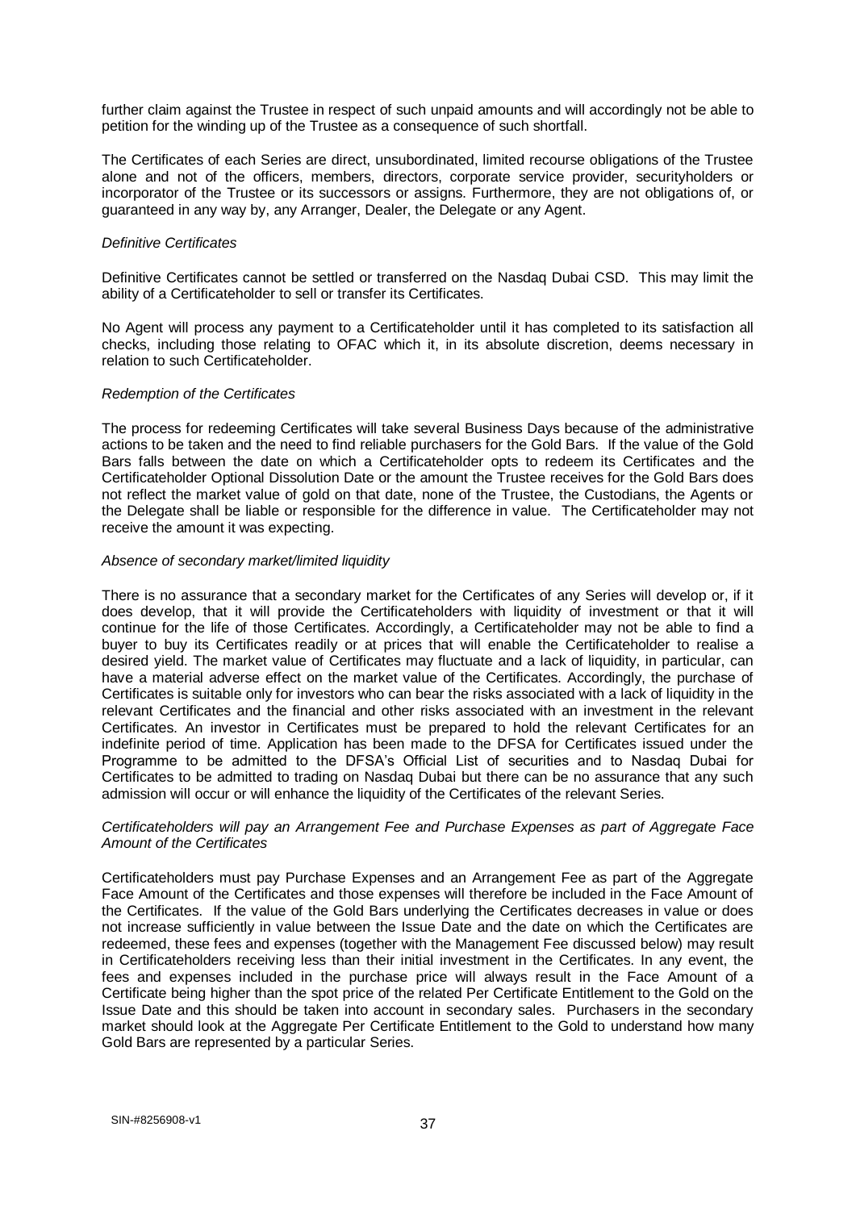further claim against the Trustee in respect of such unpaid amounts and will accordingly not be able to petition for the winding up of the Trustee as a consequence of such shortfall.

The Certificates of each Series are direct, unsubordinated, limited recourse obligations of the Trustee alone and not of the officers, members, directors, corporate service provider, securityholders or incorporator of the Trustee or its successors or assigns. Furthermore, they are not obligations of, or guaranteed in any way by, any Arranger, Dealer, the Delegate or any Agent.

### *Definitive Certificates*

Definitive Certificates cannot be settled or transferred on the Nasdaq Dubai CSD. This may limit the ability of a Certificateholder to sell or transfer its Certificates.

No Agent will process any payment to a Certificateholder until it has completed to its satisfaction all checks, including those relating to OFAC which it, in its absolute discretion, deems necessary in relation to such Certificateholder.

### *Redemption of the Certificates*

The process for redeeming Certificates will take several Business Days because of the administrative actions to be taken and the need to find reliable purchasers for the Gold Bars. If the value of the Gold Bars falls between the date on which a Certificateholder opts to redeem its Certificates and the Certificateholder Optional Dissolution Date or the amount the Trustee receives for the Gold Bars does not reflect the market value of gold on that date, none of the Trustee, the Custodians, the Agents or the Delegate shall be liable or responsible for the difference in value. The Certificateholder may not receive the amount it was expecting.

## *Absence of secondary market/limited liquidity*

There is no assurance that a secondary market for the Certificates of any Series will develop or, if it does develop, that it will provide the Certificateholders with liquidity of investment or that it will continue for the life of those Certificates. Accordingly, a Certificateholder may not be able to find a buyer to buy its Certificates readily or at prices that will enable the Certificateholder to realise a desired yield. The market value of Certificates may fluctuate and a lack of liquidity, in particular, can have a material adverse effect on the market value of the Certificates. Accordingly, the purchase of Certificates is suitable only for investors who can bear the risks associated with a lack of liquidity in the relevant Certificates and the financial and other risks associated with an investment in the relevant Certificates. An investor in Certificates must be prepared to hold the relevant Certificates for an indefinite period of time. Application has been made to the DFSA for Certificates issued under the Programme to be admitted to the DFSA's Official List of securities and to Nasdaq Dubai for Certificates to be admitted to trading on Nasdaq Dubai but there can be no assurance that any such admission will occur or will enhance the liquidity of the Certificates of the relevant Series.

### *Certificateholders will pay an Arrangement Fee and Purchase Expenses as part of Aggregate Face Amount of the Certificates*

Certificateholders must pay Purchase Expenses and an Arrangement Fee as part of the Aggregate Face Amount of the Certificates and those expenses will therefore be included in the Face Amount of the Certificates. If the value of the Gold Bars underlying the Certificates decreases in value or does not increase sufficiently in value between the Issue Date and the date on which the Certificates are redeemed, these fees and expenses (together with the Management Fee discussed below) may result in Certificateholders receiving less than their initial investment in the Certificates. In any event, the fees and expenses included in the purchase price will always result in the Face Amount of a Certificate being higher than the spot price of the related Per Certificate Entitlement to the Gold on the Issue Date and this should be taken into account in secondary sales. Purchasers in the secondary market should look at the Aggregate Per Certificate Entitlement to the Gold to understand how many Gold Bars are represented by a particular Series.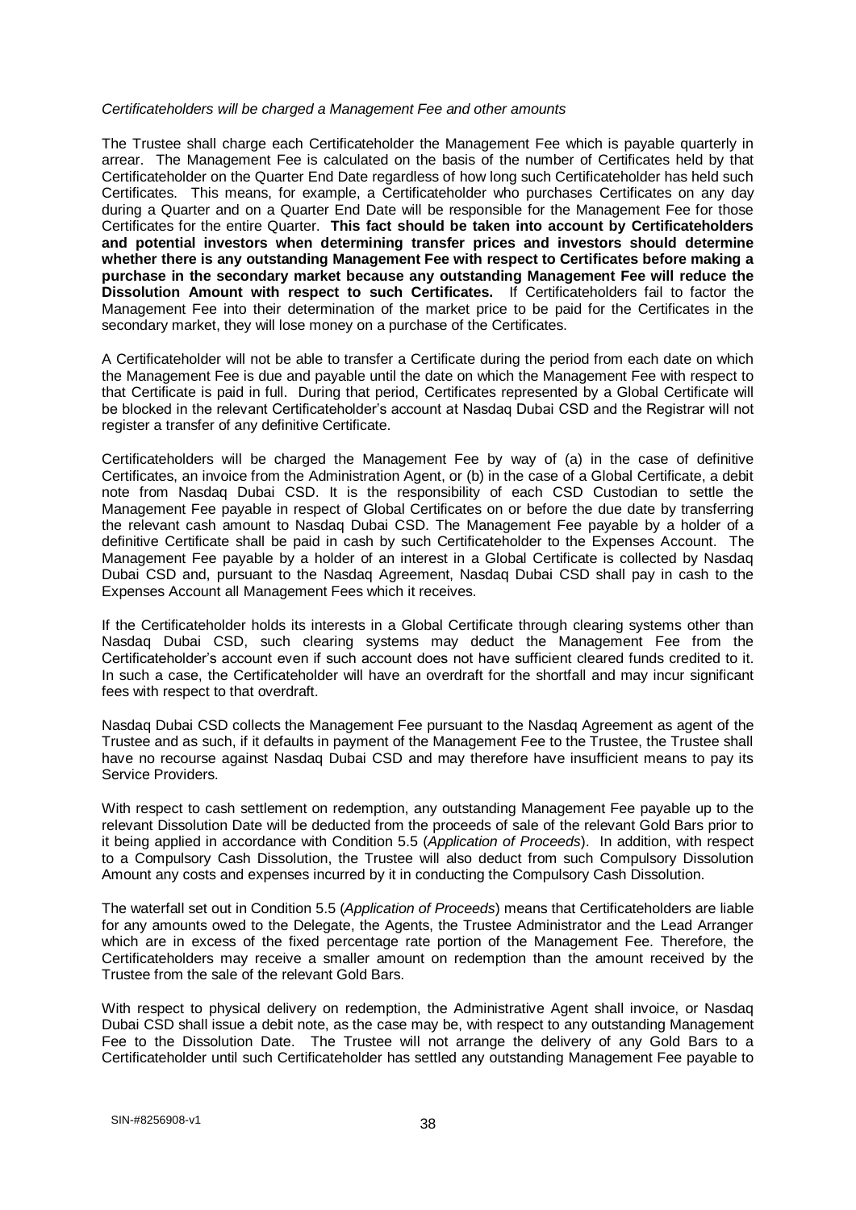#### *Certificateholders will be charged a Management Fee and other amounts*

The Trustee shall charge each Certificateholder the Management Fee which is payable quarterly in arrear. The Management Fee is calculated on the basis of the number of Certificates held by that Certificateholder on the Quarter End Date regardless of how long such Certificateholder has held such Certificates. This means, for example, a Certificateholder who purchases Certificates on any day during a Quarter and on a Quarter End Date will be responsible for the Management Fee for those Certificates for the entire Quarter. **This fact should be taken into account by Certificateholders and potential investors when determining transfer prices and investors should determine whether there is any outstanding Management Fee with respect to Certificates before making a purchase in the secondary market because any outstanding Management Fee will reduce the Dissolution Amount with respect to such Certificates.** If Certificateholders fail to factor the Management Fee into their determination of the market price to be paid for the Certificates in the secondary market, they will lose money on a purchase of the Certificates.

A Certificateholder will not be able to transfer a Certificate during the period from each date on which the Management Fee is due and payable until the date on which the Management Fee with respect to that Certificate is paid in full. During that period, Certificates represented by a Global Certificate will be blocked in the relevant Certificateholder's account at Nasdaq Dubai CSD and the Registrar will not register a transfer of any definitive Certificate.

Certificateholders will be charged the Management Fee by way of (a) in the case of definitive Certificates, an invoice from the Administration Agent, or (b) in the case of a Global Certificate, a debit note from Nasdaq Dubai CSD. It is the responsibility of each CSD Custodian to settle the Management Fee payable in respect of Global Certificates on or before the due date by transferring the relevant cash amount to Nasdaq Dubai CSD. The Management Fee payable by a holder of a definitive Certificate shall be paid in cash by such Certificateholder to the Expenses Account. The Management Fee payable by a holder of an interest in a Global Certificate is collected by Nasdaq Dubai CSD and, pursuant to the Nasdaq Agreement, Nasdaq Dubai CSD shall pay in cash to the Expenses Account all Management Fees which it receives.

If the Certificateholder holds its interests in a Global Certificate through clearing systems other than Nasdaq Dubai CSD, such clearing systems may deduct the Management Fee from the Certificateholder's account even if such account does not have sufficient cleared funds credited to it. In such a case, the Certificateholder will have an overdraft for the shortfall and may incur significant fees with respect to that overdraft.

Nasdaq Dubai CSD collects the Management Fee pursuant to the Nasdaq Agreement as agent of the Trustee and as such, if it defaults in payment of the Management Fee to the Trustee, the Trustee shall have no recourse against Nasdaq Dubai CSD and may therefore have insufficient means to pay its Service Providers.

With respect to cash settlement on redemption, any outstanding Management Fee payable up to the relevant Dissolution Date will be deducted from the proceeds of sale of the relevant Gold Bars prior to it being applied in accordance with Condition 5.5 (*Application of Proceeds*). In addition, with respect to a Compulsory Cash Dissolution, the Trustee will also deduct from such Compulsory Dissolution Amount any costs and expenses incurred by it in conducting the Compulsory Cash Dissolution.

The waterfall set out in Condition 5.5 (*Application of Proceeds*) means that Certificateholders are liable for any amounts owed to the Delegate, the Agents, the Trustee Administrator and the Lead Arranger which are in excess of the fixed percentage rate portion of the Management Fee. Therefore, the Certificateholders may receive a smaller amount on redemption than the amount received by the Trustee from the sale of the relevant Gold Bars.

With respect to physical delivery on redemption, the Administrative Agent shall invoice, or Nasdaq Dubai CSD shall issue a debit note, as the case may be, with respect to any outstanding Management Fee to the Dissolution Date. The Trustee will not arrange the delivery of any Gold Bars to a Certificateholder until such Certificateholder has settled any outstanding Management Fee payable to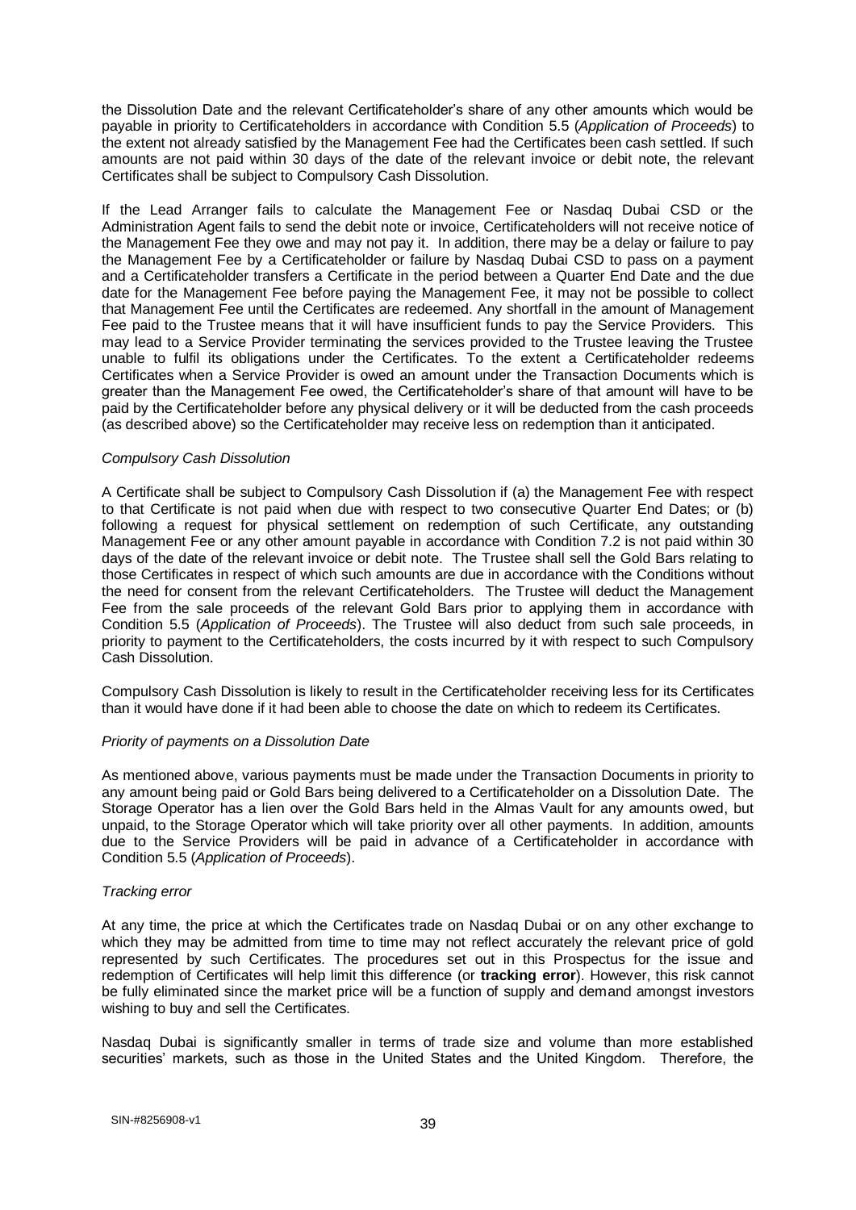the Dissolution Date and the relevant Certificateholder's share of any other amounts which would be payable in priority to Certificateholders in accordance with Condition 5.5 (*Application of Proceeds*) to the extent not already satisfied by the Management Fee had the Certificates been cash settled. If such amounts are not paid within 30 days of the date of the relevant invoice or debit note, the relevant Certificates shall be subject to Compulsory Cash Dissolution.

If the Lead Arranger fails to calculate the Management Fee or Nasdaq Dubai CSD or the Administration Agent fails to send the debit note or invoice, Certificateholders will not receive notice of the Management Fee they owe and may not pay it. In addition, there may be a delay or failure to pay the Management Fee by a Certificateholder or failure by Nasdaq Dubai CSD to pass on a payment and a Certificateholder transfers a Certificate in the period between a Quarter End Date and the due date for the Management Fee before paying the Management Fee, it may not be possible to collect that Management Fee until the Certificates are redeemed. Any shortfall in the amount of Management Fee paid to the Trustee means that it will have insufficient funds to pay the Service Providers. This may lead to a Service Provider terminating the services provided to the Trustee leaving the Trustee unable to fulfil its obligations under the Certificates. To the extent a Certificateholder redeems Certificates when a Service Provider is owed an amount under the Transaction Documents which is greater than the Management Fee owed, the Certificateholder's share of that amount will have to be paid by the Certificateholder before any physical delivery or it will be deducted from the cash proceeds (as described above) so the Certificateholder may receive less on redemption than it anticipated.

## *Compulsory Cash Dissolution*

A Certificate shall be subject to Compulsory Cash Dissolution if (a) the Management Fee with respect to that Certificate is not paid when due with respect to two consecutive Quarter End Dates; or (b) following a request for physical settlement on redemption of such Certificate, any outstanding Management Fee or any other amount payable in accordance with Condition 7.2 is not paid within 30 days of the date of the relevant invoice or debit note. The Trustee shall sell the Gold Bars relating to those Certificates in respect of which such amounts are due in accordance with the Conditions without the need for consent from the relevant Certificateholders. The Trustee will deduct the Management Fee from the sale proceeds of the relevant Gold Bars prior to applying them in accordance with Condition 5.5 (*Application of Proceeds*). The Trustee will also deduct from such sale proceeds, in priority to payment to the Certificateholders, the costs incurred by it with respect to such Compulsory Cash Dissolution.

Compulsory Cash Dissolution is likely to result in the Certificateholder receiving less for its Certificates than it would have done if it had been able to choose the date on which to redeem its Certificates.

### *Priority of payments on a Dissolution Date*

As mentioned above, various payments must be made under the Transaction Documents in priority to any amount being paid or Gold Bars being delivered to a Certificateholder on a Dissolution Date. The Storage Operator has a lien over the Gold Bars held in the Almas Vault for any amounts owed, but unpaid, to the Storage Operator which will take priority over all other payments. In addition, amounts due to the Service Providers will be paid in advance of a Certificateholder in accordance with Condition 5.5 (*Application of Proceeds*).

## *Tracking error*

At any time, the price at which the Certificates trade on Nasdaq Dubai or on any other exchange to which they may be admitted from time to time may not reflect accurately the relevant price of gold represented by such Certificates. The procedures set out in this Prospectus for the issue and redemption of Certificates will help limit this difference (or **tracking error**). However, this risk cannot be fully eliminated since the market price will be a function of supply and demand amongst investors wishing to buy and sell the Certificates.

Nasdaq Dubai is significantly smaller in terms of trade size and volume than more established securities' markets, such as those in the United States and the United Kingdom. Therefore, the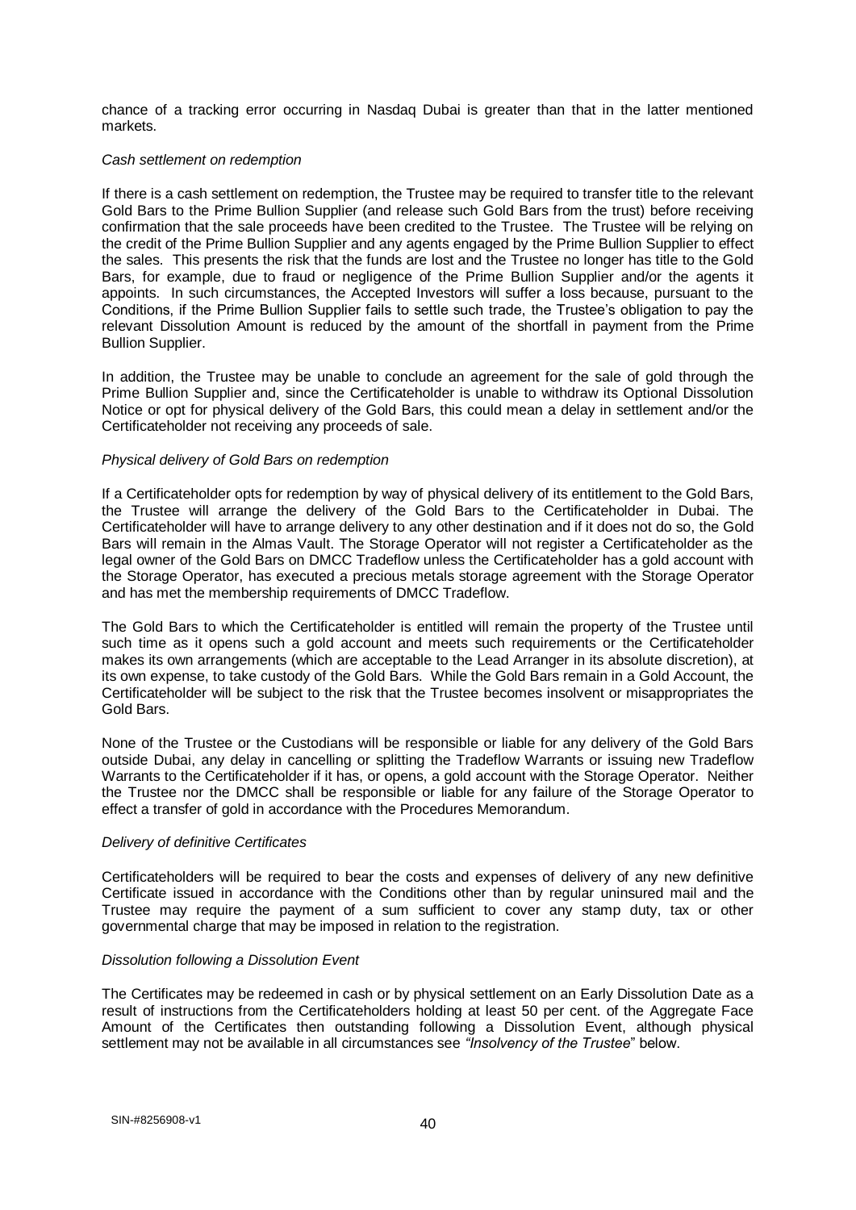chance of a tracking error occurring in Nasdaq Dubai is greater than that in the latter mentioned markets.

### *Cash settlement on redemption*

If there is a cash settlement on redemption, the Trustee may be required to transfer title to the relevant Gold Bars to the Prime Bullion Supplier (and release such Gold Bars from the trust) before receiving confirmation that the sale proceeds have been credited to the Trustee. The Trustee will be relying on the credit of the Prime Bullion Supplier and any agents engaged by the Prime Bullion Supplier to effect the sales. This presents the risk that the funds are lost and the Trustee no longer has title to the Gold Bars, for example, due to fraud or negligence of the Prime Bullion Supplier and/or the agents it appoints. In such circumstances, the Accepted Investors will suffer a loss because, pursuant to the Conditions, if the Prime Bullion Supplier fails to settle such trade, the Trustee's obligation to pay the relevant Dissolution Amount is reduced by the amount of the shortfall in payment from the Prime Bullion Supplier.

In addition, the Trustee may be unable to conclude an agreement for the sale of gold through the Prime Bullion Supplier and, since the Certificateholder is unable to withdraw its Optional Dissolution Notice or opt for physical delivery of the Gold Bars, this could mean a delay in settlement and/or the Certificateholder not receiving any proceeds of sale.

## *Physical delivery of Gold Bars on redemption*

If a Certificateholder opts for redemption by way of physical delivery of its entitlement to the Gold Bars, the Trustee will arrange the delivery of the Gold Bars to the Certificateholder in Dubai. The Certificateholder will have to arrange delivery to any other destination and if it does not do so, the Gold Bars will remain in the Almas Vault. The Storage Operator will not register a Certificateholder as the legal owner of the Gold Bars on DMCC Tradeflow unless the Certificateholder has a gold account with the Storage Operator, has executed a precious metals storage agreement with the Storage Operator and has met the membership requirements of DMCC Tradeflow.

The Gold Bars to which the Certificateholder is entitled will remain the property of the Trustee until such time as it opens such a gold account and meets such requirements or the Certificateholder makes its own arrangements (which are acceptable to the Lead Arranger in its absolute discretion), at its own expense, to take custody of the Gold Bars. While the Gold Bars remain in a Gold Account, the Certificateholder will be subject to the risk that the Trustee becomes insolvent or misappropriates the Gold Bars.

None of the Trustee or the Custodians will be responsible or liable for any delivery of the Gold Bars outside Dubai, any delay in cancelling or splitting the Tradeflow Warrants or issuing new Tradeflow Warrants to the Certificateholder if it has, or opens, a gold account with the Storage Operator. Neither the Trustee nor the DMCC shall be responsible or liable for any failure of the Storage Operator to effect a transfer of gold in accordance with the Procedures Memorandum.

### *Delivery of definitive Certificates*

Certificateholders will be required to bear the costs and expenses of delivery of any new definitive Certificate issued in accordance with the Conditions other than by regular uninsured mail and the Trustee may require the payment of a sum sufficient to cover any stamp duty, tax or other governmental charge that may be imposed in relation to the registration.

### *Dissolution following a Dissolution Event*

The Certificates may be redeemed in cash or by physical settlement on an Early Dissolution Date as a result of instructions from the Certificateholders holding at least 50 per cent. of the Aggregate Face Amount of the Certificates then outstanding following a Dissolution Event, although physical settlement may not be available in all circumstances see *"Insolvency of the Trustee*" below.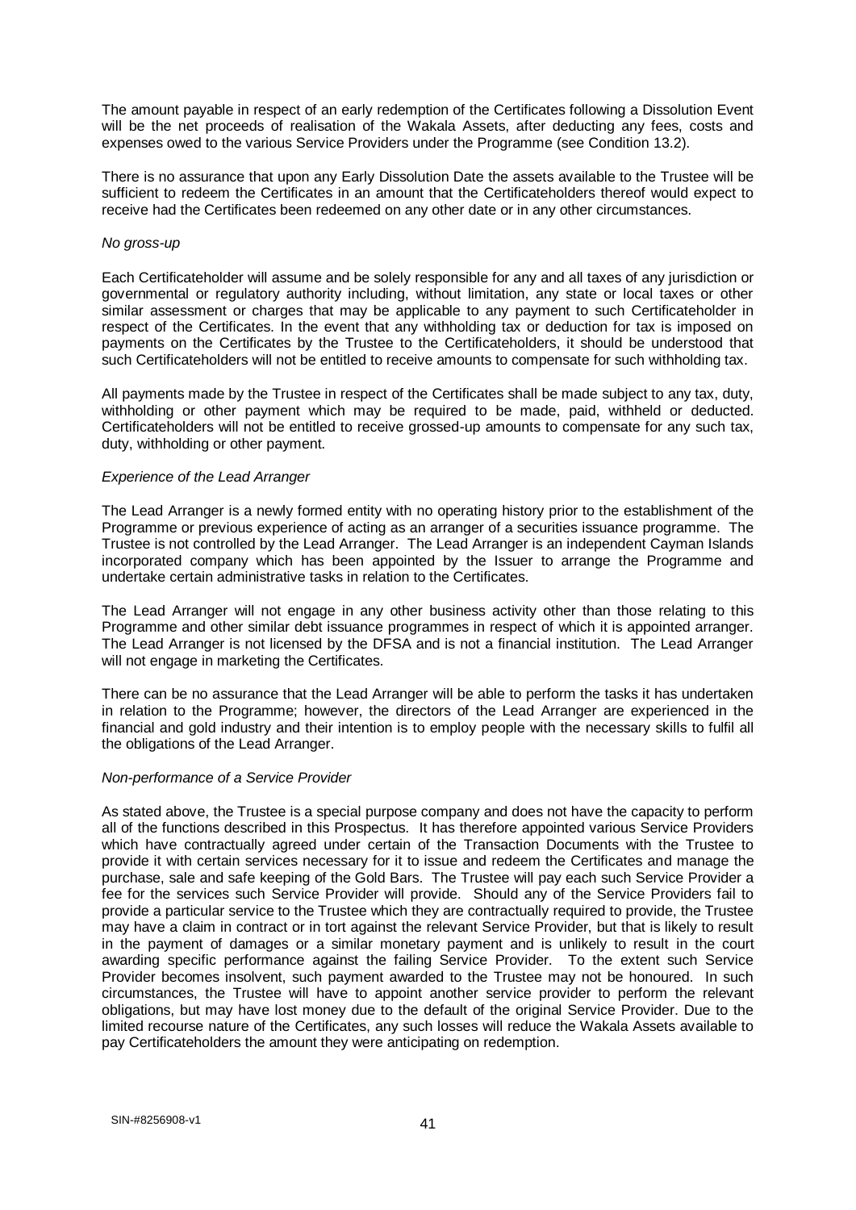The amount payable in respect of an early redemption of the Certificates following a Dissolution Event will be the net proceeds of realisation of the Wakala Assets, after deducting any fees, costs and expenses owed to the various Service Providers under the Programme (see Condition 13.2).

There is no assurance that upon any Early Dissolution Date the assets available to the Trustee will be sufficient to redeem the Certificates in an amount that the Certificateholders thereof would expect to receive had the Certificates been redeemed on any other date or in any other circumstances.

### *No gross-up*

Each Certificateholder will assume and be solely responsible for any and all taxes of any jurisdiction or governmental or regulatory authority including, without limitation, any state or local taxes or other similar assessment or charges that may be applicable to any payment to such Certificateholder in respect of the Certificates. In the event that any withholding tax or deduction for tax is imposed on payments on the Certificates by the Trustee to the Certificateholders, it should be understood that such Certificateholders will not be entitled to receive amounts to compensate for such withholding tax.

All payments made by the Trustee in respect of the Certificates shall be made subject to any tax, duty, withholding or other payment which may be required to be made, paid, withheld or deducted. Certificateholders will not be entitled to receive grossed-up amounts to compensate for any such tax, duty, withholding or other payment.

### *Experience of the Lead Arranger*

The Lead Arranger is a newly formed entity with no operating history prior to the establishment of the Programme or previous experience of acting as an arranger of a securities issuance programme. The Trustee is not controlled by the Lead Arranger. The Lead Arranger is an independent Cayman Islands incorporated company which has been appointed by the Issuer to arrange the Programme and undertake certain administrative tasks in relation to the Certificates.

The Lead Arranger will not engage in any other business activity other than those relating to this Programme and other similar debt issuance programmes in respect of which it is appointed arranger. The Lead Arranger is not licensed by the DFSA and is not a financial institution. The Lead Arranger will not engage in marketing the Certificates.

There can be no assurance that the Lead Arranger will be able to perform the tasks it has undertaken in relation to the Programme; however, the directors of the Lead Arranger are experienced in the financial and gold industry and their intention is to employ people with the necessary skills to fulfil all the obligations of the Lead Arranger.

### *Non-performance of a Service Provider*

As stated above, the Trustee is a special purpose company and does not have the capacity to perform all of the functions described in this Prospectus. It has therefore appointed various Service Providers which have contractually agreed under certain of the Transaction Documents with the Trustee to provide it with certain services necessary for it to issue and redeem the Certificates and manage the purchase, sale and safe keeping of the Gold Bars. The Trustee will pay each such Service Provider a fee for the services such Service Provider will provide. Should any of the Service Providers fail to provide a particular service to the Trustee which they are contractually required to provide, the Trustee may have a claim in contract or in tort against the relevant Service Provider, but that is likely to result in the payment of damages or a similar monetary payment and is unlikely to result in the court awarding specific performance against the failing Service Provider. To the extent such Service Provider becomes insolvent, such payment awarded to the Trustee may not be honoured. In such circumstances, the Trustee will have to appoint another service provider to perform the relevant obligations, but may have lost money due to the default of the original Service Provider. Due to the limited recourse nature of the Certificates, any such losses will reduce the Wakala Assets available to pay Certificateholders the amount they were anticipating on redemption.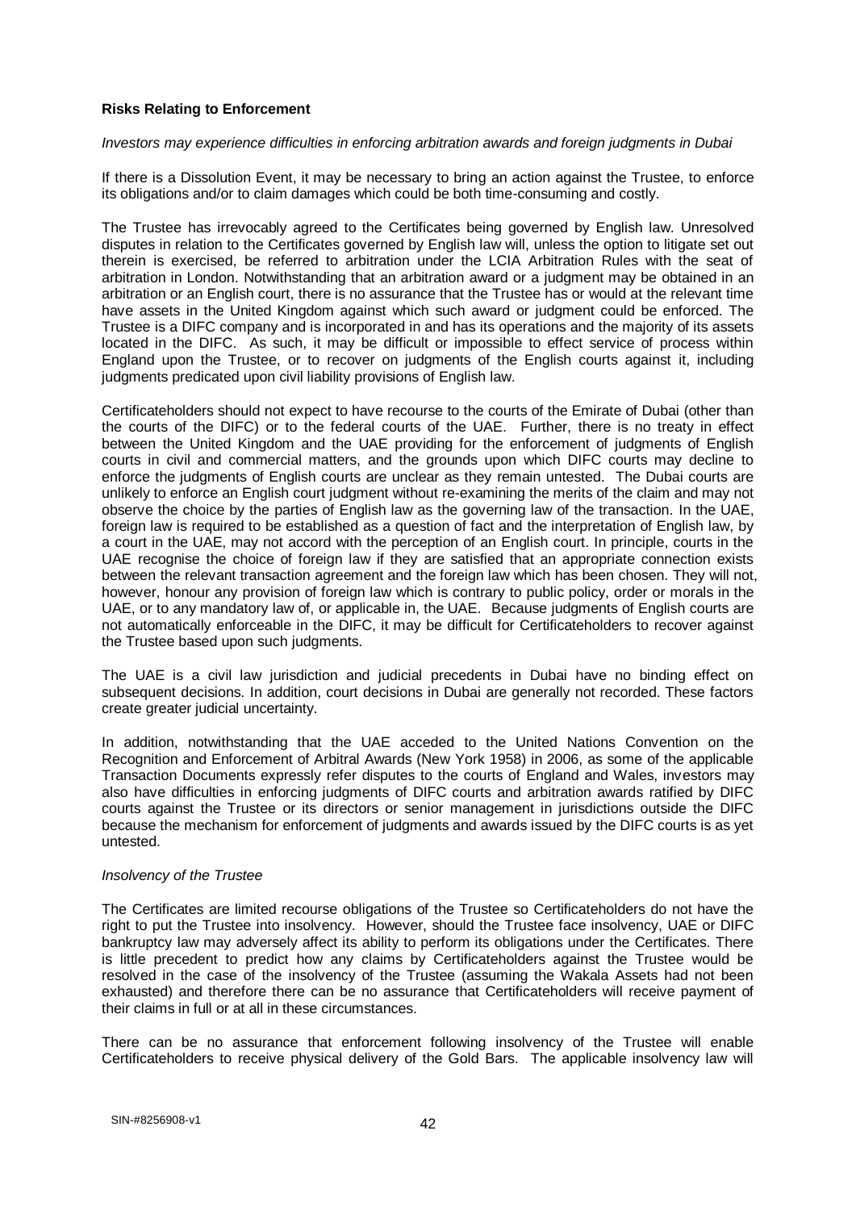## **Risks Relating to Enforcement**

### *Investors may experience difficulties in enforcing arbitration awards and foreign judgments in Dubai*

If there is a Dissolution Event, it may be necessary to bring an action against the Trustee, to enforce its obligations and/or to claim damages which could be both time-consuming and costly.

The Trustee has irrevocably agreed to the Certificates being governed by English law. Unresolved disputes in relation to the Certificates governed by English law will, unless the option to litigate set out therein is exercised, be referred to arbitration under the LCIA Arbitration Rules with the seat of arbitration in London. Notwithstanding that an arbitration award or a judgment may be obtained in an arbitration or an English court, there is no assurance that the Trustee has or would at the relevant time have assets in the United Kingdom against which such award or judgment could be enforced. The Trustee is a DIFC company and is incorporated in and has its operations and the majority of its assets located in the DIFC. As such, it may be difficult or impossible to effect service of process within England upon the Trustee, or to recover on judgments of the English courts against it, including judgments predicated upon civil liability provisions of English law.

Certificateholders should not expect to have recourse to the courts of the Emirate of Dubai (other than the courts of the DIFC) or to the federal courts of the UAE. Further, there is no treaty in effect between the United Kingdom and the UAE providing for the enforcement of judgments of English courts in civil and commercial matters, and the grounds upon which DIFC courts may decline to enforce the judgments of English courts are unclear as they remain untested. The Dubai courts are unlikely to enforce an English court judgment without re-examining the merits of the claim and may not observe the choice by the parties of English law as the governing law of the transaction. In the UAE, foreign law is required to be established as a question of fact and the interpretation of English law, by a court in the UAE, may not accord with the perception of an English court. In principle, courts in the UAE recognise the choice of foreign law if they are satisfied that an appropriate connection exists between the relevant transaction agreement and the foreign law which has been chosen. They will not, however, honour any provision of foreign law which is contrary to public policy, order or morals in the UAE, or to any mandatory law of, or applicable in, the UAE. Because judgments of English courts are not automatically enforceable in the DIFC, it may be difficult for Certificateholders to recover against the Trustee based upon such judgments.

The UAE is a civil law jurisdiction and judicial precedents in Dubai have no binding effect on subsequent decisions. In addition, court decisions in Dubai are generally not recorded. These factors create greater judicial uncertainty.

In addition, notwithstanding that the UAE acceded to the United Nations Convention on the Recognition and Enforcement of Arbitral Awards (New York 1958) in 2006, as some of the applicable Transaction Documents expressly refer disputes to the courts of England and Wales, investors may also have difficulties in enforcing judgments of DIFC courts and arbitration awards ratified by DIFC courts against the Trustee or its directors or senior management in jurisdictions outside the DIFC because the mechanism for enforcement of judgments and awards issued by the DIFC courts is as yet untested.

### *Insolvency of the Trustee*

The Certificates are limited recourse obligations of the Trustee so Certificateholders do not have the right to put the Trustee into insolvency. However, should the Trustee face insolvency, UAE or DIFC bankruptcy law may adversely affect its ability to perform its obligations under the Certificates. There is little precedent to predict how any claims by Certificateholders against the Trustee would be resolved in the case of the insolvency of the Trustee (assuming the Wakala Assets had not been exhausted) and therefore there can be no assurance that Certificateholders will receive payment of their claims in full or at all in these circumstances.

There can be no assurance that enforcement following insolvency of the Trustee will enable Certificateholders to receive physical delivery of the Gold Bars. The applicable insolvency law will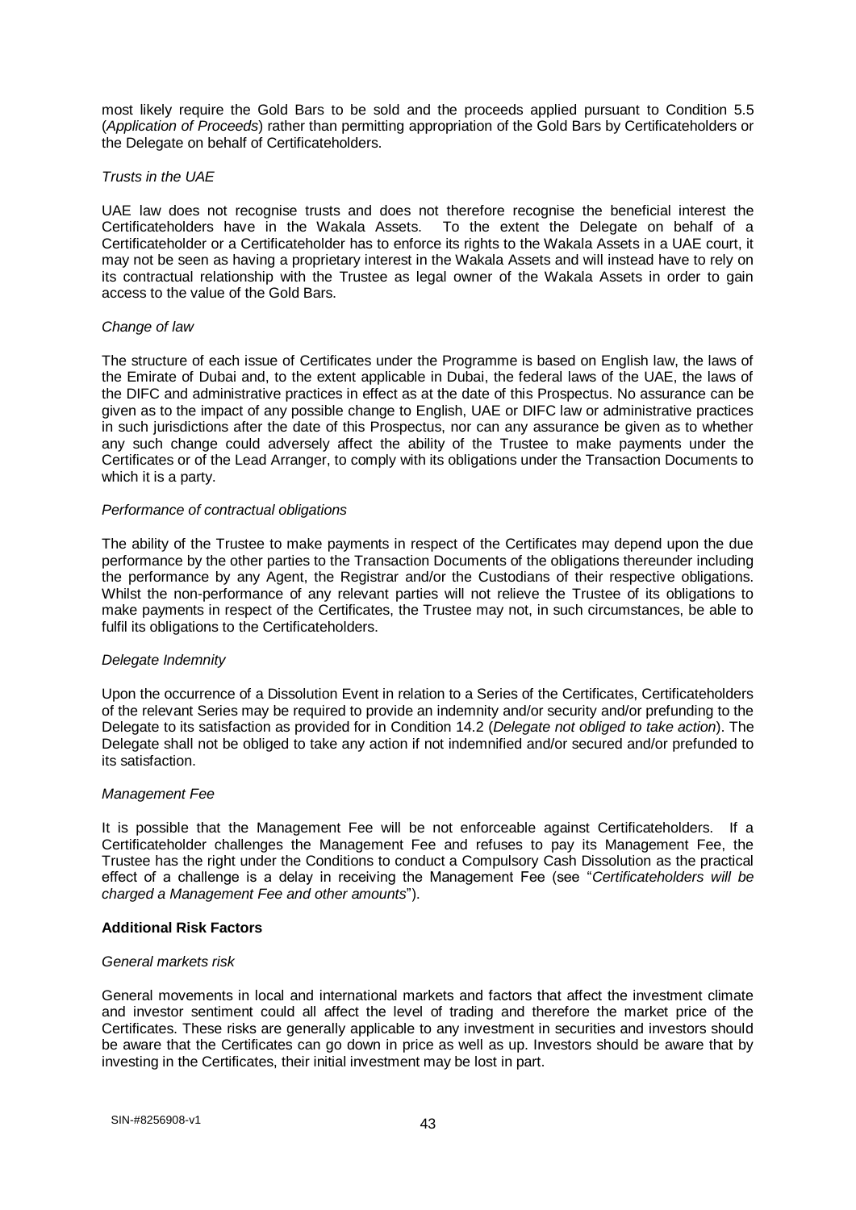most likely require the Gold Bars to be sold and the proceeds applied pursuant to Condition 5.5 (*Application of Proceeds*) rather than permitting appropriation of the Gold Bars by Certificateholders or the Delegate on behalf of Certificateholders.

## *Trusts in the UAE*

UAE law does not recognise trusts and does not therefore recognise the beneficial interest the Certificateholders have in the Wakala Assets. To the extent the Delegate on behalf of a Certificateholder or a Certificateholder has to enforce its rights to the Wakala Assets in a UAE court, it may not be seen as having a proprietary interest in the Wakala Assets and will instead have to rely on its contractual relationship with the Trustee as legal owner of the Wakala Assets in order to gain access to the value of the Gold Bars.

### *Change of law*

The structure of each issue of Certificates under the Programme is based on English law, the laws of the Emirate of Dubai and, to the extent applicable in Dubai, the federal laws of the UAE, the laws of the DIFC and administrative practices in effect as at the date of this Prospectus. No assurance can be given as to the impact of any possible change to English, UAE or DIFC law or administrative practices in such jurisdictions after the date of this Prospectus, nor can any assurance be given as to whether any such change could adversely affect the ability of the Trustee to make payments under the Certificates or of the Lead Arranger, to comply with its obligations under the Transaction Documents to which it is a party.

### *Performance of contractual obligations*

The ability of the Trustee to make payments in respect of the Certificates may depend upon the due performance by the other parties to the Transaction Documents of the obligations thereunder including the performance by any Agent, the Registrar and/or the Custodians of their respective obligations. Whilst the non-performance of any relevant parties will not relieve the Trustee of its obligations to make payments in respect of the Certificates, the Trustee may not, in such circumstances, be able to fulfil its obligations to the Certificateholders.

### *Delegate Indemnity*

Upon the occurrence of a Dissolution Event in relation to a Series of the Certificates, Certificateholders of the relevant Series may be required to provide an indemnity and/or security and/or prefunding to the Delegate to its satisfaction as provided for in Condition 14.2 (*Delegate not obliged to take action*). The Delegate shall not be obliged to take any action if not indemnified and/or secured and/or prefunded to its satisfaction.

### *Management Fee*

It is possible that the Management Fee will be not enforceable against Certificateholders. If a Certificateholder challenges the Management Fee and refuses to pay its Management Fee, the Trustee has the right under the Conditions to conduct a Compulsory Cash Dissolution as the practical effect of a challenge is a delay in receiving the Management Fee (see "*Certificateholders will be charged a Management Fee and other amounts*").

### **Additional Risk Factors**

### *General markets risk*

General movements in local and international markets and factors that affect the investment climate and investor sentiment could all affect the level of trading and therefore the market price of the Certificates. These risks are generally applicable to any investment in securities and investors should be aware that the Certificates can go down in price as well as up. Investors should be aware that by investing in the Certificates, their initial investment may be lost in part.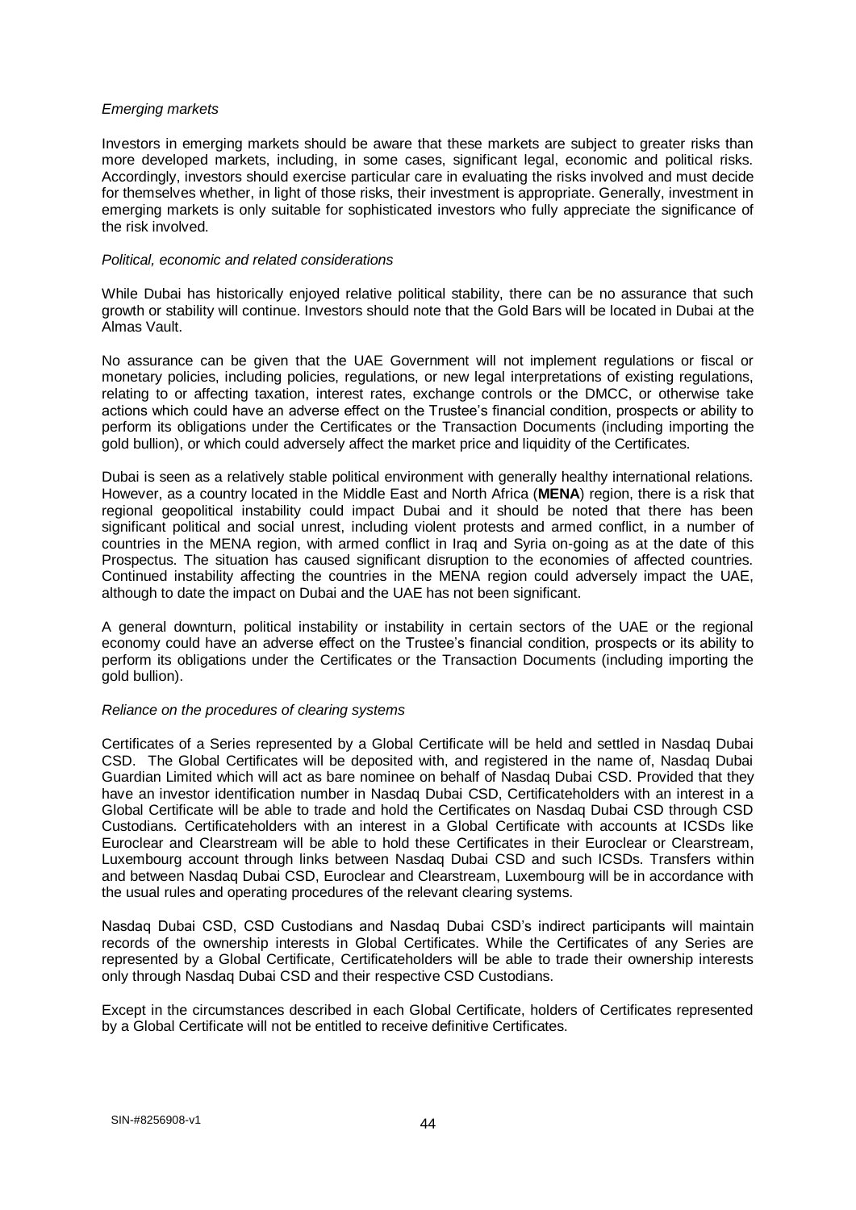### *Emerging markets*

Investors in emerging markets should be aware that these markets are subject to greater risks than more developed markets, including, in some cases, significant legal, economic and political risks. Accordingly, investors should exercise particular care in evaluating the risks involved and must decide for themselves whether, in light of those risks, their investment is appropriate. Generally, investment in emerging markets is only suitable for sophisticated investors who fully appreciate the significance of the risk involved.

#### *Political, economic and related considerations*

While Dubai has historically enjoyed relative political stability, there can be no assurance that such growth or stability will continue. Investors should note that the Gold Bars will be located in Dubai at the Almas Vault.

No assurance can be given that the UAE Government will not implement regulations or fiscal or monetary policies, including policies, regulations, or new legal interpretations of existing regulations, relating to or affecting taxation, interest rates, exchange controls or the DMCC, or otherwise take actions which could have an adverse effect on the Trustee's financial condition, prospects or ability to perform its obligations under the Certificates or the Transaction Documents (including importing the gold bullion), or which could adversely affect the market price and liquidity of the Certificates.

Dubai is seen as a relatively stable political environment with generally healthy international relations. However, as a country located in the Middle East and North Africa (**MENA**) region, there is a risk that regional geopolitical instability could impact Dubai and it should be noted that there has been significant political and social unrest, including violent protests and armed conflict, in a number of countries in the MENA region, with armed conflict in Iraq and Syria on-going as at the date of this Prospectus. The situation has caused significant disruption to the economies of affected countries. Continued instability affecting the countries in the MENA region could adversely impact the UAE, although to date the impact on Dubai and the UAE has not been significant.

A general downturn, political instability or instability in certain sectors of the UAE or the regional economy could have an adverse effect on the Trustee's financial condition, prospects or its ability to perform its obligations under the Certificates or the Transaction Documents (including importing the gold bullion).

### *Reliance on the procedures of clearing systems*

Certificates of a Series represented by a Global Certificate will be held and settled in Nasdaq Dubai CSD. The Global Certificates will be deposited with, and registered in the name of, Nasdaq Dubai Guardian Limited which will act as bare nominee on behalf of Nasdaq Dubai CSD. Provided that they have an investor identification number in Nasdaq Dubai CSD, Certificateholders with an interest in a Global Certificate will be able to trade and hold the Certificates on Nasdaq Dubai CSD through CSD Custodians. Certificateholders with an interest in a Global Certificate with accounts at ICSDs like Euroclear and Clearstream will be able to hold these Certificates in their Euroclear or Clearstream, Luxembourg account through links between Nasdaq Dubai CSD and such ICSDs. Transfers within and between Nasdaq Dubai CSD, Euroclear and Clearstream, Luxembourg will be in accordance with the usual rules and operating procedures of the relevant clearing systems.

Nasdaq Dubai CSD, CSD Custodians and Nasdaq Dubai CSD's indirect participants will maintain records of the ownership interests in Global Certificates. While the Certificates of any Series are represented by a Global Certificate, Certificateholders will be able to trade their ownership interests only through Nasdaq Dubai CSD and their respective CSD Custodians.

Except in the circumstances described in each Global Certificate, holders of Certificates represented by a Global Certificate will not be entitled to receive definitive Certificates.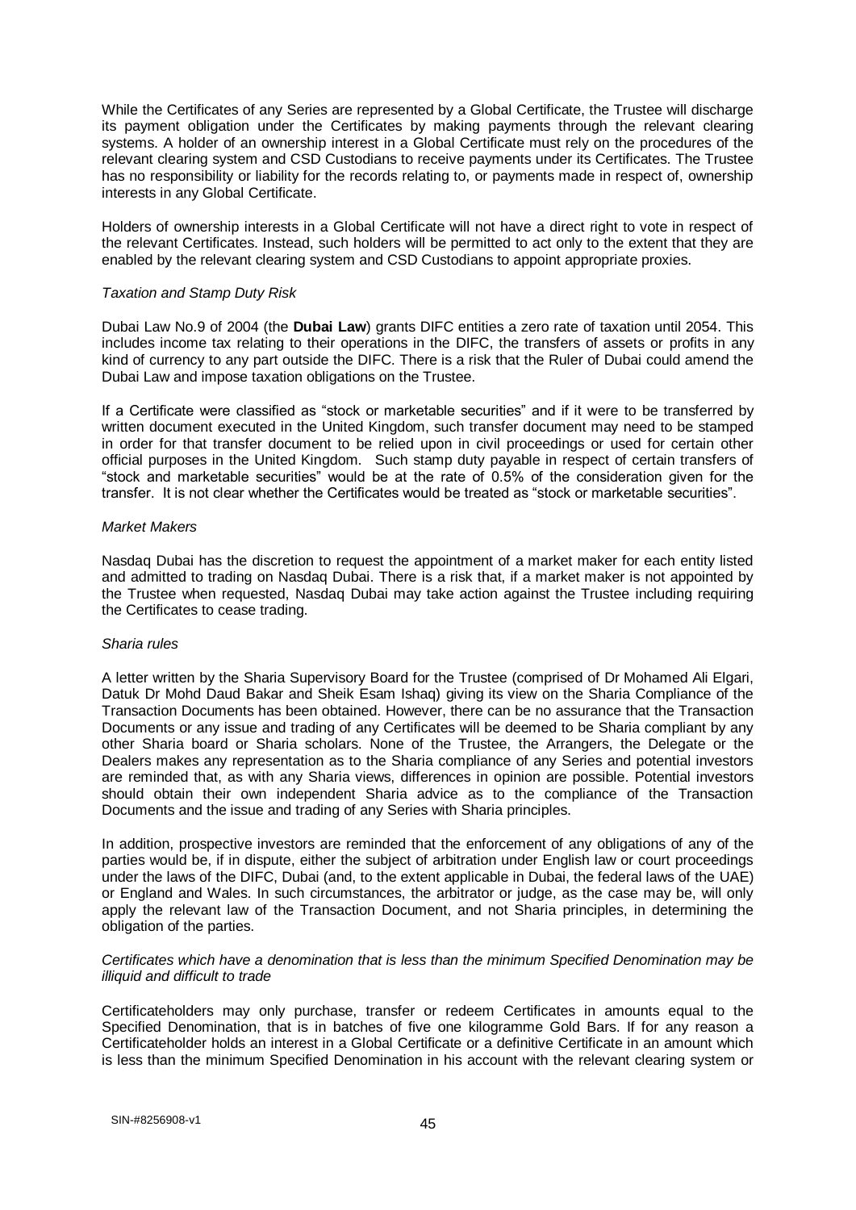While the Certificates of any Series are represented by a Global Certificate, the Trustee will discharge its payment obligation under the Certificates by making payments through the relevant clearing systems. A holder of an ownership interest in a Global Certificate must rely on the procedures of the relevant clearing system and CSD Custodians to receive payments under its Certificates. The Trustee has no responsibility or liability for the records relating to, or payments made in respect of, ownership interests in any Global Certificate.

Holders of ownership interests in a Global Certificate will not have a direct right to vote in respect of the relevant Certificates. Instead, such holders will be permitted to act only to the extent that they are enabled by the relevant clearing system and CSD Custodians to appoint appropriate proxies.

### *Taxation and Stamp Duty Risk*

Dubai Law No.9 of 2004 (the **Dubai Law**) grants DIFC entities a zero rate of taxation until 2054. This includes income tax relating to their operations in the DIFC, the transfers of assets or profits in any kind of currency to any part outside the DIFC. There is a risk that the Ruler of Dubai could amend the Dubai Law and impose taxation obligations on the Trustee.

If a Certificate were classified as "stock or marketable securities" and if it were to be transferred by written document executed in the United Kingdom, such transfer document may need to be stamped in order for that transfer document to be relied upon in civil proceedings or used for certain other official purposes in the United Kingdom. Such stamp duty payable in respect of certain transfers of "stock and marketable securities" would be at the rate of 0.5% of the consideration given for the transfer. It is not clear whether the Certificates would be treated as "stock or marketable securities".

### *Market Makers*

Nasdaq Dubai has the discretion to request the appointment of a market maker for each entity listed and admitted to trading on Nasdaq Dubai. There is a risk that, if a market maker is not appointed by the Trustee when requested, Nasdaq Dubai may take action against the Trustee including requiring the Certificates to cease trading.

### *Sharia rules*

A letter written by the Sharia Supervisory Board for the Trustee (comprised of Dr Mohamed Ali Elgari, Datuk Dr Mohd Daud Bakar and Sheik Esam Ishaq) giving its view on the Sharia Compliance of the Transaction Documents has been obtained. However, there can be no assurance that the Transaction Documents or any issue and trading of any Certificates will be deemed to be Sharia compliant by any other Sharia board or Sharia scholars. None of the Trustee, the Arrangers, the Delegate or the Dealers makes any representation as to the Sharia compliance of any Series and potential investors are reminded that, as with any Sharia views, differences in opinion are possible. Potential investors should obtain their own independent Sharia advice as to the compliance of the Transaction Documents and the issue and trading of any Series with Sharia principles.

In addition, prospective investors are reminded that the enforcement of any obligations of any of the parties would be, if in dispute, either the subject of arbitration under English law or court proceedings under the laws of the DIFC, Dubai (and, to the extent applicable in Dubai, the federal laws of the UAE) or England and Wales. In such circumstances, the arbitrator or judge, as the case may be, will only apply the relevant law of the Transaction Document, and not Sharia principles, in determining the obligation of the parties.

### *Certificates which have a denomination that is less than the minimum Specified Denomination may be illiquid and difficult to trade*

Certificateholders may only purchase, transfer or redeem Certificates in amounts equal to the Specified Denomination, that is in batches of five one kilogramme Gold Bars. If for any reason a Certificateholder holds an interest in a Global Certificate or a definitive Certificate in an amount which is less than the minimum Specified Denomination in his account with the relevant clearing system or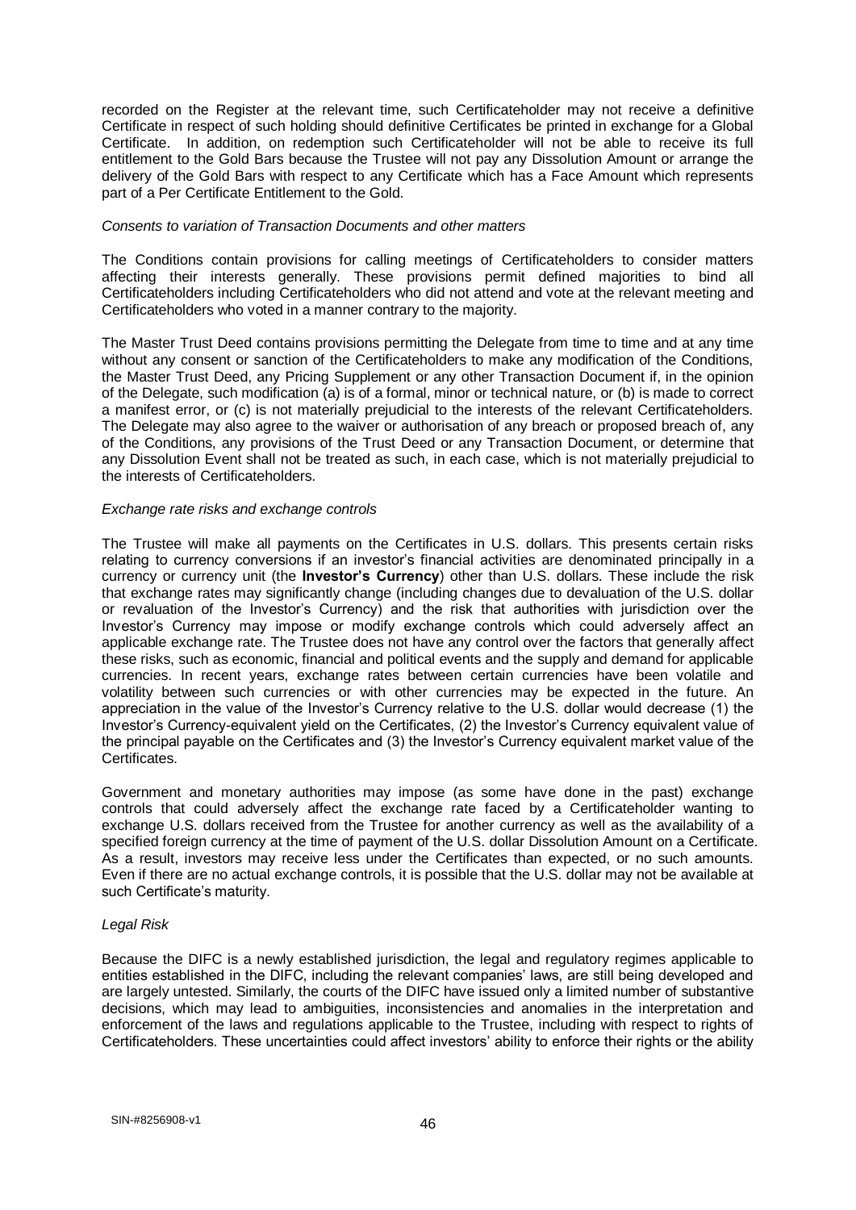recorded on the Register at the relevant time, such Certificateholder may not receive a definitive Certificate in respect of such holding should definitive Certificates be printed in exchange for a Global Certificate. In addition, on redemption such Certificateholder will not be able to receive its full entitlement to the Gold Bars because the Trustee will not pay any Dissolution Amount or arrange the delivery of the Gold Bars with respect to any Certificate which has a Face Amount which represents part of a Per Certificate Entitlement to the Gold.

### *Consents to variation of Transaction Documents and other matters*

The Conditions contain provisions for calling meetings of Certificateholders to consider matters affecting their interests generally. These provisions permit defined majorities to bind all Certificateholders including Certificateholders who did not attend and vote at the relevant meeting and Certificateholders who voted in a manner contrary to the majority.

The Master Trust Deed contains provisions permitting the Delegate from time to time and at any time without any consent or sanction of the Certificateholders to make any modification of the Conditions. the Master Trust Deed, any Pricing Supplement or any other Transaction Document if, in the opinion of the Delegate, such modification (a) is of a formal, minor or technical nature, or (b) is made to correct a manifest error, or (c) is not materially prejudicial to the interests of the relevant Certificateholders. The Delegate may also agree to the waiver or authorisation of any breach or proposed breach of, any of the Conditions, any provisions of the Trust Deed or any Transaction Document, or determine that any Dissolution Event shall not be treated as such, in each case, which is not materially prejudicial to the interests of Certificateholders.

### *Exchange rate risks and exchange controls*

The Trustee will make all payments on the Certificates in U.S. dollars. This presents certain risks relating to currency conversions if an investor's financial activities are denominated principally in a currency or currency unit (the **Investor's Currency**) other than U.S. dollars. These include the risk that exchange rates may significantly change (including changes due to devaluation of the U.S. dollar or revaluation of the Investor's Currency) and the risk that authorities with jurisdiction over the Investor's Currency may impose or modify exchange controls which could adversely affect an applicable exchange rate. The Trustee does not have any control over the factors that generally affect these risks, such as economic, financial and political events and the supply and demand for applicable currencies. In recent years, exchange rates between certain currencies have been volatile and volatility between such currencies or with other currencies may be expected in the future. An appreciation in the value of the Investor's Currency relative to the U.S. dollar would decrease (1) the Investor's Currency-equivalent yield on the Certificates, (2) the Investor's Currency equivalent value of the principal payable on the Certificates and (3) the Investor's Currency equivalent market value of the Certificates.

Government and monetary authorities may impose (as some have done in the past) exchange controls that could adversely affect the exchange rate faced by a Certificateholder wanting to exchange U.S. dollars received from the Trustee for another currency as well as the availability of a specified foreign currency at the time of payment of the U.S. dollar Dissolution Amount on a Certificate. As a result, investors may receive less under the Certificates than expected, or no such amounts. Even if there are no actual exchange controls, it is possible that the U.S. dollar may not be available at such Certificate's maturity.

#### *Legal Risk*

Because the DIFC is a newly established jurisdiction, the legal and regulatory regimes applicable to entities established in the DIFC, including the relevant companies' laws, are still being developed and are largely untested. Similarly, the courts of the DIFC have issued only a limited number of substantive decisions, which may lead to ambiguities, inconsistencies and anomalies in the interpretation and enforcement of the laws and regulations applicable to the Trustee, including with respect to rights of Certificateholders. These uncertainties could affect investors' ability to enforce their rights or the ability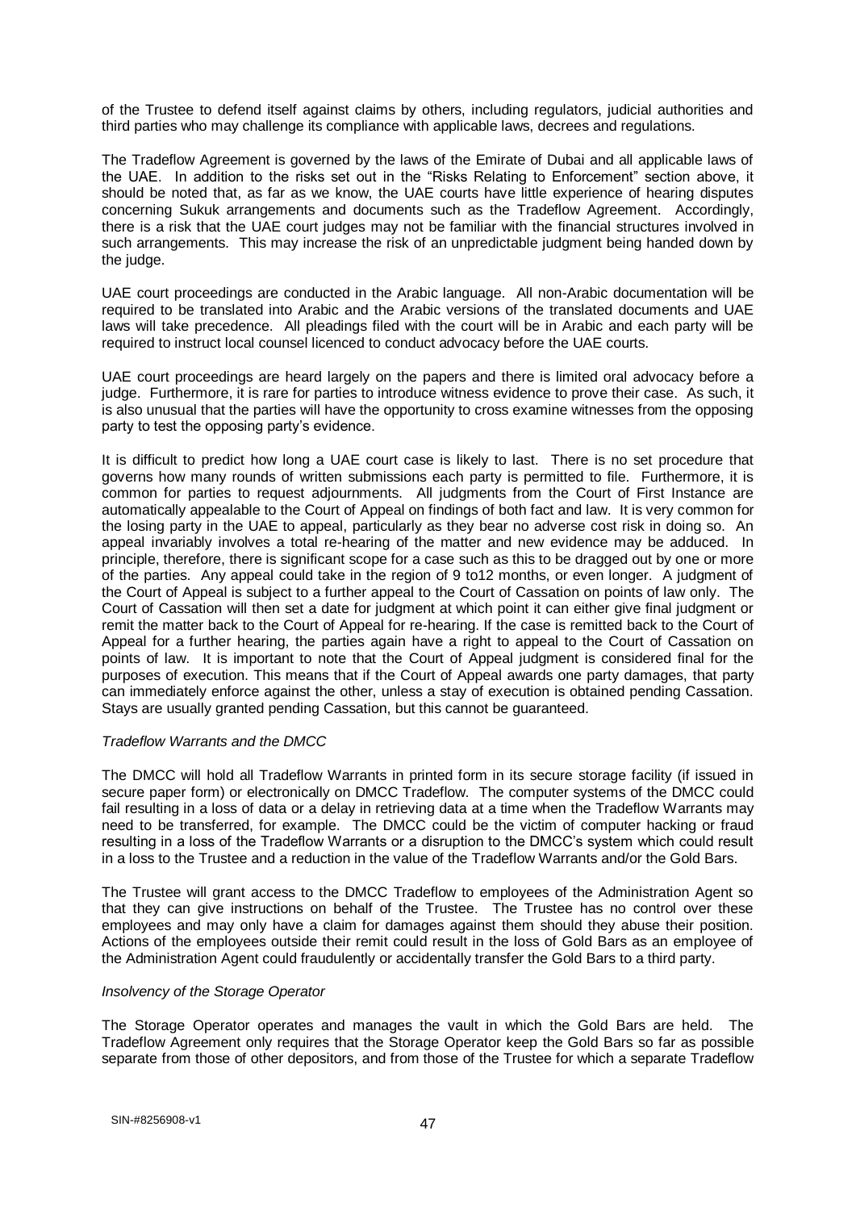of the Trustee to defend itself against claims by others, including regulators, judicial authorities and third parties who may challenge its compliance with applicable laws, decrees and regulations.

The Tradeflow Agreement is governed by the laws of the Emirate of Dubai and all applicable laws of the UAE. In addition to the risks set out in the "Risks Relating to Enforcement" section above, it should be noted that, as far as we know, the UAE courts have little experience of hearing disputes concerning Sukuk arrangements and documents such as the Tradeflow Agreement. Accordingly, there is a risk that the UAE court judges may not be familiar with the financial structures involved in such arrangements. This may increase the risk of an unpredictable judgment being handed down by the judge.

UAE court proceedings are conducted in the Arabic language. All non-Arabic documentation will be required to be translated into Arabic and the Arabic versions of the translated documents and UAE laws will take precedence. All pleadings filed with the court will be in Arabic and each party will be required to instruct local counsel licenced to conduct advocacy before the UAE courts.

UAE court proceedings are heard largely on the papers and there is limited oral advocacy before a judge. Furthermore, it is rare for parties to introduce witness evidence to prove their case. As such, it is also unusual that the parties will have the opportunity to cross examine witnesses from the opposing party to test the opposing party's evidence.

It is difficult to predict how long a UAE court case is likely to last. There is no set procedure that governs how many rounds of written submissions each party is permitted to file. Furthermore, it is common for parties to request adjournments. All judgments from the Court of First Instance are automatically appealable to the Court of Appeal on findings of both fact and law. It is very common for the losing party in the UAE to appeal, particularly as they bear no adverse cost risk in doing so. An appeal invariably involves a total re-hearing of the matter and new evidence may be adduced. In principle, therefore, there is significant scope for a case such as this to be dragged out by one or more of the parties. Any appeal could take in the region of 9 to12 months, or even longer. A judgment of the Court of Appeal is subject to a further appeal to the Court of Cassation on points of law only. The Court of Cassation will then set a date for judgment at which point it can either give final judgment or remit the matter back to the Court of Appeal for re-hearing. If the case is remitted back to the Court of Appeal for a further hearing, the parties again have a right to appeal to the Court of Cassation on points of law. It is important to note that the Court of Appeal judgment is considered final for the purposes of execution. This means that if the Court of Appeal awards one party damages, that party can immediately enforce against the other, unless a stay of execution is obtained pending Cassation. Stays are usually granted pending Cassation, but this cannot be guaranteed.

### *Tradeflow Warrants and the DMCC*

The DMCC will hold all Tradeflow Warrants in printed form in its secure storage facility (if issued in secure paper form) or electronically on DMCC Tradeflow. The computer systems of the DMCC could fail resulting in a loss of data or a delay in retrieving data at a time when the Tradeflow Warrants may need to be transferred, for example. The DMCC could be the victim of computer hacking or fraud resulting in a loss of the Tradeflow Warrants or a disruption to the DMCC's system which could result in a loss to the Trustee and a reduction in the value of the Tradeflow Warrants and/or the Gold Bars.

The Trustee will grant access to the DMCC Tradeflow to employees of the Administration Agent so that they can give instructions on behalf of the Trustee. The Trustee has no control over these employees and may only have a claim for damages against them should they abuse their position. Actions of the employees outside their remit could result in the loss of Gold Bars as an employee of the Administration Agent could fraudulently or accidentally transfer the Gold Bars to a third party.

### *Insolvency of the Storage Operator*

The Storage Operator operates and manages the vault in which the Gold Bars are held. The Tradeflow Agreement only requires that the Storage Operator keep the Gold Bars so far as possible separate from those of other depositors, and from those of the Trustee for which a separate Tradeflow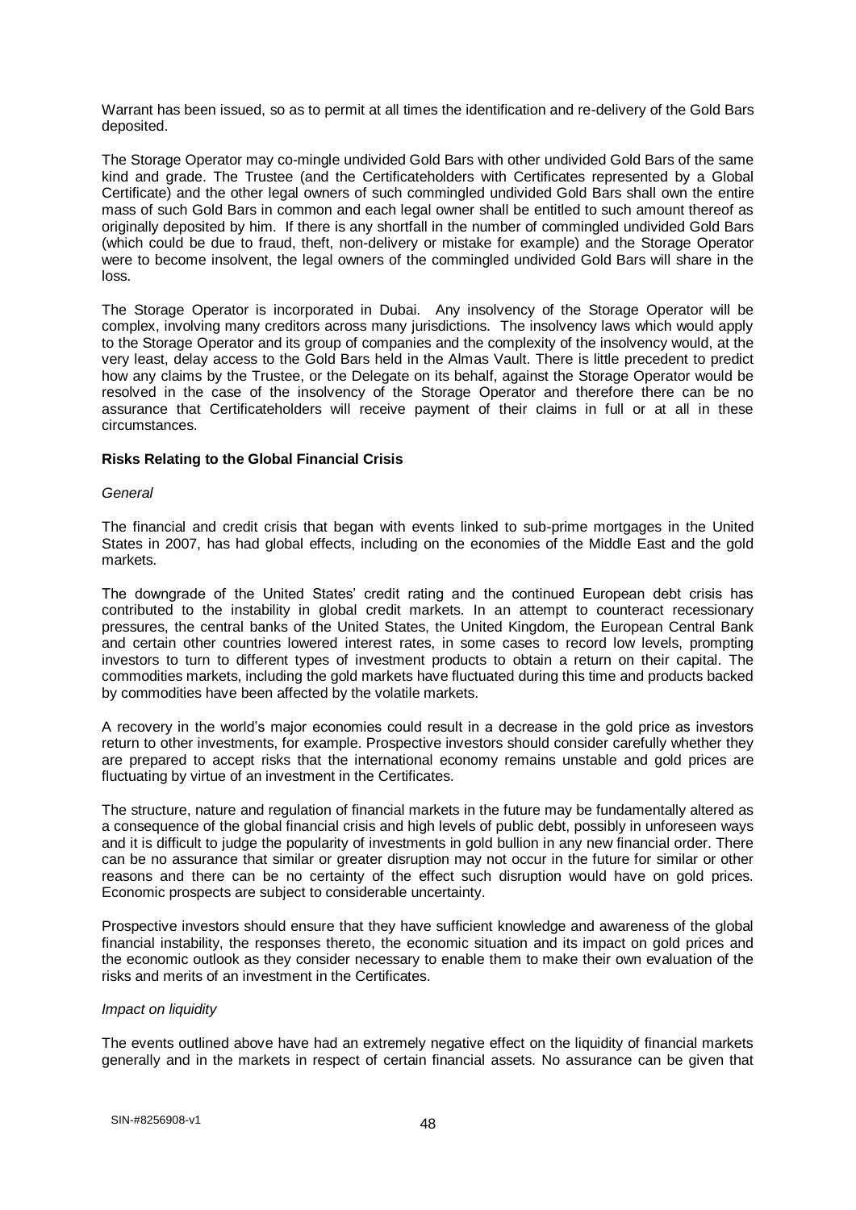Warrant has been issued, so as to permit at all times the identification and re-delivery of the Gold Bars deposited.

The Storage Operator may co-mingle undivided Gold Bars with other undivided Gold Bars of the same kind and grade. The Trustee (and the Certificateholders with Certificates represented by a Global Certificate) and the other legal owners of such commingled undivided Gold Bars shall own the entire mass of such Gold Bars in common and each legal owner shall be entitled to such amount thereof as originally deposited by him. If there is any shortfall in the number of commingled undivided Gold Bars (which could be due to fraud, theft, non-delivery or mistake for example) and the Storage Operator were to become insolvent, the legal owners of the commingled undivided Gold Bars will share in the loss.

The Storage Operator is incorporated in Dubai. Any insolvency of the Storage Operator will be complex, involving many creditors across many jurisdictions. The insolvency laws which would apply to the Storage Operator and its group of companies and the complexity of the insolvency would, at the very least, delay access to the Gold Bars held in the Almas Vault. There is little precedent to predict how any claims by the Trustee, or the Delegate on its behalf, against the Storage Operator would be resolved in the case of the insolvency of the Storage Operator and therefore there can be no assurance that Certificateholders will receive payment of their claims in full or at all in these circumstances.

### **Risks Relating to the Global Financial Crisis**

#### *General*

The financial and credit crisis that began with events linked to sub-prime mortgages in the United States in 2007, has had global effects, including on the economies of the Middle East and the gold markets.

The downgrade of the United States' credit rating and the continued European debt crisis has contributed to the instability in global credit markets. In an attempt to counteract recessionary pressures, the central banks of the United States, the United Kingdom, the European Central Bank and certain other countries lowered interest rates, in some cases to record low levels, prompting investors to turn to different types of investment products to obtain a return on their capital. The commodities markets, including the gold markets have fluctuated during this time and products backed by commodities have been affected by the volatile markets.

A recovery in the world's major economies could result in a decrease in the gold price as investors return to other investments, for example. Prospective investors should consider carefully whether they are prepared to accept risks that the international economy remains unstable and gold prices are fluctuating by virtue of an investment in the Certificates.

The structure, nature and regulation of financial markets in the future may be fundamentally altered as a consequence of the global financial crisis and high levels of public debt, possibly in unforeseen ways and it is difficult to judge the popularity of investments in gold bullion in any new financial order. There can be no assurance that similar or greater disruption may not occur in the future for similar or other reasons and there can be no certainty of the effect such disruption would have on gold prices. Economic prospects are subject to considerable uncertainty.

Prospective investors should ensure that they have sufficient knowledge and awareness of the global financial instability, the responses thereto, the economic situation and its impact on gold prices and the economic outlook as they consider necessary to enable them to make their own evaluation of the risks and merits of an investment in the Certificates.

### *Impact on liquidity*

The events outlined above have had an extremely negative effect on the liquidity of financial markets generally and in the markets in respect of certain financial assets. No assurance can be given that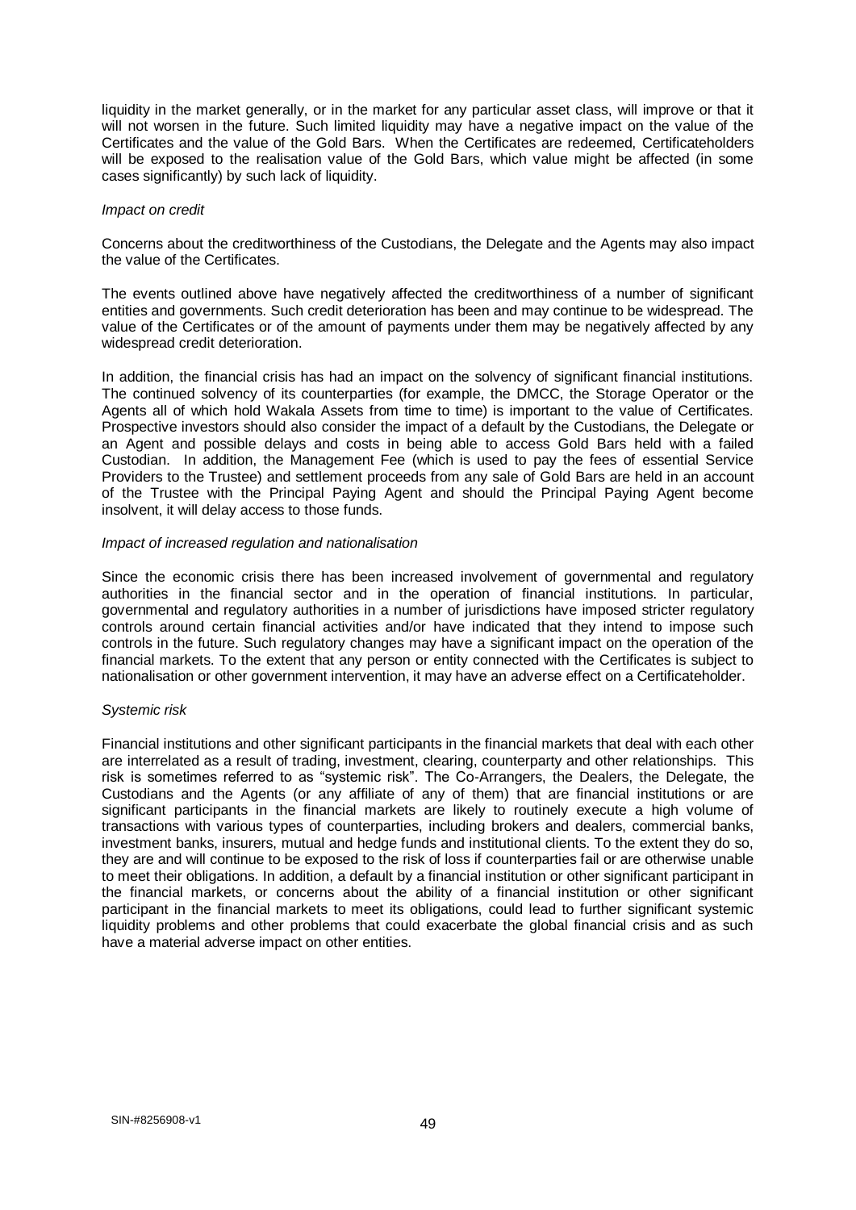liquidity in the market generally, or in the market for any particular asset class, will improve or that it will not worsen in the future. Such limited liquidity may have a negative impact on the value of the Certificates and the value of the Gold Bars. When the Certificates are redeemed, Certificateholders will be exposed to the realisation value of the Gold Bars, which value might be affected (in some cases significantly) by such lack of liquidity.

#### *Impact on credit*

Concerns about the creditworthiness of the Custodians, the Delegate and the Agents may also impact the value of the Certificates.

The events outlined above have negatively affected the creditworthiness of a number of significant entities and governments. Such credit deterioration has been and may continue to be widespread. The value of the Certificates or of the amount of payments under them may be negatively affected by any widespread credit deterioration.

In addition, the financial crisis has had an impact on the solvency of significant financial institutions. The continued solvency of its counterparties (for example, the DMCC, the Storage Operator or the Agents all of which hold Wakala Assets from time to time) is important to the value of Certificates. Prospective investors should also consider the impact of a default by the Custodians, the Delegate or an Agent and possible delays and costs in being able to access Gold Bars held with a failed Custodian. In addition, the Management Fee (which is used to pay the fees of essential Service Providers to the Trustee) and settlement proceeds from any sale of Gold Bars are held in an account of the Trustee with the Principal Paying Agent and should the Principal Paying Agent become insolvent, it will delay access to those funds.

### *Impact of increased regulation and nationalisation*

Since the economic crisis there has been increased involvement of governmental and regulatory authorities in the financial sector and in the operation of financial institutions. In particular, governmental and regulatory authorities in a number of jurisdictions have imposed stricter regulatory controls around certain financial activities and/or have indicated that they intend to impose such controls in the future. Such regulatory changes may have a significant impact on the operation of the financial markets. To the extent that any person or entity connected with the Certificates is subject to nationalisation or other government intervention, it may have an adverse effect on a Certificateholder.

### *Systemic risk*

Financial institutions and other significant participants in the financial markets that deal with each other are interrelated as a result of trading, investment, clearing, counterparty and other relationships. This risk is sometimes referred to as "systemic risk". The Co-Arrangers, the Dealers, the Delegate, the Custodians and the Agents (or any affiliate of any of them) that are financial institutions or are significant participants in the financial markets are likely to routinely execute a high volume of transactions with various types of counterparties, including brokers and dealers, commercial banks, investment banks, insurers, mutual and hedge funds and institutional clients. To the extent they do so, they are and will continue to be exposed to the risk of loss if counterparties fail or are otherwise unable to meet their obligations. In addition, a default by a financial institution or other significant participant in the financial markets, or concerns about the ability of a financial institution or other significant participant in the financial markets to meet its obligations, could lead to further significant systemic liquidity problems and other problems that could exacerbate the global financial crisis and as such have a material adverse impact on other entities.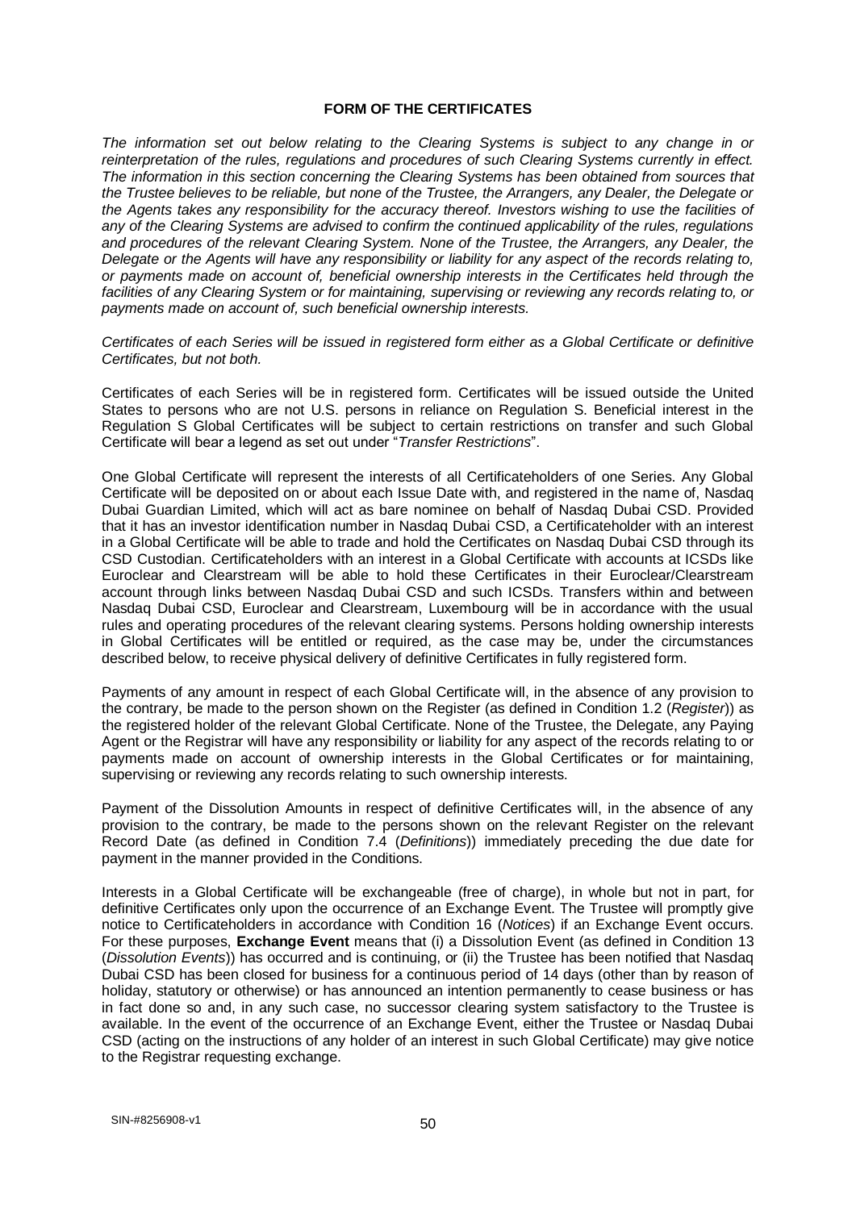### **FORM OF THE CERTIFICATES**

*The information set out below relating to the Clearing Systems is subject to any change in or reinterpretation of the rules, regulations and procedures of such Clearing Systems currently in effect. The information in this section concerning the Clearing Systems has been obtained from sources that the Trustee believes to be reliable, but none of the Trustee, the Arrangers, any Dealer, the Delegate or the Agents takes any responsibility for the accuracy thereof. Investors wishing to use the facilities of any of the Clearing Systems are advised to confirm the continued applicability of the rules, regulations and procedures of the relevant Clearing System. None of the Trustee, the Arrangers, any Dealer, the Delegate or the Agents will have any responsibility or liability for any aspect of the records relating to, or payments made on account of, beneficial ownership interests in the Certificates held through the facilities of any Clearing System or for maintaining, supervising or reviewing any records relating to, or payments made on account of, such beneficial ownership interests.*

*Certificates of each Series will be issued in registered form either as a Global Certificate or definitive Certificates, but not both.* 

Certificates of each Series will be in registered form. Certificates will be issued outside the United States to persons who are not U.S. persons in reliance on Regulation S. Beneficial interest in the Regulation S Global Certificates will be subject to certain restrictions on transfer and such Global Certificate will bear a legend as set out under "*Transfer Restrictions*".

One Global Certificate will represent the interests of all Certificateholders of one Series. Any Global Certificate will be deposited on or about each Issue Date with, and registered in the name of, Nasdaq Dubai Guardian Limited, which will act as bare nominee on behalf of Nasdaq Dubai CSD. Provided that it has an investor identification number in Nasdaq Dubai CSD, a Certificateholder with an interest in a Global Certificate will be able to trade and hold the Certificates on Nasdaq Dubai CSD through its CSD Custodian. Certificateholders with an interest in a Global Certificate with accounts at ICSDs like Euroclear and Clearstream will be able to hold these Certificates in their Euroclear/Clearstream account through links between Nasdaq Dubai CSD and such ICSDs. Transfers within and between Nasdaq Dubai CSD, Euroclear and Clearstream, Luxembourg will be in accordance with the usual rules and operating procedures of the relevant clearing systems. Persons holding ownership interests in Global Certificates will be entitled or required, as the case may be, under the circumstances described below, to receive physical delivery of definitive Certificates in fully registered form.

Payments of any amount in respect of each Global Certificate will, in the absence of any provision to the contrary, be made to the person shown on the Register (as defined in Condition 1.2 (*Register*)) as the registered holder of the relevant Global Certificate. None of the Trustee, the Delegate, any Paying Agent or the Registrar will have any responsibility or liability for any aspect of the records relating to or payments made on account of ownership interests in the Global Certificates or for maintaining, supervising or reviewing any records relating to such ownership interests.

Payment of the Dissolution Amounts in respect of definitive Certificates will, in the absence of any provision to the contrary, be made to the persons shown on the relevant Register on the relevant Record Date (as defined in Condition 7.4 (*Definitions*)) immediately preceding the due date for payment in the manner provided in the Conditions.

Interests in a Global Certificate will be exchangeable (free of charge), in whole but not in part, for definitive Certificates only upon the occurrence of an Exchange Event. The Trustee will promptly give notice to Certificateholders in accordance with Condition 16 (*Notices*) if an Exchange Event occurs. For these purposes, **Exchange Event** means that (i) a Dissolution Event (as defined in Condition 13 (*Dissolution Events*)) has occurred and is continuing, or (ii) the Trustee has been notified that Nasdaq Dubai CSD has been closed for business for a continuous period of 14 days (other than by reason of holiday, statutory or otherwise) or has announced an intention permanently to cease business or has in fact done so and, in any such case, no successor clearing system satisfactory to the Trustee is available. In the event of the occurrence of an Exchange Event, either the Trustee or Nasdaq Dubai CSD (acting on the instructions of any holder of an interest in such Global Certificate) may give notice to the Registrar requesting exchange.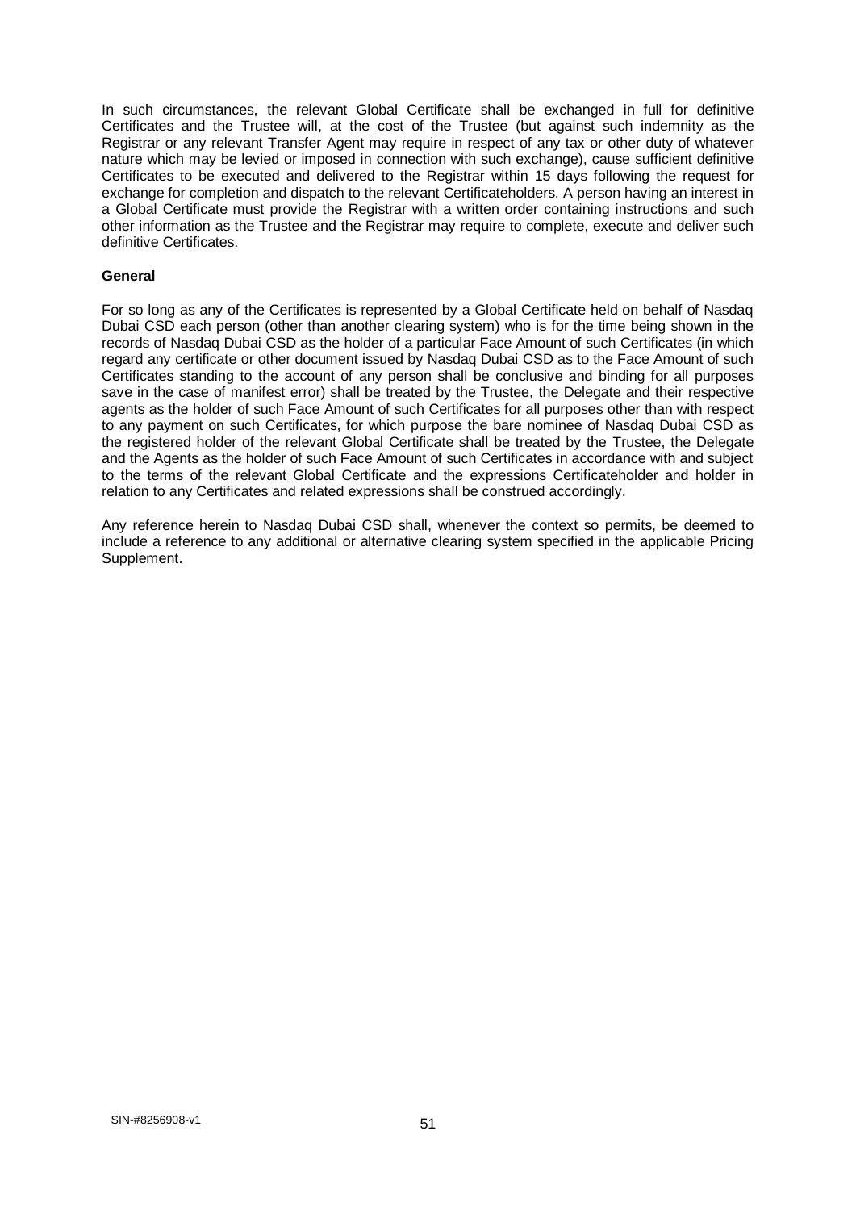In such circumstances, the relevant Global Certificate shall be exchanged in full for definitive Certificates and the Trustee will, at the cost of the Trustee (but against such indemnity as the Registrar or any relevant Transfer Agent may require in respect of any tax or other duty of whatever nature which may be levied or imposed in connection with such exchange), cause sufficient definitive Certificates to be executed and delivered to the Registrar within 15 days following the request for exchange for completion and dispatch to the relevant Certificateholders. A person having an interest in a Global Certificate must provide the Registrar with a written order containing instructions and such other information as the Trustee and the Registrar may require to complete, execute and deliver such definitive Certificates.

## **General**

For so long as any of the Certificates is represented by a Global Certificate held on behalf of Nasdaq Dubai CSD each person (other than another clearing system) who is for the time being shown in the records of Nasdaq Dubai CSD as the holder of a particular Face Amount of such Certificates (in which regard any certificate or other document issued by Nasdaq Dubai CSD as to the Face Amount of such Certificates standing to the account of any person shall be conclusive and binding for all purposes save in the case of manifest error) shall be treated by the Trustee, the Delegate and their respective agents as the holder of such Face Amount of such Certificates for all purposes other than with respect to any payment on such Certificates, for which purpose the bare nominee of Nasdaq Dubai CSD as the registered holder of the relevant Global Certificate shall be treated by the Trustee, the Delegate and the Agents as the holder of such Face Amount of such Certificates in accordance with and subject to the terms of the relevant Global Certificate and the expressions Certificateholder and holder in relation to any Certificates and related expressions shall be construed accordingly.

Any reference herein to Nasdaq Dubai CSD shall, whenever the context so permits, be deemed to include a reference to any additional or alternative clearing system specified in the applicable Pricing Supplement.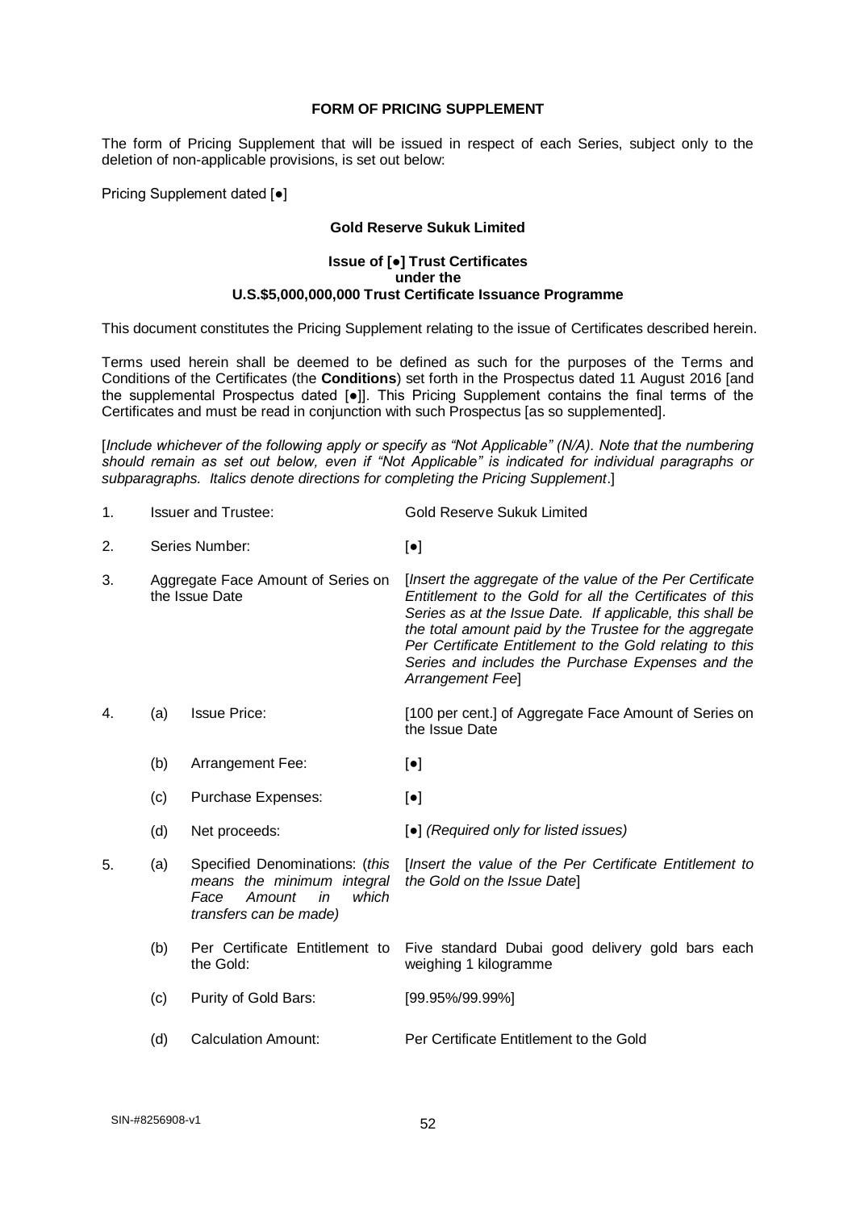### **FORM OF PRICING SUPPLEMENT**

The form of Pricing Supplement that will be issued in respect of each Series, subject only to the deletion of non-applicable provisions, is set out below:

Pricing Supplement dated [●]

## **Gold Reserve Sukuk Limited**

### **Issue of [***●***] Trust Certificates under the U.S.\$5,000,000,000 Trust Certificate Issuance Programme**

This document constitutes the Pricing Supplement relating to the issue of Certificates described herein.

Terms used herein shall be deemed to be defined as such for the purposes of the Terms and Conditions of the Certificates (the **Conditions**) set forth in the Prospectus dated 11 August 2016 [and the supplemental Prospectus dated [●]]. This Pricing Supplement contains the final terms of the Certificates and must be read in conjunction with such Prospectus [as so supplemented].

[*Include whichever of the following apply or specify as "Not Applicable" (N/A). Note that the numbering should remain as set out below, even if "Not Applicable" is indicated for individual paragraphs or subparagraphs. Italics denote directions for completing the Pricing Supplement*.]

| <b>Issuer and Trustee:</b> | Gold Reserve Sukuk Limited |
|----------------------------|----------------------------|
|----------------------------|----------------------------|

- 2. Series Number: [●]
- 3. Aggregate Face Amount of Series on the Issue Date [*Insert the aggregate of the value of the Per Certificate Entitlement to the Gold for all the Certificates of this Series as at the Issue Date. If applicable, this shall be the total amount paid by the Trustee for the aggregate Per Certificate Entitlement to the Gold relating to this Series and includes the Purchase Expenses and the Arrangement Fee*]
- 4. (a) Issue Price: [100 per cent.] of Aggregate Face Amount of Series on the Issue Date
	- (b) Arrangement Fee: [ $\bullet$ ]
	- (c) Purchase Expenses: [●]
	- (d) Net proceeds: [●] *(Required only for listed issues)*
- 5. (a) Specified Denominations: (*this means the minimum integral Face Amount in which transfers can be made)* [*Insert the value of the Per Certificate Entitlement to the Gold on the Issue Date*]
	- (b) Per Certificate Entitlement to the Gold: Five standard Dubai good delivery gold bars each weighing 1 kilogramme
	- (c) Purity of Gold Bars: [99.95%/99.99%]
	- (d) Calculation Amount: Per Certificate Entitlement to the Gold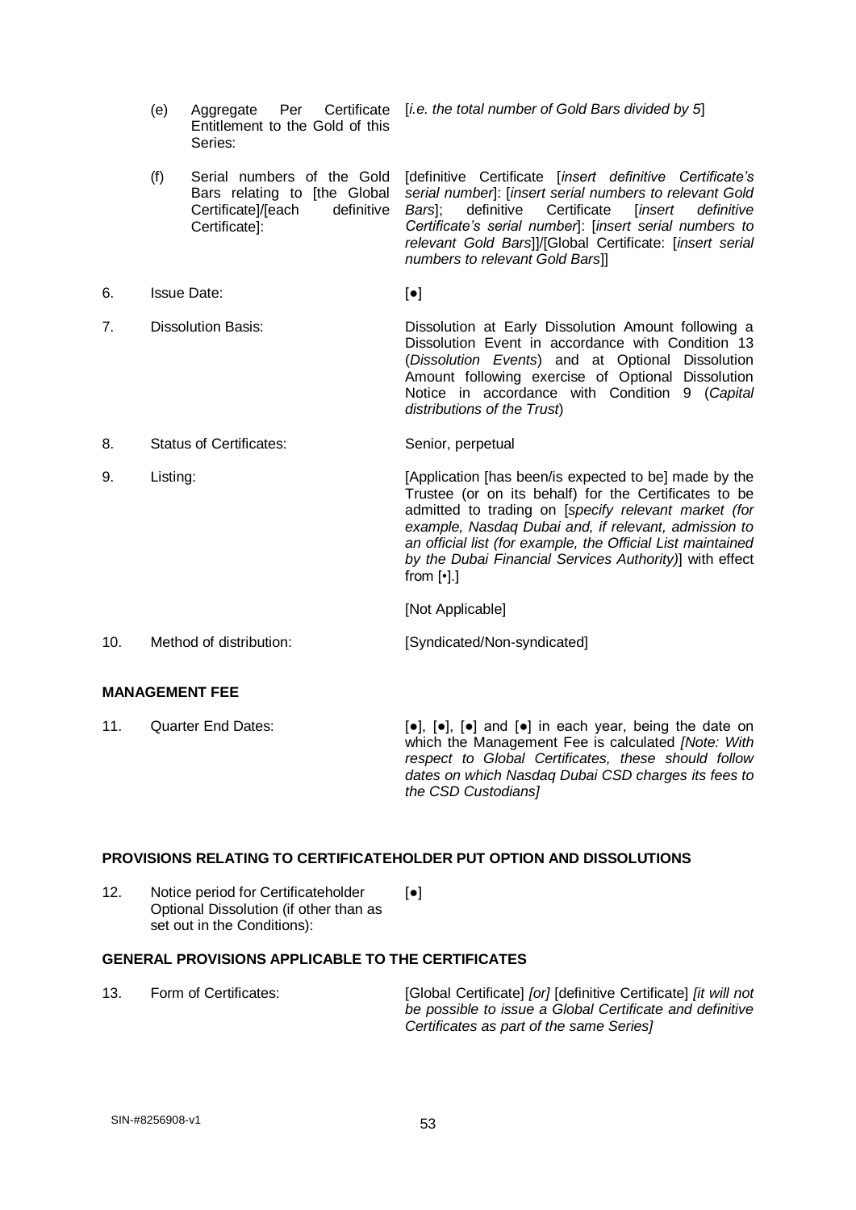|    | (e)                            | Per Certificate<br>Aggregate                                                                                    | [i.e. the total number of Gold Bars divided by 5]                                                                                                                                                                                                                                                                                                                                         |
|----|--------------------------------|-----------------------------------------------------------------------------------------------------------------|-------------------------------------------------------------------------------------------------------------------------------------------------------------------------------------------------------------------------------------------------------------------------------------------------------------------------------------------------------------------------------------------|
|    |                                | Entitlement to the Gold of this<br>Series:                                                                      |                                                                                                                                                                                                                                                                                                                                                                                           |
|    | (f)                            | Serial numbers of the Gold<br>Bars relating to [the Global<br>Certificate]/[each<br>definitive<br>Certificate]: | [definitive Certificate [insert definitive Certificate's<br>serial number]: [insert serial numbers to relevant Gold<br>definitive<br>Certificate<br>[insert<br>Bars];<br>definitive<br>Certificate's serial number]: [insert serial numbers to<br>relevant Gold Bars]]/[Global Certificate: [insert serial<br>numbers to relevant Gold Bars]]                                             |
| 6. | <b>Issue Date:</b>             |                                                                                                                 | $\left[\bullet\right]$                                                                                                                                                                                                                                                                                                                                                                    |
| 7. | <b>Dissolution Basis:</b>      |                                                                                                                 | Dissolution at Early Dissolution Amount following a<br>Dissolution Event in accordance with Condition 13<br>(Dissolution Events) and at Optional Dissolution<br>Amount following exercise of Optional Dissolution<br>Notice in accordance with Condition<br>9 (Capital<br>distributions of the Trust)                                                                                     |
| 8. | <b>Status of Certificates:</b> |                                                                                                                 | Senior, perpetual                                                                                                                                                                                                                                                                                                                                                                         |
| 9. | Listing:                       |                                                                                                                 | [Application [has been/is expected to be] made by the<br>Trustee (or on its behalf) for the Certificates to be<br>admitted to trading on [specify relevant market (for<br>example, Nasdaq Dubai and, if relevant, admission to<br>an official list (for example, the Official List maintained<br>by the Dubai Financial Services Authority)] with effect<br>from $\lceil \cdot \rceil$ .] |

[Not Applicable]

| 10. | Method of distribution: | [Syndicated/Non-syndicated] |
|-----|-------------------------|-----------------------------|
|-----|-------------------------|-----------------------------|

# **MANAGEMENT FEE**

| 11. | Quarter End Dates: | $\lceil \bullet \rceil$ , $\lceil \bullet \rceil$ , $\lceil \bullet \rceil$ and $\lceil \bullet \rceil$ in each year, being the date on |
|-----|--------------------|-----------------------------------------------------------------------------------------------------------------------------------------|
|     |                    | which the Management Fee is calculated <i>[Note: With</i>                                                                               |
|     |                    | respect to Global Certificates, these should follow                                                                                     |
|     |                    | dates on which Nasdag Dubai CSD charges its fees to                                                                                     |
|     |                    | the CSD Custodians                                                                                                                      |

# **PROVISIONS RELATING TO CERTIFICATEHOLDER PUT OPTION AND DISSOLUTIONS**

12. Notice period for Certificateholder Optional Dissolution (if other than as set out in the Conditions): [●]

# **GENERAL PROVISIONS APPLICABLE TO THE CERTIFICATES**

13. Form of Certificates: [Global Certificate] *[or]* [definitive Certificate] *[it will not be possible to issue a Global Certificate and definitive Certificates as part of the same Series]*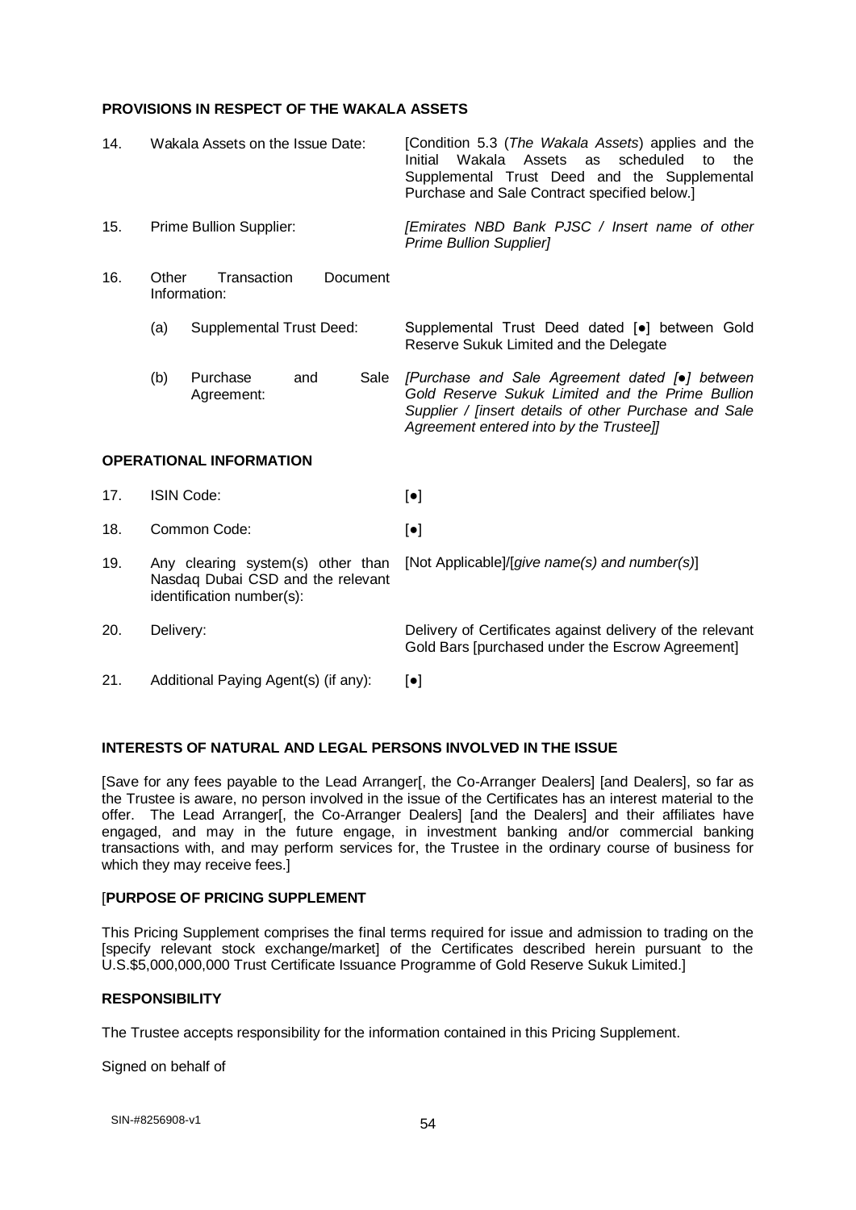### **PROVISIONS IN RESPECT OF THE WAKALA ASSETS**

| 14.                            | Wakala Assets on the Issue Date:                                                                    |                                         | [Condition 5.3 (The Wakala Assets) applies and the<br>Initial<br>Wakala Assets<br>as<br>scheduled<br>to<br>the<br>Supplemental Trust Deed and the Supplemental<br>Purchase and Sale Contract specified below.] |
|--------------------------------|-----------------------------------------------------------------------------------------------------|-----------------------------------------|----------------------------------------------------------------------------------------------------------------------------------------------------------------------------------------------------------------|
| 15.                            | Prime Bullion Supplier:                                                                             |                                         | [Emirates NBD Bank PJSC / Insert name of other<br><b>Prime Bullion Supplier]</b>                                                                                                                               |
| 16.                            | Other                                                                                               | Transaction<br>Document<br>Information: |                                                                                                                                                                                                                |
|                                | (a)                                                                                                 | <b>Supplemental Trust Deed:</b>         | Supplemental Trust Deed dated [•] between Gold<br>Reserve Sukuk Limited and the Delegate                                                                                                                       |
|                                | (b)                                                                                                 | Purchase<br>Sale<br>and<br>Agreement:   | [Purchase and Sale Agreement dated [•] between<br>Gold Reserve Sukuk Limited and the Prime Bullion<br>Supplier / [insert details of other Purchase and Sale<br>Agreement entered into by the Trustee]]         |
| <b>OPERATIONAL INFORMATION</b> |                                                                                                     |                                         |                                                                                                                                                                                                                |
| 17.                            | <b>ISIN Code:</b>                                                                                   |                                         | $[\bullet]$                                                                                                                                                                                                    |
| 18.                            | Common Code:                                                                                        |                                         | $[\bullet]$                                                                                                                                                                                                    |
| 19.                            | Any clearing system(s) other than<br>Nasdaq Dubai CSD and the relevant<br>identification number(s): |                                         | [Not Applicable]/[give name(s) and number(s)]                                                                                                                                                                  |
| 20.                            | Delivery:                                                                                           |                                         | Delivery of Certificates against delivery of the relevant<br>Gold Bars [purchased under the Escrow Agreement]                                                                                                  |
| 21.                            | Additional Paying Agent(s) (if any):                                                                |                                         | $\left[\bullet\right]$                                                                                                                                                                                         |

# **INTERESTS OF NATURAL AND LEGAL PERSONS INVOLVED IN THE ISSUE**

[Save for any fees payable to the Lead Arranger[, the Co-Arranger Dealers] [and Dealers], so far as the Trustee is aware, no person involved in the issue of the Certificates has an interest material to the offer. The Lead Arranger[, the Co-Arranger Dealers] [and the Dealers] and their affiliates have engaged, and may in the future engage, in investment banking and/or commercial banking transactions with, and may perform services for, the Trustee in the ordinary course of business for which they may receive fees.]

### [**PURPOSE OF PRICING SUPPLEMENT**

This Pricing Supplement comprises the final terms required for issue and admission to trading on the [specify relevant stock exchange/market] of the Certificates described herein pursuant to the U.S.\$5,000,000,000 Trust Certificate Issuance Programme of Gold Reserve Sukuk Limited.]

## **RESPONSIBILITY**

The Trustee accepts responsibility for the information contained in this Pricing Supplement.

Signed on behalf of

54 SIN-#8256908-v1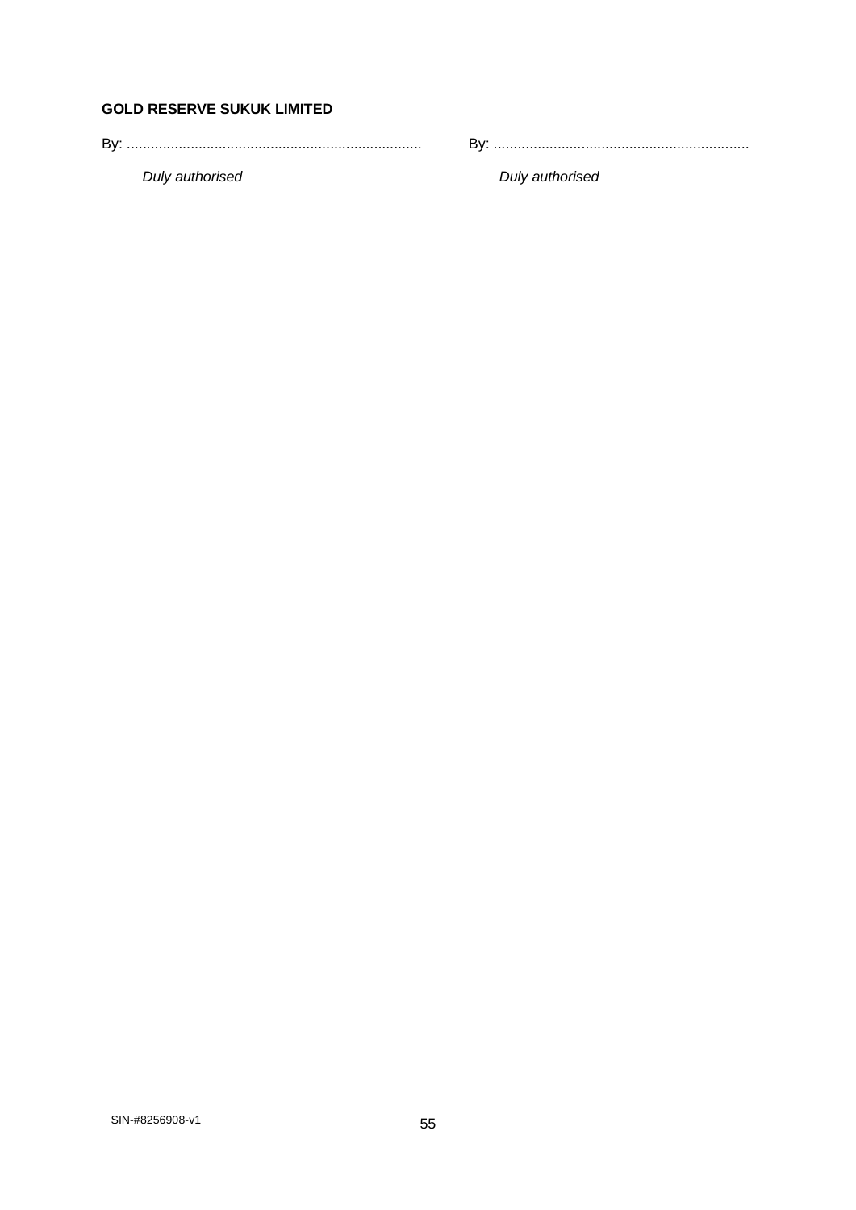# **GOLD RESERVE SUKUK LIMITED**

By: .......................................................................... By: ................................................................

*Duly authorised Duly authorised*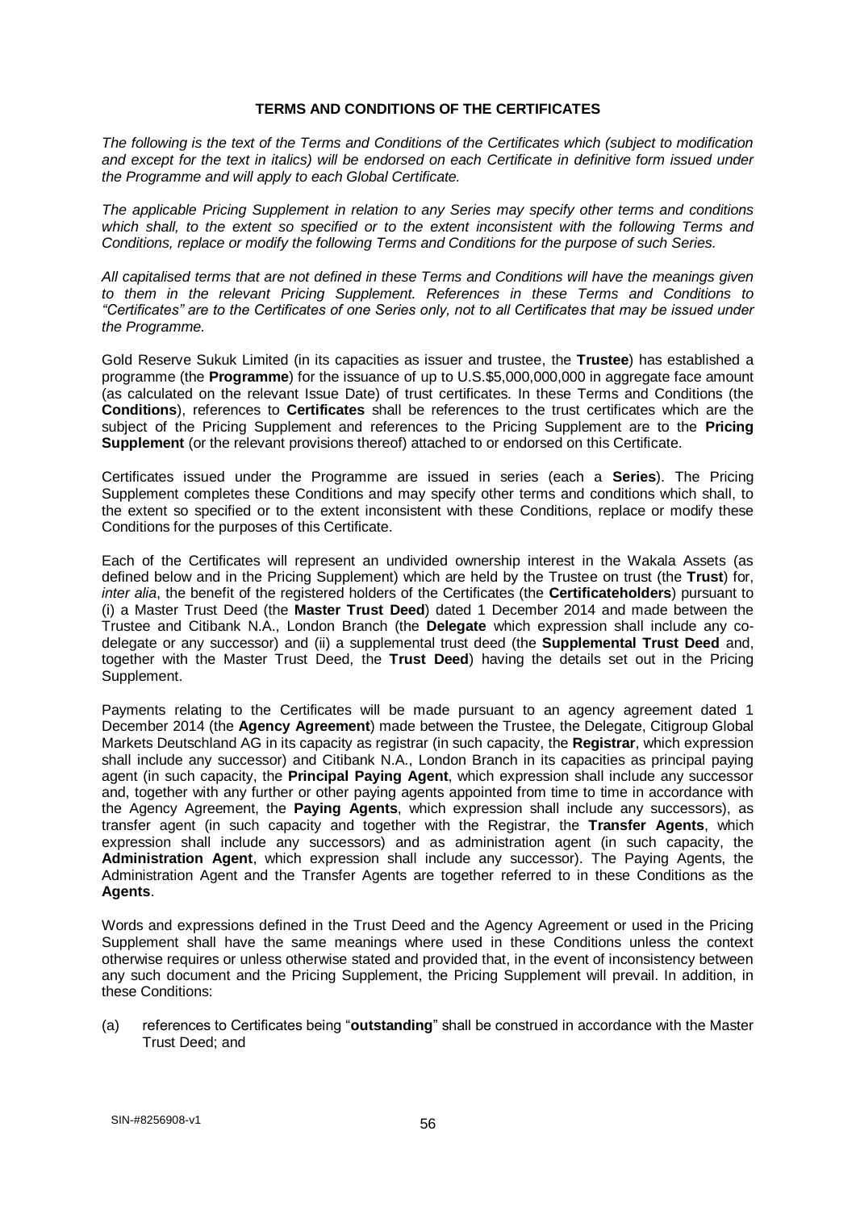### **TERMS AND CONDITIONS OF THE CERTIFICATES**

*The following is the text of the Terms and Conditions of the Certificates which (subject to modification and except for the text in italics) will be endorsed on each Certificate in definitive form issued under the Programme and will apply to each Global Certificate.*

*The applicable Pricing Supplement in relation to any Series may specify other terms and conditions which shall, to the extent so specified or to the extent inconsistent with the following Terms and Conditions, replace or modify the following Terms and Conditions for the purpose of such Series.*

*All capitalised terms that are not defined in these Terms and Conditions will have the meanings given to them in the relevant Pricing Supplement. References in these Terms and Conditions to "Certificates" are to the Certificates of one Series only, not to all Certificates that may be issued under the Programme.*

Gold Reserve Sukuk Limited (in its capacities as issuer and trustee, the **Trustee**) has established a programme (the **Programme**) for the issuance of up to U.S.\$5,000,000,000 in aggregate face amount (as calculated on the relevant Issue Date) of trust certificates. In these Terms and Conditions (the **Conditions**), references to **Certificates** shall be references to the trust certificates which are the subject of the Pricing Supplement and references to the Pricing Supplement are to the **Pricing Supplement** (or the relevant provisions thereof) attached to or endorsed on this Certificate.

Certificates issued under the Programme are issued in series (each a **Series**). The Pricing Supplement completes these Conditions and may specify other terms and conditions which shall, to the extent so specified or to the extent inconsistent with these Conditions, replace or modify these Conditions for the purposes of this Certificate.

Each of the Certificates will represent an undivided ownership interest in the Wakala Assets (as defined below and in the Pricing Supplement) which are held by the Trustee on trust (the **Trust**) for, *inter alia*, the benefit of the registered holders of the Certificates (the **Certificateholders**) pursuant to (i) a Master Trust Deed (the **Master Trust Deed**) dated 1 December 2014 and made between the Trustee and Citibank N.A., London Branch (the **Delegate** which expression shall include any codelegate or any successor) and (ii) a supplemental trust deed (the **Supplemental Trust Deed** and, together with the Master Trust Deed, the **Trust Deed**) having the details set out in the Pricing Supplement.

Payments relating to the Certificates will be made pursuant to an agency agreement dated 1 December 2014 (the **Agency Agreement**) made between the Trustee, the Delegate, Citigroup Global Markets Deutschland AG in its capacity as registrar (in such capacity, the **Registrar**, which expression shall include any successor) and Citibank N.A., London Branch in its capacities as principal paying agent (in such capacity, the **Principal Paying Agent**, which expression shall include any successor and, together with any further or other paying agents appointed from time to time in accordance with the Agency Agreement, the **Paying Agents**, which expression shall include any successors), as transfer agent (in such capacity and together with the Registrar, the **Transfer Agents**, which expression shall include any successors) and as administration agent (in such capacity, the **Administration Agent**, which expression shall include any successor). The Paying Agents, the Administration Agent and the Transfer Agents are together referred to in these Conditions as the **Agents**.

Words and expressions defined in the Trust Deed and the Agency Agreement or used in the Pricing Supplement shall have the same meanings where used in these Conditions unless the context otherwise requires or unless otherwise stated and provided that, in the event of inconsistency between any such document and the Pricing Supplement, the Pricing Supplement will prevail. In addition, in these Conditions:

(a) references to Certificates being "**outstanding**" shall be construed in accordance with the Master Trust Deed; and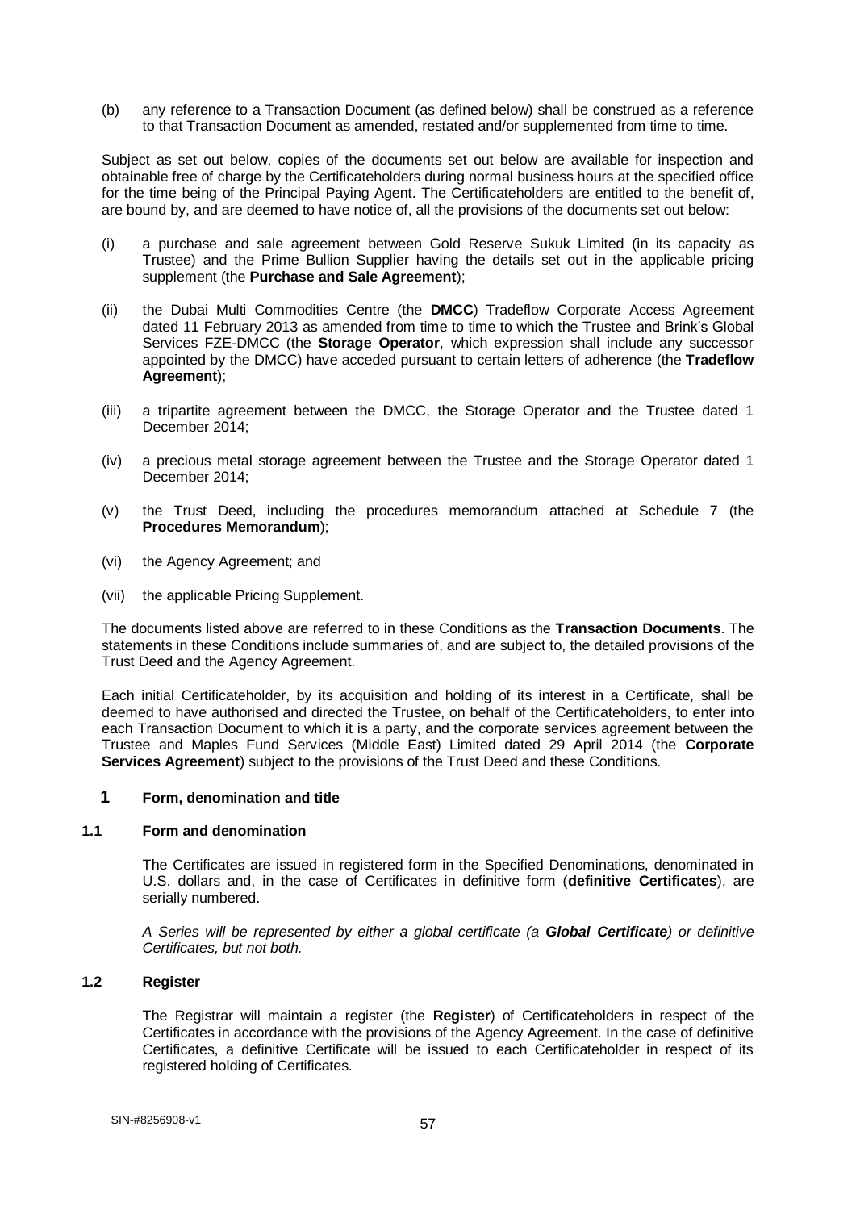(b) any reference to a Transaction Document (as defined below) shall be construed as a reference to that Transaction Document as amended, restated and/or supplemented from time to time.

Subject as set out below, copies of the documents set out below are available for inspection and obtainable free of charge by the Certificateholders during normal business hours at the specified office for the time being of the Principal Paying Agent. The Certificateholders are entitled to the benefit of, are bound by, and are deemed to have notice of, all the provisions of the documents set out below:

- (i) a purchase and sale agreement between Gold Reserve Sukuk Limited (in its capacity as Trustee) and the Prime Bullion Supplier having the details set out in the applicable pricing supplement (the **Purchase and Sale Agreement**);
- (ii) the Dubai Multi Commodities Centre (the **DMCC**) Tradeflow Corporate Access Agreement dated 11 February 2013 as amended from time to time to which the Trustee and Brink's Global Services FZE-DMCC (the **Storage Operator**, which expression shall include any successor appointed by the DMCC) have acceded pursuant to certain letters of adherence (the **Tradeflow Agreement**);
- (iii) a tripartite agreement between the DMCC, the Storage Operator and the Trustee dated 1 December 2014;
- (iv) a precious metal storage agreement between the Trustee and the Storage Operator dated 1 December 2014;
- (v) the Trust Deed, including the procedures memorandum attached at Schedule 7 (the **Procedures Memorandum**);
- (vi) the Agency Agreement; and
- (vii) the applicable Pricing Supplement.

The documents listed above are referred to in these Conditions as the **Transaction Documents**. The statements in these Conditions include summaries of, and are subject to, the detailed provisions of the Trust Deed and the Agency Agreement.

Each initial Certificateholder, by its acquisition and holding of its interest in a Certificate, shall be deemed to have authorised and directed the Trustee, on behalf of the Certificateholders, to enter into each Transaction Document to which it is a party, and the corporate services agreement between the Trustee and Maples Fund Services (Middle East) Limited dated 29 April 2014 (the **Corporate Services Agreement**) subject to the provisions of the Trust Deed and these Conditions.

## **1 Form, denomination and title**

### **1.1 Form and denomination**

The Certificates are issued in registered form in the Specified Denominations, denominated in U.S. dollars and, in the case of Certificates in definitive form (**definitive Certificates**), are serially numbered.

*A Series will be represented by either a global certificate (a Global Certificate) or definitive Certificates, but not both.*

# **1.2 Register**

The Registrar will maintain a register (the **Register**) of Certificateholders in respect of the Certificates in accordance with the provisions of the Agency Agreement. In the case of definitive Certificates, a definitive Certificate will be issued to each Certificateholder in respect of its registered holding of Certificates.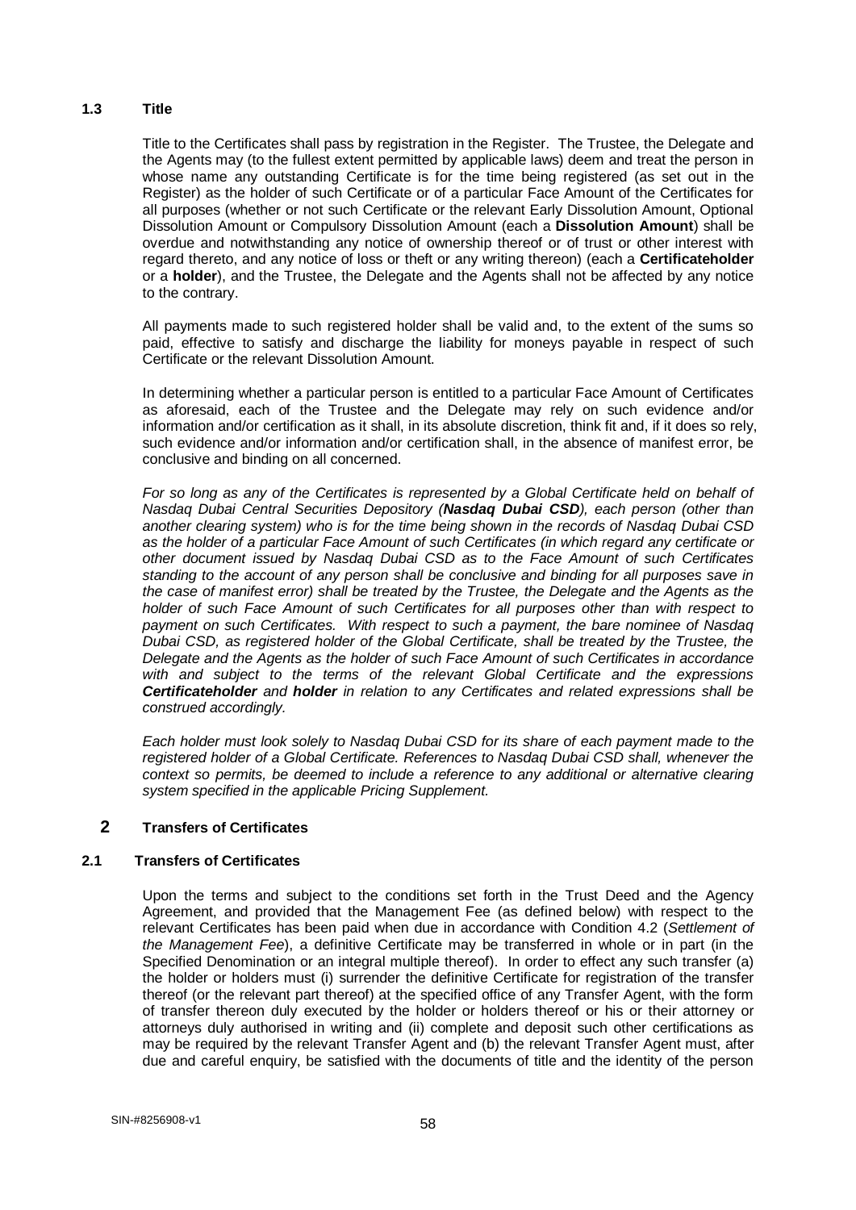# **1.3 Title**

Title to the Certificates shall pass by registration in the Register. The Trustee, the Delegate and the Agents may (to the fullest extent permitted by applicable laws) deem and treat the person in whose name any outstanding Certificate is for the time being registered (as set out in the Register) as the holder of such Certificate or of a particular Face Amount of the Certificates for all purposes (whether or not such Certificate or the relevant Early Dissolution Amount, Optional Dissolution Amount or Compulsory Dissolution Amount (each a **Dissolution Amount**) shall be overdue and notwithstanding any notice of ownership thereof or of trust or other interest with regard thereto, and any notice of loss or theft or any writing thereon) (each a **Certificateholder**  or a **holder**), and the Trustee, the Delegate and the Agents shall not be affected by any notice to the contrary.

All payments made to such registered holder shall be valid and, to the extent of the sums so paid, effective to satisfy and discharge the liability for moneys payable in respect of such Certificate or the relevant Dissolution Amount.

In determining whether a particular person is entitled to a particular Face Amount of Certificates as aforesaid, each of the Trustee and the Delegate may rely on such evidence and/or information and/or certification as it shall, in its absolute discretion, think fit and, if it does so rely, such evidence and/or information and/or certification shall, in the absence of manifest error, be conclusive and binding on all concerned.

*For so long as any of the Certificates is represented by a Global Certificate held on behalf of Nasdaq Dubai Central Securities Depository (Nasdaq Dubai CSD), each person (other than another clearing system) who is for the time being shown in the records of Nasdaq Dubai CSD as the holder of a particular Face Amount of such Certificates (in which regard any certificate or other document issued by Nasdaq Dubai CSD as to the Face Amount of such Certificates standing to the account of any person shall be conclusive and binding for all purposes save in the case of manifest error) shall be treated by the Trustee, the Delegate and the Agents as the holder of such Face Amount of such Certificates for all purposes other than with respect to payment on such Certificates. With respect to such a payment, the bare nominee of Nasdaq Dubai CSD, as registered holder of the Global Certificate, shall be treated by the Trustee, the Delegate and the Agents as the holder of such Face Amount of such Certificates in accordance with and subject to the terms of the relevant Global Certificate and the expressions Certificateholder and holder in relation to any Certificates and related expressions shall be construed accordingly.* 

*Each holder must look solely to Nasdaq Dubai CSD for its share of each payment made to the registered holder of a Global Certificate. References to Nasdaq Dubai CSD shall, whenever the context so permits, be deemed to include a reference to any additional or alternative clearing system specified in the applicable Pricing Supplement.*

# **2 Transfers of Certificates**

# **2.1 Transfers of Certificates**

Upon the terms and subject to the conditions set forth in the Trust Deed and the Agency Agreement, and provided that the Management Fee (as defined below) with respect to the relevant Certificates has been paid when due in accordance with Condition 4.2 (*Settlement of the Management Fee*), a definitive Certificate may be transferred in whole or in part (in the Specified Denomination or an integral multiple thereof). In order to effect any such transfer (a) the holder or holders must (i) surrender the definitive Certificate for registration of the transfer thereof (or the relevant part thereof) at the specified office of any Transfer Agent, with the form of transfer thereon duly executed by the holder or holders thereof or his or their attorney or attorneys duly authorised in writing and (ii) complete and deposit such other certifications as may be required by the relevant Transfer Agent and (b) the relevant Transfer Agent must, after due and careful enquiry, be satisfied with the documents of title and the identity of the person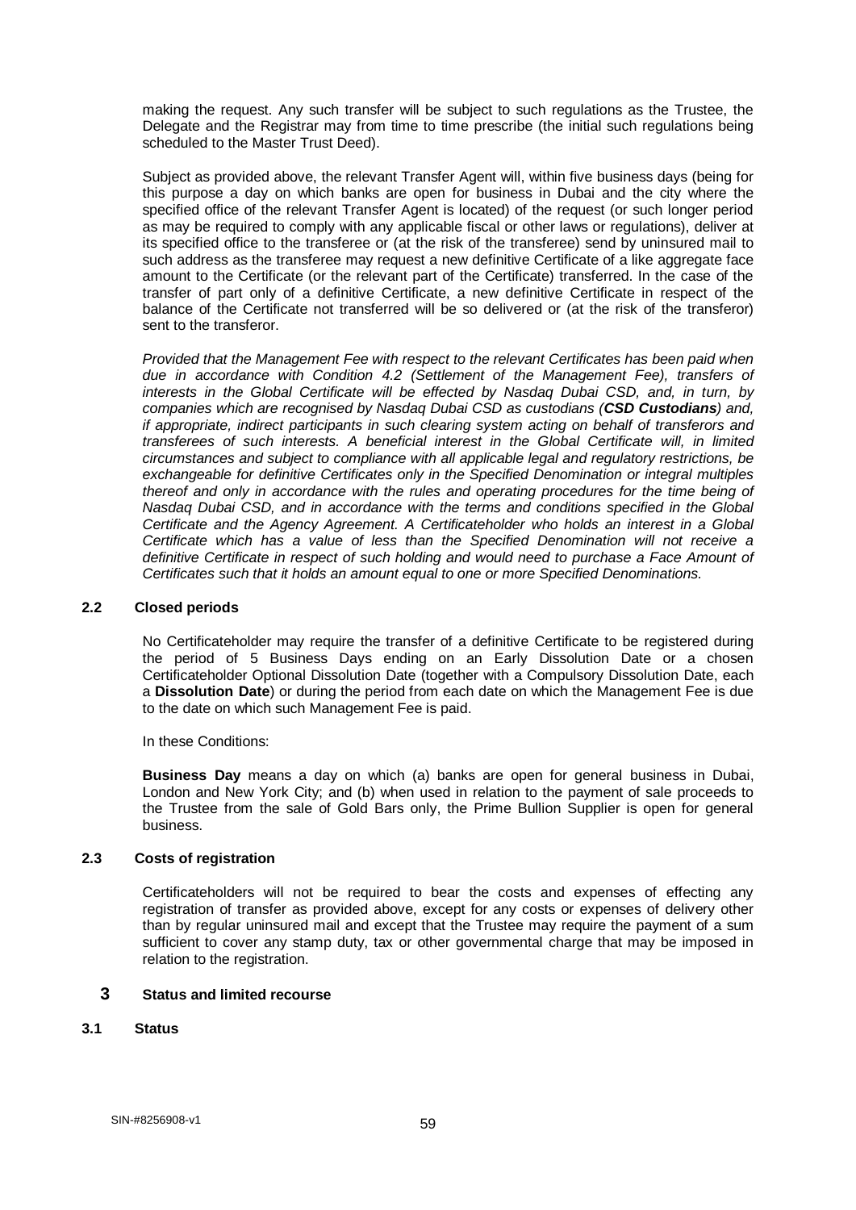making the request. Any such transfer will be subject to such regulations as the Trustee, the Delegate and the Registrar may from time to time prescribe (the initial such regulations being scheduled to the Master Trust Deed).

Subject as provided above, the relevant Transfer Agent will, within five business days (being for this purpose a day on which banks are open for business in Dubai and the city where the specified office of the relevant Transfer Agent is located) of the request (or such longer period as may be required to comply with any applicable fiscal or other laws or regulations), deliver at its specified office to the transferee or (at the risk of the transferee) send by uninsured mail to such address as the transferee may request a new definitive Certificate of a like aggregate face amount to the Certificate (or the relevant part of the Certificate) transferred. In the case of the transfer of part only of a definitive Certificate, a new definitive Certificate in respect of the balance of the Certificate not transferred will be so delivered or (at the risk of the transferor) sent to the transferor.

*Provided that the Management Fee with respect to the relevant Certificates has been paid when due in accordance with Condition 4.2 (Settlement of the Management Fee), transfers of interests in the Global Certificate will be effected by Nasdaq Dubai CSD, and, in turn, by companies which are recognised by Nasdaq Dubai CSD as custodians (CSD Custodians) and, if appropriate, indirect participants in such clearing system acting on behalf of transferors and transferees of such interests. A beneficial interest in the Global Certificate will, in limited circumstances and subject to compliance with all applicable legal and regulatory restrictions, be exchangeable for definitive Certificates only in the Specified Denomination or integral multiples thereof and only in accordance with the rules and operating procedures for the time being of Nasdaq Dubai CSD, and in accordance with the terms and conditions specified in the Global Certificate and the Agency Agreement. A Certificateholder who holds an interest in a Global Certificate which has a value of less than the Specified Denomination will not receive a*  definitive Certificate in respect of such holding and would need to purchase a Face Amount of *Certificates such that it holds an amount equal to one or more Specified Denominations.*

### **2.2 Closed periods**

No Certificateholder may require the transfer of a definitive Certificate to be registered during the period of 5 Business Days ending on an Early Dissolution Date or a chosen Certificateholder Optional Dissolution Date (together with a Compulsory Dissolution Date, each a **Dissolution Date**) or during the period from each date on which the Management Fee is due to the date on which such Management Fee is paid.

In these Conditions:

**Business Day** means a day on which (a) banks are open for general business in Dubai, London and New York City; and (b) when used in relation to the payment of sale proceeds to the Trustee from the sale of Gold Bars only, the Prime Bullion Supplier is open for general business.

## **2.3 Costs of registration**

Certificateholders will not be required to bear the costs and expenses of effecting any registration of transfer as provided above, except for any costs or expenses of delivery other than by regular uninsured mail and except that the Trustee may require the payment of a sum sufficient to cover any stamp duty, tax or other governmental charge that may be imposed in relation to the registration.

## **3 Status and limited recourse**

## **3.1 Status**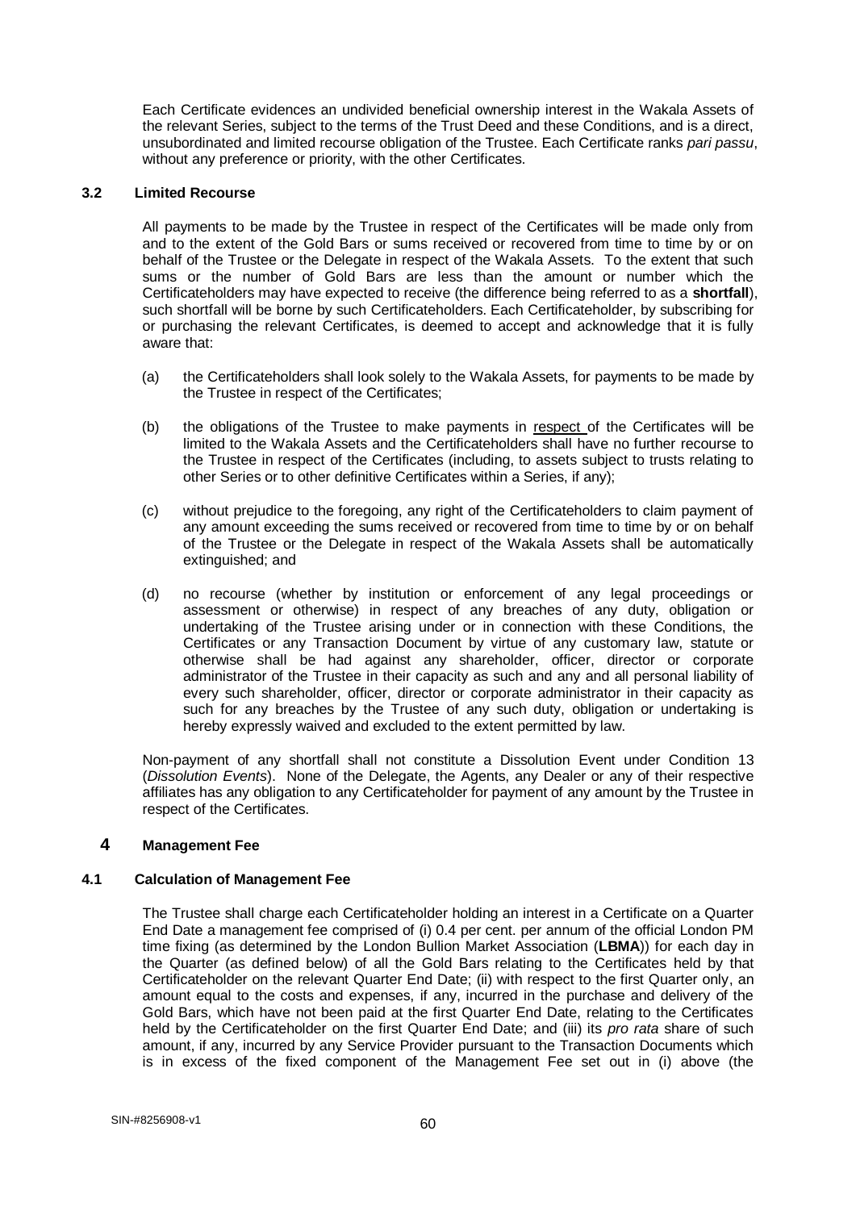Each Certificate evidences an undivided beneficial ownership interest in the Wakala Assets of the relevant Series, subject to the terms of the Trust Deed and these Conditions, and is a direct, unsubordinated and limited recourse obligation of the Trustee. Each Certificate ranks *pari passu*, without any preference or priority, with the other Certificates.

### **3.2 Limited Recourse**

All payments to be made by the Trustee in respect of the Certificates will be made only from and to the extent of the Gold Bars or sums received or recovered from time to time by or on behalf of the Trustee or the Delegate in respect of the Wakala Assets. To the extent that such sums or the number of Gold Bars are less than the amount or number which the Certificateholders may have expected to receive (the difference being referred to as a **shortfall**), such shortfall will be borne by such Certificateholders. Each Certificateholder, by subscribing for or purchasing the relevant Certificates, is deemed to accept and acknowledge that it is fully aware that:

- (a) the Certificateholders shall look solely to the Wakala Assets, for payments to be made by the Trustee in respect of the Certificates;
- (b) the obligations of the Trustee to make payments in respect of the Certificates will be limited to the Wakala Assets and the Certificateholders shall have no further recourse to the Trustee in respect of the Certificates (including, to assets subject to trusts relating to other Series or to other definitive Certificates within a Series, if any);
- (c) without prejudice to the foregoing, any right of the Certificateholders to claim payment of any amount exceeding the sums received or recovered from time to time by or on behalf of the Trustee or the Delegate in respect of the Wakala Assets shall be automatically extinguished; and
- (d) no recourse (whether by institution or enforcement of any legal proceedings or assessment or otherwise) in respect of any breaches of any duty, obligation or undertaking of the Trustee arising under or in connection with these Conditions, the Certificates or any Transaction Document by virtue of any customary law, statute or otherwise shall be had against any shareholder, officer, director or corporate administrator of the Trustee in their capacity as such and any and all personal liability of every such shareholder, officer, director or corporate administrator in their capacity as such for any breaches by the Trustee of any such duty, obligation or undertaking is hereby expressly waived and excluded to the extent permitted by law.

Non-payment of any shortfall shall not constitute a Dissolution Event under Condition 13 (*Dissolution Events*). None of the Delegate, the Agents, any Dealer or any of their respective affiliates has any obligation to any Certificateholder for payment of any amount by the Trustee in respect of the Certificates.

## **4 Management Fee**

### **4.1 Calculation of Management Fee**

The Trustee shall charge each Certificateholder holding an interest in a Certificate on a Quarter End Date a management fee comprised of (i) 0.4 per cent. per annum of the official London PM time fixing (as determined by the London Bullion Market Association (**LBMA**)) for each day in the Quarter (as defined below) of all the Gold Bars relating to the Certificates held by that Certificateholder on the relevant Quarter End Date; (ii) with respect to the first Quarter only, an amount equal to the costs and expenses, if any, incurred in the purchase and delivery of the Gold Bars, which have not been paid at the first Quarter End Date, relating to the Certificates held by the Certificateholder on the first Quarter End Date; and (iii) its *pro rata* share of such amount, if any, incurred by any Service Provider pursuant to the Transaction Documents which is in excess of the fixed component of the Management Fee set out in (i) above (the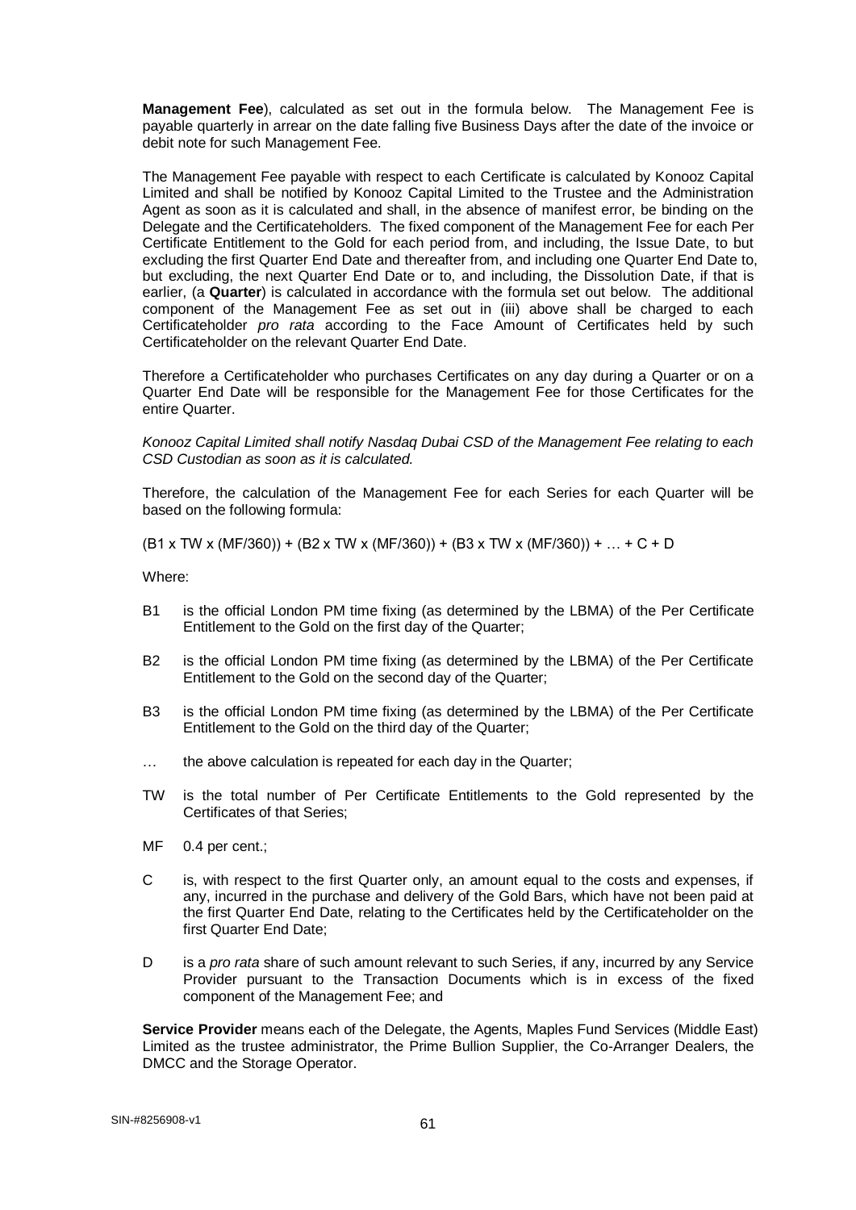**Management Fee**), calculated as set out in the formula below. The Management Fee is payable quarterly in arrear on the date falling five Business Days after the date of the invoice or debit note for such Management Fee.

The Management Fee payable with respect to each Certificate is calculated by Konooz Capital Limited and shall be notified by Konooz Capital Limited to the Trustee and the Administration Agent as soon as it is calculated and shall, in the absence of manifest error, be binding on the Delegate and the Certificateholders. The fixed component of the Management Fee for each Per Certificate Entitlement to the Gold for each period from, and including, the Issue Date, to but excluding the first Quarter End Date and thereafter from, and including one Quarter End Date to, but excluding, the next Quarter End Date or to, and including, the Dissolution Date, if that is earlier, (a **Quarter**) is calculated in accordance with the formula set out below. The additional component of the Management Fee as set out in (iii) above shall be charged to each Certificateholder *pro rata* according to the Face Amount of Certificates held by such Certificateholder on the relevant Quarter End Date.

Therefore a Certificateholder who purchases Certificates on any day during a Quarter or on a Quarter End Date will be responsible for the Management Fee for those Certificates for the entire Quarter.

*Konooz Capital Limited shall notify Nasdaq Dubai CSD of the Management Fee relating to each CSD Custodian as soon as it is calculated.* 

Therefore, the calculation of the Management Fee for each Series for each Quarter will be based on the following formula:

(B1 x TW x (MF/360)) + (B2 x TW x (MF/360)) + (B3 x TW x (MF/360)) + … + C + D

Where:

- B1 is the official London PM time fixing (as determined by the LBMA) of the Per Certificate Entitlement to the Gold on the first day of the Quarter;
- B2 is the official London PM time fixing (as determined by the LBMA) of the Per Certificate Entitlement to the Gold on the second day of the Quarter;
- B3 is the official London PM time fixing (as determined by the LBMA) of the Per Certificate Entitlement to the Gold on the third day of the Quarter;
- … the above calculation is repeated for each day in the Quarter;
- TW is the total number of Per Certificate Entitlements to the Gold represented by the Certificates of that Series;
- MF 0.4 per cent.;
- C is, with respect to the first Quarter only, an amount equal to the costs and expenses, if any, incurred in the purchase and delivery of the Gold Bars, which have not been paid at the first Quarter End Date, relating to the Certificates held by the Certificateholder on the first Quarter End Date;
- D is a *pro rata* share of such amount relevant to such Series, if any, incurred by any Service Provider pursuant to the Transaction Documents which is in excess of the fixed component of the Management Fee; and

**Service Provider** means each of the Delegate, the Agents, Maples Fund Services (Middle East) Limited as the trustee administrator, the Prime Bullion Supplier, the Co-Arranger Dealers, the DMCC and the Storage Operator.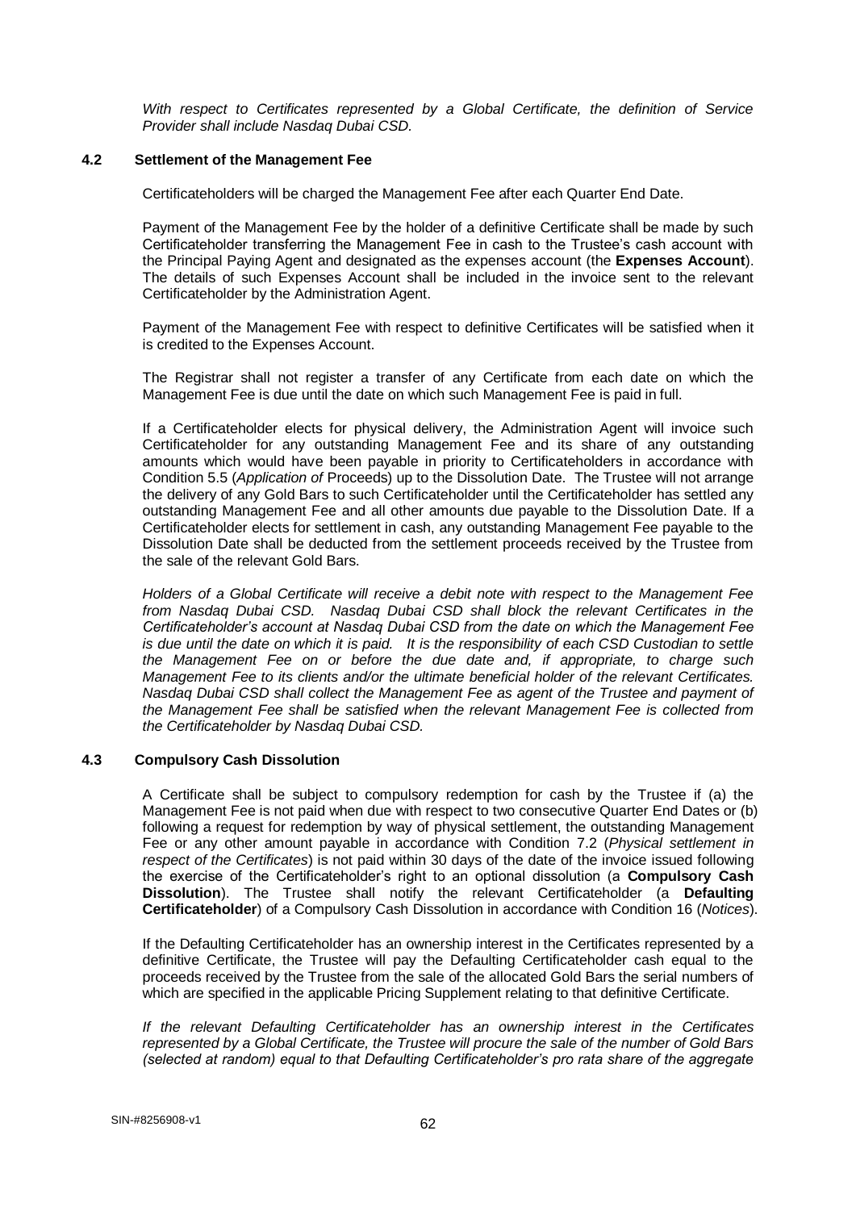*With respect to Certificates represented by a Global Certificate, the definition of Service Provider shall include Nasdaq Dubai CSD.*

## **4.2 Settlement of the Management Fee**

Certificateholders will be charged the Management Fee after each Quarter End Date.

Payment of the Management Fee by the holder of a definitive Certificate shall be made by such Certificateholder transferring the Management Fee in cash to the Trustee's cash account with the Principal Paying Agent and designated as the expenses account (the **Expenses Account**). The details of such Expenses Account shall be included in the invoice sent to the relevant Certificateholder by the Administration Agent.

Payment of the Management Fee with respect to definitive Certificates will be satisfied when it is credited to the Expenses Account.

The Registrar shall not register a transfer of any Certificate from each date on which the Management Fee is due until the date on which such Management Fee is paid in full.

If a Certificateholder elects for physical delivery, the Administration Agent will invoice such Certificateholder for any outstanding Management Fee and its share of any outstanding amounts which would have been payable in priority to Certificateholders in accordance with Condition 5.5 (*Application of* Proceeds) up to the Dissolution Date. The Trustee will not arrange the delivery of any Gold Bars to such Certificateholder until the Certificateholder has settled any outstanding Management Fee and all other amounts due payable to the Dissolution Date. If a Certificateholder elects for settlement in cash, any outstanding Management Fee payable to the Dissolution Date shall be deducted from the settlement proceeds received by the Trustee from the sale of the relevant Gold Bars.

*Holders of a Global Certificate will receive a debit note with respect to the Management Fee from Nasdaq Dubai CSD. Nasdaq Dubai CSD shall block the relevant Certificates in the Certificateholder's account at Nasdaq Dubai CSD from the date on which the Management Fee is due until the date on which it is paid. It is the responsibility of each CSD Custodian to settle the Management Fee on or before the due date and, if appropriate, to charge such Management Fee to its clients and/or the ultimate beneficial holder of the relevant Certificates. Nasdaq Dubai CSD shall collect the Management Fee as agent of the Trustee and payment of the Management Fee shall be satisfied when the relevant Management Fee is collected from the Certificateholder by Nasdaq Dubai CSD.*

## **4.3 Compulsory Cash Dissolution**

A Certificate shall be subject to compulsory redemption for cash by the Trustee if (a) the Management Fee is not paid when due with respect to two consecutive Quarter End Dates or (b) following a request for redemption by way of physical settlement, the outstanding Management Fee or any other amount payable in accordance with Condition 7.2 (*Physical settlement in respect of the Certificates*) is not paid within 30 days of the date of the invoice issued following the exercise of the Certificateholder's right to an optional dissolution (a **Compulsory Cash Dissolution**). The Trustee shall notify the relevant Certificateholder (a **Defaulting Certificateholder**) of a Compulsory Cash Dissolution in accordance with Condition 16 (*Notices*).

If the Defaulting Certificateholder has an ownership interest in the Certificates represented by a definitive Certificate, the Trustee will pay the Defaulting Certificateholder cash equal to the proceeds received by the Trustee from the sale of the allocated Gold Bars the serial numbers of which are specified in the applicable Pricing Supplement relating to that definitive Certificate.

*If the relevant Defaulting Certificateholder has an ownership interest in the Certificates represented by a Global Certificate, the Trustee will procure the sale of the number of Gold Bars (selected at random) equal to that Defaulting Certificateholder's pro rata share of the aggregate*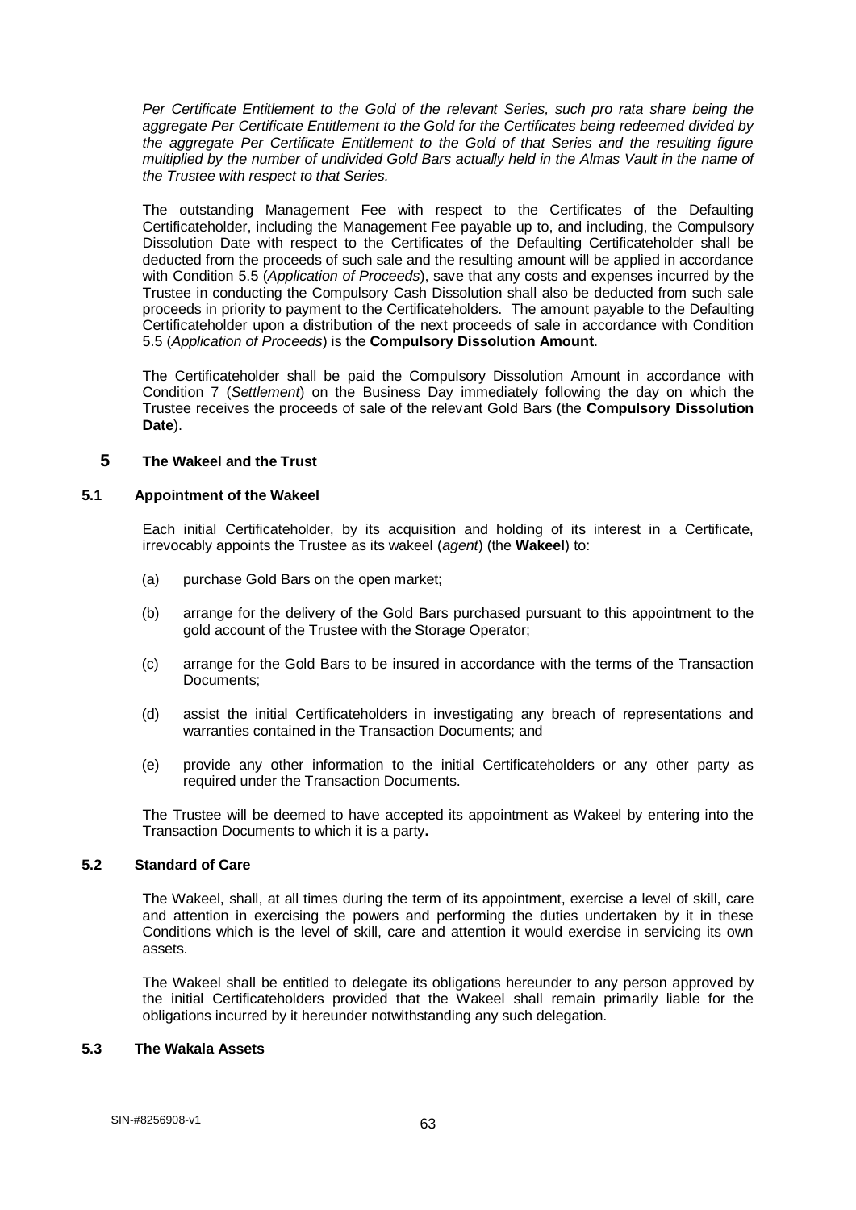*Per Certificate Entitlement to the Gold of the relevant Series, such pro rata share being the aggregate Per Certificate Entitlement to the Gold for the Certificates being redeemed divided by the aggregate Per Certificate Entitlement to the Gold of that Series and the resulting figure multiplied by the number of undivided Gold Bars actually held in the Almas Vault in the name of the Trustee with respect to that Series.*

The outstanding Management Fee with respect to the Certificates of the Defaulting Certificateholder, including the Management Fee payable up to, and including, the Compulsory Dissolution Date with respect to the Certificates of the Defaulting Certificateholder shall be deducted from the proceeds of such sale and the resulting amount will be applied in accordance with Condition 5.5 (*Application of Proceeds*), save that any costs and expenses incurred by the Trustee in conducting the Compulsory Cash Dissolution shall also be deducted from such sale proceeds in priority to payment to the Certificateholders. The amount payable to the Defaulting Certificateholder upon a distribution of the next proceeds of sale in accordance with Condition 5.5 (*Application of Proceeds*) is the **Compulsory Dissolution Amount**.

The Certificateholder shall be paid the Compulsory Dissolution Amount in accordance with Condition 7 (*Settlement*) on the Business Day immediately following the day on which the Trustee receives the proceeds of sale of the relevant Gold Bars (the **Compulsory Dissolution Date**).

### **5 The Wakeel and the Trust**

### **5.1 Appointment of the Wakeel**

Each initial Certificateholder, by its acquisition and holding of its interest in a Certificate, irrevocably appoints the Trustee as its wakeel (*agent*) (the **Wakeel**) to:

- (a) purchase Gold Bars on the open market;
- (b) arrange for the delivery of the Gold Bars purchased pursuant to this appointment to the gold account of the Trustee with the Storage Operator;
- (c) arrange for the Gold Bars to be insured in accordance with the terms of the Transaction Documents;
- (d) assist the initial Certificateholders in investigating any breach of representations and warranties contained in the Transaction Documents; and
- (e) provide any other information to the initial Certificateholders or any other party as required under the Transaction Documents.

The Trustee will be deemed to have accepted its appointment as Wakeel by entering into the Transaction Documents to which it is a party**.**

## **5.2 Standard of Care**

The Wakeel, shall, at all times during the term of its appointment, exercise a level of skill, care and attention in exercising the powers and performing the duties undertaken by it in these Conditions which is the level of skill, care and attention it would exercise in servicing its own assets.

The Wakeel shall be entitled to delegate its obligations hereunder to any person approved by the initial Certificateholders provided that the Wakeel shall remain primarily liable for the obligations incurred by it hereunder notwithstanding any such delegation.

## **5.3 The Wakala Assets**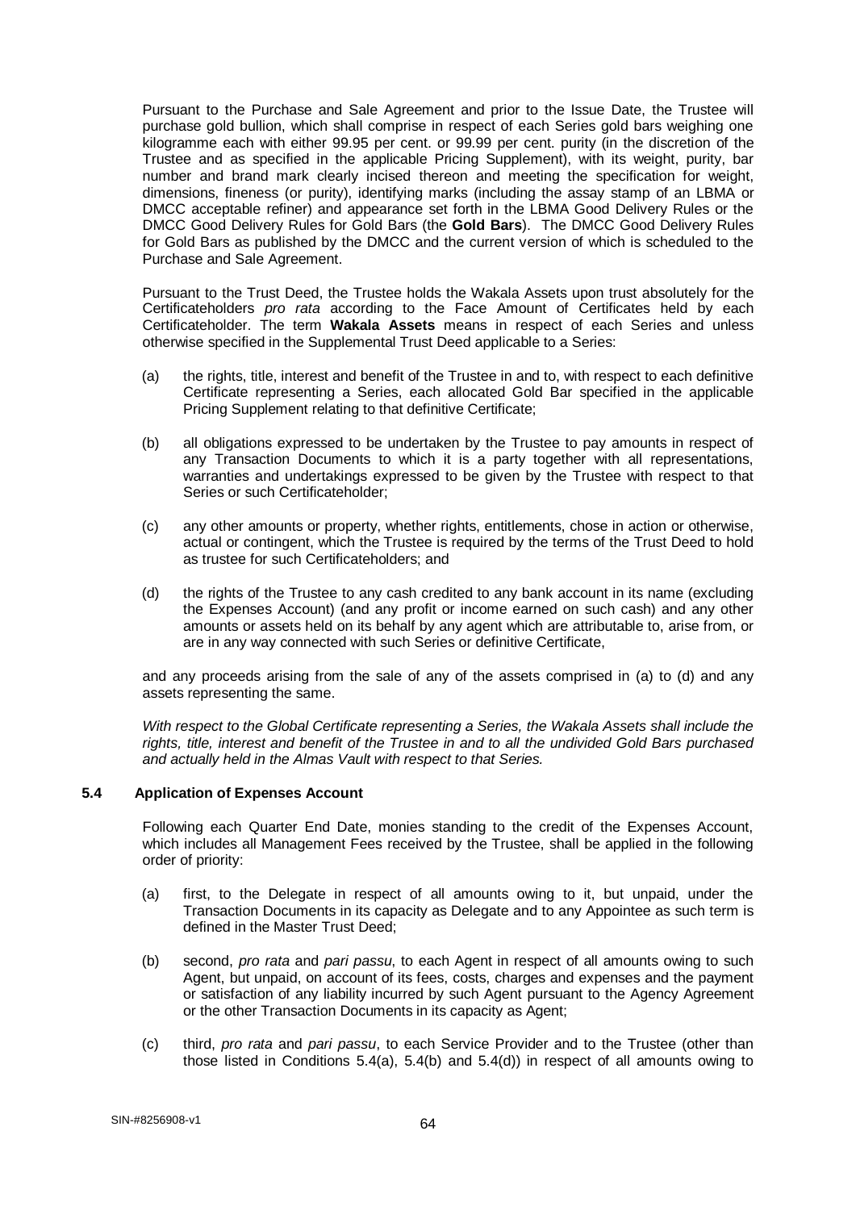Pursuant to the Purchase and Sale Agreement and prior to the Issue Date, the Trustee will purchase gold bullion, which shall comprise in respect of each Series gold bars weighing one kilogramme each with either 99.95 per cent. or 99.99 per cent. purity (in the discretion of the Trustee and as specified in the applicable Pricing Supplement), with its weight, purity, bar number and brand mark clearly incised thereon and meeting the specification for weight, dimensions, fineness (or purity), identifying marks (including the assay stamp of an LBMA or DMCC acceptable refiner) and appearance set forth in the LBMA Good Delivery Rules or the DMCC Good Delivery Rules for Gold Bars (the **Gold Bars**). The DMCC Good Delivery Rules for Gold Bars as published by the DMCC and the current version of which is scheduled to the Purchase and Sale Agreement.

Pursuant to the Trust Deed, the Trustee holds the Wakala Assets upon trust absolutely for the Certificateholders *pro rata* according to the Face Amount of Certificates held by each Certificateholder. The term **Wakala Assets** means in respect of each Series and unless otherwise specified in the Supplemental Trust Deed applicable to a Series:

- (a) the rights, title, interest and benefit of the Trustee in and to, with respect to each definitive Certificate representing a Series, each allocated Gold Bar specified in the applicable Pricing Supplement relating to that definitive Certificate;
- (b) all obligations expressed to be undertaken by the Trustee to pay amounts in respect of any Transaction Documents to which it is a party together with all representations, warranties and undertakings expressed to be given by the Trustee with respect to that Series or such Certificateholder;
- (c) any other amounts or property, whether rights, entitlements, chose in action or otherwise, actual or contingent, which the Trustee is required by the terms of the Trust Deed to hold as trustee for such Certificateholders; and
- (d) the rights of the Trustee to any cash credited to any bank account in its name (excluding the Expenses Account) (and any profit or income earned on such cash) and any other amounts or assets held on its behalf by any agent which are attributable to, arise from, or are in any way connected with such Series or definitive Certificate,

and any proceeds arising from the sale of any of the assets comprised in (a) to (d) and any assets representing the same.

*With respect to the Global Certificate representing a Series, the Wakala Assets shall include the rights, title, interest and benefit of the Trustee in and to all the undivided Gold Bars purchased and actually held in the Almas Vault with respect to that Series.*

## **5.4 Application of Expenses Account**

Following each Quarter End Date, monies standing to the credit of the Expenses Account, which includes all Management Fees received by the Trustee, shall be applied in the following order of priority:

- (a) first, to the Delegate in respect of all amounts owing to it, but unpaid, under the Transaction Documents in its capacity as Delegate and to any Appointee as such term is defined in the Master Trust Deed;
- (b) second, *pro rata* and *pari passu*, to each Agent in respect of all amounts owing to such Agent, but unpaid, on account of its fees, costs, charges and expenses and the payment or satisfaction of any liability incurred by such Agent pursuant to the Agency Agreement or the other Transaction Documents in its capacity as Agent;
- (c) third, *pro rata* and *pari passu*, to each Service Provider and to the Trustee (other than those listed in Conditions  $5.4(a)$ ,  $5.4(b)$  and  $5.4(d)$ ) in respect of all amounts owing to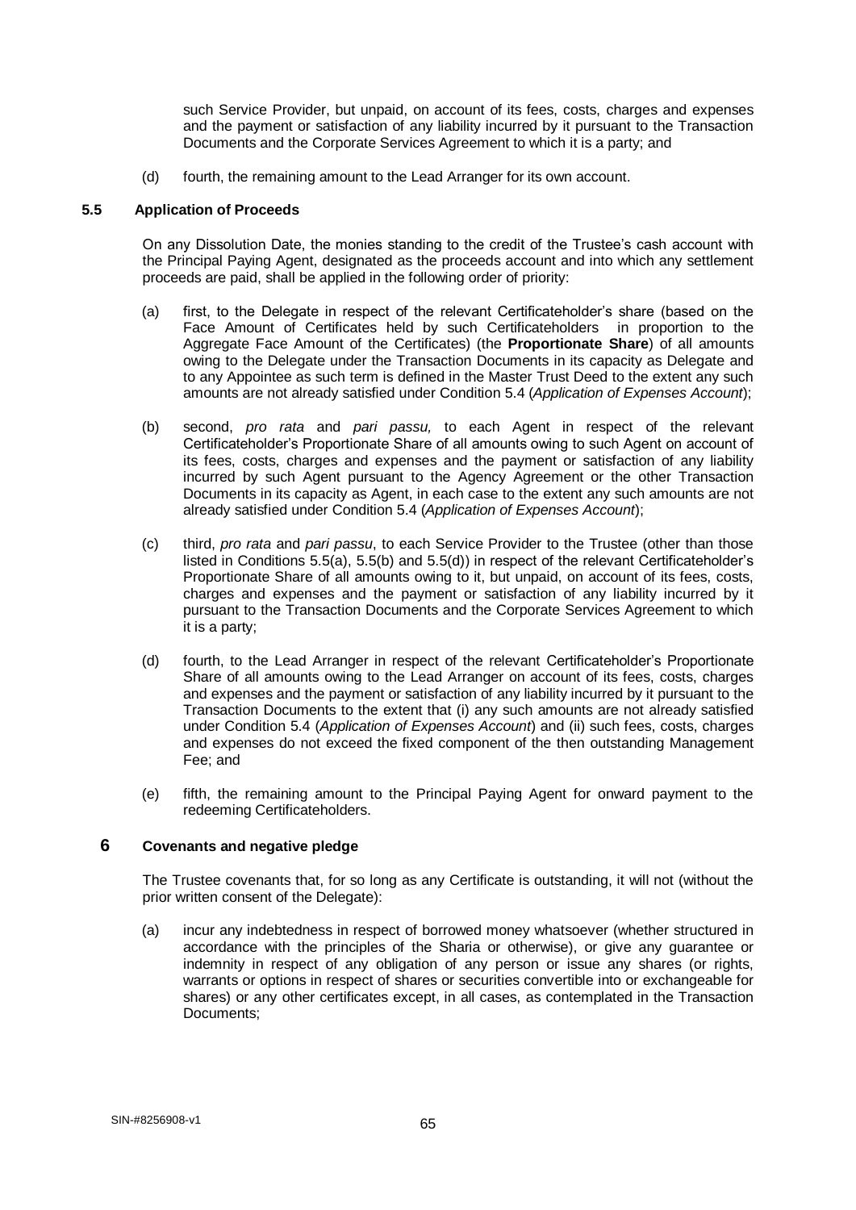such Service Provider, but unpaid, on account of its fees, costs, charges and expenses and the payment or satisfaction of any liability incurred by it pursuant to the Transaction Documents and the Corporate Services Agreement to which it is a party; and

(d) fourth, the remaining amount to the Lead Arranger for its own account.

### **5.5 Application of Proceeds**

On any Dissolution Date, the monies standing to the credit of the Trustee's cash account with the Principal Paying Agent, designated as the proceeds account and into which any settlement proceeds are paid, shall be applied in the following order of priority:

- (a) first, to the Delegate in respect of the relevant Certificateholder's share (based on the Face Amount of Certificates held by such Certificateholders in proportion to the Aggregate Face Amount of the Certificates) (the **Proportionate Share**) of all amounts owing to the Delegate under the Transaction Documents in its capacity as Delegate and to any Appointee as such term is defined in the Master Trust Deed to the extent any such amounts are not already satisfied under Condition 5.4 (*Application of Expenses Account*);
- (b) second, *pro rata* and *pari passu,* to each Agent in respect of the relevant Certificateholder's Proportionate Share of all amounts owing to such Agent on account of its fees, costs, charges and expenses and the payment or satisfaction of any liability incurred by such Agent pursuant to the Agency Agreement or the other Transaction Documents in its capacity as Agent, in each case to the extent any such amounts are not already satisfied under Condition 5.4 (*Application of Expenses Account*);
- (c) third, *pro rata* and *pari passu*, to each Service Provider to the Trustee (other than those listed in Conditions 5.5(a), 5.5(b) and 5.5(d)) in respect of the relevant Certificateholder's Proportionate Share of all amounts owing to it, but unpaid, on account of its fees, costs, charges and expenses and the payment or satisfaction of any liability incurred by it pursuant to the Transaction Documents and the Corporate Services Agreement to which it is a party;
- (d) fourth, to the Lead Arranger in respect of the relevant Certificateholder's Proportionate Share of all amounts owing to the Lead Arranger on account of its fees, costs, charges and expenses and the payment or satisfaction of any liability incurred by it pursuant to the Transaction Documents to the extent that (i) any such amounts are not already satisfied under Condition 5.4 (*Application of Expenses Account*) and (ii) such fees, costs, charges and expenses do not exceed the fixed component of the then outstanding Management Fee; and
- (e) fifth, the remaining amount to the Principal Paying Agent for onward payment to the redeeming Certificateholders.

## **6 Covenants and negative pledge**

The Trustee covenants that, for so long as any Certificate is outstanding, it will not (without the prior written consent of the Delegate):

(a) incur any indebtedness in respect of borrowed money whatsoever (whether structured in accordance with the principles of the Sharia or otherwise), or give any guarantee or indemnity in respect of any obligation of any person or issue any shares (or rights, warrants or options in respect of shares or securities convertible into or exchangeable for shares) or any other certificates except, in all cases, as contemplated in the Transaction Documents;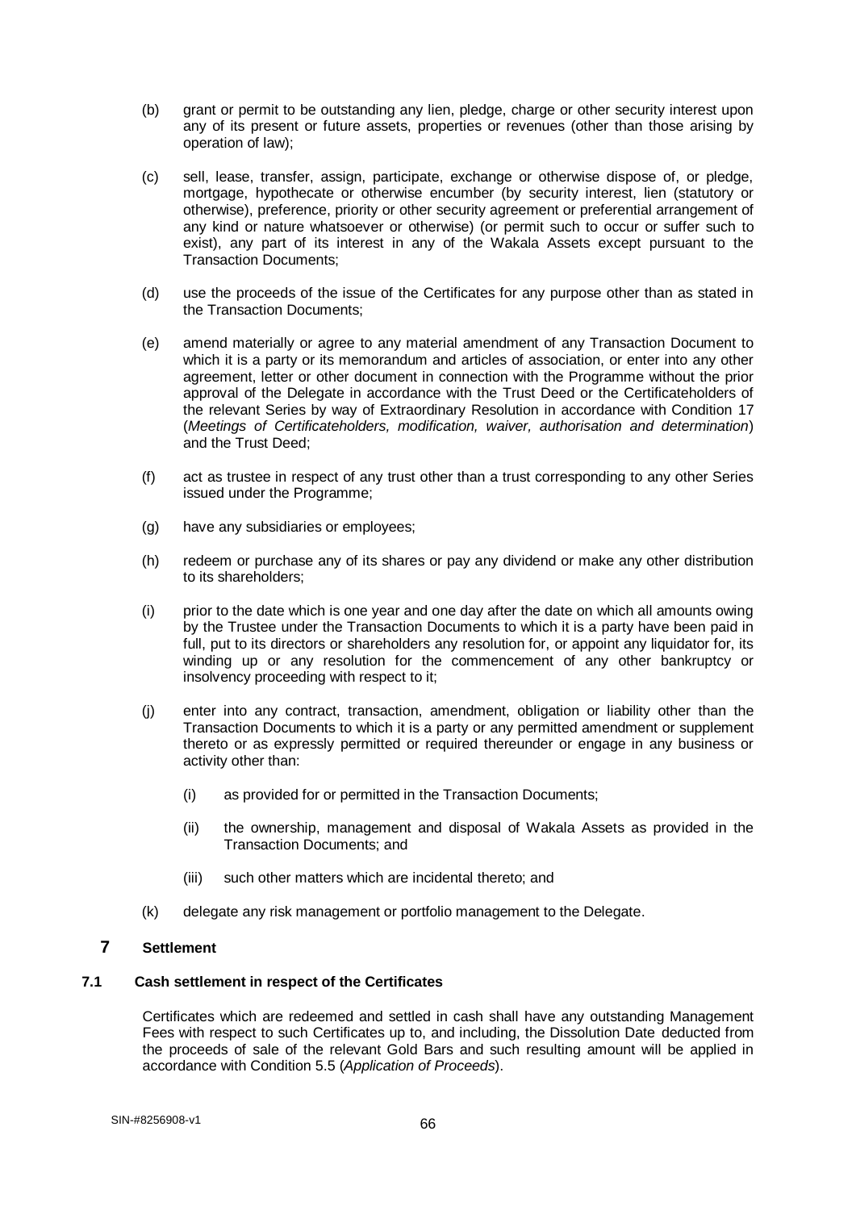- (b) grant or permit to be outstanding any lien, pledge, charge or other security interest upon any of its present or future assets, properties or revenues (other than those arising by operation of law);
- (c) sell, lease, transfer, assign, participate, exchange or otherwise dispose of, or pledge, mortgage, hypothecate or otherwise encumber (by security interest, lien (statutory or otherwise), preference, priority or other security agreement or preferential arrangement of any kind or nature whatsoever or otherwise) (or permit such to occur or suffer such to exist), any part of its interest in any of the Wakala Assets except pursuant to the Transaction Documents;
- (d) use the proceeds of the issue of the Certificates for any purpose other than as stated in the Transaction Documents;
- (e) amend materially or agree to any material amendment of any Transaction Document to which it is a party or its memorandum and articles of association, or enter into any other agreement, letter or other document in connection with the Programme without the prior approval of the Delegate in accordance with the Trust Deed or the Certificateholders of the relevant Series by way of Extraordinary Resolution in accordance with Condition 17 (*Meetings of Certificateholders, modification, waiver, authorisation and determination*) and the Trust Deed;
- (f) act as trustee in respect of any trust other than a trust corresponding to any other Series issued under the Programme;
- (g) have any subsidiaries or employees;
- (h) redeem or purchase any of its shares or pay any dividend or make any other distribution to its shareholders;
- (i) prior to the date which is one year and one day after the date on which all amounts owing by the Trustee under the Transaction Documents to which it is a party have been paid in full, put to its directors or shareholders any resolution for, or appoint any liquidator for, its winding up or any resolution for the commencement of any other bankruptcy or insolvency proceeding with respect to it;
- (j) enter into any contract, transaction, amendment, obligation or liability other than the Transaction Documents to which it is a party or any permitted amendment or supplement thereto or as expressly permitted or required thereunder or engage in any business or activity other than:
	- (i) as provided for or permitted in the Transaction Documents;
	- (ii) the ownership, management and disposal of Wakala Assets as provided in the Transaction Documents; and
	- (iii) such other matters which are incidental thereto; and
- (k) delegate any risk management or portfolio management to the Delegate.

# **7 Settlement**

## **7.1 Cash settlement in respect of the Certificates**

Certificates which are redeemed and settled in cash shall have any outstanding Management Fees with respect to such Certificates up to, and including, the Dissolution Date deducted from the proceeds of sale of the relevant Gold Bars and such resulting amount will be applied in accordance with Condition 5.5 (*Application of Proceeds*).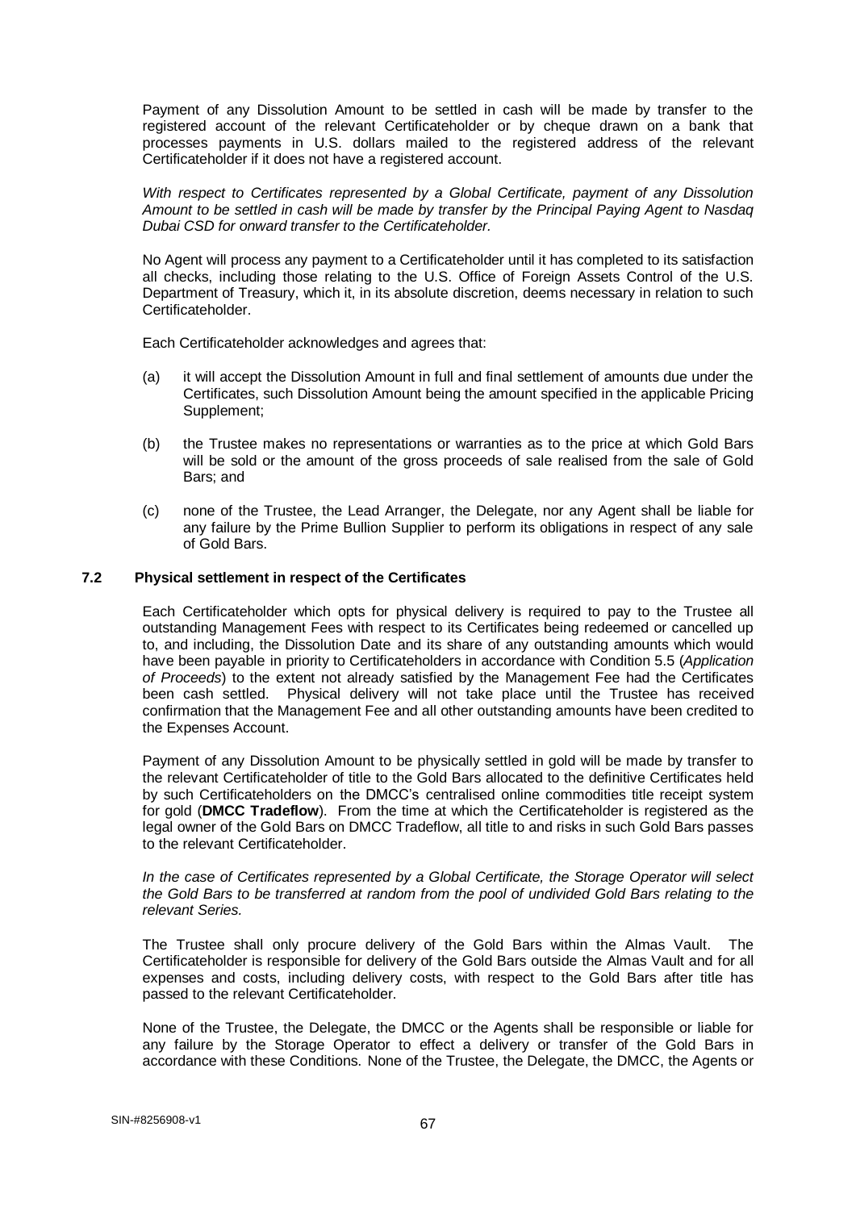Payment of any Dissolution Amount to be settled in cash will be made by transfer to the registered account of the relevant Certificateholder or by cheque drawn on a bank that processes payments in U.S. dollars mailed to the registered address of the relevant Certificateholder if it does not have a registered account.

*With respect to Certificates represented by a Global Certificate, payment of any Dissolution Amount to be settled in cash will be made by transfer by the Principal Paying Agent to Nasdaq Dubai CSD for onward transfer to the Certificateholder.* 

No Agent will process any payment to a Certificateholder until it has completed to its satisfaction all checks, including those relating to the U.S. Office of Foreign Assets Control of the U.S. Department of Treasury, which it, in its absolute discretion, deems necessary in relation to such Certificateholder.

Each Certificateholder acknowledges and agrees that:

- (a) it will accept the Dissolution Amount in full and final settlement of amounts due under the Certificates, such Dissolution Amount being the amount specified in the applicable Pricing Supplement;
- (b) the Trustee makes no representations or warranties as to the price at which Gold Bars will be sold or the amount of the gross proceeds of sale realised from the sale of Gold Bars; and
- (c) none of the Trustee, the Lead Arranger, the Delegate, nor any Agent shall be liable for any failure by the Prime Bullion Supplier to perform its obligations in respect of any sale of Gold Bars.

## **7.2 Physical settlement in respect of the Certificates**

Each Certificateholder which opts for physical delivery is required to pay to the Trustee all outstanding Management Fees with respect to its Certificates being redeemed or cancelled up to, and including, the Dissolution Date and its share of any outstanding amounts which would have been payable in priority to Certificateholders in accordance with Condition 5.5 (*Application of Proceeds*) to the extent not already satisfied by the Management Fee had the Certificates been cash settled. Physical delivery will not take place until the Trustee has received confirmation that the Management Fee and all other outstanding amounts have been credited to the Expenses Account.

Payment of any Dissolution Amount to be physically settled in gold will be made by transfer to the relevant Certificateholder of title to the Gold Bars allocated to the definitive Certificates held by such Certificateholders on the DMCC's centralised online commodities title receipt system for gold (**DMCC Tradeflow**). From the time at which the Certificateholder is registered as the legal owner of the Gold Bars on DMCC Tradeflow, all title to and risks in such Gold Bars passes to the relevant Certificateholder.

*In the case of Certificates represented by a Global Certificate, the Storage Operator will select the Gold Bars to be transferred at random from the pool of undivided Gold Bars relating to the relevant Series.*

The Trustee shall only procure delivery of the Gold Bars within the Almas Vault. The Certificateholder is responsible for delivery of the Gold Bars outside the Almas Vault and for all expenses and costs, including delivery costs, with respect to the Gold Bars after title has passed to the relevant Certificateholder.

None of the Trustee, the Delegate, the DMCC or the Agents shall be responsible or liable for any failure by the Storage Operator to effect a delivery or transfer of the Gold Bars in accordance with these Conditions. None of the Trustee, the Delegate, the DMCC, the Agents or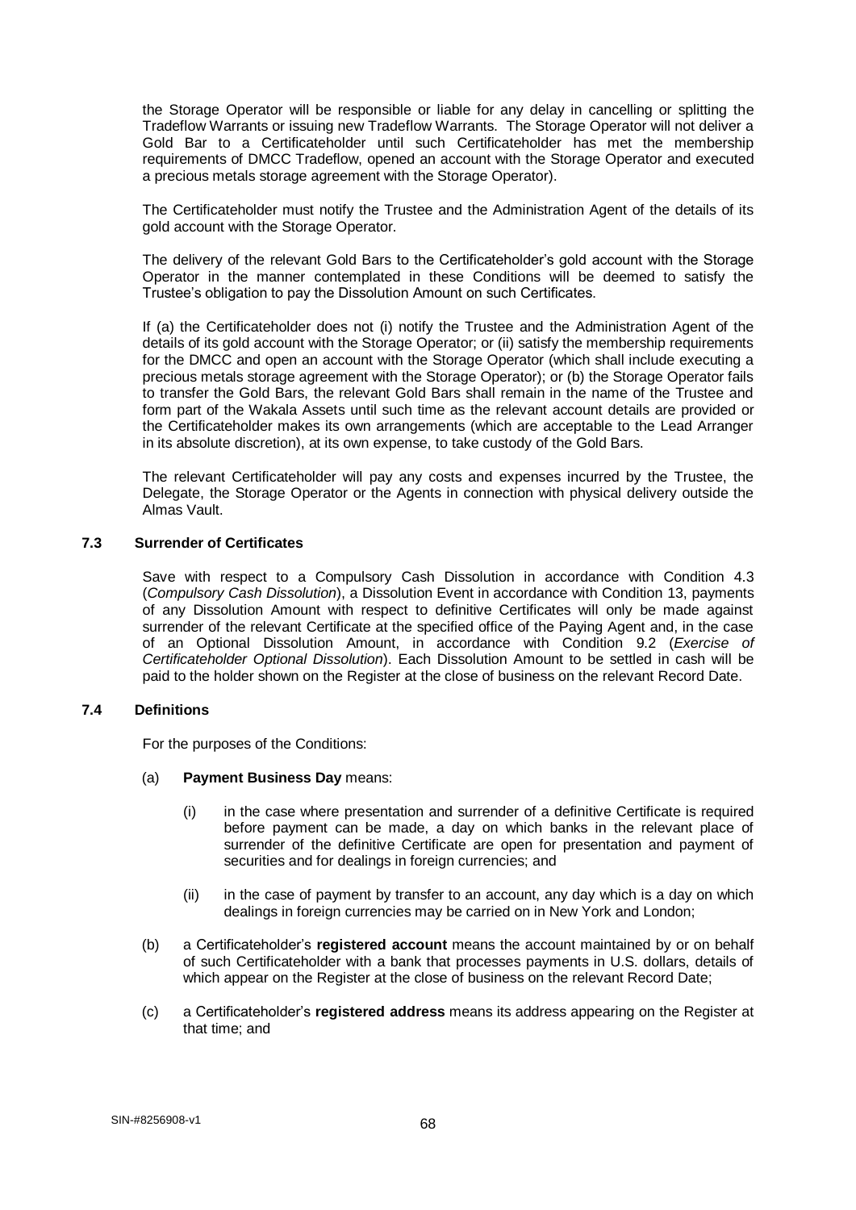the Storage Operator will be responsible or liable for any delay in cancelling or splitting the Tradeflow Warrants or issuing new Tradeflow Warrants. The Storage Operator will not deliver a Gold Bar to a Certificateholder until such Certificateholder has met the membership requirements of DMCC Tradeflow, opened an account with the Storage Operator and executed a precious metals storage agreement with the Storage Operator).

The Certificateholder must notify the Trustee and the Administration Agent of the details of its gold account with the Storage Operator.

The delivery of the relevant Gold Bars to the Certificateholder's gold account with the Storage Operator in the manner contemplated in these Conditions will be deemed to satisfy the Trustee's obligation to pay the Dissolution Amount on such Certificates.

If (a) the Certificateholder does not (i) notify the Trustee and the Administration Agent of the details of its gold account with the Storage Operator; or (ii) satisfy the membership requirements for the DMCC and open an account with the Storage Operator (which shall include executing a precious metals storage agreement with the Storage Operator); or (b) the Storage Operator fails to transfer the Gold Bars, the relevant Gold Bars shall remain in the name of the Trustee and form part of the Wakala Assets until such time as the relevant account details are provided or the Certificateholder makes its own arrangements (which are acceptable to the Lead Arranger in its absolute discretion), at its own expense, to take custody of the Gold Bars.

The relevant Certificateholder will pay any costs and expenses incurred by the Trustee, the Delegate, the Storage Operator or the Agents in connection with physical delivery outside the Almas Vault.

### **7.3 Surrender of Certificates**

Save with respect to a Compulsory Cash Dissolution in accordance with Condition 4.3 (*Compulsory Cash Dissolution*), a Dissolution Event in accordance with Condition 13, payments of any Dissolution Amount with respect to definitive Certificates will only be made against surrender of the relevant Certificate at the specified office of the Paying Agent and, in the case of an Optional Dissolution Amount, in accordance with Condition 9.2 (*Exercise of Certificateholder Optional Dissolution*). Each Dissolution Amount to be settled in cash will be paid to the holder shown on the Register at the close of business on the relevant Record Date.

### **7.4 Definitions**

For the purposes of the Conditions:

### (a) **Payment Business Day** means:

- (i) in the case where presentation and surrender of a definitive Certificate is required before payment can be made, a day on which banks in the relevant place of surrender of the definitive Certificate are open for presentation and payment of securities and for dealings in foreign currencies; and
- (ii) in the case of payment by transfer to an account, any day which is a day on which dealings in foreign currencies may be carried on in New York and London;
- (b) a Certificateholder's **registered account** means the account maintained by or on behalf of such Certificateholder with a bank that processes payments in U.S. dollars, details of which appear on the Register at the close of business on the relevant Record Date;
- (c) a Certificateholder's **registered address** means its address appearing on the Register at that time; and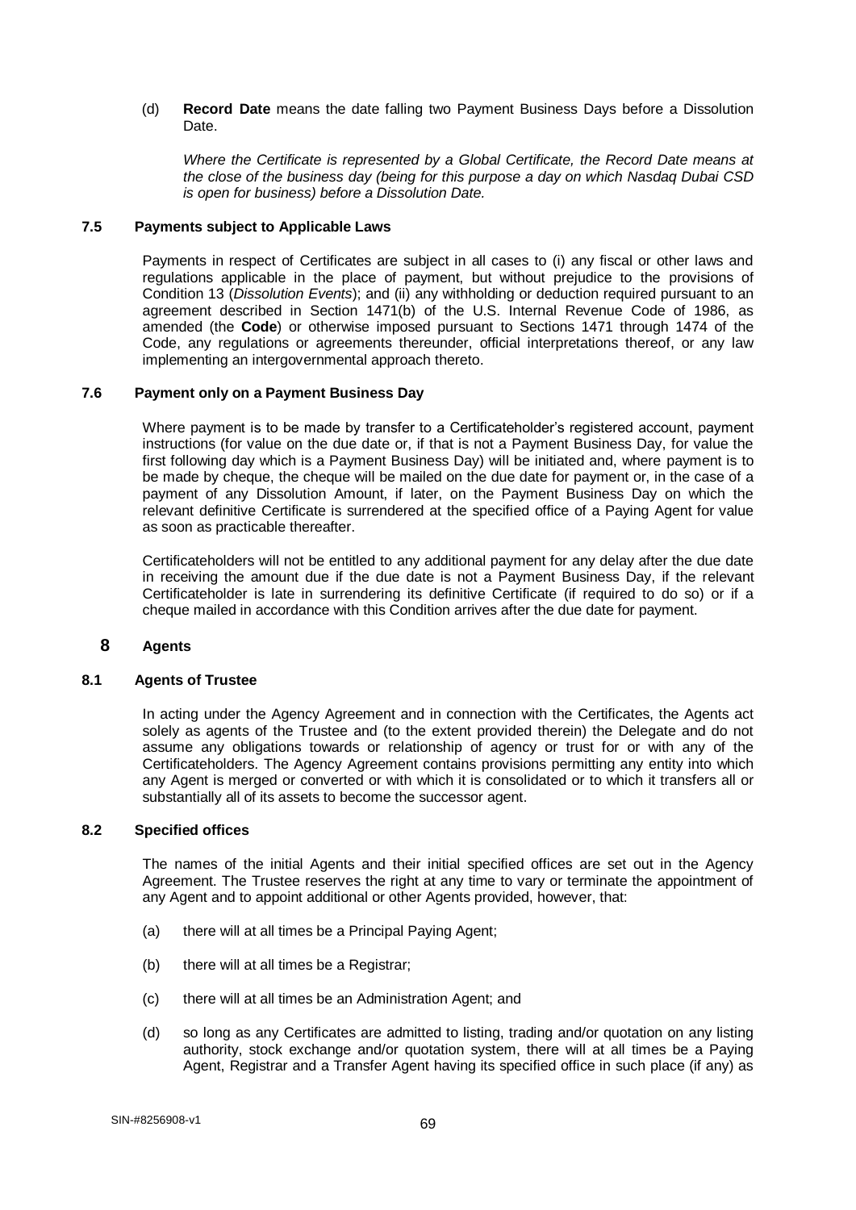### (d) **Record Date** means the date falling two Payment Business Days before a Dissolution Date.

*Where the Certificate is represented by a Global Certificate, the Record Date means at the close of the business day (being for this purpose a day on which Nasdaq Dubai CSD is open for business) before a Dissolution Date.*

### **7.5 Payments subject to Applicable Laws**

Payments in respect of Certificates are subject in all cases to (i) any fiscal or other laws and regulations applicable in the place of payment, but without prejudice to the provisions of Condition 13 (*Dissolution Events*); and (ii) any withholding or deduction required pursuant to an agreement described in Section 1471(b) of the U.S. Internal Revenue Code of 1986, as amended (the **Code**) or otherwise imposed pursuant to Sections 1471 through 1474 of the Code, any regulations or agreements thereunder, official interpretations thereof, or any law implementing an intergovernmental approach thereto.

# **7.6 Payment only on a Payment Business Day**

Where payment is to be made by transfer to a Certificateholder's registered account, payment instructions (for value on the due date or, if that is not a Payment Business Day, for value the first following day which is a Payment Business Day) will be initiated and, where payment is to be made by cheque, the cheque will be mailed on the due date for payment or, in the case of a payment of any Dissolution Amount, if later, on the Payment Business Day on which the relevant definitive Certificate is surrendered at the specified office of a Paying Agent for value as soon as practicable thereafter.

Certificateholders will not be entitled to any additional payment for any delay after the due date in receiving the amount due if the due date is not a Payment Business Day, if the relevant Certificateholder is late in surrendering its definitive Certificate (if required to do so) or if a cheque mailed in accordance with this Condition arrives after the due date for payment.

### **8 Agents**

### **8.1 Agents of Trustee**

In acting under the Agency Agreement and in connection with the Certificates, the Agents act solely as agents of the Trustee and (to the extent provided therein) the Delegate and do not assume any obligations towards or relationship of agency or trust for or with any of the Certificateholders. The Agency Agreement contains provisions permitting any entity into which any Agent is merged or converted or with which it is consolidated or to which it transfers all or substantially all of its assets to become the successor agent.

## **8.2 Specified offices**

The names of the initial Agents and their initial specified offices are set out in the Agency Agreement. The Trustee reserves the right at any time to vary or terminate the appointment of any Agent and to appoint additional or other Agents provided, however, that:

- (a) there will at all times be a Principal Paying Agent;
- (b) there will at all times be a Registrar;
- (c) there will at all times be an Administration Agent; and
- (d) so long as any Certificates are admitted to listing, trading and/or quotation on any listing authority, stock exchange and/or quotation system, there will at all times be a Paying Agent, Registrar and a Transfer Agent having its specified office in such place (if any) as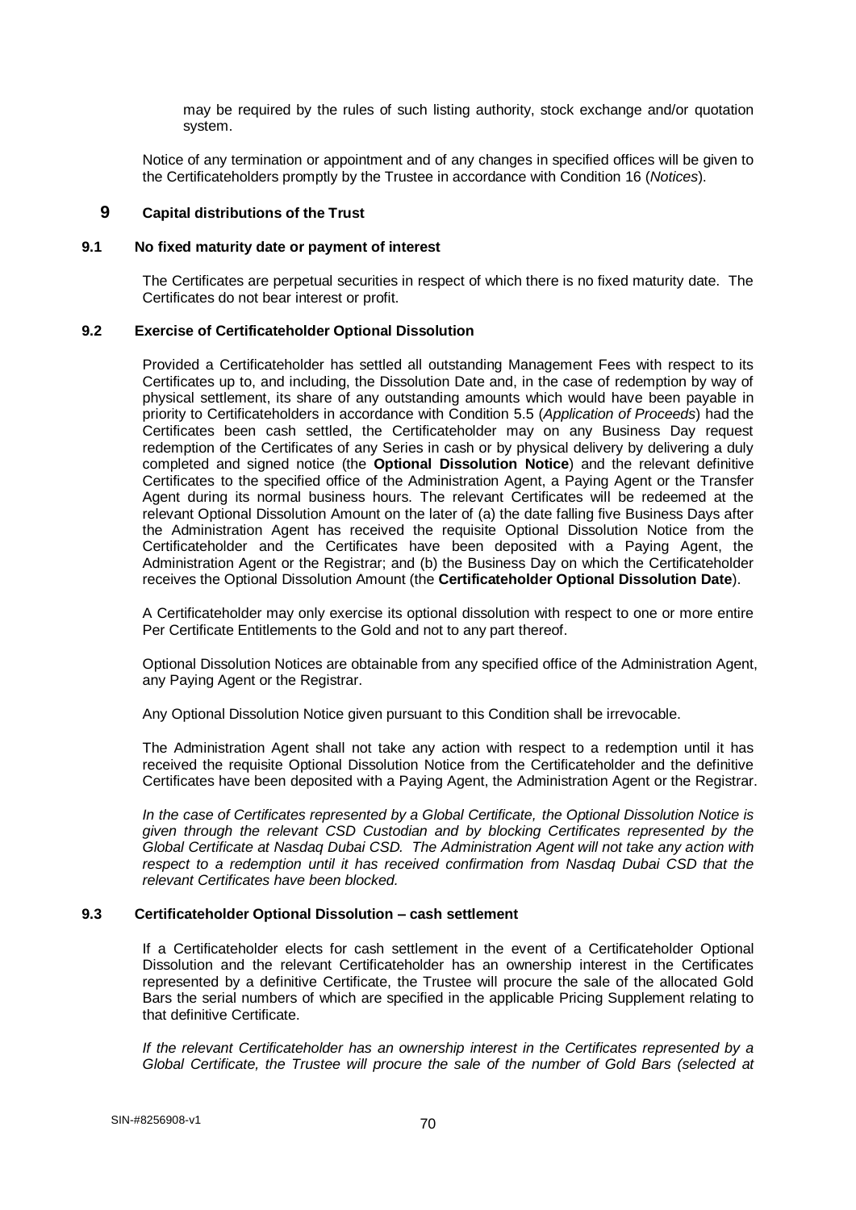may be required by the rules of such listing authority, stock exchange and/or quotation system.

Notice of any termination or appointment and of any changes in specified offices will be given to the Certificateholders promptly by the Trustee in accordance with Condition 16 (*Notices*).

## **9 Capital distributions of the Trust**

### **9.1 No fixed maturity date or payment of interest**

The Certificates are perpetual securities in respect of which there is no fixed maturity date. The Certificates do not bear interest or profit.

### **9.2 Exercise of Certificateholder Optional Dissolution**

Provided a Certificateholder has settled all outstanding Management Fees with respect to its Certificates up to, and including, the Dissolution Date and, in the case of redemption by way of physical settlement, its share of any outstanding amounts which would have been payable in priority to Certificateholders in accordance with Condition 5.5 (*Application of Proceeds*) had the Certificates been cash settled, the Certificateholder may on any Business Day request redemption of the Certificates of any Series in cash or by physical delivery by delivering a duly completed and signed notice (the **Optional Dissolution Notice**) and the relevant definitive Certificates to the specified office of the Administration Agent, a Paying Agent or the Transfer Agent during its normal business hours. The relevant Certificates will be redeemed at the relevant Optional Dissolution Amount on the later of (a) the date falling five Business Days after the Administration Agent has received the requisite Optional Dissolution Notice from the Certificateholder and the Certificates have been deposited with a Paying Agent, the Administration Agent or the Registrar; and (b) the Business Day on which the Certificateholder receives the Optional Dissolution Amount (the **Certificateholder Optional Dissolution Date**).

A Certificateholder may only exercise its optional dissolution with respect to one or more entire Per Certificate Entitlements to the Gold and not to any part thereof.

Optional Dissolution Notices are obtainable from any specified office of the Administration Agent, any Paying Agent or the Registrar.

Any Optional Dissolution Notice given pursuant to this Condition shall be irrevocable.

The Administration Agent shall not take any action with respect to a redemption until it has received the requisite Optional Dissolution Notice from the Certificateholder and the definitive Certificates have been deposited with a Paying Agent, the Administration Agent or the Registrar.

*In the case of Certificates represented by a Global Certificate, the Optional Dissolution Notice is given through the relevant CSD Custodian and by blocking Certificates represented by the Global Certificate at Nasdaq Dubai CSD. The Administration Agent will not take any action with respect to a redemption until it has received confirmation from Nasdaq Dubai CSD that the relevant Certificates have been blocked.* 

### **9.3 Certificateholder Optional Dissolution – cash settlement**

If a Certificateholder elects for cash settlement in the event of a Certificateholder Optional Dissolution and the relevant Certificateholder has an ownership interest in the Certificates represented by a definitive Certificate, the Trustee will procure the sale of the allocated Gold Bars the serial numbers of which are specified in the applicable Pricing Supplement relating to that definitive Certificate.

*If the relevant Certificateholder has an ownership interest in the Certificates represented by a Global Certificate, the Trustee will procure the sale of the number of Gold Bars (selected at*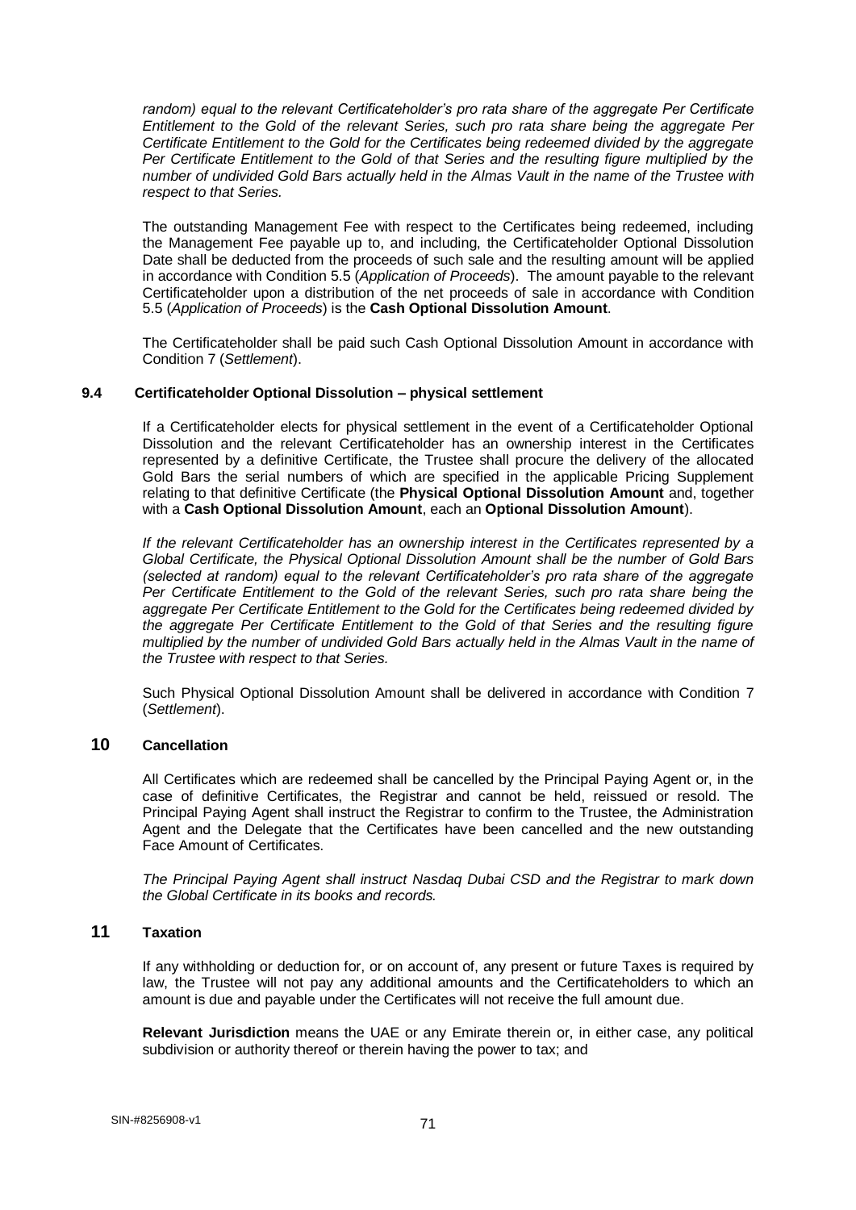random) equal to the relevant Certificateholder's pro rata share of the aggregate Per Certificate *Entitlement to the Gold of the relevant Series, such pro rata share being the aggregate Per Certificate Entitlement to the Gold for the Certificates being redeemed divided by the aggregate Per Certificate Entitlement to the Gold of that Series and the resulting figure multiplied by the number of undivided Gold Bars actually held in the Almas Vault in the name of the Trustee with respect to that Series.*

The outstanding Management Fee with respect to the Certificates being redeemed, including the Management Fee payable up to, and including, the Certificateholder Optional Dissolution Date shall be deducted from the proceeds of such sale and the resulting amount will be applied in accordance with Condition 5.5 (*Application of Proceeds*). The amount payable to the relevant Certificateholder upon a distribution of the net proceeds of sale in accordance with Condition 5.5 (*Application of Proceeds*) is the **Cash Optional Dissolution Amount**.

The Certificateholder shall be paid such Cash Optional Dissolution Amount in accordance with Condition 7 (*Settlement*).

## **9.4 Certificateholder Optional Dissolution – physical settlement**

If a Certificateholder elects for physical settlement in the event of a Certificateholder Optional Dissolution and the relevant Certificateholder has an ownership interest in the Certificates represented by a definitive Certificate, the Trustee shall procure the delivery of the allocated Gold Bars the serial numbers of which are specified in the applicable Pricing Supplement relating to that definitive Certificate (the **Physical Optional Dissolution Amount** and, together with a **Cash Optional Dissolution Amount**, each an **Optional Dissolution Amount**).

*If the relevant Certificateholder has an ownership interest in the Certificates represented by a Global Certificate, the Physical Optional Dissolution Amount shall be the number of Gold Bars (selected at random) equal to the relevant Certificateholder's pro rata share of the aggregate Per Certificate Entitlement to the Gold of the relevant Series, such pro rata share being the aggregate Per Certificate Entitlement to the Gold for the Certificates being redeemed divided by the aggregate Per Certificate Entitlement to the Gold of that Series and the resulting figure multiplied by the number of undivided Gold Bars actually held in the Almas Vault in the name of the Trustee with respect to that Series.*

Such Physical Optional Dissolution Amount shall be delivered in accordance with Condition 7 (*Settlement*).

## **10 Cancellation**

All Certificates which are redeemed shall be cancelled by the Principal Paying Agent or, in the case of definitive Certificates, the Registrar and cannot be held, reissued or resold. The Principal Paying Agent shall instruct the Registrar to confirm to the Trustee, the Administration Agent and the Delegate that the Certificates have been cancelled and the new outstanding Face Amount of Certificates.

*The Principal Paying Agent shall instruct Nasdaq Dubai CSD and the Registrar to mark down the Global Certificate in its books and records.*

# **11 Taxation**

If any withholding or deduction for, or on account of, any present or future Taxes is required by law, the Trustee will not pay any additional amounts and the Certificateholders to which an amount is due and payable under the Certificates will not receive the full amount due.

**Relevant Jurisdiction** means the UAE or any Emirate therein or, in either case, any political subdivision or authority thereof or therein having the power to tax; and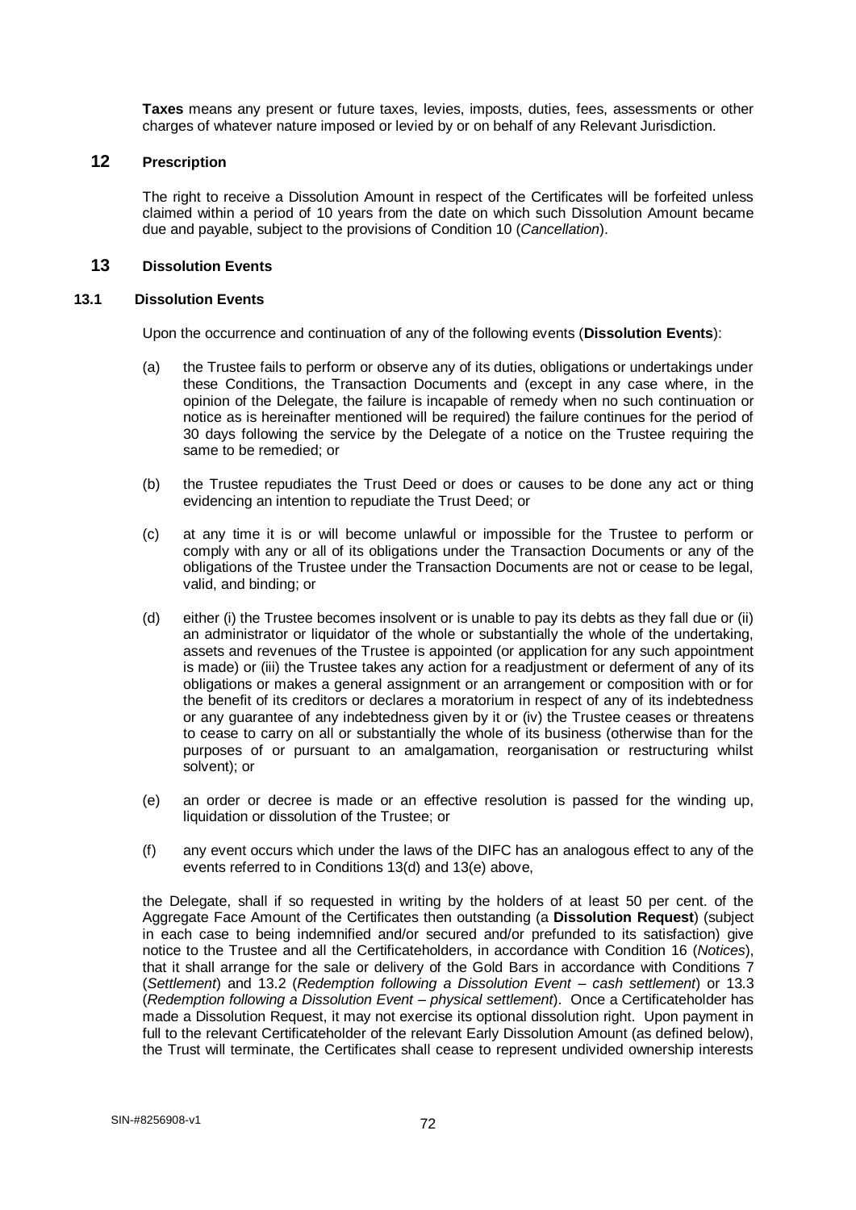**Taxes** means any present or future taxes, levies, imposts, duties, fees, assessments or other charges of whatever nature imposed or levied by or on behalf of any Relevant Jurisdiction.

### **12 Prescription**

The right to receive a Dissolution Amount in respect of the Certificates will be forfeited unless claimed within a period of 10 years from the date on which such Dissolution Amount became due and payable, subject to the provisions of Condition 10 (*Cancellation*).

## **13 Dissolution Events**

### **13.1 Dissolution Events**

Upon the occurrence and continuation of any of the following events (**Dissolution Events**):

- (a) the Trustee fails to perform or observe any of its duties, obligations or undertakings under these Conditions, the Transaction Documents and (except in any case where, in the opinion of the Delegate, the failure is incapable of remedy when no such continuation or notice as is hereinafter mentioned will be required) the failure continues for the period of 30 days following the service by the Delegate of a notice on the Trustee requiring the same to be remedied; or
- (b) the Trustee repudiates the Trust Deed or does or causes to be done any act or thing evidencing an intention to repudiate the Trust Deed; or
- (c) at any time it is or will become unlawful or impossible for the Trustee to perform or comply with any or all of its obligations under the Transaction Documents or any of the obligations of the Trustee under the Transaction Documents are not or cease to be legal, valid, and binding; or
- (d) either (i) the Trustee becomes insolvent or is unable to pay its debts as they fall due or (ii) an administrator or liquidator of the whole or substantially the whole of the undertaking, assets and revenues of the Trustee is appointed (or application for any such appointment is made) or (iii) the Trustee takes any action for a readjustment or deferment of any of its obligations or makes a general assignment or an arrangement or composition with or for the benefit of its creditors or declares a moratorium in respect of any of its indebtedness or any guarantee of any indebtedness given by it or (iv) the Trustee ceases or threatens to cease to carry on all or substantially the whole of its business (otherwise than for the purposes of or pursuant to an amalgamation, reorganisation or restructuring whilst solvent); or
- (e) an order or decree is made or an effective resolution is passed for the winding up, liquidation or dissolution of the Trustee; or
- (f) any event occurs which under the laws of the DIFC has an analogous effect to any of the events referred to in Conditions 13(d) and 13(e) above,

the Delegate, shall if so requested in writing by the holders of at least 50 per cent. of the Aggregate Face Amount of the Certificates then outstanding (a **Dissolution Request**) (subject in each case to being indemnified and/or secured and/or prefunded to its satisfaction) give notice to the Trustee and all the Certificateholders, in accordance with Condition 16 (*Notices*), that it shall arrange for the sale or delivery of the Gold Bars in accordance with Conditions 7 (*Settlement*) and 13.2 (*Redemption following a Dissolution Event – cash settlement*) or 13.3 (*Redemption following a Dissolution Event – physical settlement*). Once a Certificateholder has made a Dissolution Request, it may not exercise its optional dissolution right. Upon payment in full to the relevant Certificateholder of the relevant Early Dissolution Amount (as defined below), the Trust will terminate, the Certificates shall cease to represent undivided ownership interests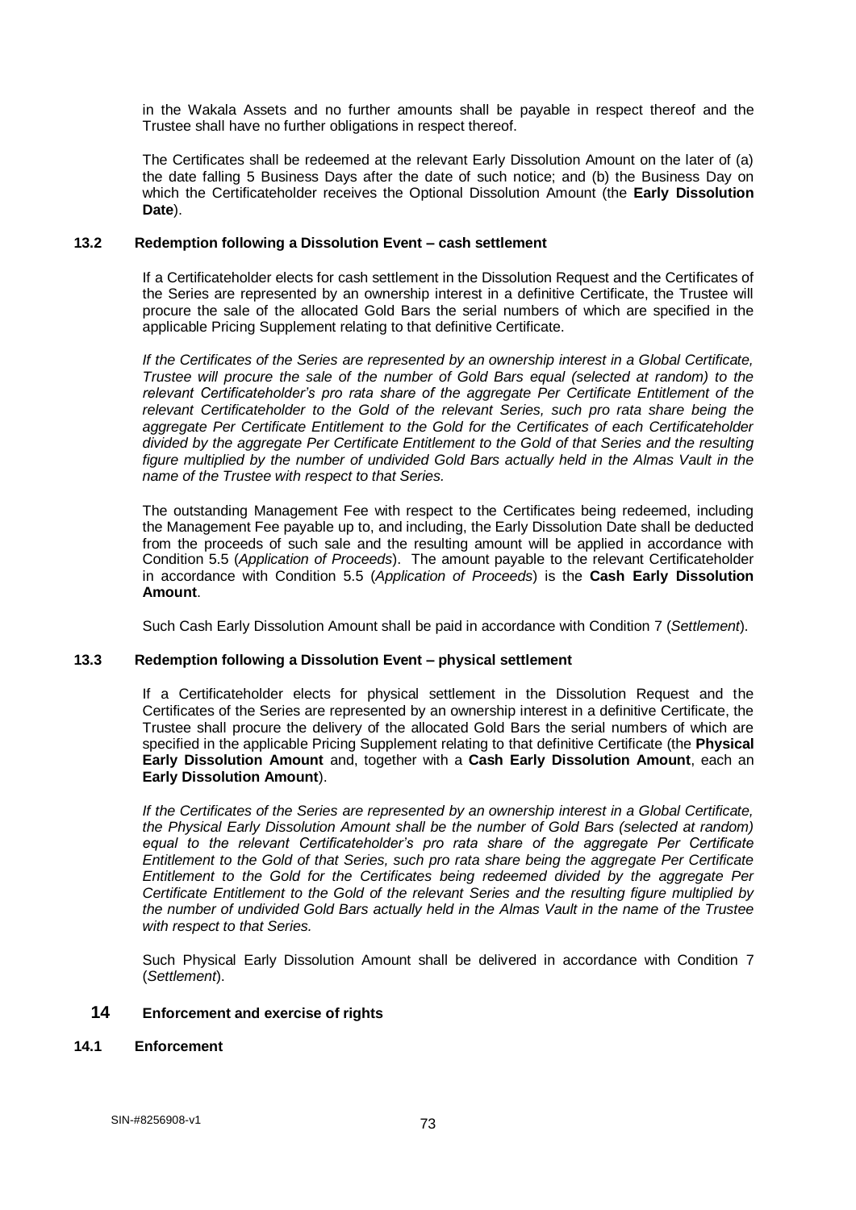in the Wakala Assets and no further amounts shall be payable in respect thereof and the Trustee shall have no further obligations in respect thereof.

The Certificates shall be redeemed at the relevant Early Dissolution Amount on the later of (a) the date falling 5 Business Days after the date of such notice; and (b) the Business Day on which the Certificateholder receives the Optional Dissolution Amount (the **Early Dissolution Date**).

### **13.2 Redemption following a Dissolution Event – cash settlement**

If a Certificateholder elects for cash settlement in the Dissolution Request and the Certificates of the Series are represented by an ownership interest in a definitive Certificate, the Trustee will procure the sale of the allocated Gold Bars the serial numbers of which are specified in the applicable Pricing Supplement relating to that definitive Certificate.

*If the Certificates of the Series are represented by an ownership interest in a Global Certificate, Trustee will procure the sale of the number of Gold Bars equal (selected at random) to the relevant Certificateholder's pro rata share of the aggregate Per Certificate Entitlement of the relevant Certificateholder to the Gold of the relevant Series, such pro rata share being the aggregate Per Certificate Entitlement to the Gold for the Certificates of each Certificateholder divided by the aggregate Per Certificate Entitlement to the Gold of that Series and the resulting*  figure multiplied by the number of undivided Gold Bars actually held in the Almas Vault in the *name of the Trustee with respect to that Series.* 

The outstanding Management Fee with respect to the Certificates being redeemed, including the Management Fee payable up to, and including, the Early Dissolution Date shall be deducted from the proceeds of such sale and the resulting amount will be applied in accordance with Condition 5.5 (*Application of Proceeds*). The amount payable to the relevant Certificateholder in accordance with Condition 5.5 (*Application of Proceeds*) is the **Cash Early Dissolution Amount**.

Such Cash Early Dissolution Amount shall be paid in accordance with Condition 7 (*Settlement*).

### **13.3 Redemption following a Dissolution Event – physical settlement**

If a Certificateholder elects for physical settlement in the Dissolution Request and the Certificates of the Series are represented by an ownership interest in a definitive Certificate, the Trustee shall procure the delivery of the allocated Gold Bars the serial numbers of which are specified in the applicable Pricing Supplement relating to that definitive Certificate (the **Physical Early Dissolution Amount** and, together with a **Cash Early Dissolution Amount**, each an **Early Dissolution Amount**).

*If the Certificates of the Series are represented by an ownership interest in a Global Certificate, the Physical Early Dissolution Amount shall be the number of Gold Bars (selected at random) equal to the relevant Certificateholder's pro rata share of the aggregate Per Certificate Entitlement to the Gold of that Series, such pro rata share being the aggregate Per Certificate Entitlement to the Gold for the Certificates being redeemed divided by the aggregate Per Certificate Entitlement to the Gold of the relevant Series and the resulting figure multiplied by the number of undivided Gold Bars actually held in the Almas Vault in the name of the Trustee with respect to that Series.*

Such Physical Early Dissolution Amount shall be delivered in accordance with Condition 7 (*Settlement*).

#### **14 Enforcement and exercise of rights**

## **14.1 Enforcement**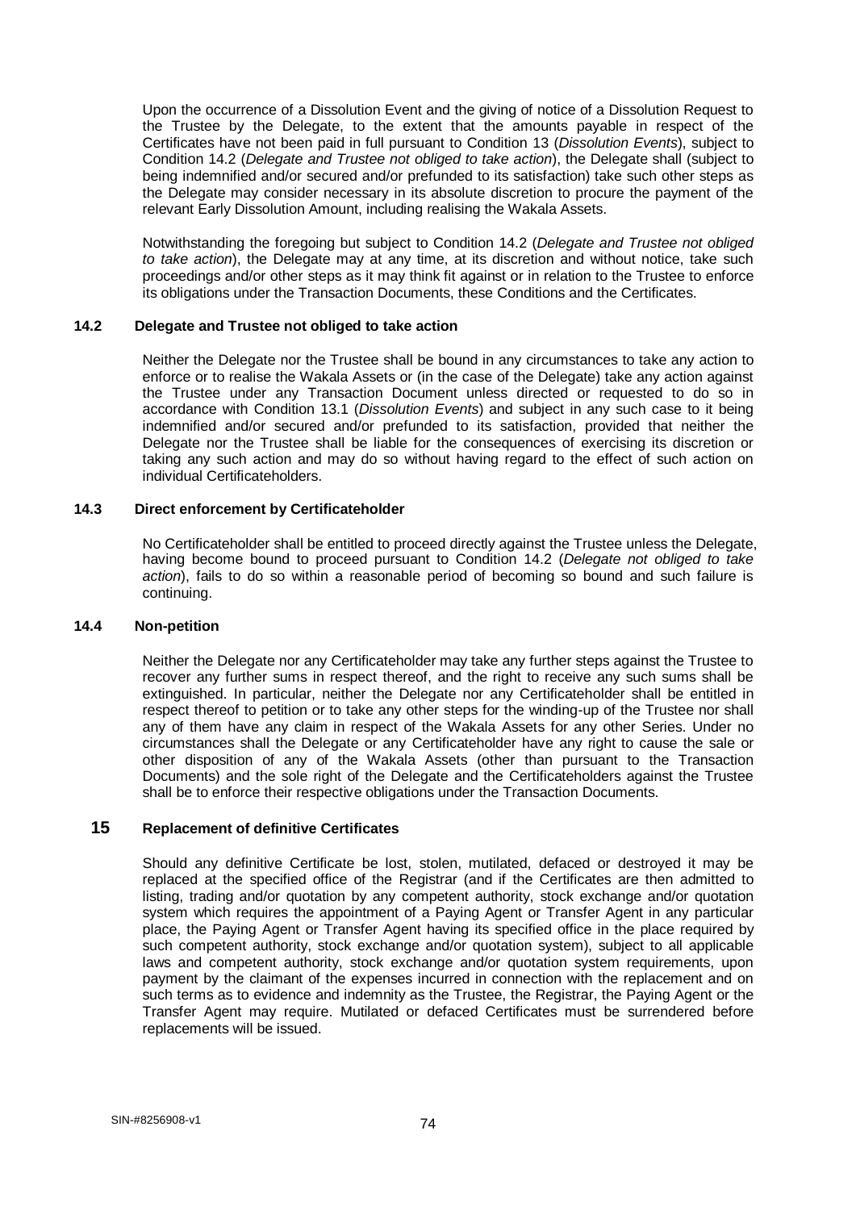Upon the occurrence of a Dissolution Event and the giving of notice of a Dissolution Request to the Trustee by the Delegate, to the extent that the amounts payable in respect of the Certificates have not been paid in full pursuant to Condition 13 (*Dissolution Events*), subject to Condition 14.2 (*Delegate and Trustee not obliged to take action*), the Delegate shall (subject to being indemnified and/or secured and/or prefunded to its satisfaction) take such other steps as the Delegate may consider necessary in its absolute discretion to procure the payment of the relevant Early Dissolution Amount, including realising the Wakala Assets.

Notwithstanding the foregoing but subject to Condition 14.2 (*Delegate and Trustee not obliged to take action*), the Delegate may at any time, at its discretion and without notice, take such proceedings and/or other steps as it may think fit against or in relation to the Trustee to enforce its obligations under the Transaction Documents, these Conditions and the Certificates.

## **14.2 Delegate and Trustee not obliged to take action**

Neither the Delegate nor the Trustee shall be bound in any circumstances to take any action to enforce or to realise the Wakala Assets or (in the case of the Delegate) take any action against the Trustee under any Transaction Document unless directed or requested to do so in accordance with Condition 13.1 (*Dissolution Events*) and subject in any such case to it being indemnified and/or secured and/or prefunded to its satisfaction, provided that neither the Delegate nor the Trustee shall be liable for the consequences of exercising its discretion or taking any such action and may do so without having regard to the effect of such action on individual Certificateholders.

### **14.3 Direct enforcement by Certificateholder**

No Certificateholder shall be entitled to proceed directly against the Trustee unless the Delegate, having become bound to proceed pursuant to Condition 14.2 (*Delegate not obliged to take action*), fails to do so within a reasonable period of becoming so bound and such failure is continuing.

### **14.4 Non-petition**

Neither the Delegate nor any Certificateholder may take any further steps against the Trustee to recover any further sums in respect thereof, and the right to receive any such sums shall be extinguished. In particular, neither the Delegate nor any Certificateholder shall be entitled in respect thereof to petition or to take any other steps for the winding-up of the Trustee nor shall any of them have any claim in respect of the Wakala Assets for any other Series. Under no circumstances shall the Delegate or any Certificateholder have any right to cause the sale or other disposition of any of the Wakala Assets (other than pursuant to the Transaction Documents) and the sole right of the Delegate and the Certificateholders against the Trustee shall be to enforce their respective obligations under the Transaction Documents.

# **15 Replacement of definitive Certificates**

Should any definitive Certificate be lost, stolen, mutilated, defaced or destroyed it may be replaced at the specified office of the Registrar (and if the Certificates are then admitted to listing, trading and/or quotation by any competent authority, stock exchange and/or quotation system which requires the appointment of a Paying Agent or Transfer Agent in any particular place, the Paying Agent or Transfer Agent having its specified office in the place required by such competent authority, stock exchange and/or quotation system), subject to all applicable laws and competent authority, stock exchange and/or quotation system requirements, upon payment by the claimant of the expenses incurred in connection with the replacement and on such terms as to evidence and indemnity as the Trustee, the Registrar, the Paying Agent or the Transfer Agent may require. Mutilated or defaced Certificates must be surrendered before replacements will be issued.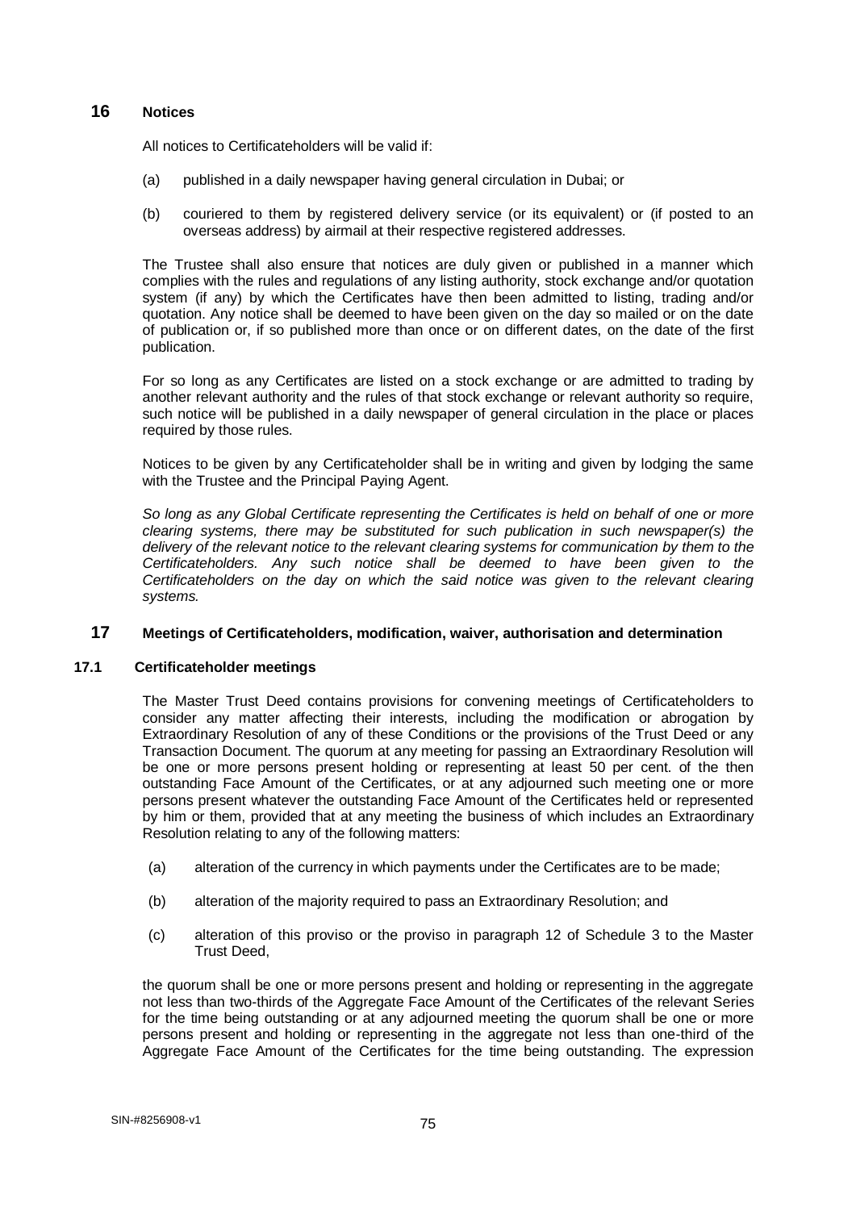## **16 Notices**

All notices to Certificateholders will be valid if:

- (a) published in a daily newspaper having general circulation in Dubai; or
- (b) couriered to them by registered delivery service (or its equivalent) or (if posted to an overseas address) by airmail at their respective registered addresses.

The Trustee shall also ensure that notices are duly given or published in a manner which complies with the rules and regulations of any listing authority, stock exchange and/or quotation system (if any) by which the Certificates have then been admitted to listing, trading and/or quotation. Any notice shall be deemed to have been given on the day so mailed or on the date of publication or, if so published more than once or on different dates, on the date of the first publication.

For so long as any Certificates are listed on a stock exchange or are admitted to trading by another relevant authority and the rules of that stock exchange or relevant authority so require, such notice will be published in a daily newspaper of general circulation in the place or places required by those rules.

Notices to be given by any Certificateholder shall be in writing and given by lodging the same with the Trustee and the Principal Paying Agent.

*So long as any Global Certificate representing the Certificates is held on behalf of one or more clearing systems, there may be substituted for such publication in such newspaper(s) the delivery of the relevant notice to the relevant clearing systems for communication by them to the Certificateholders. Any such notice shall be deemed to have been given to the Certificateholders on the day on which the said notice was given to the relevant clearing systems.*

# **17 Meetings of Certificateholders, modification, waiver, authorisation and determination**

### **17.1 Certificateholder meetings**

The Master Trust Deed contains provisions for convening meetings of Certificateholders to consider any matter affecting their interests, including the modification or abrogation by Extraordinary Resolution of any of these Conditions or the provisions of the Trust Deed or any Transaction Document. The quorum at any meeting for passing an Extraordinary Resolution will be one or more persons present holding or representing at least 50 per cent. of the then outstanding Face Amount of the Certificates, or at any adjourned such meeting one or more persons present whatever the outstanding Face Amount of the Certificates held or represented by him or them, provided that at any meeting the business of which includes an Extraordinary Resolution relating to any of the following matters:

- (a) alteration of the currency in which payments under the Certificates are to be made;
- (b) alteration of the majority required to pass an Extraordinary Resolution; and
- (c) alteration of this proviso or the proviso in paragraph 12 of Schedule 3 to the Master Trust Deed,

the quorum shall be one or more persons present and holding or representing in the aggregate not less than two-thirds of the Aggregate Face Amount of the Certificates of the relevant Series for the time being outstanding or at any adjourned meeting the quorum shall be one or more persons present and holding or representing in the aggregate not less than one-third of the Aggregate Face Amount of the Certificates for the time being outstanding. The expression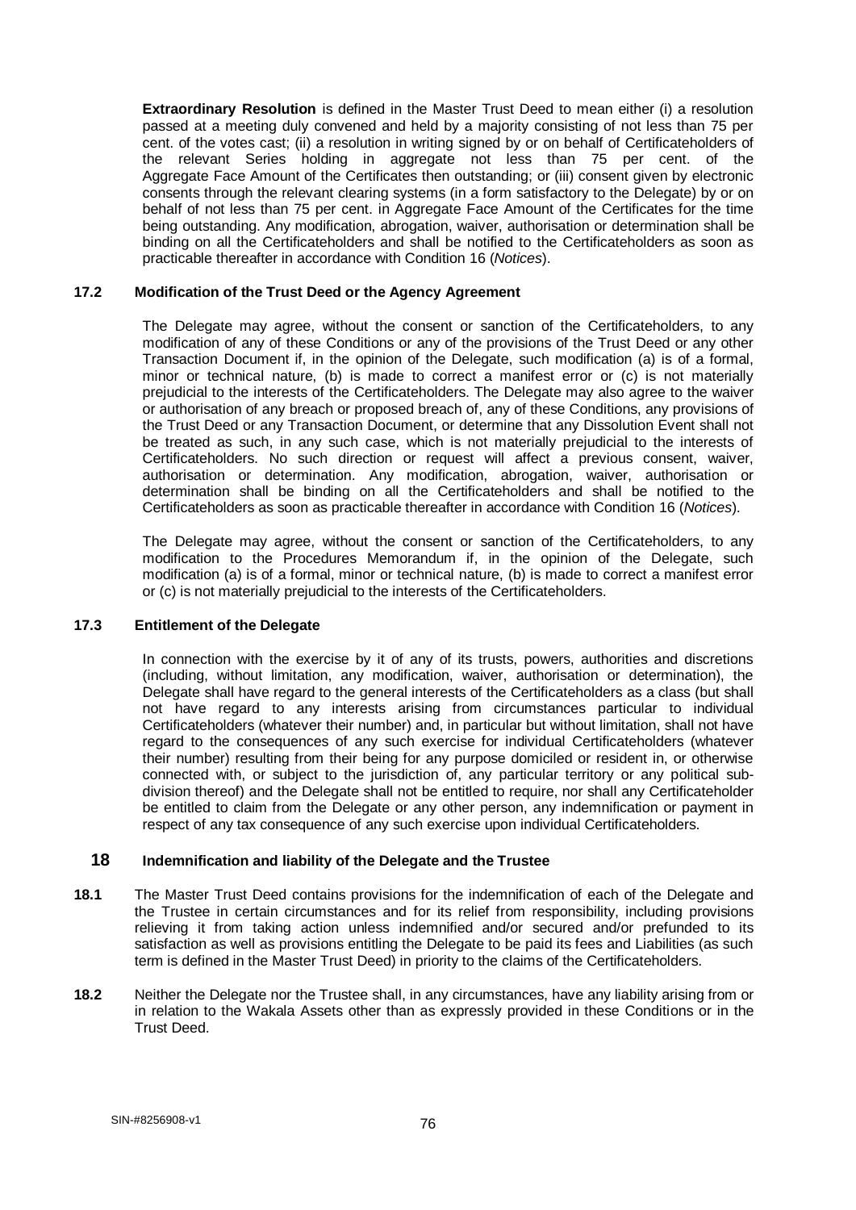**Extraordinary Resolution** is defined in the Master Trust Deed to mean either (i) a resolution passed at a meeting duly convened and held by a majority consisting of not less than 75 per cent. of the votes cast; (ii) a resolution in writing signed by or on behalf of Certificateholders of the relevant Series holding in aggregate not less than 75 per cent. of the Aggregate Face Amount of the Certificates then outstanding; or (iii) consent given by electronic consents through the relevant clearing systems (in a form satisfactory to the Delegate) by or on behalf of not less than 75 per cent. in Aggregate Face Amount of the Certificates for the time being outstanding. Any modification, abrogation, waiver, authorisation or determination shall be binding on all the Certificateholders and shall be notified to the Certificateholders as soon as practicable thereafter in accordance with Condition 16 (*Notices*).

### **17.2 Modification of the Trust Deed or the Agency Agreement**

The Delegate may agree, without the consent or sanction of the Certificateholders, to any modification of any of these Conditions or any of the provisions of the Trust Deed or any other Transaction Document if, in the opinion of the Delegate, such modification (a) is of a formal, minor or technical nature, (b) is made to correct a manifest error or (c) is not materially prejudicial to the interests of the Certificateholders. The Delegate may also agree to the waiver or authorisation of any breach or proposed breach of, any of these Conditions, any provisions of the Trust Deed or any Transaction Document, or determine that any Dissolution Event shall not be treated as such, in any such case, which is not materially prejudicial to the interests of Certificateholders. No such direction or request will affect a previous consent, waiver, authorisation or determination. Any modification, abrogation, waiver, authorisation or determination shall be binding on all the Certificateholders and shall be notified to the Certificateholders as soon as practicable thereafter in accordance with Condition 16 (*Notices*).

The Delegate may agree, without the consent or sanction of the Certificateholders, to any modification to the Procedures Memorandum if, in the opinion of the Delegate, such modification (a) is of a formal, minor or technical nature, (b) is made to correct a manifest error or (c) is not materially prejudicial to the interests of the Certificateholders.

#### **17.3 Entitlement of the Delegate**

In connection with the exercise by it of any of its trusts, powers, authorities and discretions (including, without limitation, any modification, waiver, authorisation or determination), the Delegate shall have regard to the general interests of the Certificateholders as a class (but shall not have regard to any interests arising from circumstances particular to individual Certificateholders (whatever their number) and, in particular but without limitation, shall not have regard to the consequences of any such exercise for individual Certificateholders (whatever their number) resulting from their being for any purpose domiciled or resident in, or otherwise connected with, or subject to the jurisdiction of, any particular territory or any political subdivision thereof) and the Delegate shall not be entitled to require, nor shall any Certificateholder be entitled to claim from the Delegate or any other person, any indemnification or payment in respect of any tax consequence of any such exercise upon individual Certificateholders.

#### **18 Indemnification and liability of the Delegate and the Trustee**

- **18.1** The Master Trust Deed contains provisions for the indemnification of each of the Delegate and the Trustee in certain circumstances and for its relief from responsibility, including provisions relieving it from taking action unless indemnified and/or secured and/or prefunded to its satisfaction as well as provisions entitling the Delegate to be paid its fees and Liabilities (as such term is defined in the Master Trust Deed) in priority to the claims of the Certificateholders.
- **18.2** Neither the Delegate nor the Trustee shall, in any circumstances, have any liability arising from or in relation to the Wakala Assets other than as expressly provided in these Conditions or in the Trust Deed.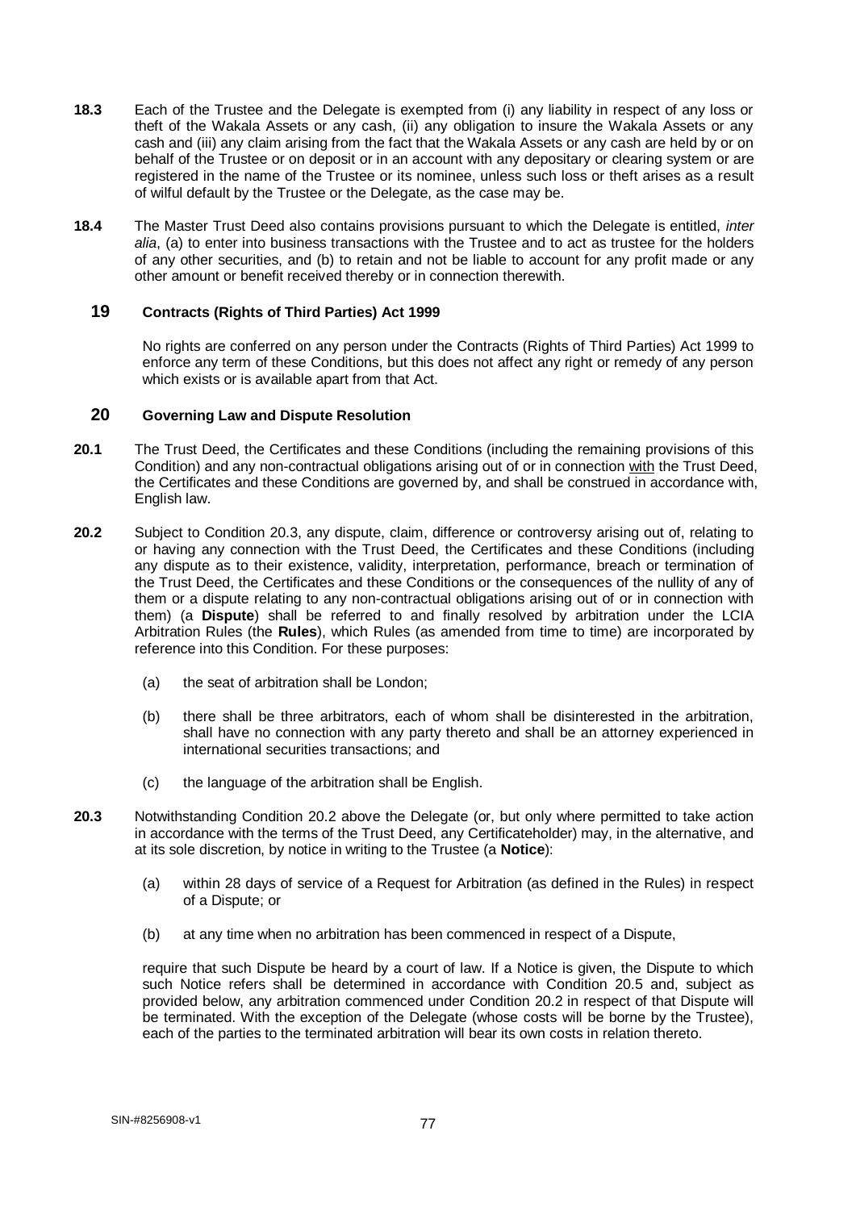- **18.3** Each of the Trustee and the Delegate is exempted from (i) any liability in respect of any loss or theft of the Wakala Assets or any cash, (ii) any obligation to insure the Wakala Assets or any cash and (iii) any claim arising from the fact that the Wakala Assets or any cash are held by or on behalf of the Trustee or on deposit or in an account with any depositary or clearing system or are registered in the name of the Trustee or its nominee, unless such loss or theft arises as a result of wilful default by the Trustee or the Delegate, as the case may be.
- **18.4** The Master Trust Deed also contains provisions pursuant to which the Delegate is entitled, *inter alia*, (a) to enter into business transactions with the Trustee and to act as trustee for the holders of any other securities, and (b) to retain and not be liable to account for any profit made or any other amount or benefit received thereby or in connection therewith.

## **19 Contracts (Rights of Third Parties) Act 1999**

No rights are conferred on any person under the Contracts (Rights of Third Parties) Act 1999 to enforce any term of these Conditions, but this does not affect any right or remedy of any person which exists or is available apart from that Act.

## **20 Governing Law and Dispute Resolution**

- **20.1** The Trust Deed, the Certificates and these Conditions (including the remaining provisions of this Condition) and any non-contractual obligations arising out of or in connection with the Trust Deed, the Certificates and these Conditions are governed by, and shall be construed in accordance with, English law.
- **20.2** Subject to Condition 20.3, any dispute, claim, difference or controversy arising out of, relating to or having any connection with the Trust Deed, the Certificates and these Conditions (including any dispute as to their existence, validity, interpretation, performance, breach or termination of the Trust Deed, the Certificates and these Conditions or the consequences of the nullity of any of them or a dispute relating to any non-contractual obligations arising out of or in connection with them) (a **Dispute**) shall be referred to and finally resolved by arbitration under the LCIA Arbitration Rules (the **Rules**), which Rules (as amended from time to time) are incorporated by reference into this Condition. For these purposes:
	- (a) the seat of arbitration shall be London;
	- (b) there shall be three arbitrators, each of whom shall be disinterested in the arbitration, shall have no connection with any party thereto and shall be an attorney experienced in international securities transactions; and
	- (c) the language of the arbitration shall be English.
- **20.3** Notwithstanding Condition 20.2 above the Delegate (or, but only where permitted to take action in accordance with the terms of the Trust Deed, any Certificateholder) may, in the alternative, and at its sole discretion, by notice in writing to the Trustee (a **Notice**):
	- (a) within 28 days of service of a Request for Arbitration (as defined in the Rules) in respect of a Dispute; or
	- (b) at any time when no arbitration has been commenced in respect of a Dispute,

require that such Dispute be heard by a court of law. If a Notice is given, the Dispute to which such Notice refers shall be determined in accordance with Condition 20.5 and, subject as provided below, any arbitration commenced under Condition 20.2 in respect of that Dispute will be terminated. With the exception of the Delegate (whose costs will be borne by the Trustee), each of the parties to the terminated arbitration will bear its own costs in relation thereto.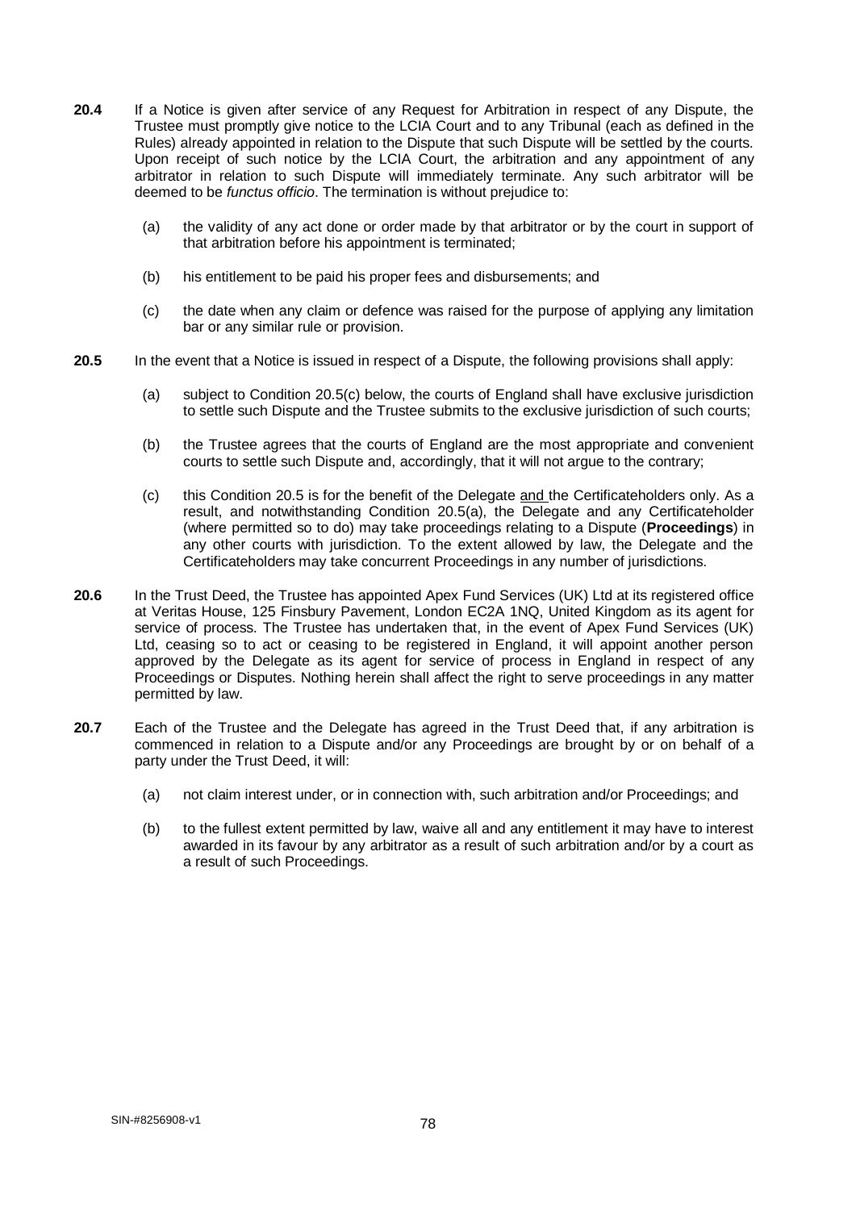- **20.4** If a Notice is given after service of any Request for Arbitration in respect of any Dispute, the Trustee must promptly give notice to the LCIA Court and to any Tribunal (each as defined in the Rules) already appointed in relation to the Dispute that such Dispute will be settled by the courts. Upon receipt of such notice by the LCIA Court, the arbitration and any appointment of any arbitrator in relation to such Dispute will immediately terminate. Any such arbitrator will be deemed to be *functus officio*. The termination is without prejudice to:
	- (a) the validity of any act done or order made by that arbitrator or by the court in support of that arbitration before his appointment is terminated;
	- (b) his entitlement to be paid his proper fees and disbursements; and
	- (c) the date when any claim or defence was raised for the purpose of applying any limitation bar or any similar rule or provision.
- **20.5** In the event that a Notice is issued in respect of a Dispute, the following provisions shall apply:
	- (a) subject to Condition 20.5(c) below, the courts of England shall have exclusive jurisdiction to settle such Dispute and the Trustee submits to the exclusive jurisdiction of such courts;
	- (b) the Trustee agrees that the courts of England are the most appropriate and convenient courts to settle such Dispute and, accordingly, that it will not argue to the contrary;
	- (c) this Condition 20.5 is for the benefit of the Delegate and the Certificateholders only. As a result, and notwithstanding Condition 20.5(a), the Delegate and any Certificateholder (where permitted so to do) may take proceedings relating to a Dispute (**Proceedings**) in any other courts with jurisdiction. To the extent allowed by law, the Delegate and the Certificateholders may take concurrent Proceedings in any number of jurisdictions.
- **20.6** In the Trust Deed, the Trustee has appointed Apex Fund Services (UK) Ltd at its registered office at Veritas House, 125 Finsbury Pavement, London EC2A 1NQ, United Kingdom as its agent for service of process. The Trustee has undertaken that, in the event of Apex Fund Services (UK) Ltd, ceasing so to act or ceasing to be registered in England, it will appoint another person approved by the Delegate as its agent for service of process in England in respect of any Proceedings or Disputes. Nothing herein shall affect the right to serve proceedings in any matter permitted by law.
- **20.7** Each of the Trustee and the Delegate has agreed in the Trust Deed that, if any arbitration is commenced in relation to a Dispute and/or any Proceedings are brought by or on behalf of a party under the Trust Deed, it will:
	- (a) not claim interest under, or in connection with, such arbitration and/or Proceedings; and
	- (b) to the fullest extent permitted by law, waive all and any entitlement it may have to interest awarded in its favour by any arbitrator as a result of such arbitration and/or by a court as a result of such Proceedings.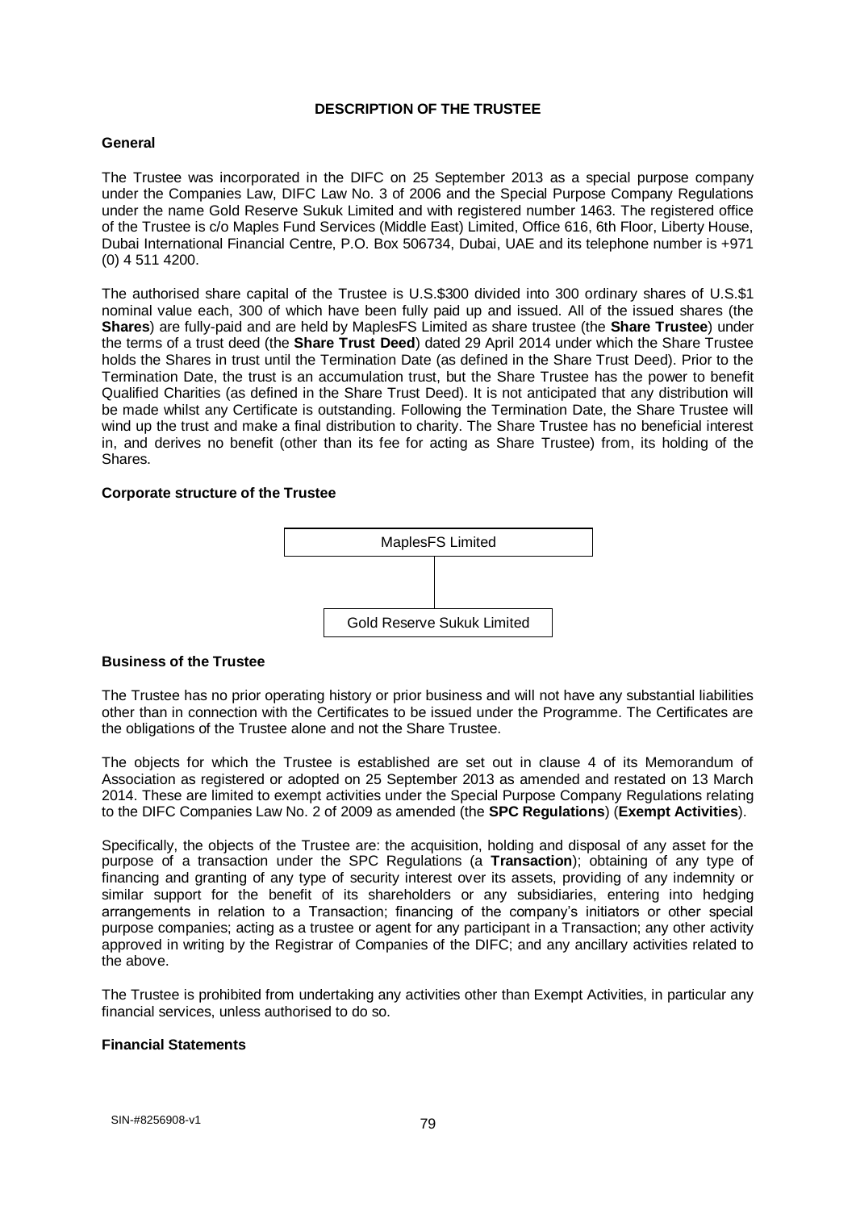### **DESCRIPTION OF THE TRUSTEE**

### **General**

The Trustee was incorporated in the DIFC on 25 September 2013 as a special purpose company under the Companies Law, DIFC Law No. 3 of 2006 and the Special Purpose Company Regulations under the name Gold Reserve Sukuk Limited and with registered number 1463. The registered office of the Trustee is c/o Maples Fund Services (Middle East) Limited, Office 616, 6th Floor, Liberty House, Dubai International Financial Centre, P.O. Box 506734, Dubai, UAE and its telephone number is +971 (0) 4 511 4200.

The authorised share capital of the Trustee is U.S.\$300 divided into 300 ordinary shares of U.S.\$1 nominal value each, 300 of which have been fully paid up and issued. All of the issued shares (the **Shares**) are fully-paid and are held by MaplesFS Limited as share trustee (the **Share Trustee**) under the terms of a trust deed (the **Share Trust Deed**) dated 29 April 2014 under which the Share Trustee holds the Shares in trust until the Termination Date (as defined in the Share Trust Deed). Prior to the Termination Date, the trust is an accumulation trust, but the Share Trustee has the power to benefit Qualified Charities (as defined in the Share Trust Deed). It is not anticipated that any distribution will be made whilst any Certificate is outstanding. Following the Termination Date, the Share Trustee will wind up the trust and make a final distribution to charity. The Share Trustee has no beneficial interest in, and derives no benefit (other than its fee for acting as Share Trustee) from, its holding of the Shares.

### **Corporate structure of the Trustee**



#### **Business of the Trustee**

The Trustee has no prior operating history or prior business and will not have any substantial liabilities other than in connection with the Certificates to be issued under the Programme. The Certificates are the obligations of the Trustee alone and not the Share Trustee.

The objects for which the Trustee is established are set out in clause 4 of its Memorandum of Association as registered or adopted on 25 September 2013 as amended and restated on 13 March 2014. These are limited to exempt activities under the Special Purpose Company Regulations relating to the DIFC Companies Law No. 2 of 2009 as amended (the **SPC Regulations**) (**Exempt Activities**).

Specifically, the objects of the Trustee are: the acquisition, holding and disposal of any asset for the purpose of a transaction under the SPC Regulations (a **Transaction**); obtaining of any type of financing and granting of any type of security interest over its assets, providing of any indemnity or similar support for the benefit of its shareholders or any subsidiaries, entering into hedging arrangements in relation to a Transaction; financing of the company's initiators or other special purpose companies; acting as a trustee or agent for any participant in a Transaction; any other activity approved in writing by the Registrar of Companies of the DIFC; and any ancillary activities related to the above.

The Trustee is prohibited from undertaking any activities other than Exempt Activities, in particular any financial services, unless authorised to do so.

### **Financial Statements**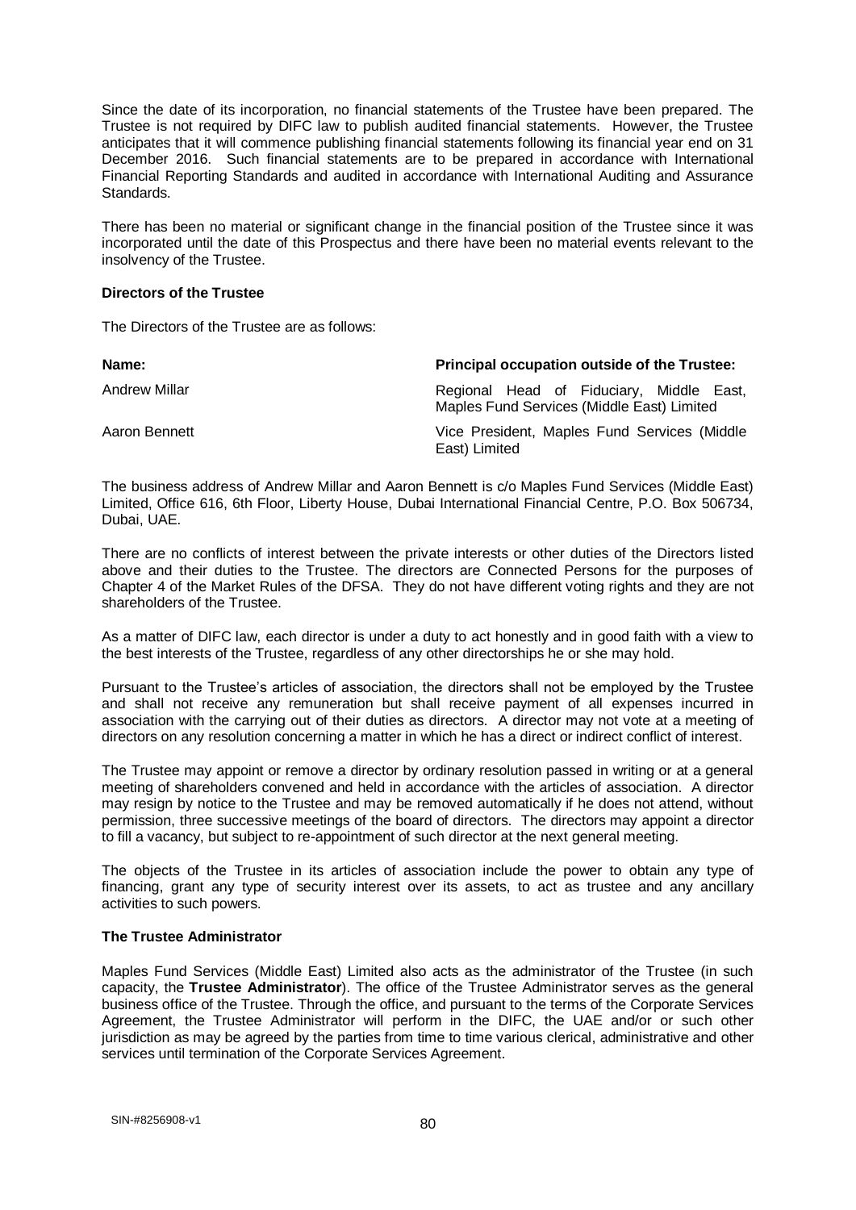Since the date of its incorporation, no financial statements of the Trustee have been prepared. The Trustee is not required by DIFC law to publish audited financial statements. However, the Trustee anticipates that it will commence publishing financial statements following its financial year end on 31 December 2016. Such financial statements are to be prepared in accordance with International Financial Reporting Standards and audited in accordance with International Auditing and Assurance Standards.

There has been no material or significant change in the financial position of the Trustee since it was incorporated until the date of this Prospectus and there have been no material events relevant to the insolvency of the Trustee.

#### **Directors of the Trustee**

The Directors of the Trustee are as follows:

| Name:                | Principal occupation outside of the Trustee:                                           |
|----------------------|----------------------------------------------------------------------------------------|
| <b>Andrew Millar</b> | Regional Head of Fiduciary, Middle East,<br>Maples Fund Services (Middle East) Limited |
| Aaron Bennett        | Vice President, Maples Fund Services (Middle<br>East) Limited                          |

The business address of Andrew Millar and Aaron Bennett is c/o Maples Fund Services (Middle East) Limited, Office 616, 6th Floor, Liberty House, Dubai International Financial Centre, P.O. Box 506734, Dubai, UAE.

There are no conflicts of interest between the private interests or other duties of the Directors listed above and their duties to the Trustee. The directors are Connected Persons for the purposes of Chapter 4 of the Market Rules of the DFSA. They do not have different voting rights and they are not shareholders of the Trustee.

As a matter of DIFC law, each director is under a duty to act honestly and in good faith with a view to the best interests of the Trustee, regardless of any other directorships he or she may hold.

Pursuant to the Trustee's articles of association, the directors shall not be employed by the Trustee and shall not receive any remuneration but shall receive payment of all expenses incurred in association with the carrying out of their duties as directors. A director may not vote at a meeting of directors on any resolution concerning a matter in which he has a direct or indirect conflict of interest.

The Trustee may appoint or remove a director by ordinary resolution passed in writing or at a general meeting of shareholders convened and held in accordance with the articles of association. A director may resign by notice to the Trustee and may be removed automatically if he does not attend, without permission, three successive meetings of the board of directors. The directors may appoint a director to fill a vacancy, but subject to re-appointment of such director at the next general meeting.

The objects of the Trustee in its articles of association include the power to obtain any type of financing, grant any type of security interest over its assets, to act as trustee and any ancillary activities to such powers.

### **The Trustee Administrator**

Maples Fund Services (Middle East) Limited also acts as the administrator of the Trustee (in such capacity, the **Trustee Administrator**). The office of the Trustee Administrator serves as the general business office of the Trustee. Through the office, and pursuant to the terms of the Corporate Services Agreement, the Trustee Administrator will perform in the DIFC, the UAE and/or or such other jurisdiction as may be agreed by the parties from time to time various clerical, administrative and other services until termination of the Corporate Services Agreement.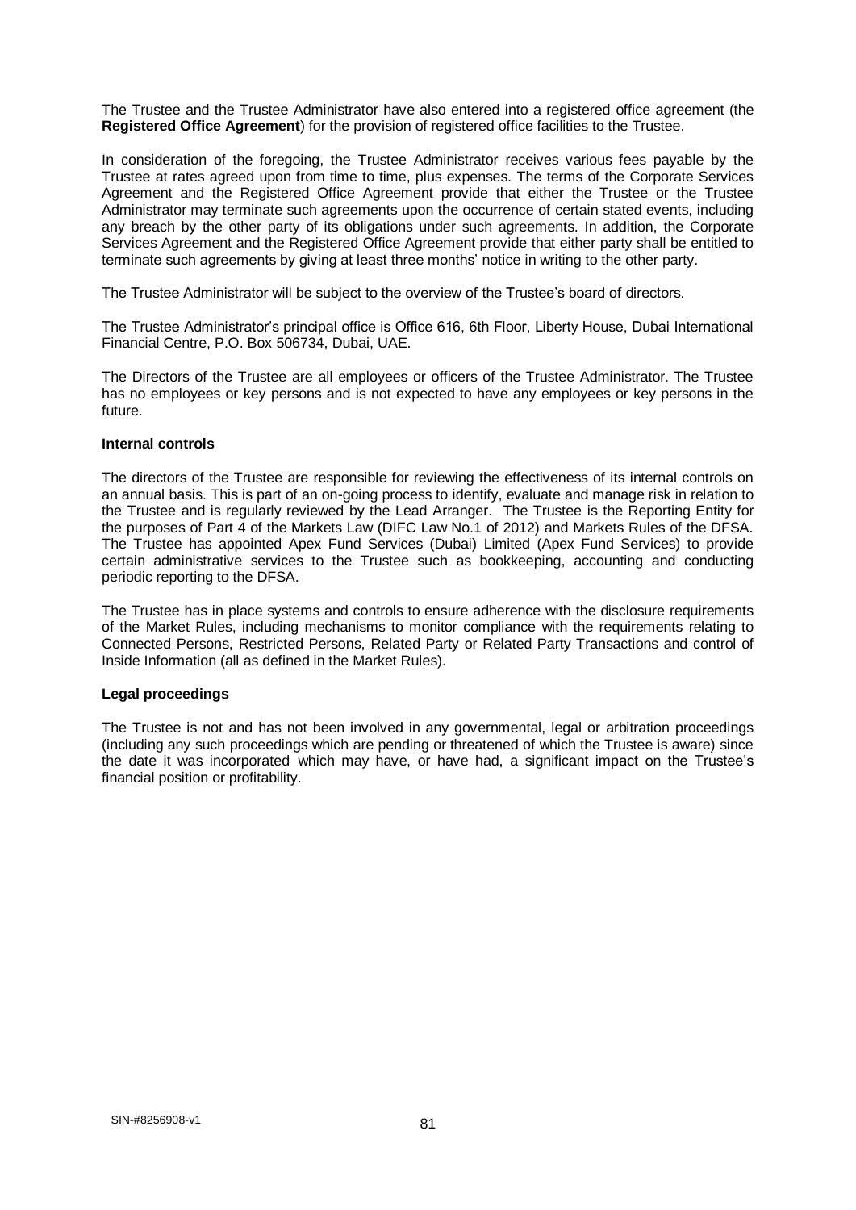The Trustee and the Trustee Administrator have also entered into a registered office agreement (the **Registered Office Agreement**) for the provision of registered office facilities to the Trustee.

In consideration of the foregoing, the Trustee Administrator receives various fees payable by the Trustee at rates agreed upon from time to time, plus expenses. The terms of the Corporate Services Agreement and the Registered Office Agreement provide that either the Trustee or the Trustee Administrator may terminate such agreements upon the occurrence of certain stated events, including any breach by the other party of its obligations under such agreements. In addition, the Corporate Services Agreement and the Registered Office Agreement provide that either party shall be entitled to terminate such agreements by giving at least three months' notice in writing to the other party.

The Trustee Administrator will be subject to the overview of the Trustee's board of directors.

The Trustee Administrator's principal office is Office 616, 6th Floor, Liberty House, Dubai International Financial Centre, P.O. Box 506734, Dubai, UAE.

The Directors of the Trustee are all employees or officers of the Trustee Administrator. The Trustee has no employees or key persons and is not expected to have any employees or key persons in the future.

#### **Internal controls**

The directors of the Trustee are responsible for reviewing the effectiveness of its internal controls on an annual basis. This is part of an on-going process to identify, evaluate and manage risk in relation to the Trustee and is regularly reviewed by the Lead Arranger. The Trustee is the Reporting Entity for the purposes of Part 4 of the Markets Law (DIFC Law No.1 of 2012) and Markets Rules of the DFSA. The Trustee has appointed Apex Fund Services (Dubai) Limited (Apex Fund Services) to provide certain administrative services to the Trustee such as bookkeeping, accounting and conducting periodic reporting to the DFSA.

The Trustee has in place systems and controls to ensure adherence with the disclosure requirements of the Market Rules, including mechanisms to monitor compliance with the requirements relating to Connected Persons, Restricted Persons, Related Party or Related Party Transactions and control of Inside Information (all as defined in the Market Rules).

#### **Legal proceedings**

The Trustee is not and has not been involved in any governmental, legal or arbitration proceedings (including any such proceedings which are pending or threatened of which the Trustee is aware) since the date it was incorporated which may have, or have had, a significant impact on the Trustee's financial position or profitability.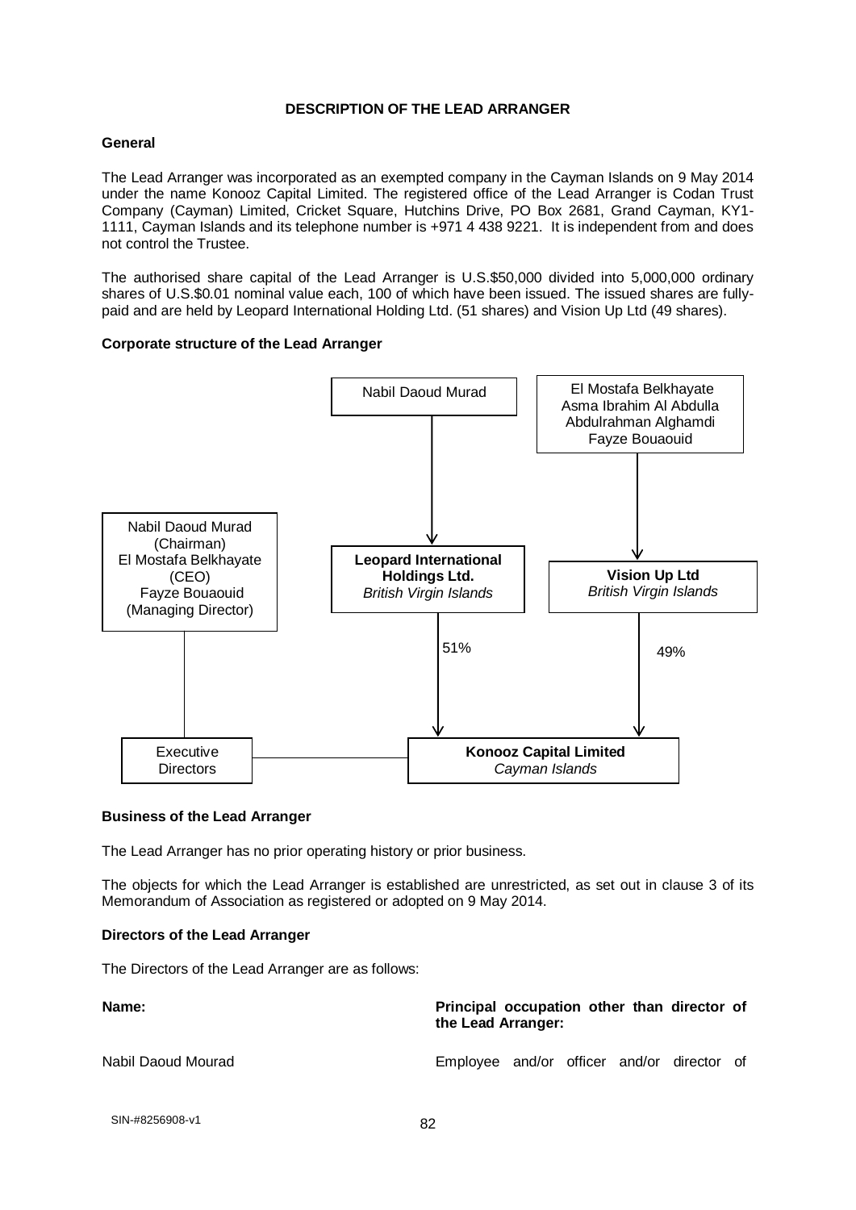### **DESCRIPTION OF THE LEAD ARRANGER**

### **General**

The Lead Arranger was incorporated as an exempted company in the Cayman Islands on 9 May 2014 under the name Konooz Capital Limited. The registered office of the Lead Arranger is Codan Trust Company (Cayman) Limited, Cricket Square, Hutchins Drive, PO Box 2681, Grand Cayman, KY1- 1111, Cayman Islands and its telephone number is +971 4 438 9221. It is independent from and does not control the Trustee.

The authorised share capital of the Lead Arranger is U.S.\$50,000 divided into 5,000,000 ordinary shares of U.S.\$0.01 nominal value each, 100 of which have been issued. The issued shares are fullypaid and are held by Leopard International Holding Ltd. (51 shares) and Vision Up Ltd (49 shares).

### **Corporate structure of the Lead Arranger**



#### **Business of the Lead Arranger**

The Lead Arranger has no prior operating history or prior business.

The objects for which the Lead Arranger is established are unrestricted, as set out in clause 3 of its Memorandum of Association as registered or adopted on 9 May 2014.

#### **Directors of the Lead Arranger**

The Directors of the Lead Arranger are as follows:

| Name:              | Principal occupation other than director of<br>the Lead Arranger: |
|--------------------|-------------------------------------------------------------------|
| Nabil Daoud Mourad | Employee and/or officer and/or director of                        |

```
82 SIN-#8256908-v1
```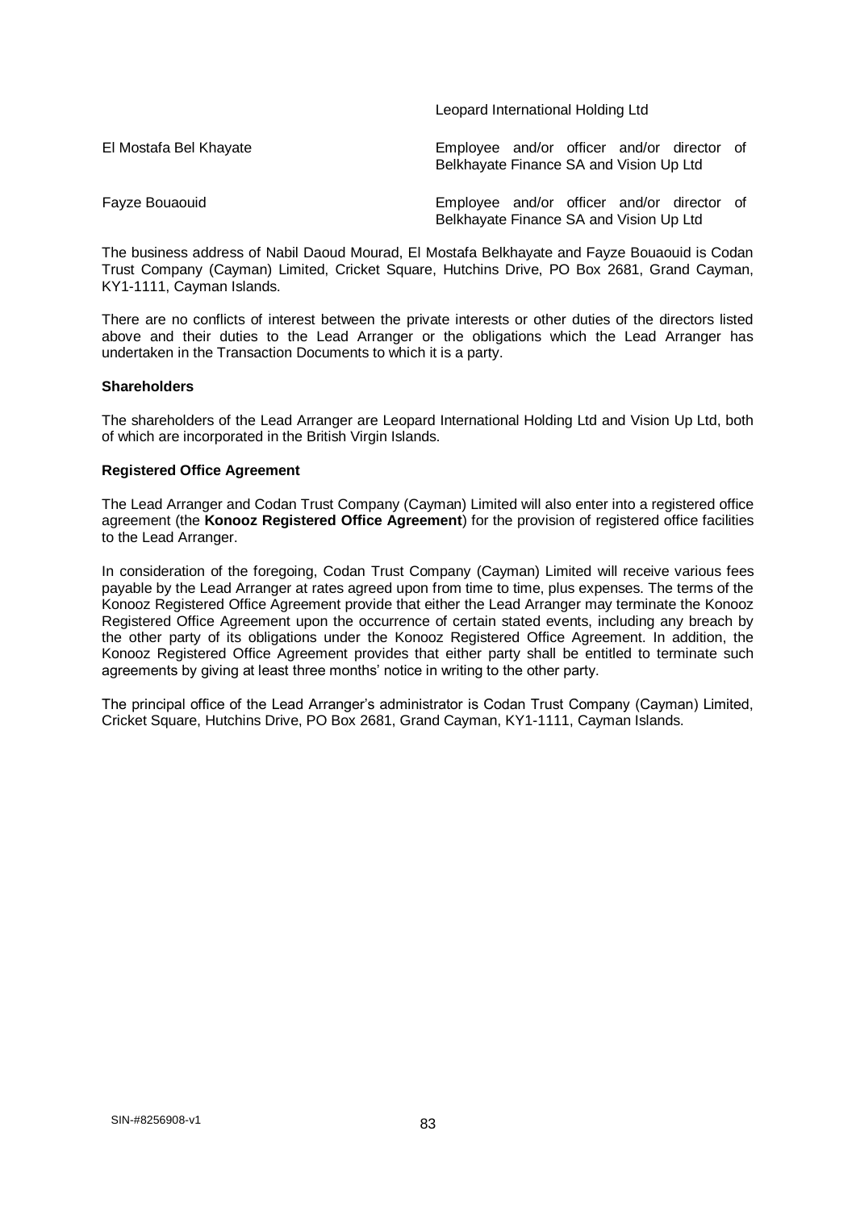|                        | Leopard international Holding Ltd                                                     |
|------------------------|---------------------------------------------------------------------------------------|
| El Mostafa Bel Khayate | Employee and/or officer and/or director of<br>Belkhayate Finance SA and Vision Up Ltd |
| Fayze Bouaouid         | Employee and/or officer and/or director of<br>Belkhayate Finance SA and Vision Up Ltd |

Leopard International Holding Ltd

The business address of Nabil Daoud Mourad, El Mostafa Belkhayate and Fayze Bouaouid is Codan Trust Company (Cayman) Limited, Cricket Square, Hutchins Drive, PO Box 2681, Grand Cayman, KY1-1111, Cayman Islands.

There are no conflicts of interest between the private interests or other duties of the directors listed above and their duties to the Lead Arranger or the obligations which the Lead Arranger has undertaken in the Transaction Documents to which it is a party.

#### **Shareholders**

The shareholders of the Lead Arranger are Leopard International Holding Ltd and Vision Up Ltd, both of which are incorporated in the British Virgin Islands.

#### **Registered Office Agreement**

The Lead Arranger and Codan Trust Company (Cayman) Limited will also enter into a registered office agreement (the **Konooz Registered Office Agreement**) for the provision of registered office facilities to the Lead Arranger.

In consideration of the foregoing, Codan Trust Company (Cayman) Limited will receive various fees payable by the Lead Arranger at rates agreed upon from time to time, plus expenses. The terms of the Konooz Registered Office Agreement provide that either the Lead Arranger may terminate the Konooz Registered Office Agreement upon the occurrence of certain stated events, including any breach by the other party of its obligations under the Konooz Registered Office Agreement. In addition, the Konooz Registered Office Agreement provides that either party shall be entitled to terminate such agreements by giving at least three months' notice in writing to the other party.

The principal office of the Lead Arranger's administrator is Codan Trust Company (Cayman) Limited, Cricket Square, Hutchins Drive, PO Box 2681, Grand Cayman, KY1-1111, Cayman Islands.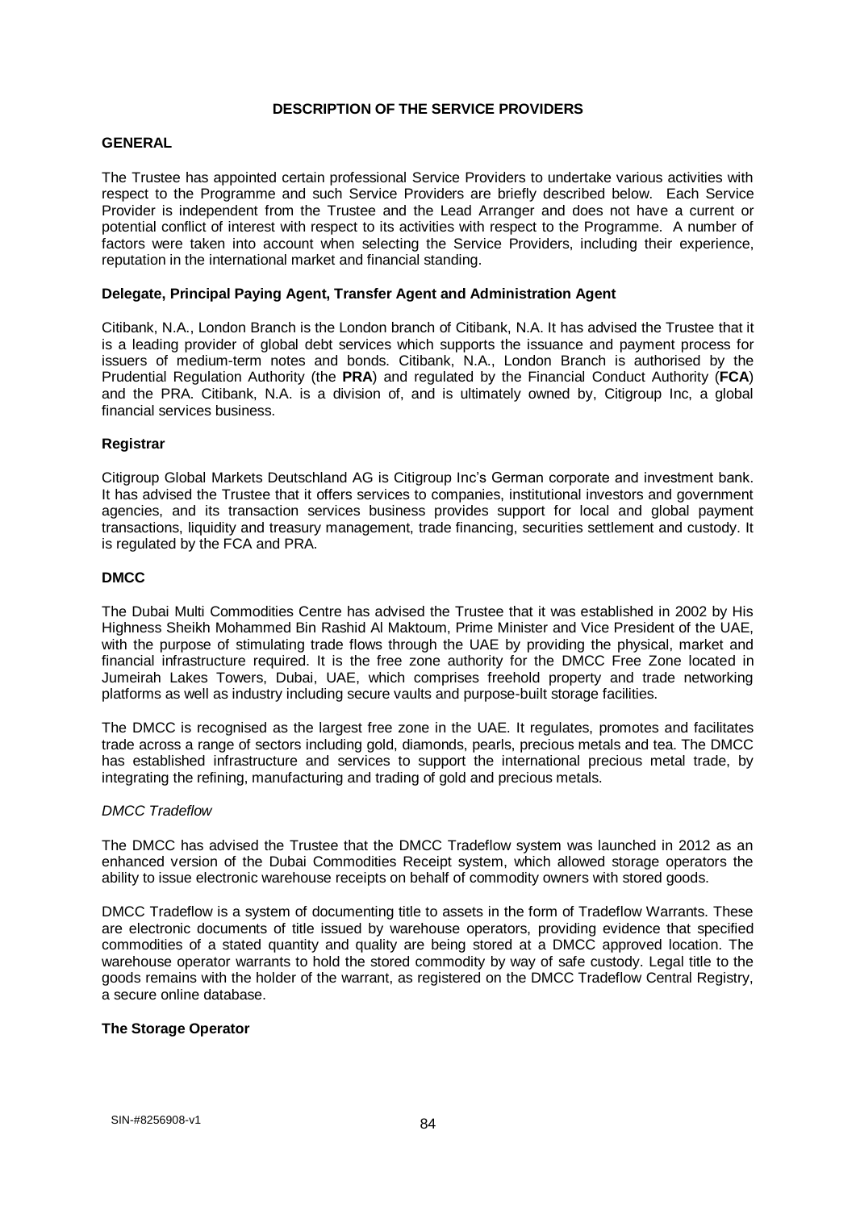### **DESCRIPTION OF THE SERVICE PROVIDERS**

#### **GENERAL**

The Trustee has appointed certain professional Service Providers to undertake various activities with respect to the Programme and such Service Providers are briefly described below. Each Service Provider is independent from the Trustee and the Lead Arranger and does not have a current or potential conflict of interest with respect to its activities with respect to the Programme. A number of factors were taken into account when selecting the Service Providers, including their experience, reputation in the international market and financial standing.

### **Delegate, Principal Paying Agent, Transfer Agent and Administration Agent**

Citibank, N.A., London Branch is the London branch of Citibank, N.A. It has advised the Trustee that it is a leading provider of global debt services which supports the issuance and payment process for issuers of medium-term notes and bonds. Citibank, N.A., London Branch is authorised by the Prudential Regulation Authority (the **PRA**) and regulated by the Financial Conduct Authority (**FCA**) and the PRA. Citibank, N.A. is a division of, and is ultimately owned by, Citigroup Inc, a global financial services business.

### **Registrar**

Citigroup Global Markets Deutschland AG is Citigroup Inc's German corporate and investment bank. It has advised the Trustee that it offers services to companies, institutional investors and government agencies, and its transaction services business provides support for local and global payment transactions, liquidity and treasury management, trade financing, securities settlement and custody. It is regulated by the FCA and PRA.

### **DMCC**

The Dubai Multi Commodities Centre has advised the Trustee that it was established in 2002 by His Highness Sheikh Mohammed Bin Rashid Al Maktoum, Prime Minister and Vice President of the UAE, with the purpose of stimulating trade flows through the UAE by providing the physical, market and financial infrastructure required. It is the free zone authority for the DMCC Free Zone located in Jumeirah Lakes Towers, Dubai, UAE, which comprises freehold property and trade networking platforms as well as industry including secure vaults and purpose-built storage facilities.

The DMCC is recognised as the largest free zone in the UAE. It regulates, promotes and facilitates trade across a range of sectors including gold, diamonds, pearls, precious metals and tea. The DMCC has established infrastructure and services to support the international precious metal trade, by integrating the refining, manufacturing and trading of gold and precious metals.

#### *DMCC Tradeflow*

The DMCC has advised the Trustee that the DMCC Tradeflow system was launched in 2012 as an enhanced version of the Dubai Commodities Receipt system, which allowed storage operators the ability to issue electronic warehouse receipts on behalf of commodity owners with stored goods.

DMCC Tradeflow is a system of documenting title to assets in the form of Tradeflow Warrants. These are electronic documents of title issued by warehouse operators, providing evidence that specified commodities of a stated quantity and quality are being stored at a DMCC approved location. The warehouse operator warrants to hold the stored commodity by way of safe custody. Legal title to the goods remains with the holder of the warrant, as registered on the DMCC Tradeflow Central Registry, a secure online database.

#### **The Storage Operator**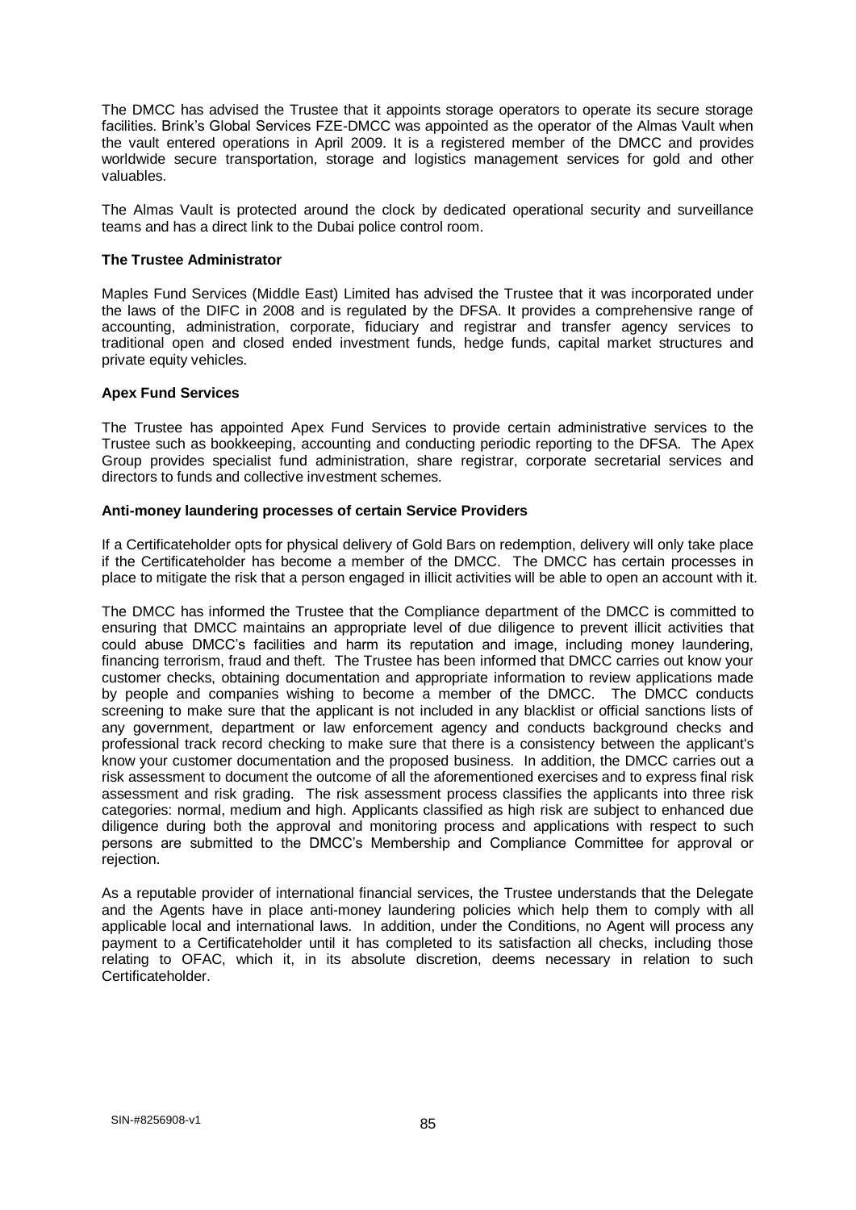The DMCC has advised the Trustee that it appoints storage operators to operate its secure storage facilities. Brink's Global Services FZE-DMCC was appointed as the operator of the Almas Vault when the vault entered operations in April 2009. It is a registered member of the DMCC and provides worldwide secure transportation, storage and logistics management services for gold and other valuables.

The Almas Vault is protected around the clock by dedicated operational security and surveillance teams and has a direct link to the Dubai police control room.

#### **The Trustee Administrator**

Maples Fund Services (Middle East) Limited has advised the Trustee that it was incorporated under the laws of the DIFC in 2008 and is regulated by the DFSA. It provides a comprehensive range of accounting, administration, corporate, fiduciary and registrar and transfer agency services to traditional open and closed ended investment funds, hedge funds, capital market structures and private equity vehicles.

#### **Apex Fund Services**

The Trustee has appointed Apex Fund Services to provide certain administrative services to the Trustee such as bookkeeping, accounting and conducting periodic reporting to the DFSA. The Apex Group provides specialist fund administration, share registrar, corporate secretarial services and directors to funds and collective investment schemes.

#### **Anti-money laundering processes of certain Service Providers**

If a Certificateholder opts for physical delivery of Gold Bars on redemption, delivery will only take place if the Certificateholder has become a member of the DMCC. The DMCC has certain processes in place to mitigate the risk that a person engaged in illicit activities will be able to open an account with it.

The DMCC has informed the Trustee that the Compliance department of the DMCC is committed to ensuring that DMCC maintains an appropriate level of due diligence to prevent illicit activities that could abuse DMCC's facilities and harm its reputation and image, including money laundering, financing terrorism, fraud and theft. The Trustee has been informed that DMCC carries out know your customer checks, obtaining documentation and appropriate information to review applications made by people and companies wishing to become a member of the DMCC. The DMCC conducts screening to make sure that the applicant is not included in any blacklist or official sanctions lists of any government, department or law enforcement agency and conducts background checks and professional track record checking to make sure that there is a consistency between the applicant's know your customer documentation and the proposed business. In addition, the DMCC carries out a risk assessment to document the outcome of all the aforementioned exercises and to express final risk assessment and risk grading. The risk assessment process classifies the applicants into three risk categories: normal, medium and high. Applicants classified as high risk are subject to enhanced due diligence during both the approval and monitoring process and applications with respect to such persons are submitted to the DMCC's Membership and Compliance Committee for approval or rejection.

As a reputable provider of international financial services, the Trustee understands that the Delegate and the Agents have in place anti-money laundering policies which help them to comply with all applicable local and international laws. In addition, under the Conditions, no Agent will process any payment to a Certificateholder until it has completed to its satisfaction all checks, including those relating to OFAC, which it, in its absolute discretion, deems necessary in relation to such Certificateholder.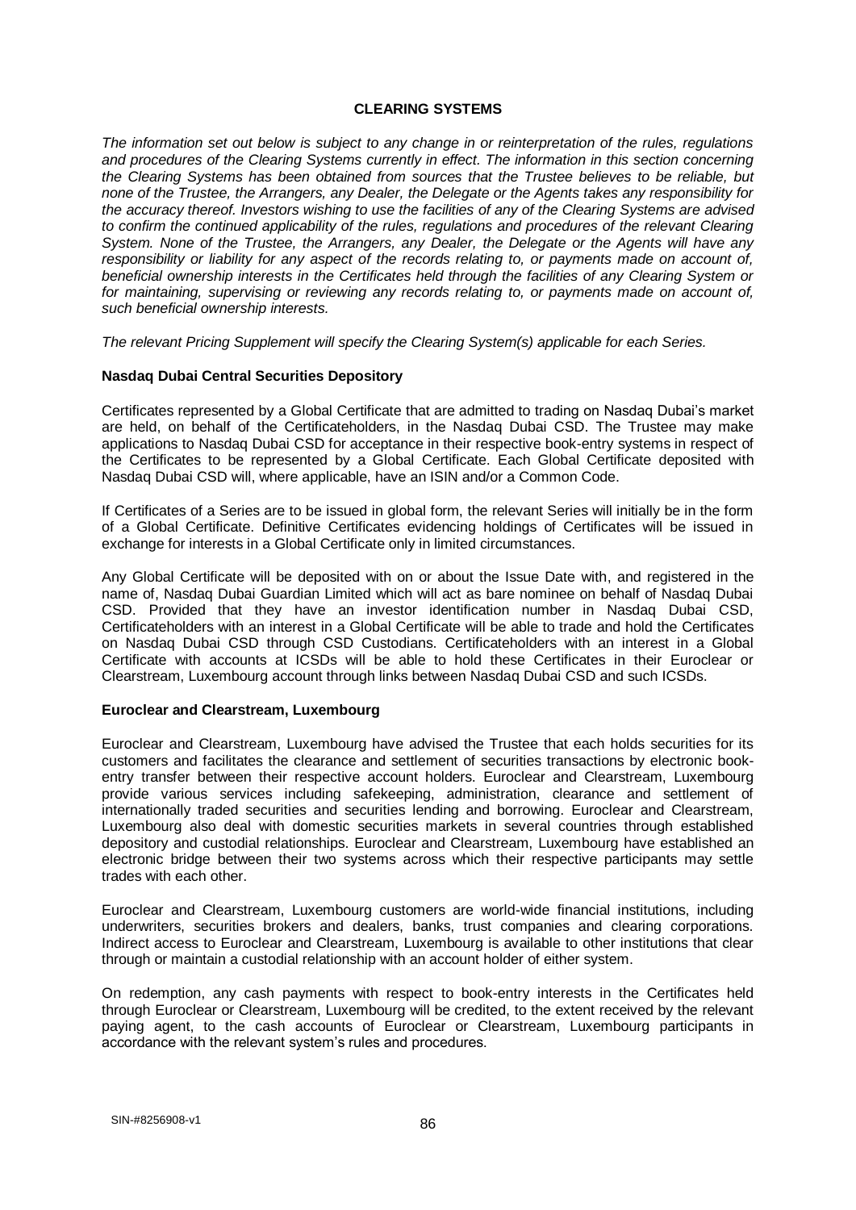### **CLEARING SYSTEMS**

*The information set out below is subject to any change in or reinterpretation of the rules, regulations and procedures of the Clearing Systems currently in effect. The information in this section concerning the Clearing Systems has been obtained from sources that the Trustee believes to be reliable, but none of the Trustee, the Arrangers, any Dealer, the Delegate or the Agents takes any responsibility for the accuracy thereof. Investors wishing to use the facilities of any of the Clearing Systems are advised to confirm the continued applicability of the rules, regulations and procedures of the relevant Clearing System. None of the Trustee, the Arrangers, any Dealer, the Delegate or the Agents will have any responsibility or liability for any aspect of the records relating to, or payments made on account of, beneficial ownership interests in the Certificates held through the facilities of any Clearing System or for maintaining, supervising or reviewing any records relating to, or payments made on account of, such beneficial ownership interests.*

*The relevant Pricing Supplement will specify the Clearing System(s) applicable for each Series.*

#### **Nasdaq Dubai Central Securities Depository**

Certificates represented by a Global Certificate that are admitted to trading on Nasdaq Dubai's market are held, on behalf of the Certificateholders, in the Nasdaq Dubai CSD. The Trustee may make applications to Nasdaq Dubai CSD for acceptance in their respective book-entry systems in respect of the Certificates to be represented by a Global Certificate. Each Global Certificate deposited with Nasdaq Dubai CSD will, where applicable, have an ISIN and/or a Common Code.

If Certificates of a Series are to be issued in global form, the relevant Series will initially be in the form of a Global Certificate. Definitive Certificates evidencing holdings of Certificates will be issued in exchange for interests in a Global Certificate only in limited circumstances.

Any Global Certificate will be deposited with on or about the Issue Date with, and registered in the name of, Nasdaq Dubai Guardian Limited which will act as bare nominee on behalf of Nasdaq Dubai CSD. Provided that they have an investor identification number in Nasdaq Dubai CSD, Certificateholders with an interest in a Global Certificate will be able to trade and hold the Certificates on Nasdaq Dubai CSD through CSD Custodians. Certificateholders with an interest in a Global Certificate with accounts at ICSDs will be able to hold these Certificates in their Euroclear or Clearstream, Luxembourg account through links between Nasdaq Dubai CSD and such ICSDs.

#### **Euroclear and Clearstream, Luxembourg**

Euroclear and Clearstream, Luxembourg have advised the Trustee that each holds securities for its customers and facilitates the clearance and settlement of securities transactions by electronic bookentry transfer between their respective account holders. Euroclear and Clearstream, Luxembourg provide various services including safekeeping, administration, clearance and settlement of internationally traded securities and securities lending and borrowing. Euroclear and Clearstream, Luxembourg also deal with domestic securities markets in several countries through established depository and custodial relationships. Euroclear and Clearstream, Luxembourg have established an electronic bridge between their two systems across which their respective participants may settle trades with each other.

Euroclear and Clearstream, Luxembourg customers are world-wide financial institutions, including underwriters, securities brokers and dealers, banks, trust companies and clearing corporations. Indirect access to Euroclear and Clearstream, Luxembourg is available to other institutions that clear through or maintain a custodial relationship with an account holder of either system.

On redemption, any cash payments with respect to book-entry interests in the Certificates held through Euroclear or Clearstream, Luxembourg will be credited, to the extent received by the relevant paying agent, to the cash accounts of Euroclear or Clearstream, Luxembourg participants in accordance with the relevant system's rules and procedures.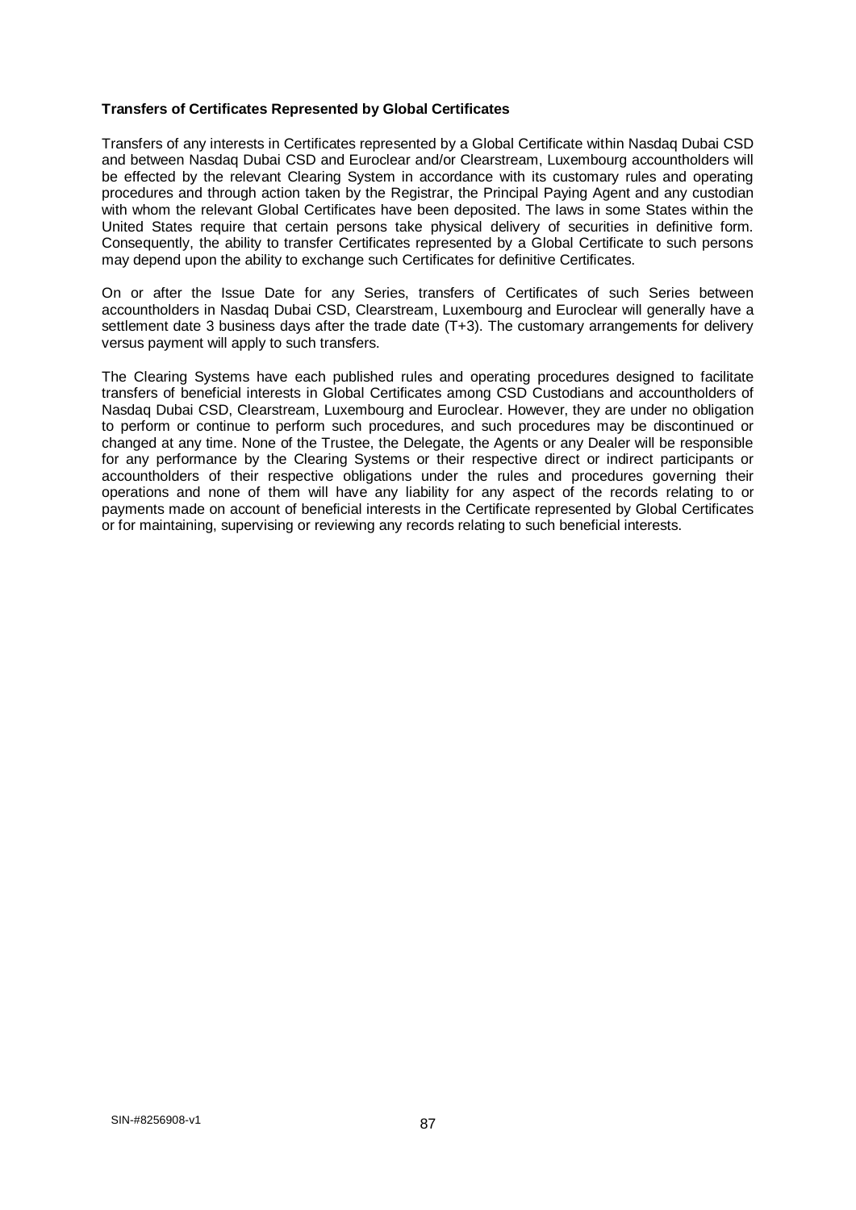#### **Transfers of Certificates Represented by Global Certificates**

Transfers of any interests in Certificates represented by a Global Certificate within Nasdaq Dubai CSD and between Nasdaq Dubai CSD and Euroclear and/or Clearstream, Luxembourg accountholders will be effected by the relevant Clearing System in accordance with its customary rules and operating procedures and through action taken by the Registrar, the Principal Paying Agent and any custodian with whom the relevant Global Certificates have been deposited. The laws in some States within the United States require that certain persons take physical delivery of securities in definitive form. Consequently, the ability to transfer Certificates represented by a Global Certificate to such persons may depend upon the ability to exchange such Certificates for definitive Certificates.

On or after the Issue Date for any Series, transfers of Certificates of such Series between accountholders in Nasdaq Dubai CSD, Clearstream, Luxembourg and Euroclear will generally have a settlement date 3 business days after the trade date (T+3). The customary arrangements for delivery versus payment will apply to such transfers.

The Clearing Systems have each published rules and operating procedures designed to facilitate transfers of beneficial interests in Global Certificates among CSD Custodians and accountholders of Nasdaq Dubai CSD, Clearstream, Luxembourg and Euroclear. However, they are under no obligation to perform or continue to perform such procedures, and such procedures may be discontinued or changed at any time. None of the Trustee, the Delegate, the Agents or any Dealer will be responsible for any performance by the Clearing Systems or their respective direct or indirect participants or accountholders of their respective obligations under the rules and procedures governing their operations and none of them will have any liability for any aspect of the records relating to or payments made on account of beneficial interests in the Certificate represented by Global Certificates or for maintaining, supervising or reviewing any records relating to such beneficial interests.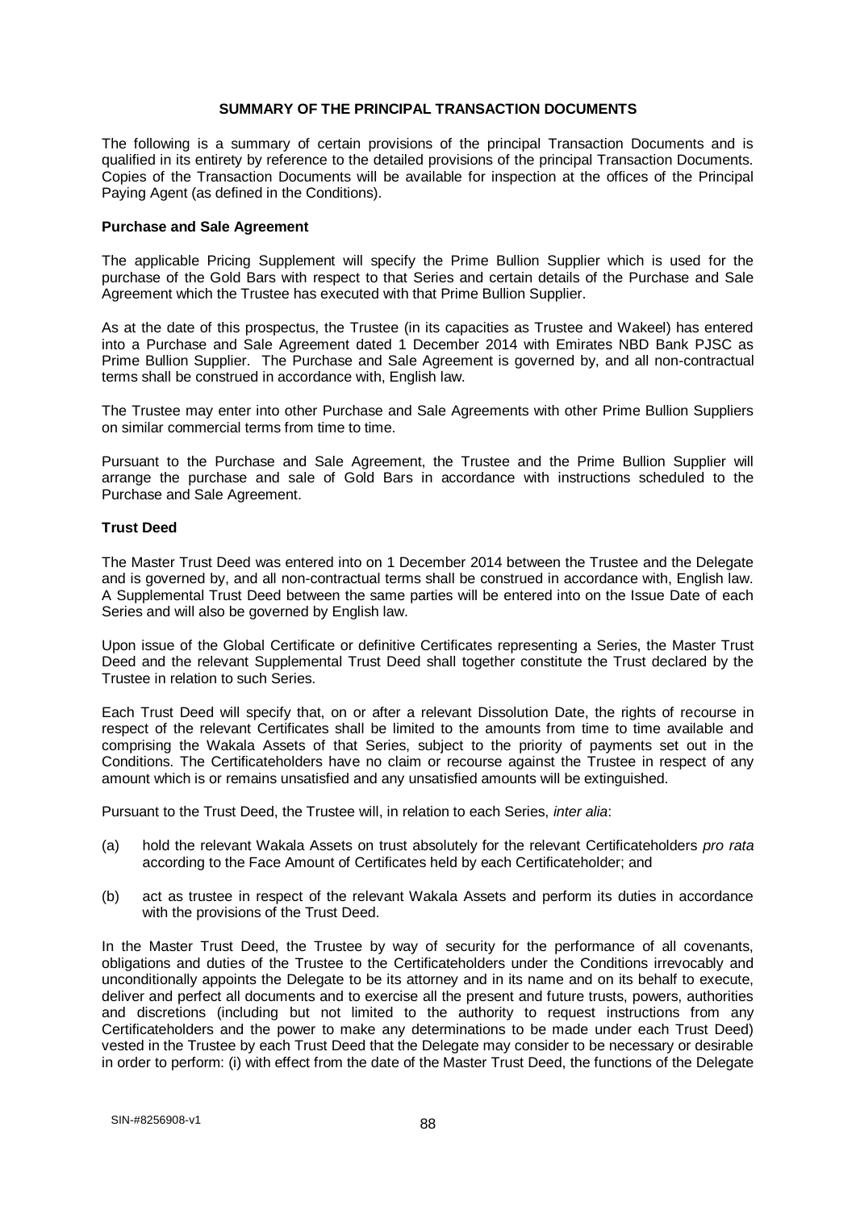#### **SUMMARY OF THE PRINCIPAL TRANSACTION DOCUMENTS**

The following is a summary of certain provisions of the principal Transaction Documents and is qualified in its entirety by reference to the detailed provisions of the principal Transaction Documents. Copies of the Transaction Documents will be available for inspection at the offices of the Principal Paying Agent (as defined in the Conditions).

#### **Purchase and Sale Agreement**

The applicable Pricing Supplement will specify the Prime Bullion Supplier which is used for the purchase of the Gold Bars with respect to that Series and certain details of the Purchase and Sale Agreement which the Trustee has executed with that Prime Bullion Supplier.

As at the date of this prospectus, the Trustee (in its capacities as Trustee and Wakeel) has entered into a Purchase and Sale Agreement dated 1 December 2014 with Emirates NBD Bank PJSC as Prime Bullion Supplier. The Purchase and Sale Agreement is governed by, and all non-contractual terms shall be construed in accordance with, English law.

The Trustee may enter into other Purchase and Sale Agreements with other Prime Bullion Suppliers on similar commercial terms from time to time.

Pursuant to the Purchase and Sale Agreement, the Trustee and the Prime Bullion Supplier will arrange the purchase and sale of Gold Bars in accordance with instructions scheduled to the Purchase and Sale Agreement.

#### **Trust Deed**

The Master Trust Deed was entered into on 1 December 2014 between the Trustee and the Delegate and is governed by, and all non-contractual terms shall be construed in accordance with, English law. A Supplemental Trust Deed between the same parties will be entered into on the Issue Date of each Series and will also be governed by English law.

Upon issue of the Global Certificate or definitive Certificates representing a Series, the Master Trust Deed and the relevant Supplemental Trust Deed shall together constitute the Trust declared by the Trustee in relation to such Series.

Each Trust Deed will specify that, on or after a relevant Dissolution Date, the rights of recourse in respect of the relevant Certificates shall be limited to the amounts from time to time available and comprising the Wakala Assets of that Series, subject to the priority of payments set out in the Conditions. The Certificateholders have no claim or recourse against the Trustee in respect of any amount which is or remains unsatisfied and any unsatisfied amounts will be extinguished.

Pursuant to the Trust Deed, the Trustee will, in relation to each Series, *inter alia*:

- (a) hold the relevant Wakala Assets on trust absolutely for the relevant Certificateholders *pro rata*  according to the Face Amount of Certificates held by each Certificateholder; and
- (b) act as trustee in respect of the relevant Wakala Assets and perform its duties in accordance with the provisions of the Trust Deed.

In the Master Trust Deed, the Trustee by way of security for the performance of all covenants, obligations and duties of the Trustee to the Certificateholders under the Conditions irrevocably and unconditionally appoints the Delegate to be its attorney and in its name and on its behalf to execute, deliver and perfect all documents and to exercise all the present and future trusts, powers, authorities and discretions (including but not limited to the authority to request instructions from any Certificateholders and the power to make any determinations to be made under each Trust Deed) vested in the Trustee by each Trust Deed that the Delegate may consider to be necessary or desirable in order to perform: (i) with effect from the date of the Master Trust Deed, the functions of the Delegate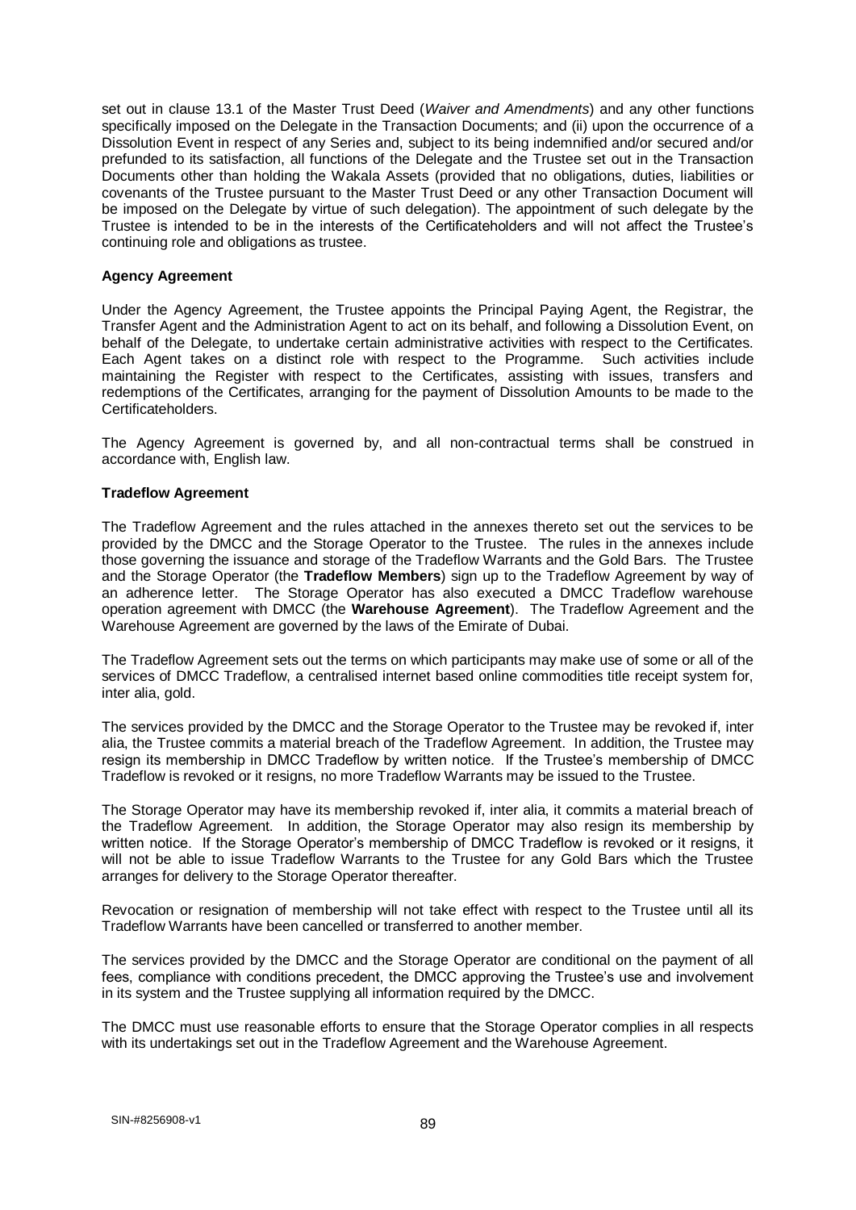set out in clause 13.1 of the Master Trust Deed (*Waiver and Amendments*) and any other functions specifically imposed on the Delegate in the Transaction Documents; and (ii) upon the occurrence of a Dissolution Event in respect of any Series and, subject to its being indemnified and/or secured and/or prefunded to its satisfaction, all functions of the Delegate and the Trustee set out in the Transaction Documents other than holding the Wakala Assets (provided that no obligations, duties, liabilities or covenants of the Trustee pursuant to the Master Trust Deed or any other Transaction Document will be imposed on the Delegate by virtue of such delegation). The appointment of such delegate by the Trustee is intended to be in the interests of the Certificateholders and will not affect the Trustee's continuing role and obligations as trustee.

### **Agency Agreement**

Under the Agency Agreement, the Trustee appoints the Principal Paying Agent, the Registrar, the Transfer Agent and the Administration Agent to act on its behalf, and following a Dissolution Event, on behalf of the Delegate, to undertake certain administrative activities with respect to the Certificates. Each Agent takes on a distinct role with respect to the Programme. Such activities include maintaining the Register with respect to the Certificates, assisting with issues, transfers and redemptions of the Certificates, arranging for the payment of Dissolution Amounts to be made to the Certificateholders.

The Agency Agreement is governed by, and all non-contractual terms shall be construed in accordance with, English law.

#### **Tradeflow Agreement**

The Tradeflow Agreement and the rules attached in the annexes thereto set out the services to be provided by the DMCC and the Storage Operator to the Trustee. The rules in the annexes include those governing the issuance and storage of the Tradeflow Warrants and the Gold Bars. The Trustee and the Storage Operator (the **Tradeflow Members**) sign up to the Tradeflow Agreement by way of an adherence letter. The Storage Operator has also executed a DMCC Tradeflow warehouse operation agreement with DMCC (the **Warehouse Agreement**). The Tradeflow Agreement and the Warehouse Agreement are governed by the laws of the Emirate of Dubai.

The Tradeflow Agreement sets out the terms on which participants may make use of some or all of the services of DMCC Tradeflow, a centralised internet based online commodities title receipt system for, inter alia, gold.

The services provided by the DMCC and the Storage Operator to the Trustee may be revoked if, inter alia, the Trustee commits a material breach of the Tradeflow Agreement. In addition, the Trustee may resign its membership in DMCC Tradeflow by written notice. If the Trustee's membership of DMCC Tradeflow is revoked or it resigns, no more Tradeflow Warrants may be issued to the Trustee.

The Storage Operator may have its membership revoked if, inter alia, it commits a material breach of the Tradeflow Agreement. In addition, the Storage Operator may also resign its membership by written notice. If the Storage Operator's membership of DMCC Tradeflow is revoked or it resigns, it will not be able to issue Tradeflow Warrants to the Trustee for any Gold Bars which the Trustee arranges for delivery to the Storage Operator thereafter.

Revocation or resignation of membership will not take effect with respect to the Trustee until all its Tradeflow Warrants have been cancelled or transferred to another member.

The services provided by the DMCC and the Storage Operator are conditional on the payment of all fees, compliance with conditions precedent, the DMCC approving the Trustee's use and involvement in its system and the Trustee supplying all information required by the DMCC.

The DMCC must use reasonable efforts to ensure that the Storage Operator complies in all respects with its undertakings set out in the Tradeflow Agreement and the Warehouse Agreement.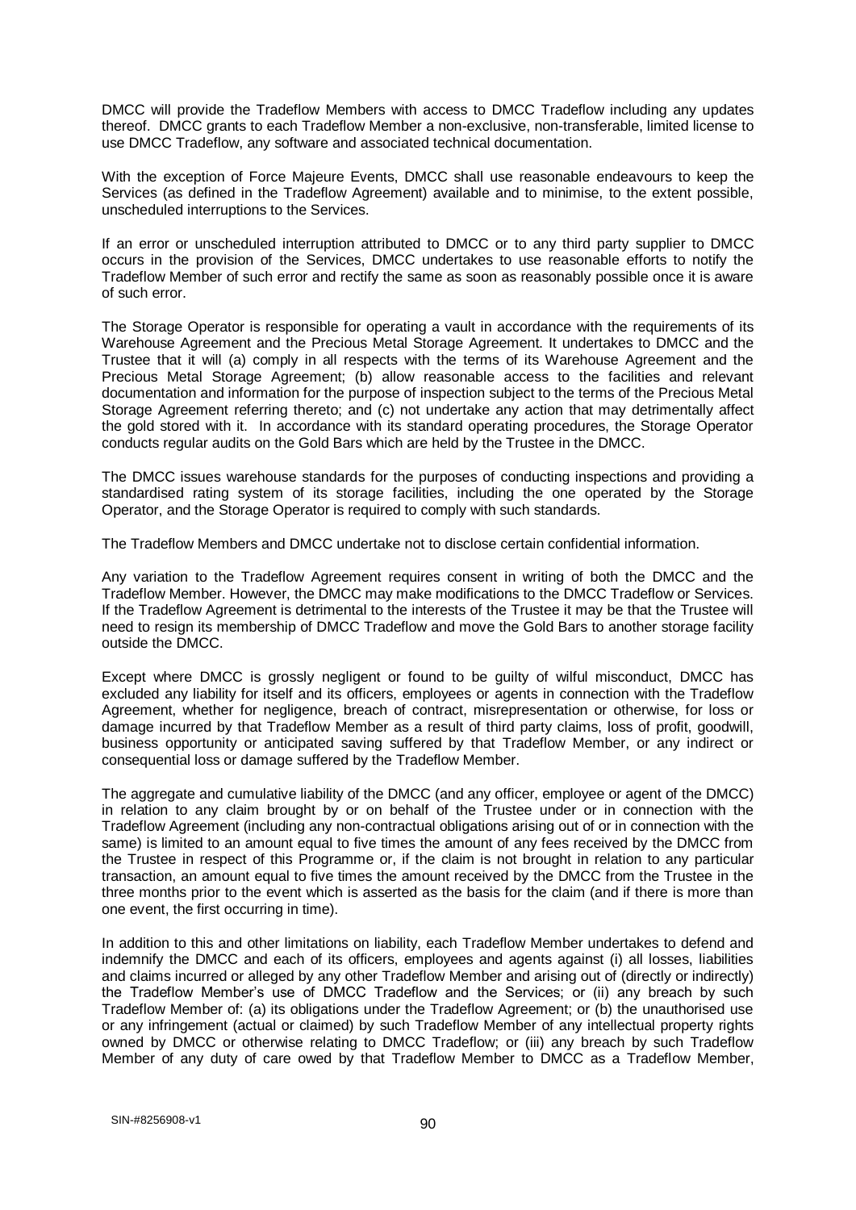DMCC will provide the Tradeflow Members with access to DMCC Tradeflow including any updates thereof. DMCC grants to each Tradeflow Member a non-exclusive, non-transferable, limited license to use DMCC Tradeflow, any software and associated technical documentation.

With the exception of Force Majeure Events, DMCC shall use reasonable endeavours to keep the Services (as defined in the Tradeflow Agreement) available and to minimise, to the extent possible, unscheduled interruptions to the Services.

If an error or unscheduled interruption attributed to DMCC or to any third party supplier to DMCC occurs in the provision of the Services, DMCC undertakes to use reasonable efforts to notify the Tradeflow Member of such error and rectify the same as soon as reasonably possible once it is aware of such error.

The Storage Operator is responsible for operating a vault in accordance with the requirements of its Warehouse Agreement and the Precious Metal Storage Agreement. It undertakes to DMCC and the Trustee that it will (a) comply in all respects with the terms of its Warehouse Agreement and the Precious Metal Storage Agreement; (b) allow reasonable access to the facilities and relevant documentation and information for the purpose of inspection subject to the terms of the Precious Metal Storage Agreement referring thereto; and (c) not undertake any action that may detrimentally affect the gold stored with it. In accordance with its standard operating procedures, the Storage Operator conducts regular audits on the Gold Bars which are held by the Trustee in the DMCC.

The DMCC issues warehouse standards for the purposes of conducting inspections and providing a standardised rating system of its storage facilities, including the one operated by the Storage Operator, and the Storage Operator is required to comply with such standards.

The Tradeflow Members and DMCC undertake not to disclose certain confidential information.

Any variation to the Tradeflow Agreement requires consent in writing of both the DMCC and the Tradeflow Member. However, the DMCC may make modifications to the DMCC Tradeflow or Services. If the Tradeflow Agreement is detrimental to the interests of the Trustee it may be that the Trustee will need to resign its membership of DMCC Tradeflow and move the Gold Bars to another storage facility outside the DMCC.

Except where DMCC is grossly negligent or found to be guilty of wilful misconduct, DMCC has excluded any liability for itself and its officers, employees or agents in connection with the Tradeflow Agreement, whether for negligence, breach of contract, misrepresentation or otherwise, for loss or damage incurred by that Tradeflow Member as a result of third party claims, loss of profit, goodwill, business opportunity or anticipated saving suffered by that Tradeflow Member, or any indirect or consequential loss or damage suffered by the Tradeflow Member.

The aggregate and cumulative liability of the DMCC (and any officer, employee or agent of the DMCC) in relation to any claim brought by or on behalf of the Trustee under or in connection with the Tradeflow Agreement (including any non-contractual obligations arising out of or in connection with the same) is limited to an amount equal to five times the amount of any fees received by the DMCC from the Trustee in respect of this Programme or, if the claim is not brought in relation to any particular transaction, an amount equal to five times the amount received by the DMCC from the Trustee in the three months prior to the event which is asserted as the basis for the claim (and if there is more than one event, the first occurring in time).

In addition to this and other limitations on liability, each Tradeflow Member undertakes to defend and indemnify the DMCC and each of its officers, employees and agents against (i) all losses, liabilities and claims incurred or alleged by any other Tradeflow Member and arising out of (directly or indirectly) the Tradeflow Member's use of DMCC Tradeflow and the Services; or (ii) any breach by such Tradeflow Member of: (a) its obligations under the Tradeflow Agreement; or (b) the unauthorised use or any infringement (actual or claimed) by such Tradeflow Member of any intellectual property rights owned by DMCC or otherwise relating to DMCC Tradeflow; or (iii) any breach by such Tradeflow Member of any duty of care owed by that Tradeflow Member to DMCC as a Tradeflow Member,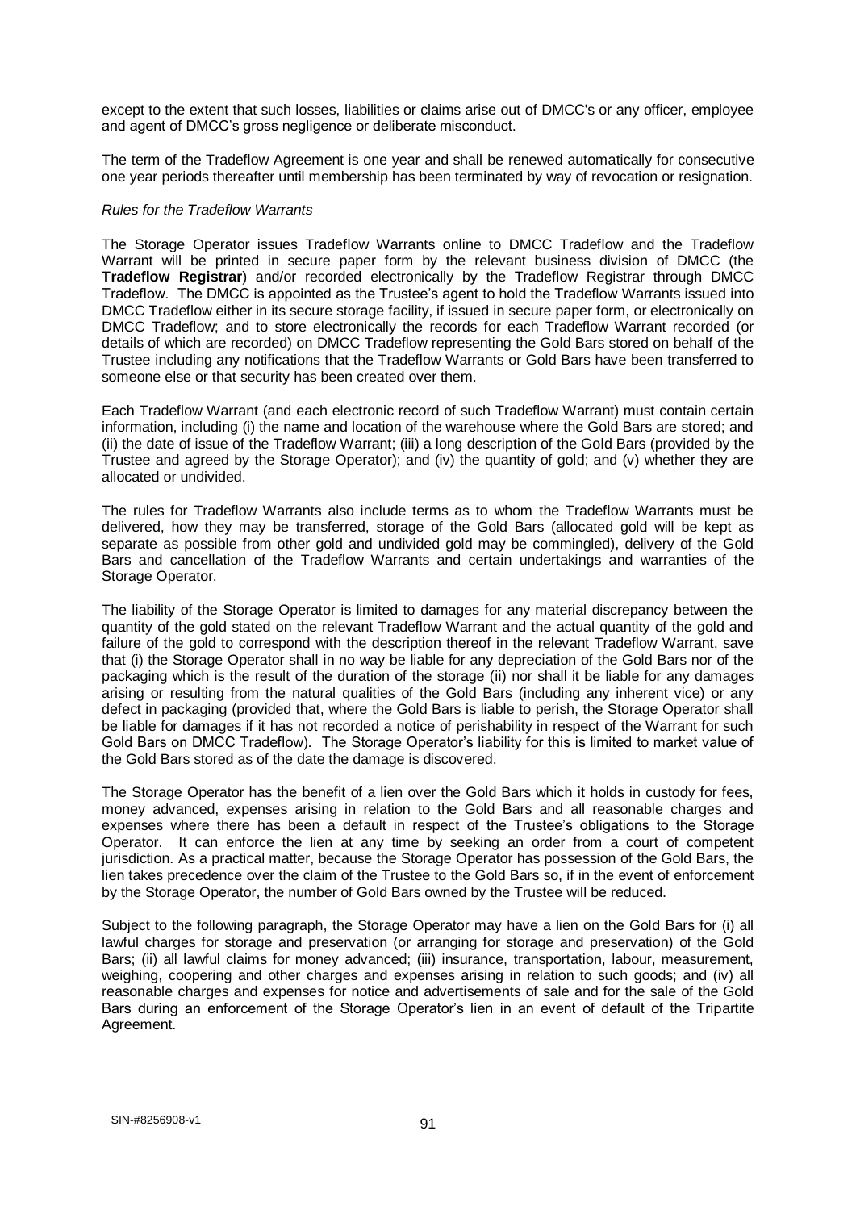except to the extent that such losses, liabilities or claims arise out of DMCC's or any officer, employee and agent of DMCC's gross negligence or deliberate misconduct.

The term of the Tradeflow Agreement is one year and shall be renewed automatically for consecutive one year periods thereafter until membership has been terminated by way of revocation or resignation.

#### *Rules for the Tradeflow Warrants*

The Storage Operator issues Tradeflow Warrants online to DMCC Tradeflow and the Tradeflow Warrant will be printed in secure paper form by the relevant business division of DMCC (the **Tradeflow Registrar**) and/or recorded electronically by the Tradeflow Registrar through DMCC Tradeflow. The DMCC is appointed as the Trustee's agent to hold the Tradeflow Warrants issued into DMCC Tradeflow either in its secure storage facility, if issued in secure paper form, or electronically on DMCC Tradeflow; and to store electronically the records for each Tradeflow Warrant recorded (or details of which are recorded) on DMCC Tradeflow representing the Gold Bars stored on behalf of the Trustee including any notifications that the Tradeflow Warrants or Gold Bars have been transferred to someone else or that security has been created over them.

Each Tradeflow Warrant (and each electronic record of such Tradeflow Warrant) must contain certain information, including (i) the name and location of the warehouse where the Gold Bars are stored; and (ii) the date of issue of the Tradeflow Warrant; (iii) a long description of the Gold Bars (provided by the Trustee and agreed by the Storage Operator); and (iv) the quantity of gold; and (v) whether they are allocated or undivided.

The rules for Tradeflow Warrants also include terms as to whom the Tradeflow Warrants must be delivered, how they may be transferred, storage of the Gold Bars (allocated gold will be kept as separate as possible from other gold and undivided gold may be commingled), delivery of the Gold Bars and cancellation of the Tradeflow Warrants and certain undertakings and warranties of the Storage Operator.

The liability of the Storage Operator is limited to damages for any material discrepancy between the quantity of the gold stated on the relevant Tradeflow Warrant and the actual quantity of the gold and failure of the gold to correspond with the description thereof in the relevant Tradeflow Warrant, save that (i) the Storage Operator shall in no way be liable for any depreciation of the Gold Bars nor of the packaging which is the result of the duration of the storage (ii) nor shall it be liable for any damages arising or resulting from the natural qualities of the Gold Bars (including any inherent vice) or any defect in packaging (provided that, where the Gold Bars is liable to perish, the Storage Operator shall be liable for damages if it has not recorded a notice of perishability in respect of the Warrant for such Gold Bars on DMCC Tradeflow). The Storage Operator's liability for this is limited to market value of the Gold Bars stored as of the date the damage is discovered.

The Storage Operator has the benefit of a lien over the Gold Bars which it holds in custody for fees, money advanced, expenses arising in relation to the Gold Bars and all reasonable charges and expenses where there has been a default in respect of the Trustee's obligations to the Storage Operator. It can enforce the lien at any time by seeking an order from a court of competent jurisdiction. As a practical matter, because the Storage Operator has possession of the Gold Bars, the lien takes precedence over the claim of the Trustee to the Gold Bars so, if in the event of enforcement by the Storage Operator, the number of Gold Bars owned by the Trustee will be reduced.

Subject to the following paragraph, the Storage Operator may have a lien on the Gold Bars for (i) all lawful charges for storage and preservation (or arranging for storage and preservation) of the Gold Bars; (ii) all lawful claims for money advanced; (iii) insurance, transportation, labour, measurement, weighing, coopering and other charges and expenses arising in relation to such goods; and (iv) all reasonable charges and expenses for notice and advertisements of sale and for the sale of the Gold Bars during an enforcement of the Storage Operator's lien in an event of default of the Tripartite Agreement.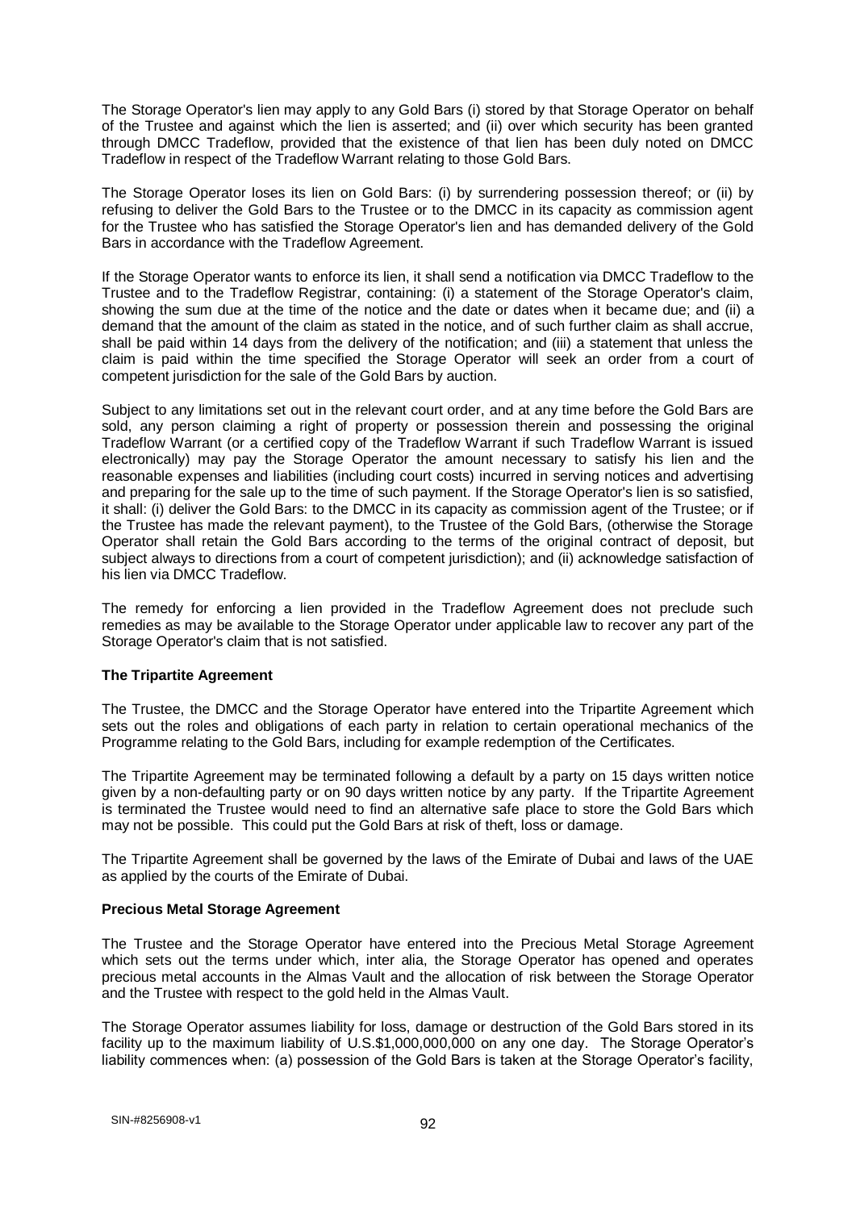The Storage Operator's lien may apply to any Gold Bars (i) stored by that Storage Operator on behalf of the Trustee and against which the lien is asserted; and (ii) over which security has been granted through DMCC Tradeflow, provided that the existence of that lien has been duly noted on DMCC Tradeflow in respect of the Tradeflow Warrant relating to those Gold Bars.

The Storage Operator loses its lien on Gold Bars: (i) by surrendering possession thereof; or (ii) by refusing to deliver the Gold Bars to the Trustee or to the DMCC in its capacity as commission agent for the Trustee who has satisfied the Storage Operator's lien and has demanded delivery of the Gold Bars in accordance with the Tradeflow Agreement.

If the Storage Operator wants to enforce its lien, it shall send a notification via DMCC Tradeflow to the Trustee and to the Tradeflow Registrar, containing: (i) a statement of the Storage Operator's claim, showing the sum due at the time of the notice and the date or dates when it became due; and (ii) a demand that the amount of the claim as stated in the notice, and of such further claim as shall accrue, shall be paid within 14 days from the delivery of the notification; and (iii) a statement that unless the claim is paid within the time specified the Storage Operator will seek an order from a court of competent jurisdiction for the sale of the Gold Bars by auction.

Subject to any limitations set out in the relevant court order, and at any time before the Gold Bars are sold, any person claiming a right of property or possession therein and possessing the original Tradeflow Warrant (or a certified copy of the Tradeflow Warrant if such Tradeflow Warrant is issued electronically) may pay the Storage Operator the amount necessary to satisfy his lien and the reasonable expenses and liabilities (including court costs) incurred in serving notices and advertising and preparing for the sale up to the time of such payment. If the Storage Operator's lien is so satisfied, it shall: (i) deliver the Gold Bars: to the DMCC in its capacity as commission agent of the Trustee; or if the Trustee has made the relevant payment), to the Trustee of the Gold Bars, (otherwise the Storage Operator shall retain the Gold Bars according to the terms of the original contract of deposit, but subject always to directions from a court of competent jurisdiction); and (ii) acknowledge satisfaction of his lien via DMCC Tradeflow.

The remedy for enforcing a lien provided in the Tradeflow Agreement does not preclude such remedies as may be available to the Storage Operator under applicable law to recover any part of the Storage Operator's claim that is not satisfied.

## **The Tripartite Agreement**

The Trustee, the DMCC and the Storage Operator have entered into the Tripartite Agreement which sets out the roles and obligations of each party in relation to certain operational mechanics of the Programme relating to the Gold Bars, including for example redemption of the Certificates.

The Tripartite Agreement may be terminated following a default by a party on 15 days written notice given by a non-defaulting party or on 90 days written notice by any party. If the Tripartite Agreement is terminated the Trustee would need to find an alternative safe place to store the Gold Bars which may not be possible. This could put the Gold Bars at risk of theft, loss or damage.

The Tripartite Agreement shall be governed by the laws of the Emirate of Dubai and laws of the UAE as applied by the courts of the Emirate of Dubai.

#### **Precious Metal Storage Agreement**

The Trustee and the Storage Operator have entered into the Precious Metal Storage Agreement which sets out the terms under which, inter alia, the Storage Operator has opened and operates precious metal accounts in the Almas Vault and the allocation of risk between the Storage Operator and the Trustee with respect to the gold held in the Almas Vault.

The Storage Operator assumes liability for loss, damage or destruction of the Gold Bars stored in its facility up to the maximum liability of U.S.\$1,000,000,000 on any one day. The Storage Operator's liability commences when: (a) possession of the Gold Bars is taken at the Storage Operator's facility,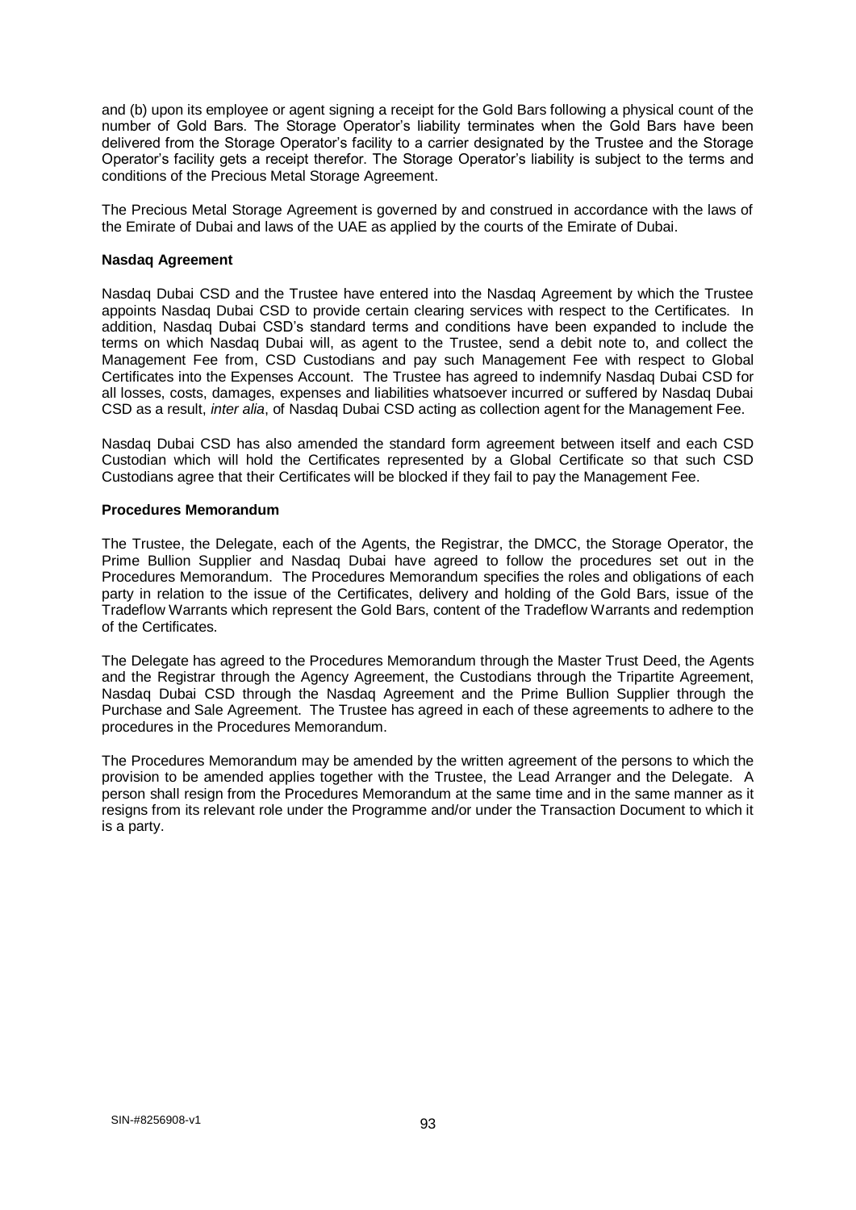and (b) upon its employee or agent signing a receipt for the Gold Bars following a physical count of the number of Gold Bars. The Storage Operator's liability terminates when the Gold Bars have been delivered from the Storage Operator's facility to a carrier designated by the Trustee and the Storage Operator's facility gets a receipt therefor. The Storage Operator's liability is subject to the terms and conditions of the Precious Metal Storage Agreement.

The Precious Metal Storage Agreement is governed by and construed in accordance with the laws of the Emirate of Dubai and laws of the UAE as applied by the courts of the Emirate of Dubai.

#### **Nasdaq Agreement**

Nasdaq Dubai CSD and the Trustee have entered into the Nasdaq Agreement by which the Trustee appoints Nasdaq Dubai CSD to provide certain clearing services with respect to the Certificates. In addition, Nasdaq Dubai CSD's standard terms and conditions have been expanded to include the terms on which Nasdaq Dubai will, as agent to the Trustee, send a debit note to, and collect the Management Fee from, CSD Custodians and pay such Management Fee with respect to Global Certificates into the Expenses Account. The Trustee has agreed to indemnify Nasdaq Dubai CSD for all losses, costs, damages, expenses and liabilities whatsoever incurred or suffered by Nasdaq Dubai CSD as a result, *inter alia*, of Nasdaq Dubai CSD acting as collection agent for the Management Fee.

Nasdaq Dubai CSD has also amended the standard form agreement between itself and each CSD Custodian which will hold the Certificates represented by a Global Certificate so that such CSD Custodians agree that their Certificates will be blocked if they fail to pay the Management Fee.

### **Procedures Memorandum**

The Trustee, the Delegate, each of the Agents, the Registrar, the DMCC, the Storage Operator, the Prime Bullion Supplier and Nasdaq Dubai have agreed to follow the procedures set out in the Procedures Memorandum. The Procedures Memorandum specifies the roles and obligations of each party in relation to the issue of the Certificates, delivery and holding of the Gold Bars, issue of the Tradeflow Warrants which represent the Gold Bars, content of the Tradeflow Warrants and redemption of the Certificates.

The Delegate has agreed to the Procedures Memorandum through the Master Trust Deed, the Agents and the Registrar through the Agency Agreement, the Custodians through the Tripartite Agreement, Nasdaq Dubai CSD through the Nasdaq Agreement and the Prime Bullion Supplier through the Purchase and Sale Agreement. The Trustee has agreed in each of these agreements to adhere to the procedures in the Procedures Memorandum.

The Procedures Memorandum may be amended by the written agreement of the persons to which the provision to be amended applies together with the Trustee, the Lead Arranger and the Delegate. A person shall resign from the Procedures Memorandum at the same time and in the same manner as it resigns from its relevant role under the Programme and/or under the Transaction Document to which it is a party.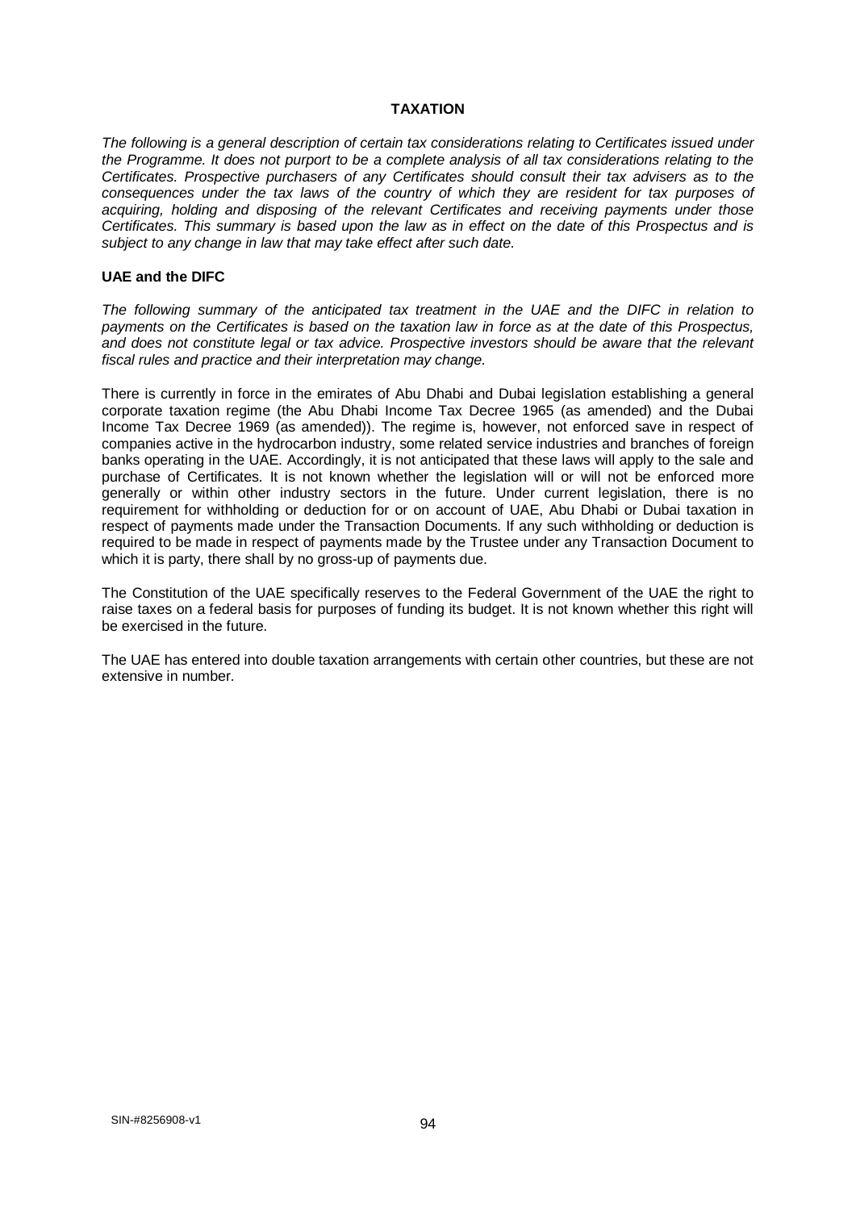### **TAXATION**

*The following is a general description of certain tax considerations relating to Certificates issued under the Programme. It does not purport to be a complete analysis of all tax considerations relating to the Certificates. Prospective purchasers of any Certificates should consult their tax advisers as to the consequences under the tax laws of the country of which they are resident for tax purposes of acquiring, holding and disposing of the relevant Certificates and receiving payments under those Certificates. This summary is based upon the law as in effect on the date of this Prospectus and is subject to any change in law that may take effect after such date.* 

### **UAE and the DIFC**

*The following summary of the anticipated tax treatment in the UAE and the DIFC in relation to payments on the Certificates is based on the taxation law in force as at the date of this Prospectus, and does not constitute legal or tax advice. Prospective investors should be aware that the relevant fiscal rules and practice and their interpretation may change.* 

There is currently in force in the emirates of Abu Dhabi and Dubai legislation establishing a general corporate taxation regime (the Abu Dhabi Income Tax Decree 1965 (as amended) and the Dubai Income Tax Decree 1969 (as amended)). The regime is, however, not enforced save in respect of companies active in the hydrocarbon industry, some related service industries and branches of foreign banks operating in the UAE. Accordingly, it is not anticipated that these laws will apply to the sale and purchase of Certificates. It is not known whether the legislation will or will not be enforced more generally or within other industry sectors in the future. Under current legislation, there is no requirement for withholding or deduction for or on account of UAE, Abu Dhabi or Dubai taxation in respect of payments made under the Transaction Documents. If any such withholding or deduction is required to be made in respect of payments made by the Trustee under any Transaction Document to which it is party, there shall by no gross-up of payments due.

The Constitution of the UAE specifically reserves to the Federal Government of the UAE the right to raise taxes on a federal basis for purposes of funding its budget. It is not known whether this right will be exercised in the future.

The UAE has entered into double taxation arrangements with certain other countries, but these are not extensive in number.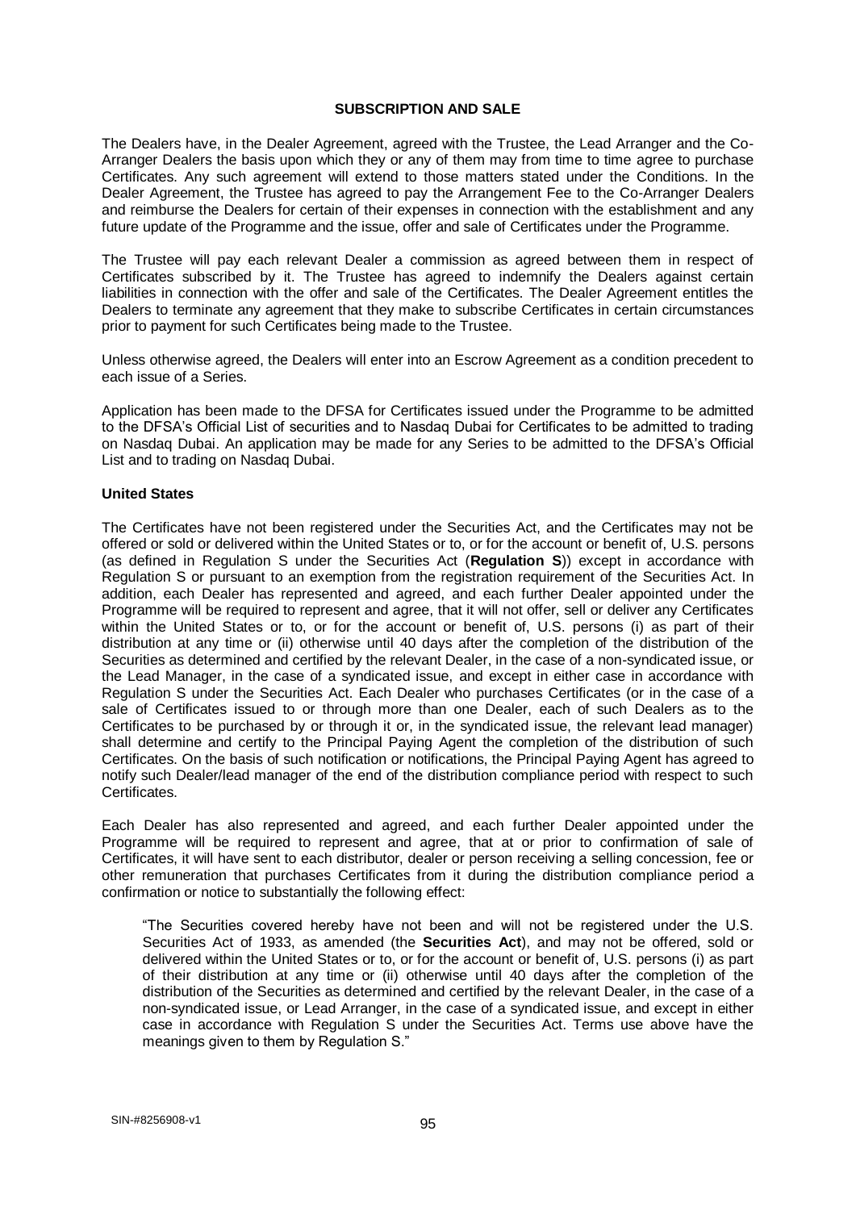#### **SUBSCRIPTION AND SALE**

The Dealers have, in the Dealer Agreement, agreed with the Trustee, the Lead Arranger and the Co-Arranger Dealers the basis upon which they or any of them may from time to time agree to purchase Certificates. Any such agreement will extend to those matters stated under the Conditions. In the Dealer Agreement, the Trustee has agreed to pay the Arrangement Fee to the Co-Arranger Dealers and reimburse the Dealers for certain of their expenses in connection with the establishment and any future update of the Programme and the issue, offer and sale of Certificates under the Programme.

The Trustee will pay each relevant Dealer a commission as agreed between them in respect of Certificates subscribed by it. The Trustee has agreed to indemnify the Dealers against certain liabilities in connection with the offer and sale of the Certificates. The Dealer Agreement entitles the Dealers to terminate any agreement that they make to subscribe Certificates in certain circumstances prior to payment for such Certificates being made to the Trustee.

Unless otherwise agreed, the Dealers will enter into an Escrow Agreement as a condition precedent to each issue of a Series.

Application has been made to the DFSA for Certificates issued under the Programme to be admitted to the DFSA's Official List of securities and to Nasdaq Dubai for Certificates to be admitted to trading on Nasdaq Dubai. An application may be made for any Series to be admitted to the DFSA's Official List and to trading on Nasdaq Dubai.

#### **United States**

The Certificates have not been registered under the Securities Act, and the Certificates may not be offered or sold or delivered within the United States or to, or for the account or benefit of, U.S. persons (as defined in Regulation S under the Securities Act (**Regulation S**)) except in accordance with Regulation S or pursuant to an exemption from the registration requirement of the Securities Act. In addition, each Dealer has represented and agreed, and each further Dealer appointed under the Programme will be required to represent and agree, that it will not offer, sell or deliver any Certificates within the United States or to, or for the account or benefit of, U.S. persons (i) as part of their distribution at any time or (ii) otherwise until 40 days after the completion of the distribution of the Securities as determined and certified by the relevant Dealer, in the case of a non-syndicated issue, or the Lead Manager, in the case of a syndicated issue, and except in either case in accordance with Regulation S under the Securities Act. Each Dealer who purchases Certificates (or in the case of a sale of Certificates issued to or through more than one Dealer, each of such Dealers as to the Certificates to be purchased by or through it or, in the syndicated issue, the relevant lead manager) shall determine and certify to the Principal Paying Agent the completion of the distribution of such Certificates. On the basis of such notification or notifications, the Principal Paying Agent has agreed to notify such Dealer/lead manager of the end of the distribution compliance period with respect to such Certificates.

Each Dealer has also represented and agreed, and each further Dealer appointed under the Programme will be required to represent and agree, that at or prior to confirmation of sale of Certificates, it will have sent to each distributor, dealer or person receiving a selling concession, fee or other remuneration that purchases Certificates from it during the distribution compliance period a confirmation or notice to substantially the following effect:

"The Securities covered hereby have not been and will not be registered under the U.S. Securities Act of 1933, as amended (the **Securities Act**), and may not be offered, sold or delivered within the United States or to, or for the account or benefit of, U.S. persons (i) as part of their distribution at any time or (ii) otherwise until 40 days after the completion of the distribution of the Securities as determined and certified by the relevant Dealer, in the case of a non-syndicated issue, or Lead Arranger, in the case of a syndicated issue, and except in either case in accordance with Regulation S under the Securities Act. Terms use above have the meanings given to them by Regulation S."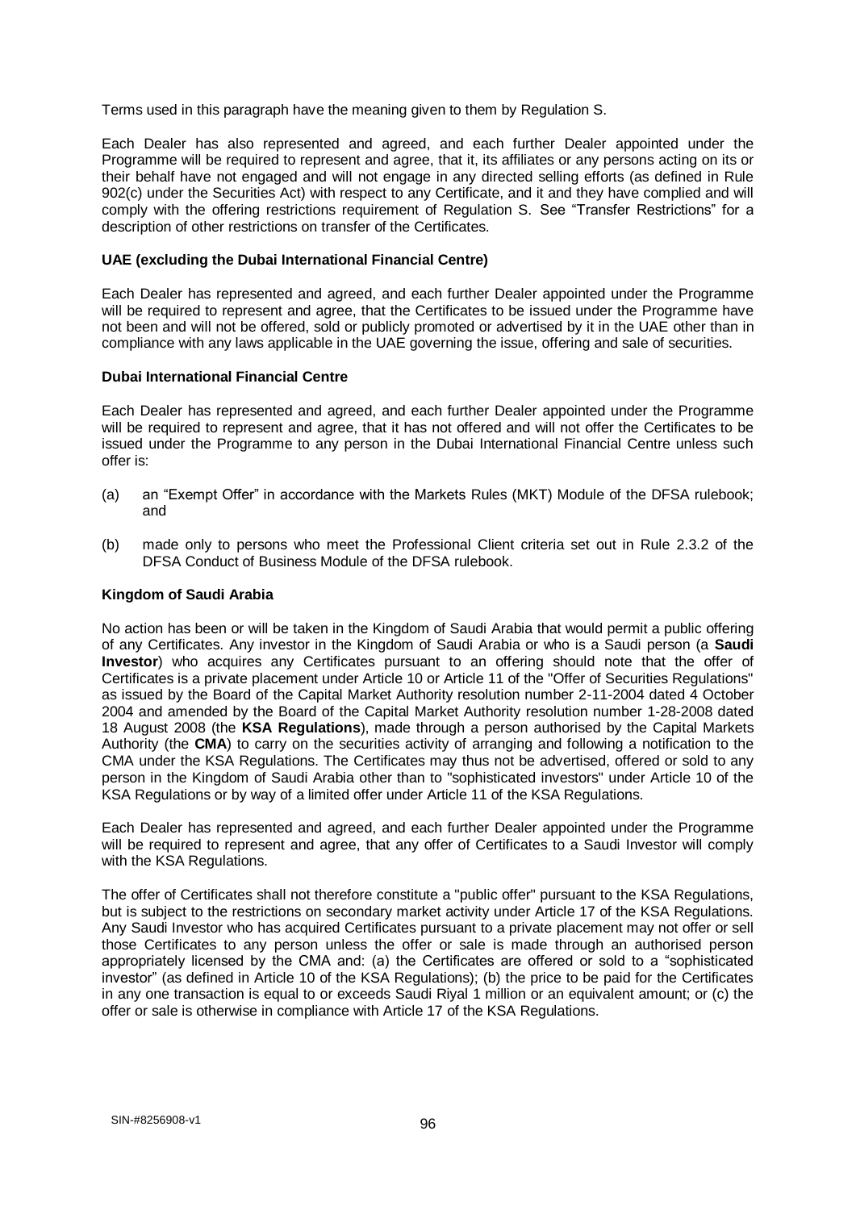Terms used in this paragraph have the meaning given to them by Regulation S.

Each Dealer has also represented and agreed, and each further Dealer appointed under the Programme will be required to represent and agree, that it, its affiliates or any persons acting on its or their behalf have not engaged and will not engage in any directed selling efforts (as defined in Rule 902(c) under the Securities Act) with respect to any Certificate, and it and they have complied and will comply with the offering restrictions requirement of Regulation S. See "Transfer Restrictions" for a description of other restrictions on transfer of the Certificates.

### **UAE (excluding the Dubai International Financial Centre)**

Each Dealer has represented and agreed, and each further Dealer appointed under the Programme will be required to represent and agree, that the Certificates to be issued under the Programme have not been and will not be offered, sold or publicly promoted or advertised by it in the UAE other than in compliance with any laws applicable in the UAE governing the issue, offering and sale of securities.

### **Dubai International Financial Centre**

Each Dealer has represented and agreed, and each further Dealer appointed under the Programme will be required to represent and agree, that it has not offered and will not offer the Certificates to be issued under the Programme to any person in the Dubai International Financial Centre unless such offer is:

- (a) an "Exempt Offer" in accordance with the Markets Rules (MKT) Module of the DFSA rulebook; and
- (b) made only to persons who meet the Professional Client criteria set out in Rule 2.3.2 of the DFSA Conduct of Business Module of the DFSA rulebook.

### **Kingdom of Saudi Arabia**

No action has been or will be taken in the Kingdom of Saudi Arabia that would permit a public offering of any Certificates. Any investor in the Kingdom of Saudi Arabia or who is a Saudi person (a **Saudi Investor**) who acquires any Certificates pursuant to an offering should note that the offer of Certificates is a private placement under Article 10 or Article 11 of the "Offer of Securities Regulations" as issued by the Board of the Capital Market Authority resolution number 2-11-2004 dated 4 October 2004 and amended by the Board of the Capital Market Authority resolution number 1-28-2008 dated 18 August 2008 (the **KSA Regulations**), made through a person authorised by the Capital Markets Authority (the **CMA**) to carry on the securities activity of arranging and following a notification to the CMA under the KSA Regulations. The Certificates may thus not be advertised, offered or sold to any person in the Kingdom of Saudi Arabia other than to "sophisticated investors" under Article 10 of the KSA Regulations or by way of a limited offer under Article 11 of the KSA Regulations.

Each Dealer has represented and agreed, and each further Dealer appointed under the Programme will be required to represent and agree, that any offer of Certificates to a Saudi Investor will comply with the KSA Regulations.

The offer of Certificates shall not therefore constitute a "public offer" pursuant to the KSA Regulations, but is subject to the restrictions on secondary market activity under Article 17 of the KSA Regulations. Any Saudi Investor who has acquired Certificates pursuant to a private placement may not offer or sell those Certificates to any person unless the offer or sale is made through an authorised person appropriately licensed by the CMA and: (a) the Certificates are offered or sold to a "sophisticated investor" (as defined in Article 10 of the KSA Regulations); (b) the price to be paid for the Certificates in any one transaction is equal to or exceeds Saudi Riyal 1 million or an equivalent amount; or (c) the offer or sale is otherwise in compliance with Article 17 of the KSA Regulations.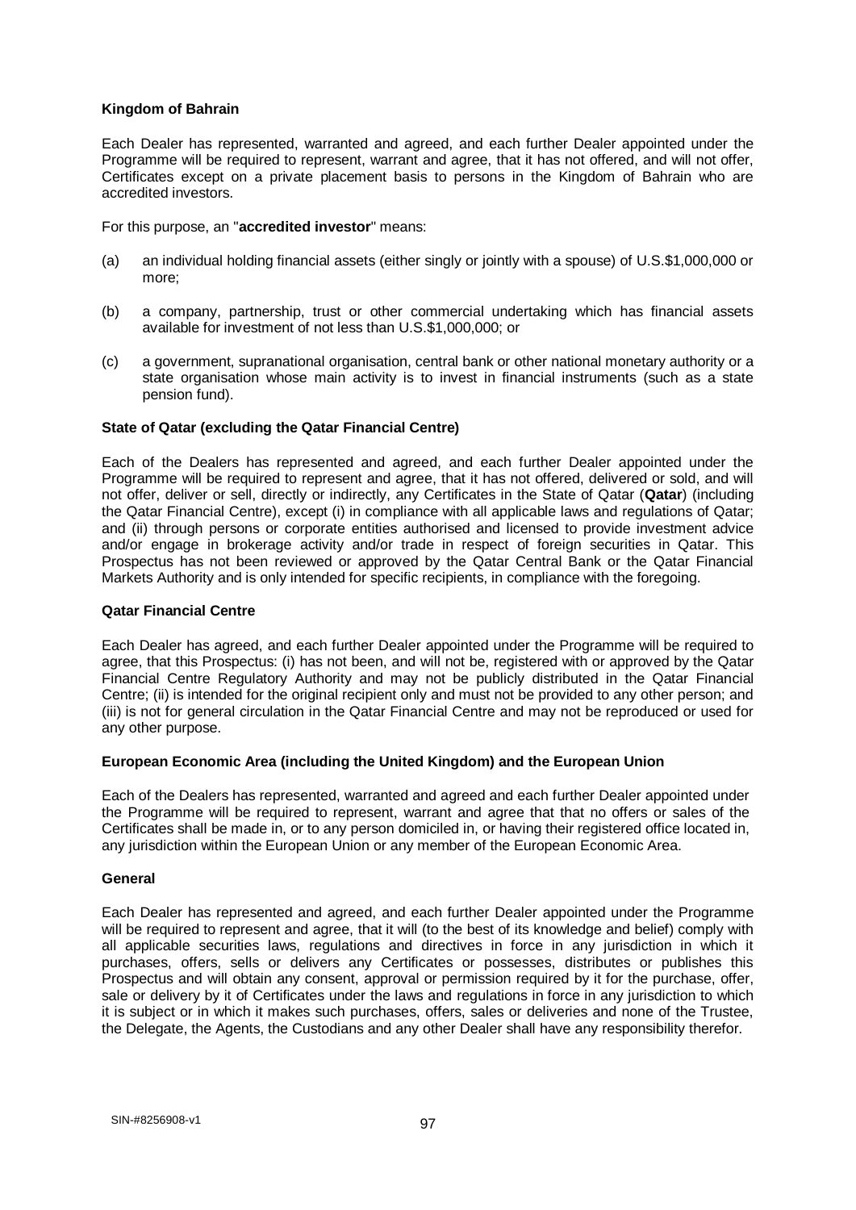### **Kingdom of Bahrain**

Each Dealer has represented, warranted and agreed, and each further Dealer appointed under the Programme will be required to represent, warrant and agree, that it has not offered, and will not offer, Certificates except on a private placement basis to persons in the Kingdom of Bahrain who are accredited investors.

For this purpose, an "**accredited investor**" means:

- (a) an individual holding financial assets (either singly or jointly with a spouse) of U.S.\$1,000,000 or more;
- (b) a company, partnership, trust or other commercial undertaking which has financial assets available for investment of not less than U.S.\$1,000,000; or
- (c) a government, supranational organisation, central bank or other national monetary authority or a state organisation whose main activity is to invest in financial instruments (such as a state pension fund).

### **State of Qatar (excluding the Qatar Financial Centre)**

Each of the Dealers has represented and agreed, and each further Dealer appointed under the Programme will be required to represent and agree, that it has not offered, delivered or sold, and will not offer, deliver or sell, directly or indirectly, any Certificates in the State of Qatar (**Qatar**) (including the Qatar Financial Centre), except (i) in compliance with all applicable laws and regulations of Qatar; and (ii) through persons or corporate entities authorised and licensed to provide investment advice and/or engage in brokerage activity and/or trade in respect of foreign securities in Qatar. This Prospectus has not been reviewed or approved by the Qatar Central Bank or the Qatar Financial Markets Authority and is only intended for specific recipients, in compliance with the foregoing.

#### **Qatar Financial Centre**

Each Dealer has agreed, and each further Dealer appointed under the Programme will be required to agree, that this Prospectus: (i) has not been, and will not be, registered with or approved by the Qatar Financial Centre Regulatory Authority and may not be publicly distributed in the Qatar Financial Centre; (ii) is intended for the original recipient only and must not be provided to any other person; and (iii) is not for general circulation in the Qatar Financial Centre and may not be reproduced or used for any other purpose.

## **European Economic Area (including the United Kingdom) and the European Union**

Each of the Dealers has represented, warranted and agreed and each further Dealer appointed under the Programme will be required to represent, warrant and agree that that no offers or sales of the Certificates shall be made in, or to any person domiciled in, or having their registered office located in, any jurisdiction within the European Union or any member of the European Economic Area.

#### **General**

Each Dealer has represented and agreed, and each further Dealer appointed under the Programme will be required to represent and agree, that it will (to the best of its knowledge and belief) comply with all applicable securities laws, regulations and directives in force in any jurisdiction in which it purchases, offers, sells or delivers any Certificates or possesses, distributes or publishes this Prospectus and will obtain any consent, approval or permission required by it for the purchase, offer, sale or delivery by it of Certificates under the laws and regulations in force in any jurisdiction to which it is subject or in which it makes such purchases, offers, sales or deliveries and none of the Trustee, the Delegate, the Agents, the Custodians and any other Dealer shall have any responsibility therefor.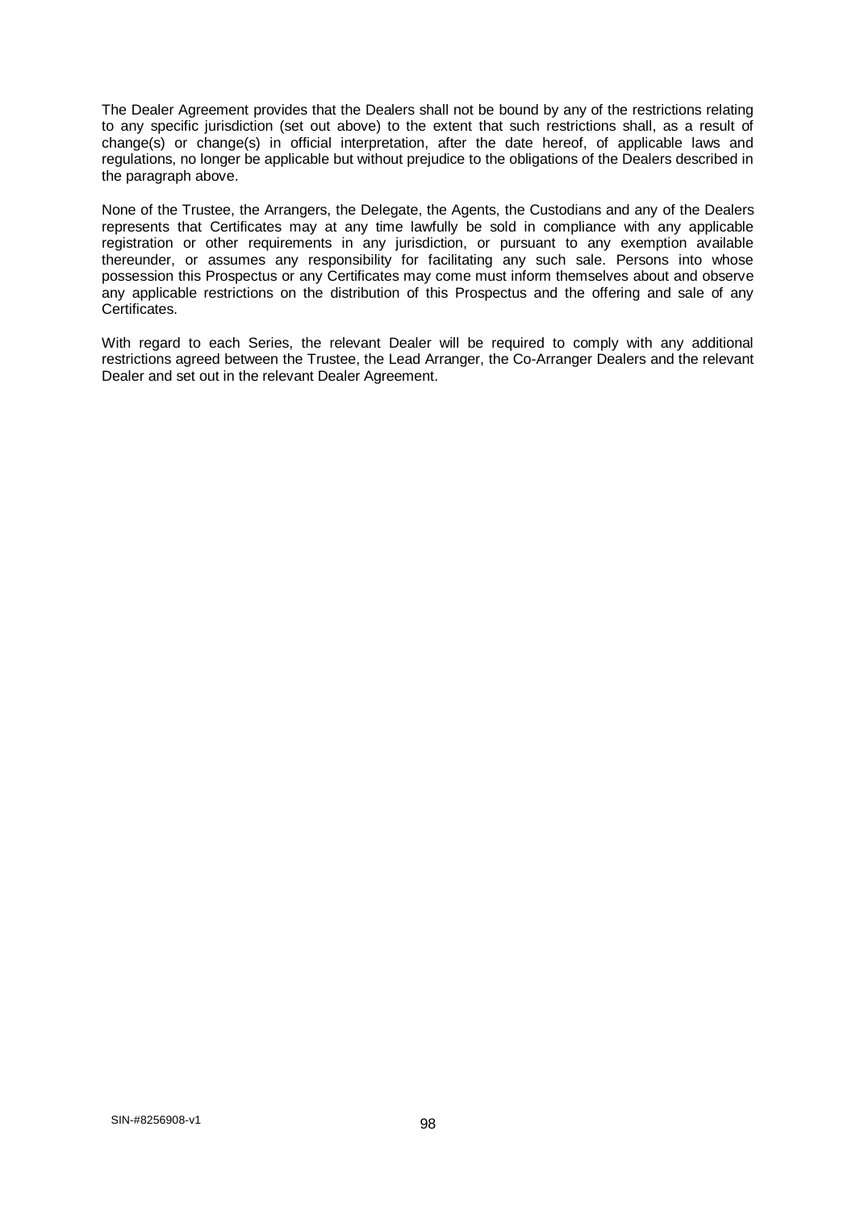The Dealer Agreement provides that the Dealers shall not be bound by any of the restrictions relating to any specific jurisdiction (set out above) to the extent that such restrictions shall, as a result of change(s) or change(s) in official interpretation, after the date hereof, of applicable laws and regulations, no longer be applicable but without prejudice to the obligations of the Dealers described in the paragraph above.

None of the Trustee, the Arrangers, the Delegate, the Agents, the Custodians and any of the Dealers represents that Certificates may at any time lawfully be sold in compliance with any applicable registration or other requirements in any jurisdiction, or pursuant to any exemption available thereunder, or assumes any responsibility for facilitating any such sale. Persons into whose possession this Prospectus or any Certificates may come must inform themselves about and observe any applicable restrictions on the distribution of this Prospectus and the offering and sale of any Certificates.

With regard to each Series, the relevant Dealer will be required to comply with any additional restrictions agreed between the Trustee, the Lead Arranger, the Co-Arranger Dealers and the relevant Dealer and set out in the relevant Dealer Agreement.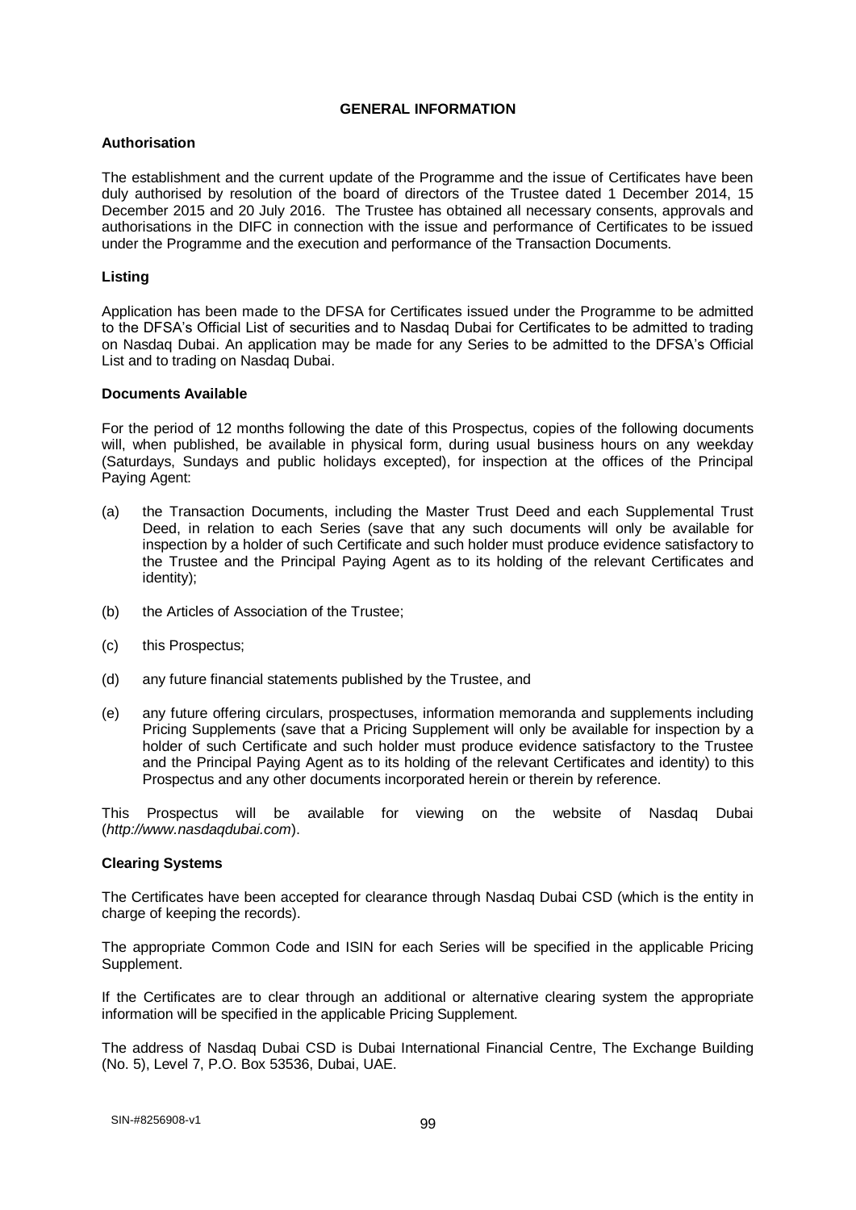#### **GENERAL INFORMATION**

## **Authorisation**

The establishment and the current update of the Programme and the issue of Certificates have been duly authorised by resolution of the board of directors of the Trustee dated 1 December 2014, 15 December 2015 and 20 July 2016. The Trustee has obtained all necessary consents, approvals and authorisations in the DIFC in connection with the issue and performance of Certificates to be issued under the Programme and the execution and performance of the Transaction Documents.

### **Listing**

Application has been made to the DFSA for Certificates issued under the Programme to be admitted to the DFSA's Official List of securities and to Nasdaq Dubai for Certificates to be admitted to trading on Nasdaq Dubai. An application may be made for any Series to be admitted to the DFSA's Official List and to trading on Nasdaq Dubai.

#### **Documents Available**

For the period of 12 months following the date of this Prospectus, copies of the following documents will, when published, be available in physical form, during usual business hours on any weekday (Saturdays, Sundays and public holidays excepted), for inspection at the offices of the Principal Paying Agent:

- (a) the Transaction Documents, including the Master Trust Deed and each Supplemental Trust Deed, in relation to each Series (save that any such documents will only be available for inspection by a holder of such Certificate and such holder must produce evidence satisfactory to the Trustee and the Principal Paying Agent as to its holding of the relevant Certificates and identity);
- (b) the Articles of Association of the Trustee;
- (c) this Prospectus;
- (d) any future financial statements published by the Trustee, and
- (e) any future offering circulars, prospectuses, information memoranda and supplements including Pricing Supplements (save that a Pricing Supplement will only be available for inspection by a holder of such Certificate and such holder must produce evidence satisfactory to the Trustee and the Principal Paying Agent as to its holding of the relevant Certificates and identity) to this Prospectus and any other documents incorporated herein or therein by reference.

This Prospectus will be available for viewing on the website of Nasdaq Dubai (*http://www.nasdaqdubai.com*).

#### **Clearing Systems**

The Certificates have been accepted for clearance through Nasdaq Dubai CSD (which is the entity in charge of keeping the records).

The appropriate Common Code and ISIN for each Series will be specified in the applicable Pricing Supplement.

If the Certificates are to clear through an additional or alternative clearing system the appropriate information will be specified in the applicable Pricing Supplement.

The address of Nasdaq Dubai CSD is Dubai International Financial Centre, The Exchange Building (No. 5), Level 7, P.O. Box 53536, Dubai, UAE.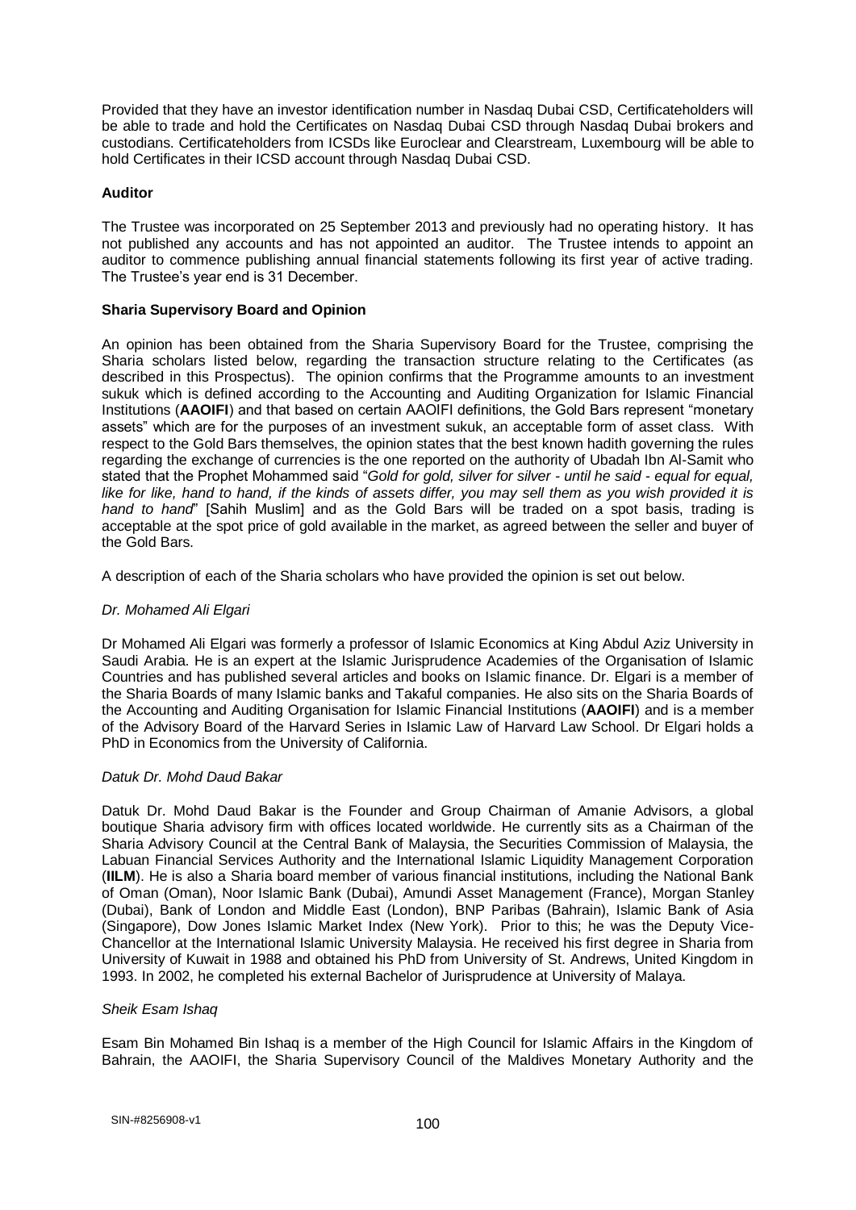Provided that they have an investor identification number in Nasdaq Dubai CSD, Certificateholders will be able to trade and hold the Certificates on Nasdaq Dubai CSD through Nasdaq Dubai brokers and custodians. Certificateholders from ICSDs like Euroclear and Clearstream, Luxembourg will be able to hold Certificates in their ICSD account through Nasdaq Dubai CSD.

### **Auditor**

The Trustee was incorporated on 25 September 2013 and previously had no operating history. It has not published any accounts and has not appointed an auditor. The Trustee intends to appoint an auditor to commence publishing annual financial statements following its first year of active trading. The Trustee's year end is 31 December.

### **Sharia Supervisory Board and Opinion**

An opinion has been obtained from the Sharia Supervisory Board for the Trustee, comprising the Sharia scholars listed below, regarding the transaction structure relating to the Certificates (as described in this Prospectus). The opinion confirms that the Programme amounts to an investment sukuk which is defined according to the Accounting and Auditing Organization for Islamic Financial Institutions (**AAOIFI**) and that based on certain AAOIFI definitions, the Gold Bars represent "monetary assets" which are for the purposes of an investment sukuk, an acceptable form of asset class. With respect to the Gold Bars themselves, the opinion states that the best known hadith governing the rules regarding the exchange of currencies is the one reported on the authority of Ubadah Ibn Al-Samit who stated that the Prophet Mohammed said "*Gold for gold, silver for silver - until he said - equal for equal, like for like, hand to hand, if the kinds of assets differ, you may sell them as you wish provided it is hand to hand*" [Sahih Muslim] and as the Gold Bars will be traded on a spot basis, trading is acceptable at the spot price of gold available in the market, as agreed between the seller and buyer of the Gold Bars.

A description of each of the Sharia scholars who have provided the opinion is set out below.

### *Dr. Mohamed Ali Elgari*

Dr Mohamed Ali Elgari was formerly a professor of Islamic Economics at King Abdul Aziz University in Saudi Arabia. He is an expert at the Islamic Jurisprudence Academies of the Organisation of Islamic Countries and has published several articles and books on Islamic finance. Dr. Elgari is a member of the Sharia Boards of many Islamic banks and Takaful companies. He also sits on the Sharia Boards of the Accounting and Auditing Organisation for Islamic Financial Institutions (**AAOIFI**) and is a member of the Advisory Board of the Harvard Series in Islamic Law of Harvard Law School. Dr Elgari holds a PhD in Economics from the University of California.

#### *Datuk Dr. Mohd Daud Bakar*

Datuk Dr. Mohd Daud Bakar is the Founder and Group Chairman of Amanie Advisors, a global boutique Sharia advisory firm with offices located worldwide. He currently sits as a Chairman of the Sharia Advisory Council at the Central Bank of Malaysia, the Securities Commission of Malaysia, the Labuan Financial Services Authority and the International Islamic Liquidity Management Corporation (**IILM**). He is also a Sharia board member of various financial institutions, including the National Bank of Oman (Oman), Noor Islamic Bank (Dubai), Amundi Asset Management (France), Morgan Stanley (Dubai), Bank of London and Middle East (London), BNP Paribas (Bahrain), Islamic Bank of Asia (Singapore), Dow Jones Islamic Market Index (New York). Prior to this; he was the Deputy Vice-Chancellor at the International Islamic University Malaysia. He received his first degree in Sharia from University of Kuwait in 1988 and obtained his PhD from University of St. Andrews, United Kingdom in 1993. In 2002, he completed his external Bachelor of Jurisprudence at University of Malaya.

#### *Sheik Esam Ishaq*

Esam Bin Mohamed Bin Ishaq is a member of the High Council for Islamic Affairs in the Kingdom of Bahrain, the AAOIFI, the Sharia Supervisory Council of the Maldives Monetary Authority and the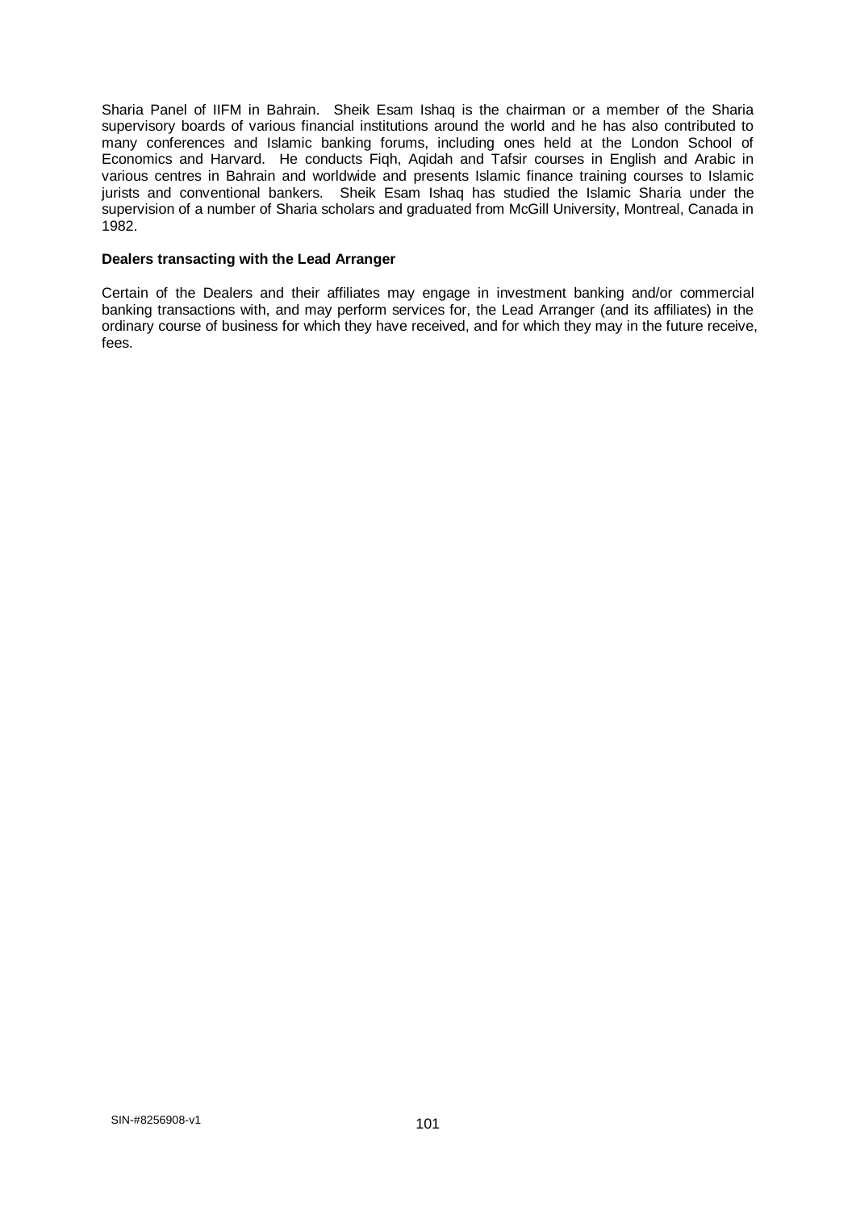Sharia Panel of IIFM in Bahrain. Sheik Esam Ishaq is the chairman or a member of the Sharia supervisory boards of various financial institutions around the world and he has also contributed to many conferences and Islamic banking forums, including ones held at the London School of Economics and Harvard. He conducts Fiqh, Aqidah and Tafsir courses in English and Arabic in various centres in Bahrain and worldwide and presents Islamic finance training courses to Islamic jurists and conventional bankers. Sheik Esam Ishaq has studied the Islamic Sharia under the supervision of a number of Sharia scholars and graduated from McGill University, Montreal, Canada in 1982.

### **Dealers transacting with the Lead Arranger**

Certain of the Dealers and their affiliates may engage in investment banking and/or commercial banking transactions with, and may perform services for, the Lead Arranger (and its affiliates) in the ordinary course of business for which they have received, and for which they may in the future receive, fees.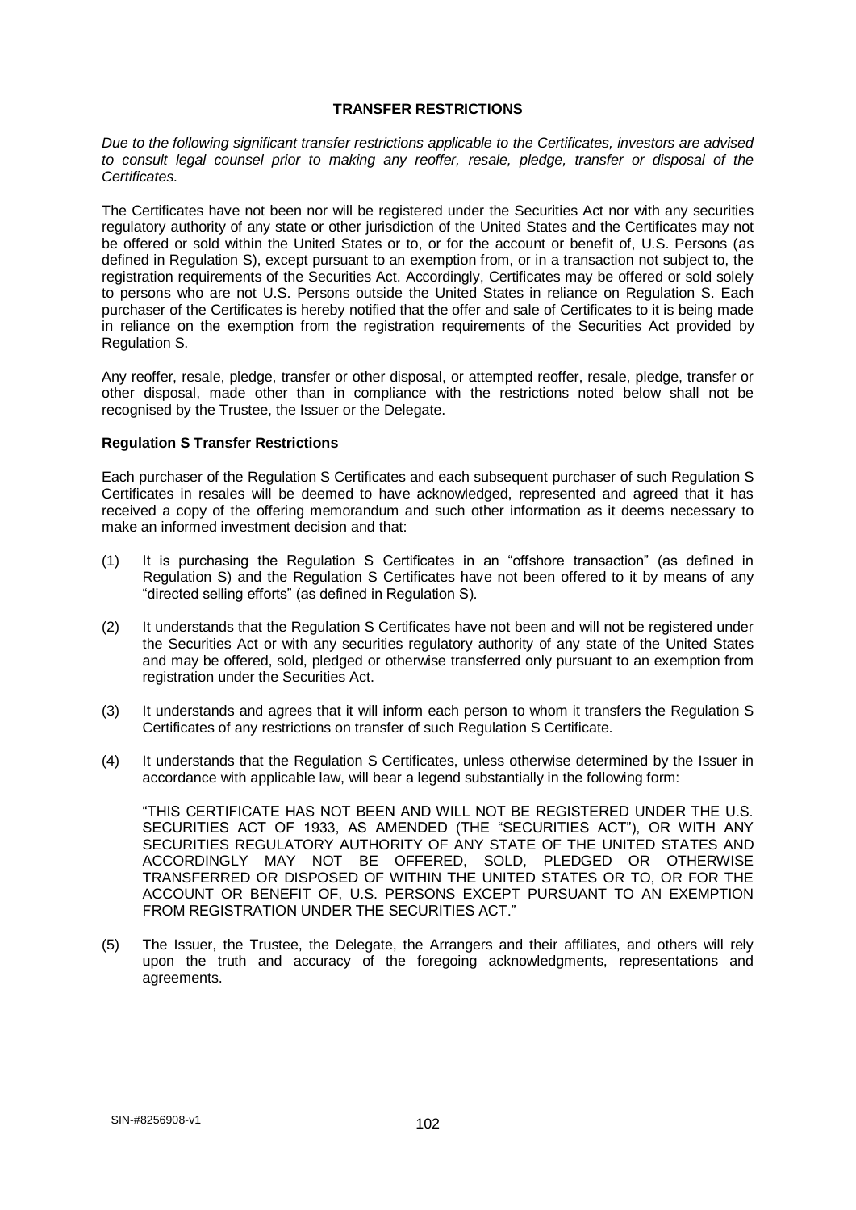#### **TRANSFER RESTRICTIONS**

*Due to the following significant transfer restrictions applicable to the Certificates, investors are advised to consult legal counsel prior to making any reoffer, resale, pledge, transfer or disposal of the Certificates.*

The Certificates have not been nor will be registered under the Securities Act nor with any securities regulatory authority of any state or other jurisdiction of the United States and the Certificates may not be offered or sold within the United States or to, or for the account or benefit of, U.S. Persons (as defined in Regulation S), except pursuant to an exemption from, or in a transaction not subject to, the registration requirements of the Securities Act. Accordingly, Certificates may be offered or sold solely to persons who are not U.S. Persons outside the United States in reliance on Regulation S. Each purchaser of the Certificates is hereby notified that the offer and sale of Certificates to it is being made in reliance on the exemption from the registration requirements of the Securities Act provided by Regulation S.

Any reoffer, resale, pledge, transfer or other disposal, or attempted reoffer, resale, pledge, transfer or other disposal, made other than in compliance with the restrictions noted below shall not be recognised by the Trustee, the Issuer or the Delegate.

#### **Regulation S Transfer Restrictions**

Each purchaser of the Regulation S Certificates and each subsequent purchaser of such Regulation S Certificates in resales will be deemed to have acknowledged, represented and agreed that it has received a copy of the offering memorandum and such other information as it deems necessary to make an informed investment decision and that:

- (1) It is purchasing the Regulation S Certificates in an "offshore transaction" (as defined in Regulation S) and the Regulation S Certificates have not been offered to it by means of any "directed selling efforts" (as defined in Regulation S).
- (2) It understands that the Regulation S Certificates have not been and will not be registered under the Securities Act or with any securities regulatory authority of any state of the United States and may be offered, sold, pledged or otherwise transferred only pursuant to an exemption from registration under the Securities Act.
- (3) It understands and agrees that it will inform each person to whom it transfers the Regulation S Certificates of any restrictions on transfer of such Regulation S Certificate.
- (4) It understands that the Regulation S Certificates, unless otherwise determined by the Issuer in accordance with applicable law, will bear a legend substantially in the following form:

"THIS CERTIFICATE HAS NOT BEEN AND WILL NOT BE REGISTERED UNDER THE U.S. SECURITIES ACT OF 1933, AS AMENDED (THE "SECURITIES ACT"), OR WITH ANY SECURITIES REGULATORY AUTHORITY OF ANY STATE OF THE UNITED STATES AND ACCORDINGLY MAY NOT BE OFFERED, SOLD, PLEDGED OR OTHERWISE TRANSFERRED OR DISPOSED OF WITHIN THE UNITED STATES OR TO, OR FOR THE ACCOUNT OR BENEFIT OF, U.S. PERSONS EXCEPT PURSUANT TO AN EXEMPTION FROM REGISTRATION UNDER THE SECURITIES ACT.

(5) The Issuer, the Trustee, the Delegate, the Arrangers and their affiliates, and others will rely upon the truth and accuracy of the foregoing acknowledgments, representations and agreements.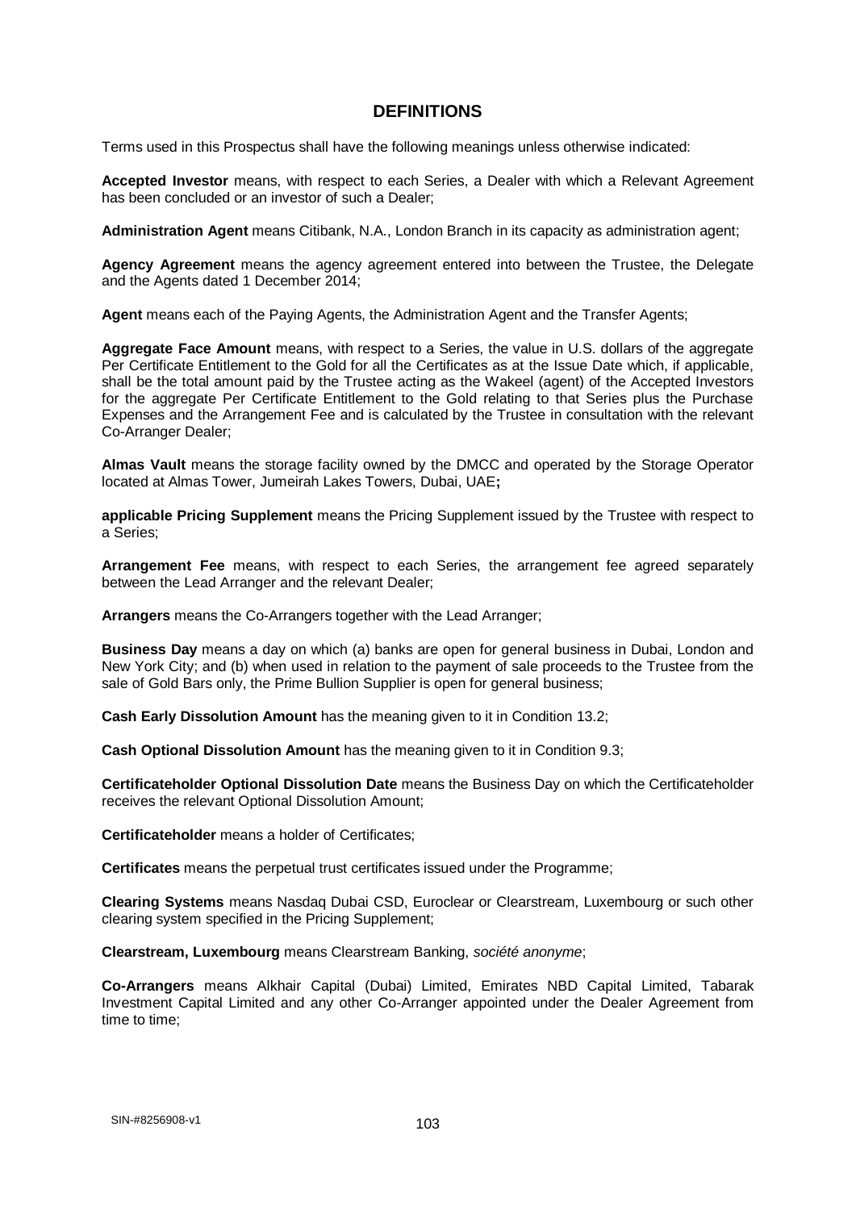# **DEFINITIONS**

Terms used in this Prospectus shall have the following meanings unless otherwise indicated:

**Accepted Investor** means, with respect to each Series, a Dealer with which a Relevant Agreement has been concluded or an investor of such a Dealer;

**Administration Agent** means Citibank, N.A., London Branch in its capacity as administration agent;

**Agency Agreement** means the agency agreement entered into between the Trustee, the Delegate and the Agents dated 1 December 2014;

**Agent** means each of the Paying Agents, the Administration Agent and the Transfer Agents;

**Aggregate Face Amount** means, with respect to a Series, the value in U.S. dollars of the aggregate Per Certificate Entitlement to the Gold for all the Certificates as at the Issue Date which, if applicable, shall be the total amount paid by the Trustee acting as the Wakeel (agent) of the Accepted Investors for the aggregate Per Certificate Entitlement to the Gold relating to that Series plus the Purchase Expenses and the Arrangement Fee and is calculated by the Trustee in consultation with the relevant Co-Arranger Dealer;

**Almas Vault** means the storage facility owned by the DMCC and operated by the Storage Operator located at Almas Tower, Jumeirah Lakes Towers, Dubai, UAE**;**

**applicable Pricing Supplement** means the Pricing Supplement issued by the Trustee with respect to a Series;

**Arrangement Fee** means, with respect to each Series, the arrangement fee agreed separately between the Lead Arranger and the relevant Dealer;

**Arrangers** means the Co-Arrangers together with the Lead Arranger;

**Business Day** means a day on which (a) banks are open for general business in Dubai, London and New York City; and (b) when used in relation to the payment of sale proceeds to the Trustee from the sale of Gold Bars only, the Prime Bullion Supplier is open for general business;

**Cash Early Dissolution Amount** has the meaning given to it in Condition 13.2;

**Cash Optional Dissolution Amount** has the meaning given to it in Condition 9.3;

**Certificateholder Optional Dissolution Date** means the Business Day on which the Certificateholder receives the relevant Optional Dissolution Amount;

**Certificateholder** means a holder of Certificates;

**Certificates** means the perpetual trust certificates issued under the Programme;

**Clearing Systems** means Nasdaq Dubai CSD, Euroclear or Clearstream, Luxembourg or such other clearing system specified in the Pricing Supplement;

**Clearstream, Luxembourg** means Clearstream Banking, *société anonyme*;

**Co-Arrangers** means Alkhair Capital (Dubai) Limited, Emirates NBD Capital Limited, Tabarak Investment Capital Limited and any other Co-Arranger appointed under the Dealer Agreement from time to time;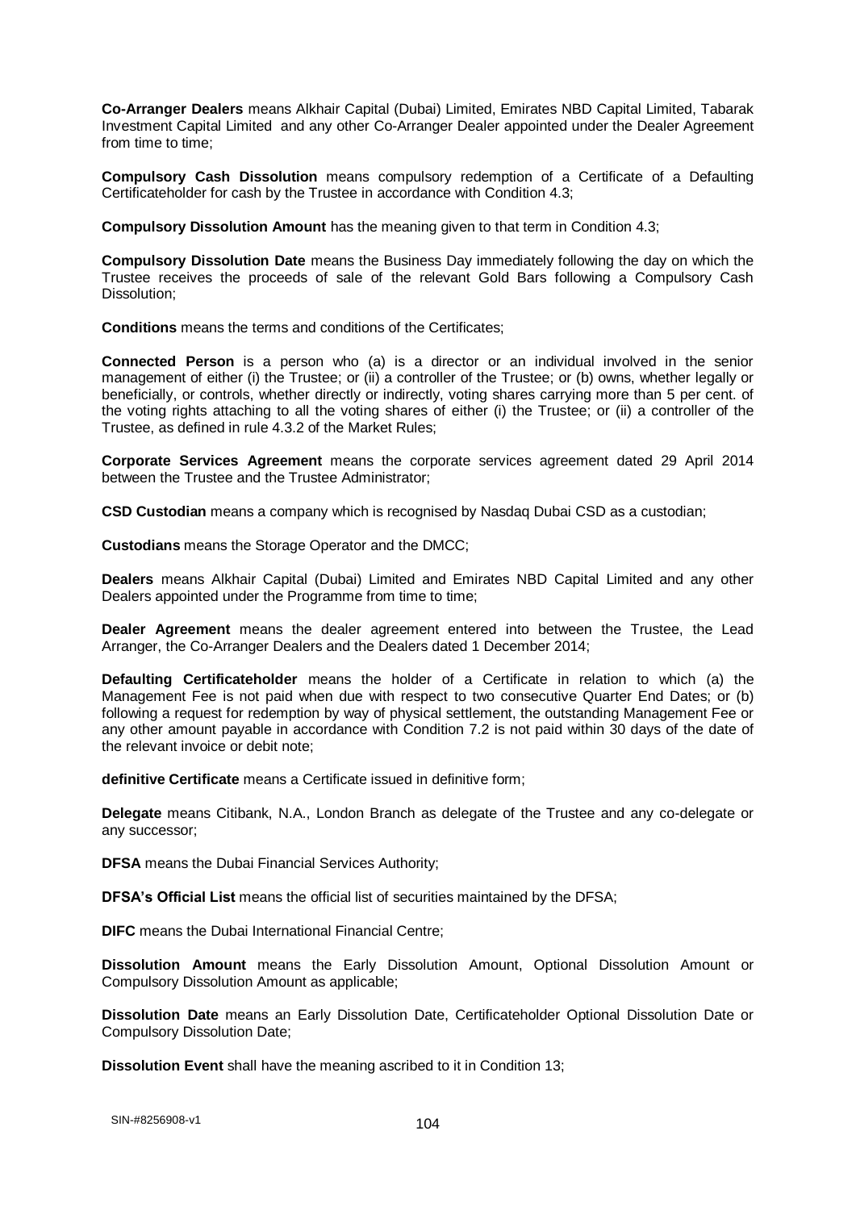**Co-Arranger Dealers** means Alkhair Capital (Dubai) Limited, Emirates NBD Capital Limited, Tabarak Investment Capital Limited and any other Co-Arranger Dealer appointed under the Dealer Agreement from time to time;

**Compulsory Cash Dissolution** means compulsory redemption of a Certificate of a Defaulting Certificateholder for cash by the Trustee in accordance with Condition 4.3;

**Compulsory Dissolution Amount** has the meaning given to that term in Condition 4.3;

**Compulsory Dissolution Date** means the Business Day immediately following the day on which the Trustee receives the proceeds of sale of the relevant Gold Bars following a Compulsory Cash Dissolution;

**Conditions** means the terms and conditions of the Certificates;

**Connected Person** is a person who (a) is a director or an individual involved in the senior management of either (i) the Trustee; or (ii) a controller of the Trustee; or (b) owns, whether legally or beneficially, or controls, whether directly or indirectly, voting shares carrying more than 5 per cent. of the voting rights attaching to all the voting shares of either (i) the Trustee; or (ii) a controller of the Trustee, as defined in rule 4.3.2 of the Market Rules;

**Corporate Services Agreement** means the corporate services agreement dated 29 April 2014 between the Trustee and the Trustee Administrator;

**CSD Custodian** means a company which is recognised by Nasdaq Dubai CSD as a custodian;

**Custodians** means the Storage Operator and the DMCC;

**Dealers** means Alkhair Capital (Dubai) Limited and Emirates NBD Capital Limited and any other Dealers appointed under the Programme from time to time;

**Dealer Agreement** means the dealer agreement entered into between the Trustee, the Lead Arranger, the Co-Arranger Dealers and the Dealers dated 1 December 2014;

**Defaulting Certificateholder** means the holder of a Certificate in relation to which (a) the Management Fee is not paid when due with respect to two consecutive Quarter End Dates; or (b) following a request for redemption by way of physical settlement, the outstanding Management Fee or any other amount payable in accordance with Condition 7.2 is not paid within 30 days of the date of the relevant invoice or debit note;

**definitive Certificate** means a Certificate issued in definitive form;

**Delegate** means Citibank, N.A., London Branch as delegate of the Trustee and any co-delegate or any successor;

**DFSA** means the Dubai Financial Services Authority;

**DFSA's Official List** means the official list of securities maintained by the DFSA;

**DIFC** means the Dubai International Financial Centre;

**Dissolution Amount** means the Early Dissolution Amount, Optional Dissolution Amount or Compulsory Dissolution Amount as applicable;

**Dissolution Date** means an Early Dissolution Date, Certificateholder Optional Dissolution Date or Compulsory Dissolution Date;

**Dissolution Event** shall have the meaning ascribed to it in Condition 13;

104 SIN-#8256908-v1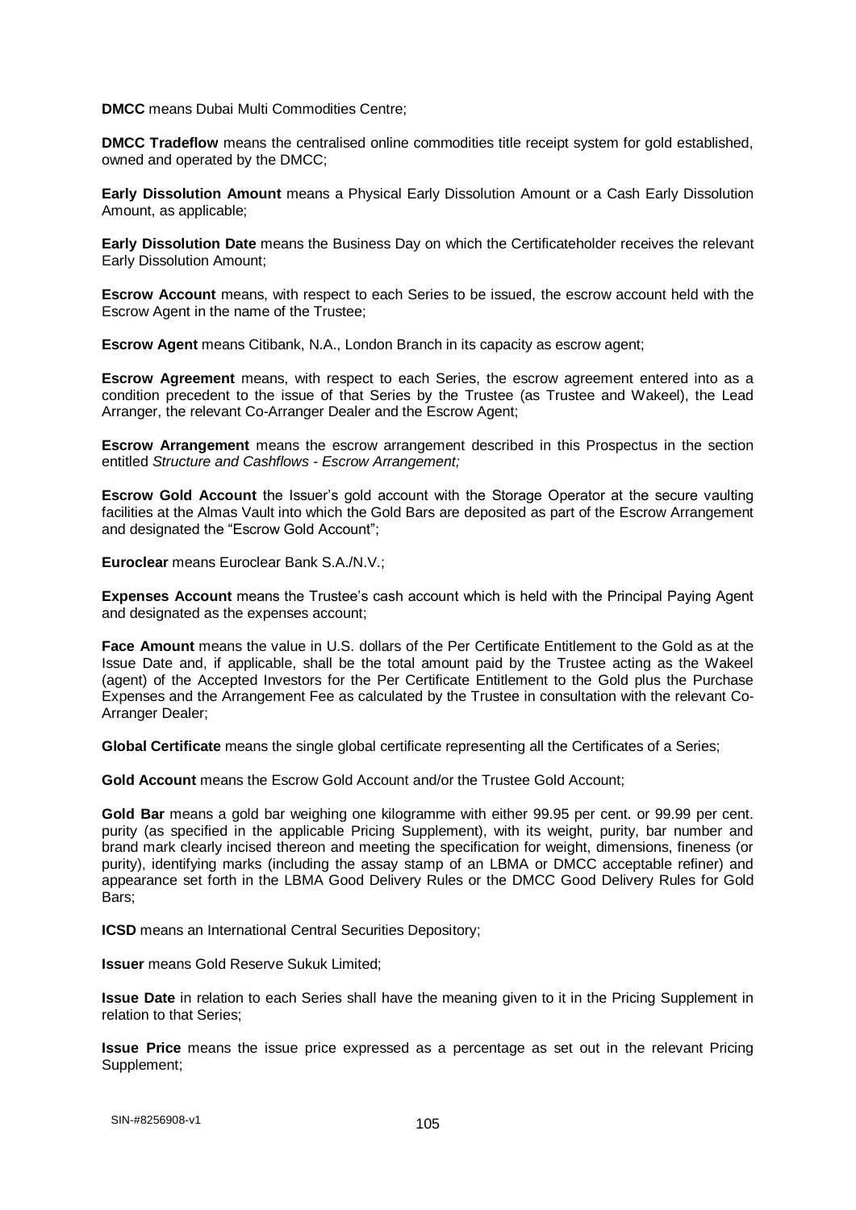**DMCC** means Dubai Multi Commodities Centre;

**DMCC Tradeflow** means the centralised online commodities title receipt system for gold established, owned and operated by the DMCC;

**Early Dissolution Amount** means a Physical Early Dissolution Amount or a Cash Early Dissolution Amount, as applicable;

**Early Dissolution Date** means the Business Day on which the Certificateholder receives the relevant Early Dissolution Amount;

**Escrow Account** means, with respect to each Series to be issued, the escrow account held with the Escrow Agent in the name of the Trustee;

**Escrow Agent** means Citibank, N.A., London Branch in its capacity as escrow agent;

**Escrow Agreement** means, with respect to each Series, the escrow agreement entered into as a condition precedent to the issue of that Series by the Trustee (as Trustee and Wakeel), the Lead Arranger, the relevant Co-Arranger Dealer and the Escrow Agent;

**Escrow Arrangement** means the escrow arrangement described in this Prospectus in the section entitled *Structure and Cashflows - Escrow Arrangement;*

**Escrow Gold Account** the Issuer's gold account with the Storage Operator at the secure vaulting facilities at the Almas Vault into which the Gold Bars are deposited as part of the Escrow Arrangement and designated the "Escrow Gold Account";

**Euroclear** means Euroclear Bank S.A./N.V.;

**Expenses Account** means the Trustee's cash account which is held with the Principal Paying Agent and designated as the expenses account;

**Face Amount** means the value in U.S. dollars of the Per Certificate Entitlement to the Gold as at the Issue Date and, if applicable, shall be the total amount paid by the Trustee acting as the Wakeel (agent) of the Accepted Investors for the Per Certificate Entitlement to the Gold plus the Purchase Expenses and the Arrangement Fee as calculated by the Trustee in consultation with the relevant Co-Arranger Dealer;

**Global Certificate** means the single global certificate representing all the Certificates of a Series;

**Gold Account** means the Escrow Gold Account and/or the Trustee Gold Account;

**Gold Bar** means a gold bar weighing one kilogramme with either 99.95 per cent. or 99.99 per cent. purity (as specified in the applicable Pricing Supplement), with its weight, purity, bar number and brand mark clearly incised thereon and meeting the specification for weight, dimensions, fineness (or purity), identifying marks (including the assay stamp of an LBMA or DMCC acceptable refiner) and appearance set forth in the LBMA Good Delivery Rules or the DMCC Good Delivery Rules for Gold Bars;

**ICSD** means an International Central Securities Depository;

**Issuer** means Gold Reserve Sukuk Limited;

**Issue Date** in relation to each Series shall have the meaning given to it in the Pricing Supplement in relation to that Series;

**Issue Price** means the issue price expressed as a percentage as set out in the relevant Pricing Supplement;

105 SIN-#8256908-v1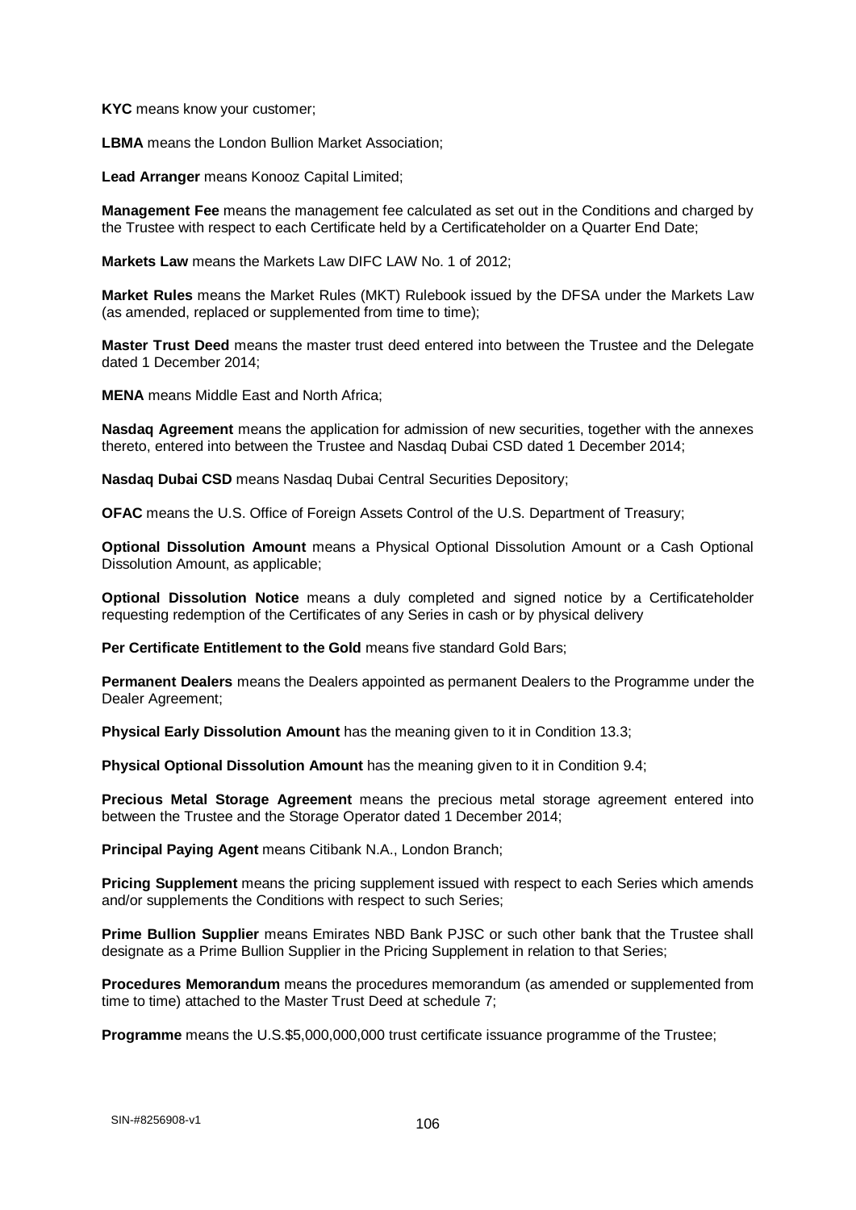**KYC** means know your customer;

**LBMA** means the London Bullion Market Association;

**Lead Arranger** means Konooz Capital Limited;

**Management Fee** means the management fee calculated as set out in the Conditions and charged by the Trustee with respect to each Certificate held by a Certificateholder on a Quarter End Date;

**Markets Law** means the Markets Law DIFC LAW No. 1 of 2012;

**Market Rules** means the Market Rules (MKT) Rulebook issued by the DFSA under the Markets Law (as amended, replaced or supplemented from time to time);

**Master Trust Deed** means the master trust deed entered into between the Trustee and the Delegate dated 1 December 2014;

**MENA** means Middle East and North Africa;

**Nasdaq Agreement** means the application for admission of new securities, together with the annexes thereto, entered into between the Trustee and Nasdaq Dubai CSD dated 1 December 2014;

**Nasdaq Dubai CSD** means Nasdaq Dubai Central Securities Depository;

**OFAC** means the U.S. Office of Foreign Assets Control of the U.S. Department of Treasury;

**Optional Dissolution Amount** means a Physical Optional Dissolution Amount or a Cash Optional Dissolution Amount, as applicable;

**Optional Dissolution Notice** means a duly completed and signed notice by a Certificateholder requesting redemption of the Certificates of any Series in cash or by physical delivery

**Per Certificate Entitlement to the Gold means five standard Gold Bars;** 

**Permanent Dealers** means the Dealers appointed as permanent Dealers to the Programme under the Dealer Agreement;

**Physical Early Dissolution Amount** has the meaning given to it in Condition 13.3;

**Physical Optional Dissolution Amount** has the meaning given to it in Condition 9.4;

**Precious Metal Storage Agreement** means the precious metal storage agreement entered into between the Trustee and the Storage Operator dated 1 December 2014;

**Principal Paying Agent** means Citibank N.A., London Branch;

**Pricing Supplement** means the pricing supplement issued with respect to each Series which amends and/or supplements the Conditions with respect to such Series;

**Prime Bullion Supplier** means Emirates NBD Bank PJSC or such other bank that the Trustee shall designate as a Prime Bullion Supplier in the Pricing Supplement in relation to that Series;

**Procedures Memorandum** means the procedures memorandum (as amended or supplemented from time to time) attached to the Master Trust Deed at schedule 7;

**Programme** means the U.S.\$5,000,000,000 trust certificate issuance programme of the Trustee;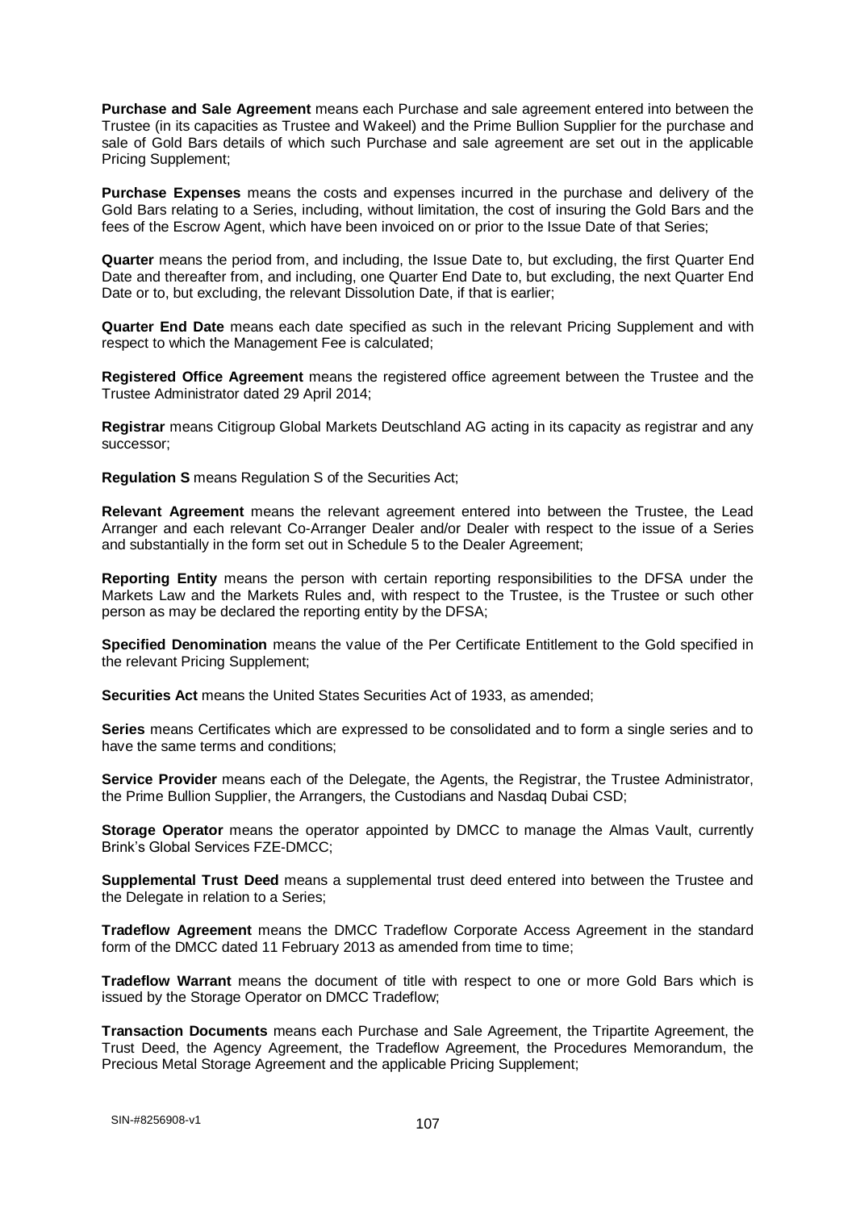**Purchase and Sale Agreement** means each Purchase and sale agreement entered into between the Trustee (in its capacities as Trustee and Wakeel) and the Prime Bullion Supplier for the purchase and sale of Gold Bars details of which such Purchase and sale agreement are set out in the applicable Pricing Supplement;

**Purchase Expenses** means the costs and expenses incurred in the purchase and delivery of the Gold Bars relating to a Series, including, without limitation, the cost of insuring the Gold Bars and the fees of the Escrow Agent, which have been invoiced on or prior to the Issue Date of that Series;

**Quarter** means the period from, and including, the Issue Date to, but excluding, the first Quarter End Date and thereafter from, and including, one Quarter End Date to, but excluding, the next Quarter End Date or to, but excluding, the relevant Dissolution Date, if that is earlier;

**Quarter End Date** means each date specified as such in the relevant Pricing Supplement and with respect to which the Management Fee is calculated;

**Registered Office Agreement** means the registered office agreement between the Trustee and the Trustee Administrator dated 29 April 2014;

**Registrar** means Citigroup Global Markets Deutschland AG acting in its capacity as registrar and any successor;

**Regulation S** means Regulation S of the Securities Act;

**Relevant Agreement** means the relevant agreement entered into between the Trustee, the Lead Arranger and each relevant Co-Arranger Dealer and/or Dealer with respect to the issue of a Series and substantially in the form set out in Schedule 5 to the Dealer Agreement;

**Reporting Entity** means the person with certain reporting responsibilities to the DFSA under the Markets Law and the Markets Rules and, with respect to the Trustee, is the Trustee or such other person as may be declared the reporting entity by the DFSA;

**Specified Denomination** means the value of the Per Certificate Entitlement to the Gold specified in the relevant Pricing Supplement;

**Securities Act** means the United States Securities Act of 1933, as amended;

**Series** means Certificates which are expressed to be consolidated and to form a single series and to have the same terms and conditions;

**Service Provider** means each of the Delegate, the Agents, the Registrar, the Trustee Administrator, the Prime Bullion Supplier, the Arrangers, the Custodians and Nasdaq Dubai CSD;

**Storage Operator** means the operator appointed by DMCC to manage the Almas Vault, currently Brink's Global Services FZE-DMCC;

**Supplemental Trust Deed** means a supplemental trust deed entered into between the Trustee and the Delegate in relation to a Series;

**Tradeflow Agreement** means the DMCC Tradeflow Corporate Access Agreement in the standard form of the DMCC dated 11 February 2013 as amended from time to time;

**Tradeflow Warrant** means the document of title with respect to one or more Gold Bars which is issued by the Storage Operator on DMCC Tradeflow;

**Transaction Documents** means each Purchase and Sale Agreement, the Tripartite Agreement, the Trust Deed, the Agency Agreement, the Tradeflow Agreement, the Procedures Memorandum, the Precious Metal Storage Agreement and the applicable Pricing Supplement;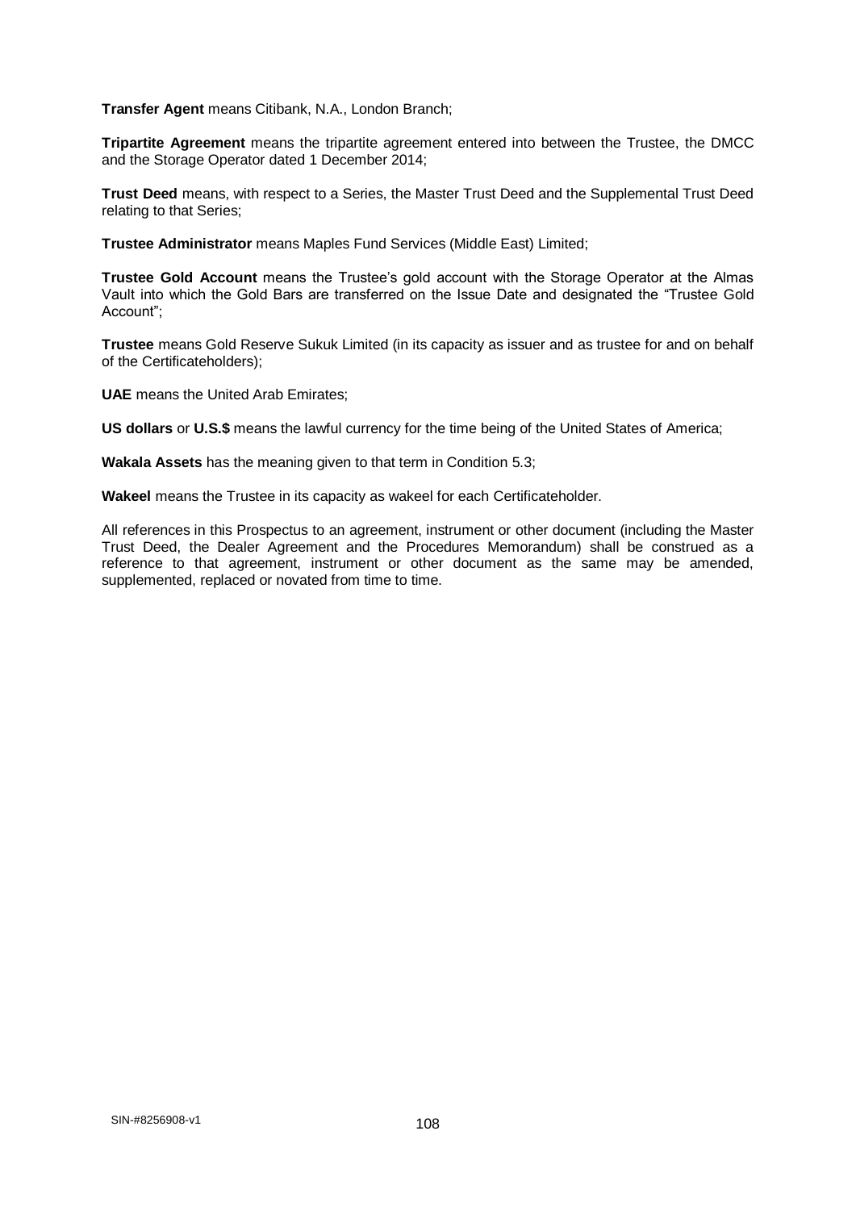**Transfer Agent** means Citibank, N.A., London Branch;

**Tripartite Agreement** means the tripartite agreement entered into between the Trustee, the DMCC and the Storage Operator dated 1 December 2014;

**Trust Deed** means, with respect to a Series, the Master Trust Deed and the Supplemental Trust Deed relating to that Series;

**Trustee Administrator** means Maples Fund Services (Middle East) Limited;

**Trustee Gold Account** means the Trustee's gold account with the Storage Operator at the Almas Vault into which the Gold Bars are transferred on the Issue Date and designated the "Trustee Gold Account";

**Trustee** means Gold Reserve Sukuk Limited (in its capacity as issuer and as trustee for and on behalf of the Certificateholders);

**UAE** means the United Arab Emirates;

**US dollars** or **U.S.\$** means the lawful currency for the time being of the United States of America;

**Wakala Assets** has the meaning given to that term in Condition 5.3;

**Wakeel** means the Trustee in its capacity as wakeel for each Certificateholder.

All references in this Prospectus to an agreement, instrument or other document (including the Master Trust Deed, the Dealer Agreement and the Procedures Memorandum) shall be construed as a reference to that agreement, instrument or other document as the same may be amended, supplemented, replaced or novated from time to time.